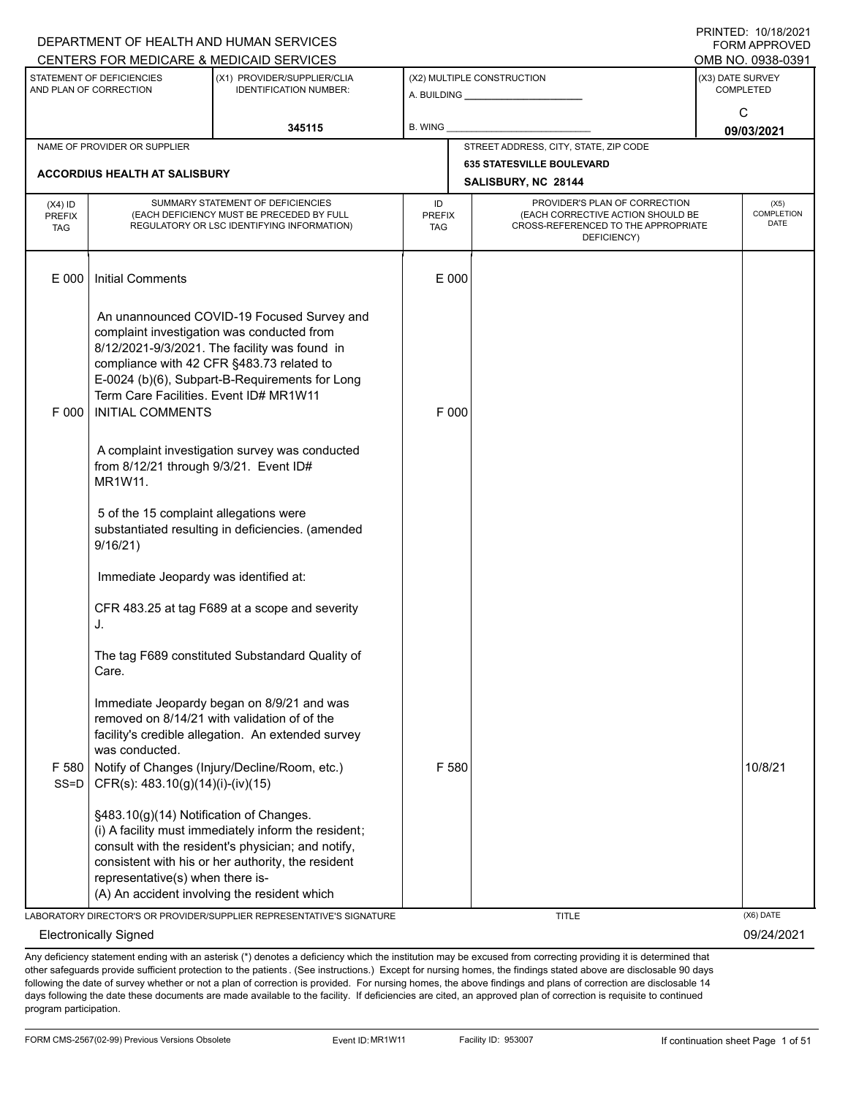|                                          |                                                                             | DEPARTMENT OF HEALTH AND HUMAN SERVICES                                                                                                                                                                                                  |                            |                                                                                                                          | I I \ II \ I L D . I U / I U / L U L I<br><b>FORM APPROVED</b> |
|------------------------------------------|-----------------------------------------------------------------------------|------------------------------------------------------------------------------------------------------------------------------------------------------------------------------------------------------------------------------------------|----------------------------|--------------------------------------------------------------------------------------------------------------------------|----------------------------------------------------------------|
|                                          |                                                                             | CENTERS FOR MEDICARE & MEDICAID SERVICES                                                                                                                                                                                                 |                            |                                                                                                                          | OMB NO. 0938-0391                                              |
|                                          | STATEMENT OF DEFICIENCIES<br>AND PLAN OF CORRECTION                         | (X1) PROVIDER/SUPPLIER/CLIA<br><b>IDENTIFICATION NUMBER:</b>                                                                                                                                                                             |                            | (X2) MULTIPLE CONSTRUCTION<br>A. BUILDING <b>A.</b> BUILDING                                                             | (X3) DATE SURVEY<br><b>COMPLETED</b>                           |
|                                          |                                                                             | 345115                                                                                                                                                                                                                                   | B. WING                    |                                                                                                                          | C<br>09/03/2021                                                |
|                                          | NAME OF PROVIDER OR SUPPLIER                                                |                                                                                                                                                                                                                                          |                            | STREET ADDRESS, CITY, STATE, ZIP CODE                                                                                    |                                                                |
|                                          | <b>ACCORDIUS HEALTH AT SALISBURY</b>                                        |                                                                                                                                                                                                                                          |                            | <b>635 STATESVILLE BOULEVARD</b>                                                                                         |                                                                |
|                                          |                                                                             |                                                                                                                                                                                                                                          |                            | SALISBURY, NC 28144                                                                                                      |                                                                |
| $(X4)$ ID<br><b>PREFIX</b><br><b>TAG</b> |                                                                             | SUMMARY STATEMENT OF DEFICIENCIES<br>(EACH DEFICIENCY MUST BE PRECEDED BY FULL<br>REGULATORY OR LSC IDENTIFYING INFORMATION)                                                                                                             | ID<br><b>PREFIX</b><br>TAG | PROVIDER'S PLAN OF CORRECTION<br>(EACH CORRECTIVE ACTION SHOULD BE<br>CROSS-REFERENCED TO THE APPROPRIATE<br>DEFICIENCY) | (X5)<br>COMPLETION<br><b>DATE</b>                              |
| E 000                                    | <b>Initial Comments</b>                                                     |                                                                                                                                                                                                                                          | E 000                      |                                                                                                                          |                                                                |
| F 000                                    | Term Care Facilities. Event ID# MR1W11<br><b>INITIAL COMMENTS</b>           | An unannounced COVID-19 Focused Survey and<br>complaint investigation was conducted from<br>8/12/2021-9/3/2021. The facility was found in<br>compliance with 42 CFR §483.73 related to<br>E-0024 (b)(6), Subpart-B-Requirements for Long | F 000                      |                                                                                                                          |                                                                |
|                                          | from 8/12/21 through 9/3/21. Event ID#<br>MR1W11.                           | A complaint investigation survey was conducted                                                                                                                                                                                           |                            |                                                                                                                          |                                                                |
|                                          | 5 of the 15 complaint allegations were<br>9/16/21)                          | substantiated resulting in deficiencies. (amended                                                                                                                                                                                        |                            |                                                                                                                          |                                                                |
|                                          | Immediate Jeopardy was identified at:                                       |                                                                                                                                                                                                                                          |                            |                                                                                                                          |                                                                |
|                                          | J.                                                                          | CFR 483.25 at tag F689 at a scope and severity                                                                                                                                                                                           |                            |                                                                                                                          |                                                                |
|                                          | Care.                                                                       | The tag F689 constituted Substandard Quality of                                                                                                                                                                                          |                            |                                                                                                                          |                                                                |
| F 580<br>$SS=D$                          | was conducted.<br>CFR(s): 483.10(g)(14)(i)-(iv)(15)                         | Immediate Jeopardy began on 8/9/21 and was<br>removed on 8/14/21 with validation of of the<br>facility's credible allegation. An extended survey<br>Notify of Changes (Injury/Decline/Room, etc.)                                        | F 580                      |                                                                                                                          | 10/8/21                                                        |
|                                          | §483.10(g)(14) Notification of Changes.<br>representative(s) when there is- | (i) A facility must immediately inform the resident;<br>consult with the resident's physician; and notify,<br>consistent with his or her authority, the resident<br>(A) An accident involving the resident which                         |                            |                                                                                                                          |                                                                |
|                                          |                                                                             | LABORATORY DIRECTOR'S OR PROVIDER/SUPPLIER REPRESENTATIVE'S SIGNATURE                                                                                                                                                                    |                            | <b>TITLE</b>                                                                                                             | (X6) DATE                                                      |
|                                          | <b>Electronically Signed</b>                                                |                                                                                                                                                                                                                                          |                            |                                                                                                                          | 09/24/2021                                                     |

Any deficiency statement ending with an asterisk (\*) denotes a deficiency which the institution may be excused from correcting providing it is determined that other safeguards provide sufficient protection to the patients . (See instructions.) Except for nursing homes, the findings stated above are disclosable 90 days following the date of survey whether or not a plan of correction is provided. For nursing homes, the above findings and plans of correction are disclosable 14 days following the date these documents are made available to the facility. If deficiencies are cited, an approved plan of correction is requisite to continued program participation.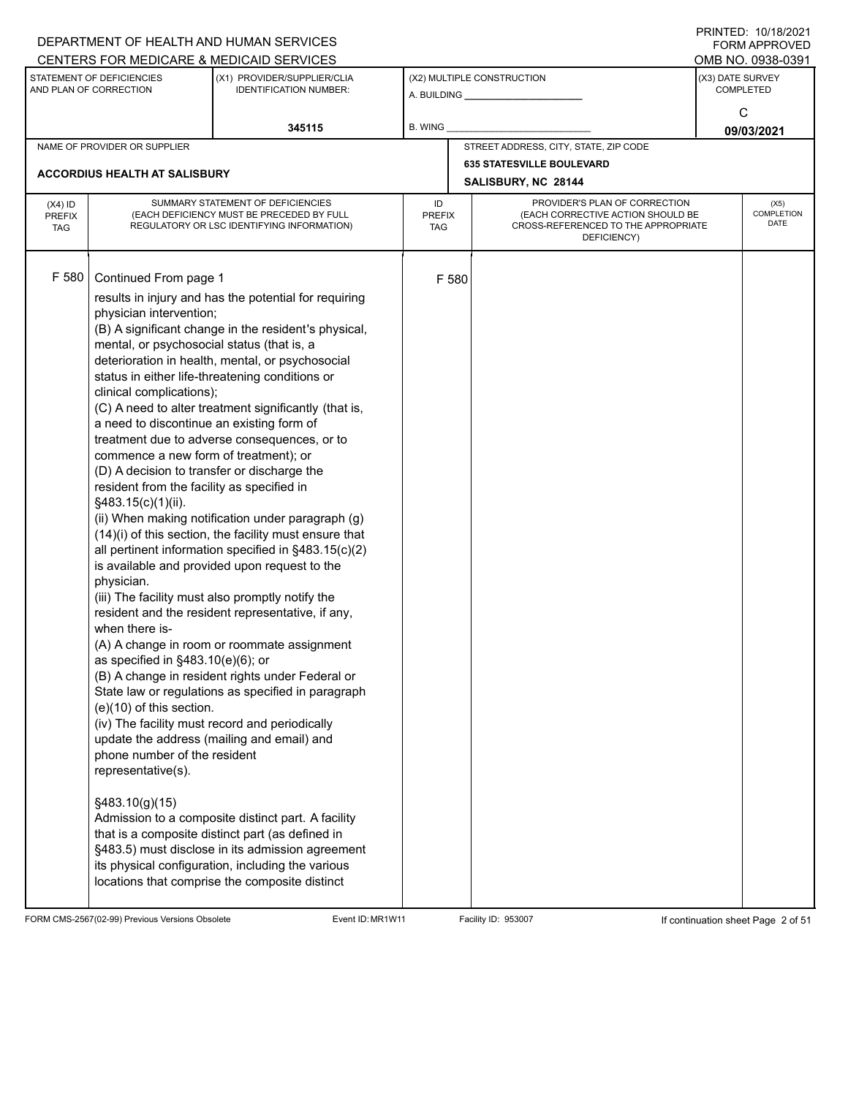|                                          |                                                                                                                                                                                                                                                                                                                                                                                                                                                                                                                | DEPARTMENT OF HEALTH AND HUMAN SERVICES<br>CENTERS FOR MEDICARE & MEDICAID SERVICES                                                                                                                                                                                                                                                                                                                                                                                                                                                                                                                                                                                                                                                                                                                                                                                                                                                                                                                                                                                                                                                                                                          |                                   |       |                                                                                                                          | FININTLU. TV/TO/ZVZT<br><b>FORM APPROVED</b><br>OMB NO. 0938-0391 |
|------------------------------------------|----------------------------------------------------------------------------------------------------------------------------------------------------------------------------------------------------------------------------------------------------------------------------------------------------------------------------------------------------------------------------------------------------------------------------------------------------------------------------------------------------------------|----------------------------------------------------------------------------------------------------------------------------------------------------------------------------------------------------------------------------------------------------------------------------------------------------------------------------------------------------------------------------------------------------------------------------------------------------------------------------------------------------------------------------------------------------------------------------------------------------------------------------------------------------------------------------------------------------------------------------------------------------------------------------------------------------------------------------------------------------------------------------------------------------------------------------------------------------------------------------------------------------------------------------------------------------------------------------------------------------------------------------------------------------------------------------------------------|-----------------------------------|-------|--------------------------------------------------------------------------------------------------------------------------|-------------------------------------------------------------------|
|                                          | STATEMENT OF DEFICIENCIES<br>AND PLAN OF CORRECTION                                                                                                                                                                                                                                                                                                                                                                                                                                                            | (X1) PROVIDER/SUPPLIER/CLIA<br><b>IDENTIFICATION NUMBER:</b>                                                                                                                                                                                                                                                                                                                                                                                                                                                                                                                                                                                                                                                                                                                                                                                                                                                                                                                                                                                                                                                                                                                                 |                                   |       | (X2) MULTIPLE CONSTRUCTION                                                                                               | (X3) DATE SURVEY<br><b>COMPLETED</b><br>C                         |
|                                          |                                                                                                                                                                                                                                                                                                                                                                                                                                                                                                                | 345115                                                                                                                                                                                                                                                                                                                                                                                                                                                                                                                                                                                                                                                                                                                                                                                                                                                                                                                                                                                                                                                                                                                                                                                       | <b>B. WING</b>                    |       |                                                                                                                          | 09/03/2021                                                        |
|                                          | NAME OF PROVIDER OR SUPPLIER                                                                                                                                                                                                                                                                                                                                                                                                                                                                                   |                                                                                                                                                                                                                                                                                                                                                                                                                                                                                                                                                                                                                                                                                                                                                                                                                                                                                                                                                                                                                                                                                                                                                                                              |                                   |       | STREET ADDRESS, CITY, STATE, ZIP CODE                                                                                    |                                                                   |
|                                          | <b>ACCORDIUS HEALTH AT SALISBURY</b>                                                                                                                                                                                                                                                                                                                                                                                                                                                                           |                                                                                                                                                                                                                                                                                                                                                                                                                                                                                                                                                                                                                                                                                                                                                                                                                                                                                                                                                                                                                                                                                                                                                                                              |                                   |       | <b>635 STATESVILLE BOULEVARD</b><br>SALISBURY, NC 28144                                                                  |                                                                   |
| $(X4)$ ID<br><b>PREFIX</b><br><b>TAG</b> |                                                                                                                                                                                                                                                                                                                                                                                                                                                                                                                | SUMMARY STATEMENT OF DEFICIENCIES<br>(EACH DEFICIENCY MUST BE PRECEDED BY FULL<br>REGULATORY OR LSC IDENTIFYING INFORMATION)                                                                                                                                                                                                                                                                                                                                                                                                                                                                                                                                                                                                                                                                                                                                                                                                                                                                                                                                                                                                                                                                 | ID<br><b>PREFIX</b><br><b>TAG</b> |       | PROVIDER'S PLAN OF CORRECTION<br>(EACH CORRECTIVE ACTION SHOULD BE<br>CROSS-REFERENCED TO THE APPROPRIATE<br>DEFICIENCY) | (X5)<br>COMPLETION<br><b>DATE</b>                                 |
| F 580                                    | Continued From page 1<br>physician intervention;<br>mental, or psychosocial status (that is, a<br>clinical complications);<br>a need to discontinue an existing form of<br>commence a new form of treatment); or<br>(D) A decision to transfer or discharge the<br>resident from the facility as specified in<br>§483.15(c)(1)(ii).<br>physician.<br>when there is-<br>as specified in §483.10(e)(6); or<br>$(e)(10)$ of this section.<br>phone number of the resident<br>representative(s).<br>§483.10(g)(15) | results in injury and has the potential for requiring<br>(B) A significant change in the resident's physical,<br>deterioration in health, mental, or psychosocial<br>status in either life-threatening conditions or<br>(C) A need to alter treatment significantly (that is,<br>treatment due to adverse consequences, or to<br>(ii) When making notification under paragraph (g)<br>(14)(i) of this section, the facility must ensure that<br>all pertinent information specified in §483.15(c)(2)<br>is available and provided upon request to the<br>(iii) The facility must also promptly notify the<br>resident and the resident representative, if any,<br>(A) A change in room or roommate assignment<br>(B) A change in resident rights under Federal or<br>State law or regulations as specified in paragraph<br>(iv) The facility must record and periodically<br>update the address (mailing and email) and<br>Admission to a composite distinct part. A facility<br>that is a composite distinct part (as defined in<br>§483.5) must disclose in its admission agreement<br>its physical configuration, including the various<br>locations that comprise the composite distinct |                                   | F 580 |                                                                                                                          |                                                                   |

FORM CMS-2567(02-99) Previous Versions Obsolete Event ID: MR1W11 Facility ID: 953007 If continuation sheet Page 2 of 51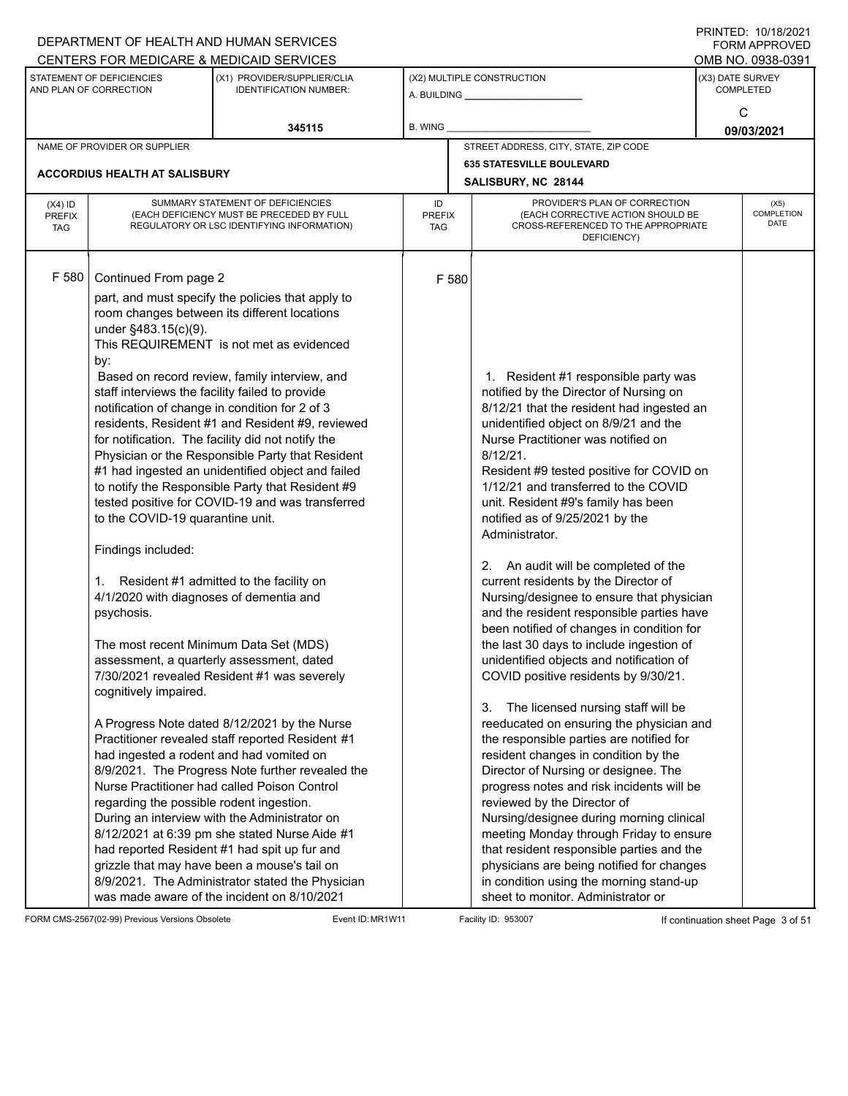|                                          |                                                                                                                                                                                                                                                                                                                                                                                                                                     | DEPARTMENT OF HEALTH AND HUMAN SERVICES                                                                                                                                                                                                                                                                                                                                                                                                                                                                                                                                                                                                                                                                                                                                                                                                                                                                                                                                                                                                                                                                                                                                             |                                   |                                                                                                                                                                                                                                                                                                                                                                                                                                                                                                                                                                                                                                                                                                                                                                                                                                                                                                                                                                                                                                                                                                                                                                                                                                                                                                                                    | $1 \times 1 \times 1 = 1$ . $1 \times 1 \times 1 = 1$<br><b>FORM APPROVED</b> |  |
|------------------------------------------|-------------------------------------------------------------------------------------------------------------------------------------------------------------------------------------------------------------------------------------------------------------------------------------------------------------------------------------------------------------------------------------------------------------------------------------|-------------------------------------------------------------------------------------------------------------------------------------------------------------------------------------------------------------------------------------------------------------------------------------------------------------------------------------------------------------------------------------------------------------------------------------------------------------------------------------------------------------------------------------------------------------------------------------------------------------------------------------------------------------------------------------------------------------------------------------------------------------------------------------------------------------------------------------------------------------------------------------------------------------------------------------------------------------------------------------------------------------------------------------------------------------------------------------------------------------------------------------------------------------------------------------|-----------------------------------|------------------------------------------------------------------------------------------------------------------------------------------------------------------------------------------------------------------------------------------------------------------------------------------------------------------------------------------------------------------------------------------------------------------------------------------------------------------------------------------------------------------------------------------------------------------------------------------------------------------------------------------------------------------------------------------------------------------------------------------------------------------------------------------------------------------------------------------------------------------------------------------------------------------------------------------------------------------------------------------------------------------------------------------------------------------------------------------------------------------------------------------------------------------------------------------------------------------------------------------------------------------------------------------------------------------------------------|-------------------------------------------------------------------------------|--|
|                                          |                                                                                                                                                                                                                                                                                                                                                                                                                                     | CENTERS FOR MEDICARE & MEDICAID SERVICES                                                                                                                                                                                                                                                                                                                                                                                                                                                                                                                                                                                                                                                                                                                                                                                                                                                                                                                                                                                                                                                                                                                                            |                                   |                                                                                                                                                                                                                                                                                                                                                                                                                                                                                                                                                                                                                                                                                                                                                                                                                                                                                                                                                                                                                                                                                                                                                                                                                                                                                                                                    | OMB NO. 0938-0391                                                             |  |
|                                          | STATEMENT OF DEFICIENCIES<br>AND PLAN OF CORRECTION                                                                                                                                                                                                                                                                                                                                                                                 | (X1) PROVIDER/SUPPLIER/CLIA<br><b>IDENTIFICATION NUMBER:</b>                                                                                                                                                                                                                                                                                                                                                                                                                                                                                                                                                                                                                                                                                                                                                                                                                                                                                                                                                                                                                                                                                                                        |                                   | (X2) MULTIPLE CONSTRUCTION<br>A. BUILDING <b>A.</b> BUILDING                                                                                                                                                                                                                                                                                                                                                                                                                                                                                                                                                                                                                                                                                                                                                                                                                                                                                                                                                                                                                                                                                                                                                                                                                                                                       | (X3) DATE SURVEY<br><b>COMPLETED</b>                                          |  |
|                                          |                                                                                                                                                                                                                                                                                                                                                                                                                                     | 345115                                                                                                                                                                                                                                                                                                                                                                                                                                                                                                                                                                                                                                                                                                                                                                                                                                                                                                                                                                                                                                                                                                                                                                              | <b>B. WING</b>                    |                                                                                                                                                                                                                                                                                                                                                                                                                                                                                                                                                                                                                                                                                                                                                                                                                                                                                                                                                                                                                                                                                                                                                                                                                                                                                                                                    | C<br>09/03/2021                                                               |  |
|                                          | NAME OF PROVIDER OR SUPPLIER                                                                                                                                                                                                                                                                                                                                                                                                        |                                                                                                                                                                                                                                                                                                                                                                                                                                                                                                                                                                                                                                                                                                                                                                                                                                                                                                                                                                                                                                                                                                                                                                                     |                                   | STREET ADDRESS, CITY, STATE, ZIP CODE                                                                                                                                                                                                                                                                                                                                                                                                                                                                                                                                                                                                                                                                                                                                                                                                                                                                                                                                                                                                                                                                                                                                                                                                                                                                                              |                                                                               |  |
|                                          |                                                                                                                                                                                                                                                                                                                                                                                                                                     |                                                                                                                                                                                                                                                                                                                                                                                                                                                                                                                                                                                                                                                                                                                                                                                                                                                                                                                                                                                                                                                                                                                                                                                     |                                   | <b>635 STATESVILLE BOULEVARD</b>                                                                                                                                                                                                                                                                                                                                                                                                                                                                                                                                                                                                                                                                                                                                                                                                                                                                                                                                                                                                                                                                                                                                                                                                                                                                                                   |                                                                               |  |
|                                          | <b>ACCORDIUS HEALTH AT SALISBURY</b>                                                                                                                                                                                                                                                                                                                                                                                                |                                                                                                                                                                                                                                                                                                                                                                                                                                                                                                                                                                                                                                                                                                                                                                                                                                                                                                                                                                                                                                                                                                                                                                                     |                                   | SALISBURY, NC 28144                                                                                                                                                                                                                                                                                                                                                                                                                                                                                                                                                                                                                                                                                                                                                                                                                                                                                                                                                                                                                                                                                                                                                                                                                                                                                                                |                                                                               |  |
| $(X4)$ ID<br><b>PREFIX</b><br><b>TAG</b> |                                                                                                                                                                                                                                                                                                                                                                                                                                     | SUMMARY STATEMENT OF DEFICIENCIES<br>(EACH DEFICIENCY MUST BE PRECEDED BY FULL<br>REGULATORY OR LSC IDENTIFYING INFORMATION)                                                                                                                                                                                                                                                                                                                                                                                                                                                                                                                                                                                                                                                                                                                                                                                                                                                                                                                                                                                                                                                        | ID<br><b>PREFIX</b><br><b>TAG</b> | PROVIDER'S PLAN OF CORRECTION<br>(EACH CORRECTIVE ACTION SHOULD BE<br>CROSS-REFERENCED TO THE APPROPRIATE<br>DEFICIENCY)                                                                                                                                                                                                                                                                                                                                                                                                                                                                                                                                                                                                                                                                                                                                                                                                                                                                                                                                                                                                                                                                                                                                                                                                           | (X5)<br><b>COMPLETION</b><br>DATE                                             |  |
| F 580                                    | Continued From page 2<br>under §483.15(c)(9).<br>by:<br>staff interviews the facility failed to provide<br>to the COVID-19 quarantine unit.<br>Findings included:<br>1. Resident #1 admitted to the facility on<br>4/1/2020 with diagnoses of dementia and<br>psychosis.<br>The most recent Minimum Data Set (MDS)<br>cognitively impaired.<br>had ingested a rodent and had vomited on<br>regarding the possible rodent ingestion. | part, and must specify the policies that apply to<br>room changes between its different locations<br>This REQUIREMENT is not met as evidenced<br>Based on record review, family interview, and<br>notification of change in condition for 2 of 3<br>residents, Resident #1 and Resident #9, reviewed<br>for notification. The facility did not notify the<br>Physician or the Responsible Party that Resident<br>#1 had ingested an unidentified object and failed<br>to notify the Responsible Party that Resident #9<br>tested positive for COVID-19 and was transferred<br>assessment, a quarterly assessment, dated<br>7/30/2021 revealed Resident #1 was severely<br>A Progress Note dated 8/12/2021 by the Nurse<br>Practitioner revealed staff reported Resident #1<br>8/9/2021. The Progress Note further revealed the<br>Nurse Practitioner had called Poison Control<br>During an interview with the Administrator on<br>8/12/2021 at 6:39 pm she stated Nurse Aide #1<br>had reported Resident #1 had spit up fur and<br>grizzle that may have been a mouse's tail on<br>8/9/2021. The Administrator stated the Physician<br>was made aware of the incident on 8/10/2021 | F 580                             | 1. Resident #1 responsible party was<br>notified by the Director of Nursing on<br>8/12/21 that the resident had ingested an<br>unidentified object on 8/9/21 and the<br>Nurse Practitioner was notified on<br>$8/12/21$ .<br>Resident #9 tested positive for COVID on<br>1/12/21 and transferred to the COVID<br>unit. Resident #9's family has been<br>notified as of 9/25/2021 by the<br>Administrator.<br>2. An audit will be completed of the<br>current residents by the Director of<br>Nursing/designee to ensure that physician<br>and the resident responsible parties have<br>been notified of changes in condition for<br>the last 30 days to include ingestion of<br>unidentified objects and notification of<br>COVID positive residents by 9/30/21.<br>The licensed nursing staff will be<br>3.<br>reeducated on ensuring the physician and<br>the responsible parties are notified for<br>resident changes in condition by the<br>Director of Nursing or designee. The<br>progress notes and risk incidents will be<br>reviewed by the Director of<br>Nursing/designee during morning clinical<br>meeting Monday through Friday to ensure<br>that resident responsible parties and the<br>physicians are being notified for changes<br>in condition using the morning stand-up<br>sheet to monitor. Administrator or |                                                                               |  |

FORM CMS-2567(02-99) Previous Versions Obsolete Event ID: MR1W11 Facility ID: 953007 If continuation sheet Page 3 of 51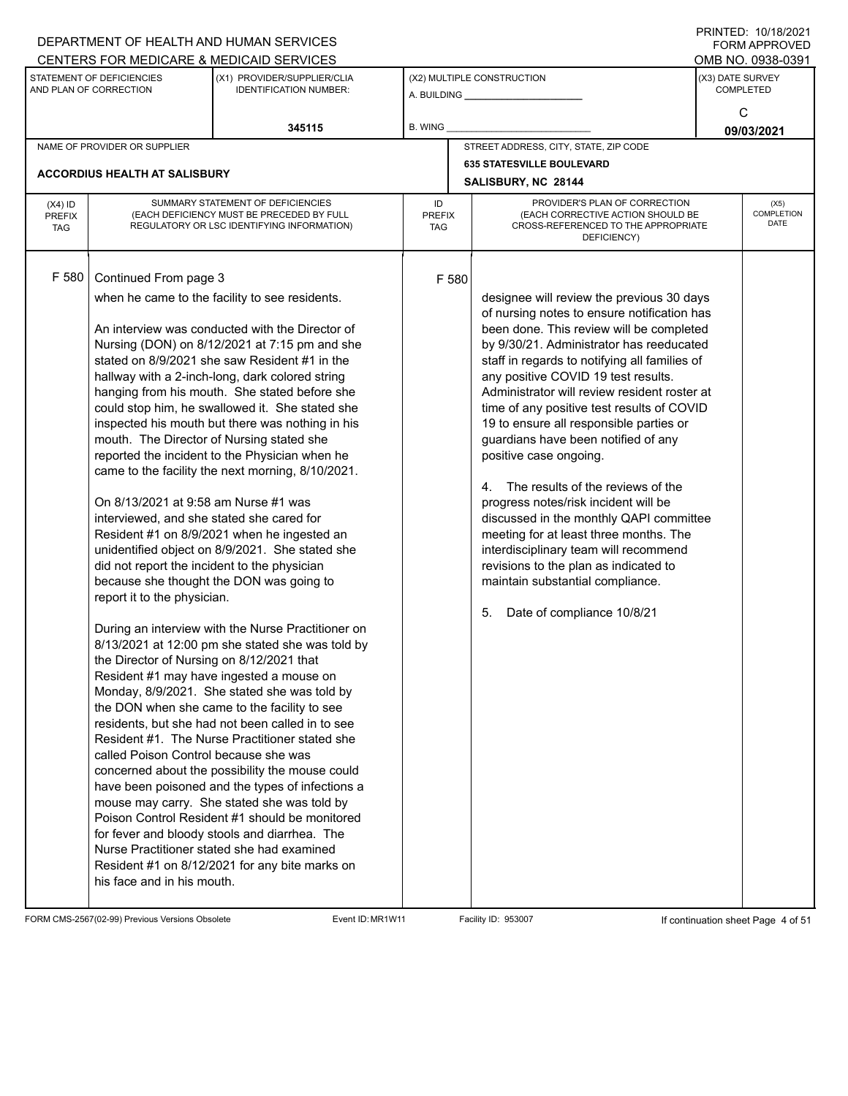|                                          |                                                                                                                                                                                                                                                                                                                                                            | DEPARTMENT OF HEALTH AND HUMAN SERVICES                                                                                                                                                                                                                                                                                                                                                                                                                                                                                                                                                                                                                                                                                                                                                                                                                                                                                                                                                                                                                                                                                                                                                                                                                                                                                                                                                  |                            |                                                                                                                                                                                                                                                                                                                                                                                                                                                                                                                                                                                                                                                                                                                                                                                                                      |                  | $1 \times 1 \times 1 = 1$ . $1 \times 1 \times 1 = 1$<br>FORM APPROVED |
|------------------------------------------|------------------------------------------------------------------------------------------------------------------------------------------------------------------------------------------------------------------------------------------------------------------------------------------------------------------------------------------------------------|------------------------------------------------------------------------------------------------------------------------------------------------------------------------------------------------------------------------------------------------------------------------------------------------------------------------------------------------------------------------------------------------------------------------------------------------------------------------------------------------------------------------------------------------------------------------------------------------------------------------------------------------------------------------------------------------------------------------------------------------------------------------------------------------------------------------------------------------------------------------------------------------------------------------------------------------------------------------------------------------------------------------------------------------------------------------------------------------------------------------------------------------------------------------------------------------------------------------------------------------------------------------------------------------------------------------------------------------------------------------------------------|----------------------------|----------------------------------------------------------------------------------------------------------------------------------------------------------------------------------------------------------------------------------------------------------------------------------------------------------------------------------------------------------------------------------------------------------------------------------------------------------------------------------------------------------------------------------------------------------------------------------------------------------------------------------------------------------------------------------------------------------------------------------------------------------------------------------------------------------------------|------------------|------------------------------------------------------------------------|
|                                          |                                                                                                                                                                                                                                                                                                                                                            | CENTERS FOR MEDICARE & MEDICAID SERVICES                                                                                                                                                                                                                                                                                                                                                                                                                                                                                                                                                                                                                                                                                                                                                                                                                                                                                                                                                                                                                                                                                                                                                                                                                                                                                                                                                 |                            |                                                                                                                                                                                                                                                                                                                                                                                                                                                                                                                                                                                                                                                                                                                                                                                                                      |                  | OMB NO. 0938-0391                                                      |
|                                          | STATEMENT OF DEFICIENCIES<br>AND PLAN OF CORRECTION                                                                                                                                                                                                                                                                                                        | (X1) PROVIDER/SUPPLIER/CLIA<br><b>IDENTIFICATION NUMBER:</b>                                                                                                                                                                                                                                                                                                                                                                                                                                                                                                                                                                                                                                                                                                                                                                                                                                                                                                                                                                                                                                                                                                                                                                                                                                                                                                                             |                            | (X2) MULTIPLE CONSTRUCTION                                                                                                                                                                                                                                                                                                                                                                                                                                                                                                                                                                                                                                                                                                                                                                                           | (X3) DATE SURVEY | <b>COMPLETED</b>                                                       |
|                                          |                                                                                                                                                                                                                                                                                                                                                            | 345115                                                                                                                                                                                                                                                                                                                                                                                                                                                                                                                                                                                                                                                                                                                                                                                                                                                                                                                                                                                                                                                                                                                                                                                                                                                                                                                                                                                   | <b>B. WING</b>             |                                                                                                                                                                                                                                                                                                                                                                                                                                                                                                                                                                                                                                                                                                                                                                                                                      |                  | C<br>09/03/2021                                                        |
|                                          | NAME OF PROVIDER OR SUPPLIER                                                                                                                                                                                                                                                                                                                               |                                                                                                                                                                                                                                                                                                                                                                                                                                                                                                                                                                                                                                                                                                                                                                                                                                                                                                                                                                                                                                                                                                                                                                                                                                                                                                                                                                                          |                            | STREET ADDRESS, CITY, STATE, ZIP CODE                                                                                                                                                                                                                                                                                                                                                                                                                                                                                                                                                                                                                                                                                                                                                                                |                  |                                                                        |
|                                          |                                                                                                                                                                                                                                                                                                                                                            |                                                                                                                                                                                                                                                                                                                                                                                                                                                                                                                                                                                                                                                                                                                                                                                                                                                                                                                                                                                                                                                                                                                                                                                                                                                                                                                                                                                          |                            | <b>635 STATESVILLE BOULEVARD</b>                                                                                                                                                                                                                                                                                                                                                                                                                                                                                                                                                                                                                                                                                                                                                                                     |                  |                                                                        |
|                                          | <b>ACCORDIUS HEALTH AT SALISBURY</b>                                                                                                                                                                                                                                                                                                                       |                                                                                                                                                                                                                                                                                                                                                                                                                                                                                                                                                                                                                                                                                                                                                                                                                                                                                                                                                                                                                                                                                                                                                                                                                                                                                                                                                                                          |                            | SALISBURY, NC 28144                                                                                                                                                                                                                                                                                                                                                                                                                                                                                                                                                                                                                                                                                                                                                                                                  |                  |                                                                        |
| $(X4)$ ID<br><b>PREFIX</b><br><b>TAG</b> |                                                                                                                                                                                                                                                                                                                                                            | SUMMARY STATEMENT OF DEFICIENCIES<br>(EACH DEFICIENCY MUST BE PRECEDED BY FULL<br>REGULATORY OR LSC IDENTIFYING INFORMATION)                                                                                                                                                                                                                                                                                                                                                                                                                                                                                                                                                                                                                                                                                                                                                                                                                                                                                                                                                                                                                                                                                                                                                                                                                                                             | ID<br><b>PREFIX</b><br>TAG | PROVIDER'S PLAN OF CORRECTION<br>(EACH CORRECTIVE ACTION SHOULD BE<br>CROSS-REFERENCED TO THE APPROPRIATE<br>DEFICIENCY)                                                                                                                                                                                                                                                                                                                                                                                                                                                                                                                                                                                                                                                                                             |                  | (X5)<br><b>COMPLETION</b><br>DATE                                      |
| F 580                                    | Continued From page 3<br>mouth. The Director of Nursing stated she<br>On 8/13/2021 at 9:58 am Nurse #1 was<br>interviewed, and she stated she cared for<br>did not report the incident to the physician<br>report it to the physician.<br>the Director of Nursing on 8/12/2021 that<br>called Poison Control because she was<br>his face and in his mouth. | when he came to the facility to see residents.<br>An interview was conducted with the Director of<br>Nursing (DON) on 8/12/2021 at 7:15 pm and she<br>stated on 8/9/2021 she saw Resident #1 in the<br>hallway with a 2-inch-long, dark colored string<br>hanging from his mouth. She stated before she<br>could stop him, he swallowed it. She stated she<br>inspected his mouth but there was nothing in his<br>reported the incident to the Physician when he<br>came to the facility the next morning, 8/10/2021.<br>Resident #1 on 8/9/2021 when he ingested an<br>unidentified object on 8/9/2021. She stated she<br>because she thought the DON was going to<br>During an interview with the Nurse Practitioner on<br>8/13/2021 at 12:00 pm she stated she was told by<br>Resident #1 may have ingested a mouse on<br>Monday, 8/9/2021. She stated she was told by<br>the DON when she came to the facility to see<br>residents, but she had not been called in to see<br>Resident #1. The Nurse Practitioner stated she<br>concerned about the possibility the mouse could<br>have been poisoned and the types of infections a<br>mouse may carry. She stated she was told by<br>Poison Control Resident #1 should be monitored<br>for fever and bloody stools and diarrhea. The<br>Nurse Practitioner stated she had examined<br>Resident #1 on 8/12/2021 for any bite marks on | F 580                      | designee will review the previous 30 days<br>of nursing notes to ensure notification has<br>been done. This review will be completed<br>by 9/30/21. Administrator has reeducated<br>staff in regards to notifying all families of<br>any positive COVID 19 test results.<br>Administrator will review resident roster at<br>time of any positive test results of COVID<br>19 to ensure all responsible parties or<br>guardians have been notified of any<br>positive case ongoing.<br>The results of the reviews of the<br>4.<br>progress notes/risk incident will be<br>discussed in the monthly QAPI committee<br>meeting for at least three months. The<br>interdisciplinary team will recommend<br>revisions to the plan as indicated to<br>maintain substantial compliance.<br>Date of compliance 10/8/21<br>5. |                  |                                                                        |
|                                          |                                                                                                                                                                                                                                                                                                                                                            |                                                                                                                                                                                                                                                                                                                                                                                                                                                                                                                                                                                                                                                                                                                                                                                                                                                                                                                                                                                                                                                                                                                                                                                                                                                                                                                                                                                          |                            |                                                                                                                                                                                                                                                                                                                                                                                                                                                                                                                                                                                                                                                                                                                                                                                                                      |                  |                                                                        |

FORM CMS-2567(02-99) Previous Versions Obsolete Event ID: MR1W11 Facility ID: 953007 If continuation sheet Page 4 of 51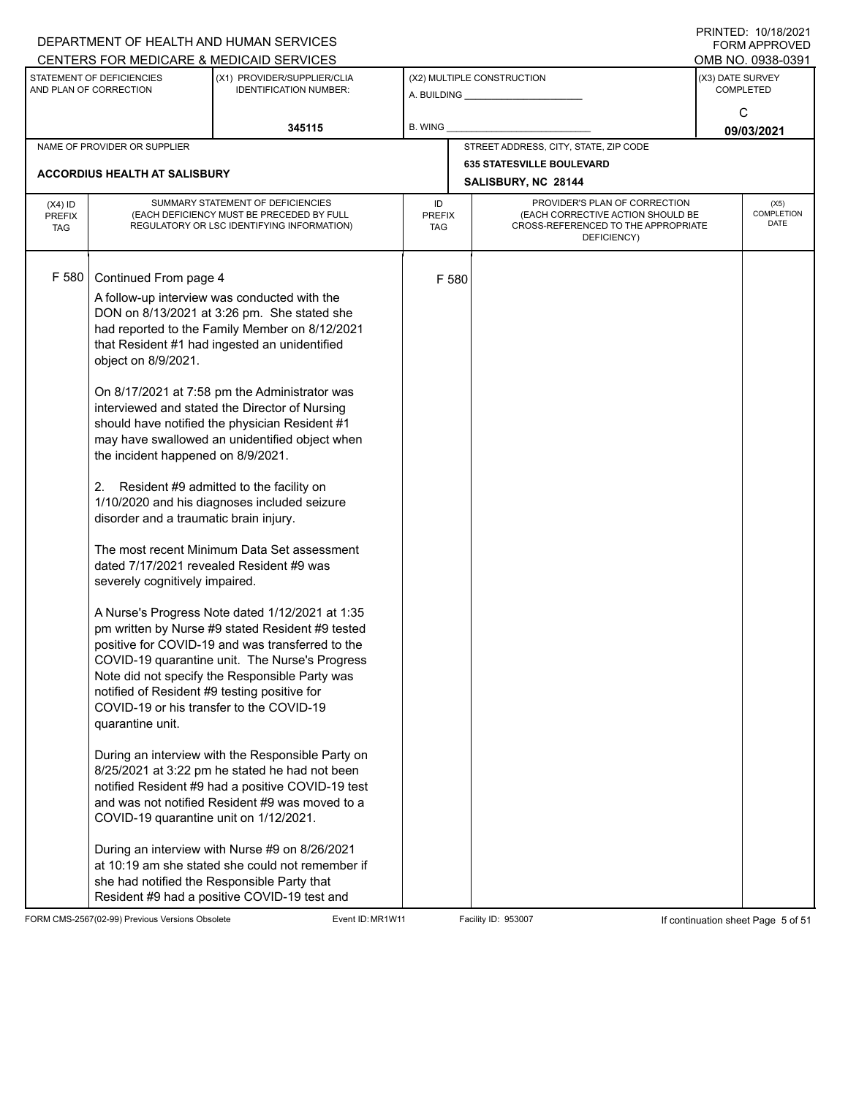|                                          |                                                                                                                                                                                                                                                                                                                                                                            | DEPARTMENT OF HEALTH AND HUMAN SERVICES<br>CENTERS FOR MEDICARE & MEDICAID SERVICES                                                                                                                                                                                                                                                                                                                                                                                                                                                                                                                                                                                                                                                                                                                                                                                                                                                                                                                                                                                                                                                                                                                                                |                                   |       |                                                                                                                          | FININILU. IVIIVIZUZI<br><b>FORM APPROVED</b><br>OMB NO. 0938-0391 |
|------------------------------------------|----------------------------------------------------------------------------------------------------------------------------------------------------------------------------------------------------------------------------------------------------------------------------------------------------------------------------------------------------------------------------|------------------------------------------------------------------------------------------------------------------------------------------------------------------------------------------------------------------------------------------------------------------------------------------------------------------------------------------------------------------------------------------------------------------------------------------------------------------------------------------------------------------------------------------------------------------------------------------------------------------------------------------------------------------------------------------------------------------------------------------------------------------------------------------------------------------------------------------------------------------------------------------------------------------------------------------------------------------------------------------------------------------------------------------------------------------------------------------------------------------------------------------------------------------------------------------------------------------------------------|-----------------------------------|-------|--------------------------------------------------------------------------------------------------------------------------|-------------------------------------------------------------------|
|                                          | STATEMENT OF DEFICIENCIES<br>AND PLAN OF CORRECTION                                                                                                                                                                                                                                                                                                                        | (X1) PROVIDER/SUPPLIER/CLIA<br><b>IDENTIFICATION NUMBER:</b>                                                                                                                                                                                                                                                                                                                                                                                                                                                                                                                                                                                                                                                                                                                                                                                                                                                                                                                                                                                                                                                                                                                                                                       |                                   |       | (X2) MULTIPLE CONSTRUCTION                                                                                               | (X3) DATE SURVEY<br><b>COMPLETED</b>                              |
|                                          |                                                                                                                                                                                                                                                                                                                                                                            | 345115                                                                                                                                                                                                                                                                                                                                                                                                                                                                                                                                                                                                                                                                                                                                                                                                                                                                                                                                                                                                                                                                                                                                                                                                                             | <b>B. WING</b>                    |       |                                                                                                                          | C<br>09/03/2021                                                   |
|                                          | NAME OF PROVIDER OR SUPPLIER                                                                                                                                                                                                                                                                                                                                               |                                                                                                                                                                                                                                                                                                                                                                                                                                                                                                                                                                                                                                                                                                                                                                                                                                                                                                                                                                                                                                                                                                                                                                                                                                    |                                   |       | STREET ADDRESS, CITY, STATE, ZIP CODE                                                                                    |                                                                   |
|                                          | <b>ACCORDIUS HEALTH AT SALISBURY</b>                                                                                                                                                                                                                                                                                                                                       |                                                                                                                                                                                                                                                                                                                                                                                                                                                                                                                                                                                                                                                                                                                                                                                                                                                                                                                                                                                                                                                                                                                                                                                                                                    |                                   |       | <b>635 STATESVILLE BOULEVARD</b><br>SALISBURY, NC 28144                                                                  |                                                                   |
| $(X4)$ ID<br><b>PREFIX</b><br><b>TAG</b> |                                                                                                                                                                                                                                                                                                                                                                            | SUMMARY STATEMENT OF DEFICIENCIES<br>(EACH DEFICIENCY MUST BE PRECEDED BY FULL<br>REGULATORY OR LSC IDENTIFYING INFORMATION)                                                                                                                                                                                                                                                                                                                                                                                                                                                                                                                                                                                                                                                                                                                                                                                                                                                                                                                                                                                                                                                                                                       | ID<br><b>PREFIX</b><br><b>TAG</b> |       | PROVIDER'S PLAN OF CORRECTION<br>(EACH CORRECTIVE ACTION SHOULD BE<br>CROSS-REFERENCED TO THE APPROPRIATE<br>DEFICIENCY) | (X5)<br>COMPLETION<br><b>DATE</b>                                 |
| F 580                                    | Continued From page 4<br>object on 8/9/2021.<br>the incident happened on 8/9/2021.<br>2.<br>disorder and a traumatic brain injury.<br>dated 7/17/2021 revealed Resident #9 was<br>severely cognitively impaired.<br>notified of Resident #9 testing positive for<br>COVID-19 or his transfer to the COVID-19<br>quarantine unit.<br>COVID-19 quarantine unit on 1/12/2021. | A follow-up interview was conducted with the<br>DON on 8/13/2021 at 3:26 pm. She stated she<br>had reported to the Family Member on 8/12/2021<br>that Resident #1 had ingested an unidentified<br>On 8/17/2021 at 7:58 pm the Administrator was<br>interviewed and stated the Director of Nursing<br>should have notified the physician Resident #1<br>may have swallowed an unidentified object when<br>Resident #9 admitted to the facility on<br>1/10/2020 and his diagnoses included seizure<br>The most recent Minimum Data Set assessment<br>A Nurse's Progress Note dated 1/12/2021 at 1:35<br>pm written by Nurse #9 stated Resident #9 tested<br>positive for COVID-19 and was transferred to the<br>COVID-19 quarantine unit. The Nurse's Progress<br>Note did not specify the Responsible Party was<br>During an interview with the Responsible Party on<br>8/25/2021 at 3:22 pm he stated he had not been<br>notified Resident #9 had a positive COVID-19 test<br>and was not notified Resident #9 was moved to a<br>During an interview with Nurse #9 on 8/26/2021<br>at 10:19 am she stated she could not remember if<br>she had notified the Responsible Party that<br>Resident #9 had a positive COVID-19 test and |                                   | F 580 |                                                                                                                          |                                                                   |

FORM CMS-2567(02-99) Previous Versions Obsolete Event ID: MR1W11 Facility ID: 953007 If continuation sheet Page 5 of 51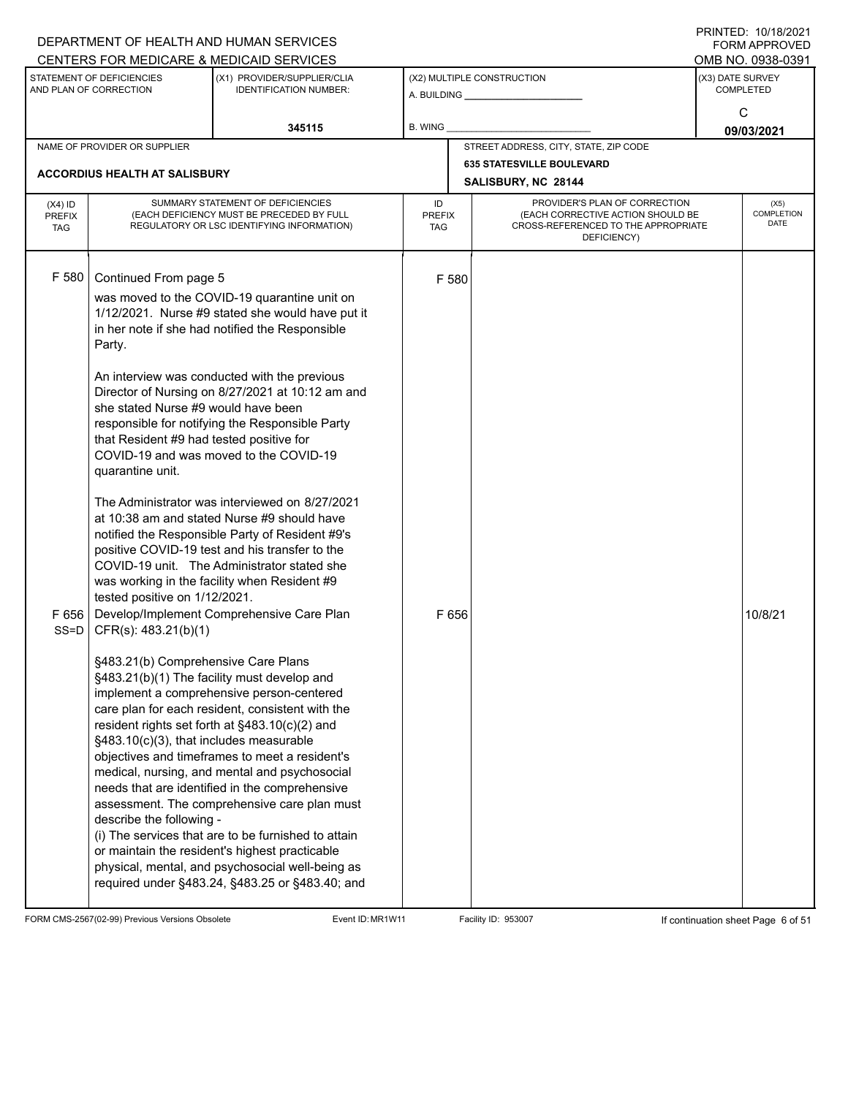|                                          |                                                                                                                                                                                                                                                                                                               | DEPARTMENT OF HEALTH AND HUMAN SERVICES                                                                                                                                                                                                                                                                                                                                                                                                                                                                                                                                                                                                                                                                                                                                                                                                                                                                                                                                                                                                                                                                                                                                                                                                                                            |                                   |                |                                                                                                                          |                  | I I \ II \ I L D . I U / I U / L U L I<br><b>FORM APPROVED</b> |
|------------------------------------------|---------------------------------------------------------------------------------------------------------------------------------------------------------------------------------------------------------------------------------------------------------------------------------------------------------------|------------------------------------------------------------------------------------------------------------------------------------------------------------------------------------------------------------------------------------------------------------------------------------------------------------------------------------------------------------------------------------------------------------------------------------------------------------------------------------------------------------------------------------------------------------------------------------------------------------------------------------------------------------------------------------------------------------------------------------------------------------------------------------------------------------------------------------------------------------------------------------------------------------------------------------------------------------------------------------------------------------------------------------------------------------------------------------------------------------------------------------------------------------------------------------------------------------------------------------------------------------------------------------|-----------------------------------|----------------|--------------------------------------------------------------------------------------------------------------------------|------------------|----------------------------------------------------------------|
|                                          |                                                                                                                                                                                                                                                                                                               | CENTERS FOR MEDICARE & MEDICAID SERVICES                                                                                                                                                                                                                                                                                                                                                                                                                                                                                                                                                                                                                                                                                                                                                                                                                                                                                                                                                                                                                                                                                                                                                                                                                                           |                                   |                |                                                                                                                          |                  | OMB NO. 0938-0391                                              |
|                                          | STATEMENT OF DEFICIENCIES<br>AND PLAN OF CORRECTION                                                                                                                                                                                                                                                           | (X1) PROVIDER/SUPPLIER/CLIA<br><b>IDENTIFICATION NUMBER:</b>                                                                                                                                                                                                                                                                                                                                                                                                                                                                                                                                                                                                                                                                                                                                                                                                                                                                                                                                                                                                                                                                                                                                                                                                                       |                                   |                | (X2) MULTIPLE CONSTRUCTION<br>A. BUILDING <u>___________________</u>                                                     | (X3) DATE SURVEY | <b>COMPLETED</b>                                               |
|                                          |                                                                                                                                                                                                                                                                                                               | 345115                                                                                                                                                                                                                                                                                                                                                                                                                                                                                                                                                                                                                                                                                                                                                                                                                                                                                                                                                                                                                                                                                                                                                                                                                                                                             | B. WING                           |                |                                                                                                                          |                  | C<br>09/03/2021                                                |
|                                          | NAME OF PROVIDER OR SUPPLIER                                                                                                                                                                                                                                                                                  |                                                                                                                                                                                                                                                                                                                                                                                                                                                                                                                                                                                                                                                                                                                                                                                                                                                                                                                                                                                                                                                                                                                                                                                                                                                                                    |                                   |                | STREET ADDRESS, CITY, STATE, ZIP CODE                                                                                    |                  |                                                                |
|                                          | <b>ACCORDIUS HEALTH AT SALISBURY</b>                                                                                                                                                                                                                                                                          |                                                                                                                                                                                                                                                                                                                                                                                                                                                                                                                                                                                                                                                                                                                                                                                                                                                                                                                                                                                                                                                                                                                                                                                                                                                                                    |                                   |                | <b>635 STATESVILLE BOULEVARD</b>                                                                                         |                  |                                                                |
|                                          |                                                                                                                                                                                                                                                                                                               |                                                                                                                                                                                                                                                                                                                                                                                                                                                                                                                                                                                                                                                                                                                                                                                                                                                                                                                                                                                                                                                                                                                                                                                                                                                                                    |                                   |                | SALISBURY, NC 28144                                                                                                      |                  |                                                                |
| $(X4)$ ID<br><b>PREFIX</b><br><b>TAG</b> |                                                                                                                                                                                                                                                                                                               | SUMMARY STATEMENT OF DEFICIENCIES<br>(EACH DEFICIENCY MUST BE PRECEDED BY FULL<br>REGULATORY OR LSC IDENTIFYING INFORMATION)                                                                                                                                                                                                                                                                                                                                                                                                                                                                                                                                                                                                                                                                                                                                                                                                                                                                                                                                                                                                                                                                                                                                                       | ID<br><b>PREFIX</b><br><b>TAG</b> |                | PROVIDER'S PLAN OF CORRECTION<br>(EACH CORRECTIVE ACTION SHOULD BE<br>CROSS-REFERENCED TO THE APPROPRIATE<br>DEFICIENCY) |                  | (X5)<br><b>COMPLETION</b><br><b>DATE</b>                       |
| F 580<br>$SS = D$                        | Continued From page 5<br>Party.<br>she stated Nurse #9 would have been<br>that Resident #9 had tested positive for<br>quarantine unit.<br>tested positive on 1/12/2021.<br>CFR(s): 483.21(b)(1)<br>§483.21(b) Comprehensive Care Plans<br>§483.10(c)(3), that includes measurable<br>describe the following - | was moved to the COVID-19 quarantine unit on<br>1/12/2021. Nurse #9 stated she would have put it<br>in her note if she had notified the Responsible<br>An interview was conducted with the previous<br>Director of Nursing on 8/27/2021 at 10:12 am and<br>responsible for notifying the Responsible Party<br>COVID-19 and was moved to the COVID-19<br>The Administrator was interviewed on 8/27/2021<br>at 10:38 am and stated Nurse #9 should have<br>notified the Responsible Party of Resident #9's<br>positive COVID-19 test and his transfer to the<br>COVID-19 unit. The Administrator stated she<br>was working in the facility when Resident #9<br>F 656   Develop/Implement Comprehensive Care Plan<br>§483.21(b)(1) The facility must develop and<br>implement a comprehensive person-centered<br>care plan for each resident, consistent with the<br>resident rights set forth at §483.10(c)(2) and<br>objectives and timeframes to meet a resident's<br>medical, nursing, and mental and psychosocial<br>needs that are identified in the comprehensive<br>assessment. The comprehensive care plan must<br>(i) The services that are to be furnished to attain<br>or maintain the resident's highest practicable<br>physical, mental, and psychosocial well-being as |                                   | F 580<br>F 656 |                                                                                                                          |                  | 10/8/21                                                        |
|                                          |                                                                                                                                                                                                                                                                                                               | required under §483.24, §483.25 or §483.40; and                                                                                                                                                                                                                                                                                                                                                                                                                                                                                                                                                                                                                                                                                                                                                                                                                                                                                                                                                                                                                                                                                                                                                                                                                                    |                                   |                |                                                                                                                          |                  |                                                                |

FORM CMS-2567(02-99) Previous Versions Obsolete Event ID: MR1W11 Facility ID: 953007 If continuation sheet Page 6 of 51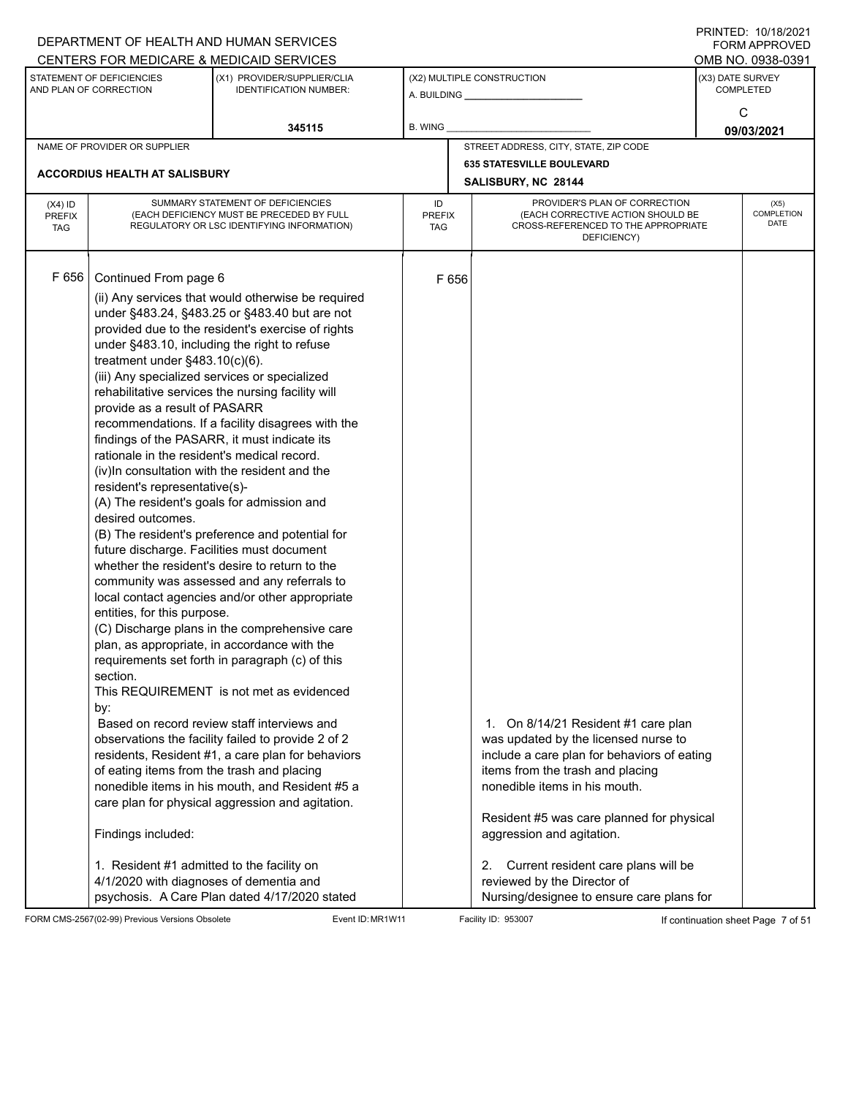|                                          |                                                                                                                                                                                                                                                                                                                                                                                                                                                                                                                                                              | DEPARTMENT OF HEALTH AND HUMAN SERVICES<br>CENTERS FOR MEDICARE & MEDICAID SERVICES                                                                                                                                                                                                                                                                                                                                                                                                                                                                                                                                                                                                                                                                                                                                                                                                                                                                                                                                                                                                                                                           |                                   |                                                                                                                                                                                                                                                                                                                                                                                                             | FININILU. IVIIVIZVZI<br>FORM APPROVED<br>OMB NO. 0938-0391 |
|------------------------------------------|--------------------------------------------------------------------------------------------------------------------------------------------------------------------------------------------------------------------------------------------------------------------------------------------------------------------------------------------------------------------------------------------------------------------------------------------------------------------------------------------------------------------------------------------------------------|-----------------------------------------------------------------------------------------------------------------------------------------------------------------------------------------------------------------------------------------------------------------------------------------------------------------------------------------------------------------------------------------------------------------------------------------------------------------------------------------------------------------------------------------------------------------------------------------------------------------------------------------------------------------------------------------------------------------------------------------------------------------------------------------------------------------------------------------------------------------------------------------------------------------------------------------------------------------------------------------------------------------------------------------------------------------------------------------------------------------------------------------------|-----------------------------------|-------------------------------------------------------------------------------------------------------------------------------------------------------------------------------------------------------------------------------------------------------------------------------------------------------------------------------------------------------------------------------------------------------------|------------------------------------------------------------|
|                                          | STATEMENT OF DEFICIENCIES<br>AND PLAN OF CORRECTION                                                                                                                                                                                                                                                                                                                                                                                                                                                                                                          | (X1) PROVIDER/SUPPLIER/CLIA<br><b>IDENTIFICATION NUMBER:</b>                                                                                                                                                                                                                                                                                                                                                                                                                                                                                                                                                                                                                                                                                                                                                                                                                                                                                                                                                                                                                                                                                  |                                   | (X2) MULTIPLE CONSTRUCTION                                                                                                                                                                                                                                                                                                                                                                                  | (X3) DATE SURVEY<br><b>COMPLETED</b>                       |
|                                          |                                                                                                                                                                                                                                                                                                                                                                                                                                                                                                                                                              | 345115                                                                                                                                                                                                                                                                                                                                                                                                                                                                                                                                                                                                                                                                                                                                                                                                                                                                                                                                                                                                                                                                                                                                        | <b>B. WING</b>                    |                                                                                                                                                                                                                                                                                                                                                                                                             | C<br>09/03/2021                                            |
|                                          | NAME OF PROVIDER OR SUPPLIER                                                                                                                                                                                                                                                                                                                                                                                                                                                                                                                                 |                                                                                                                                                                                                                                                                                                                                                                                                                                                                                                                                                                                                                                                                                                                                                                                                                                                                                                                                                                                                                                                                                                                                               |                                   | STREET ADDRESS, CITY, STATE, ZIP CODE                                                                                                                                                                                                                                                                                                                                                                       |                                                            |
|                                          | <b>ACCORDIUS HEALTH AT SALISBURY</b>                                                                                                                                                                                                                                                                                                                                                                                                                                                                                                                         |                                                                                                                                                                                                                                                                                                                                                                                                                                                                                                                                                                                                                                                                                                                                                                                                                                                                                                                                                                                                                                                                                                                                               |                                   | <b>635 STATESVILLE BOULEVARD</b><br>SALISBURY, NC 28144                                                                                                                                                                                                                                                                                                                                                     |                                                            |
| $(X4)$ ID<br><b>PREFIX</b><br><b>TAG</b> |                                                                                                                                                                                                                                                                                                                                                                                                                                                                                                                                                              | SUMMARY STATEMENT OF DEFICIENCIES<br>(EACH DEFICIENCY MUST BE PRECEDED BY FULL<br>REGULATORY OR LSC IDENTIFYING INFORMATION)                                                                                                                                                                                                                                                                                                                                                                                                                                                                                                                                                                                                                                                                                                                                                                                                                                                                                                                                                                                                                  | ID<br><b>PREFIX</b><br><b>TAG</b> | PROVIDER'S PLAN OF CORRECTION<br>(EACH CORRECTIVE ACTION SHOULD BE<br>CROSS-REFERENCED TO THE APPROPRIATE<br>DEFICIENCY)                                                                                                                                                                                                                                                                                    | (X5)<br>COMPLETION<br><b>DATE</b>                          |
| F656                                     | Continued From page 6<br>treatment under $§483.10(c)(6)$ .<br>(iii) Any specialized services or specialized<br>provide as a result of PASARR<br>rationale in the resident's medical record.<br>resident's representative(s)-<br>(A) The resident's goals for admission and<br>desired outcomes.<br>future discharge. Facilities must document<br>entities, for this purpose.<br>section.<br>by:<br>of eating items from the trash and placing<br>Findings included:<br>1. Resident #1 admitted to the facility on<br>4/1/2020 with diagnoses of dementia and | (ii) Any services that would otherwise be required<br>under §483.24, §483.25 or §483.40 but are not<br>provided due to the resident's exercise of rights<br>under §483.10, including the right to refuse<br>rehabilitative services the nursing facility will<br>recommendations. If a facility disagrees with the<br>findings of the PASARR, it must indicate its<br>(iv) In consultation with the resident and the<br>(B) The resident's preference and potential for<br>whether the resident's desire to return to the<br>community was assessed and any referrals to<br>local contact agencies and/or other appropriate<br>(C) Discharge plans in the comprehensive care<br>plan, as appropriate, in accordance with the<br>requirements set forth in paragraph (c) of this<br>This REQUIREMENT is not met as evidenced<br>Based on record review staff interviews and<br>observations the facility failed to provide 2 of 2<br>residents, Resident #1, a care plan for behaviors<br>nonedible items in his mouth, and Resident #5 a<br>care plan for physical aggression and agitation.<br>psychosis. A Care Plan dated 4/17/2020 stated |                                   | F 656<br>1. On 8/14/21 Resident #1 care plan<br>was updated by the licensed nurse to<br>include a care plan for behaviors of eating<br>items from the trash and placing<br>nonedible items in his mouth.<br>Resident #5 was care planned for physical<br>aggression and agitation.<br>Current resident care plans will be<br>2.<br>reviewed by the Director of<br>Nursing/designee to ensure care plans for |                                                            |

FORM CMS-2567(02-99) Previous Versions Obsolete Event ID: MR1W11 Facility ID: 953007 If continuation sheet Page 7 of 51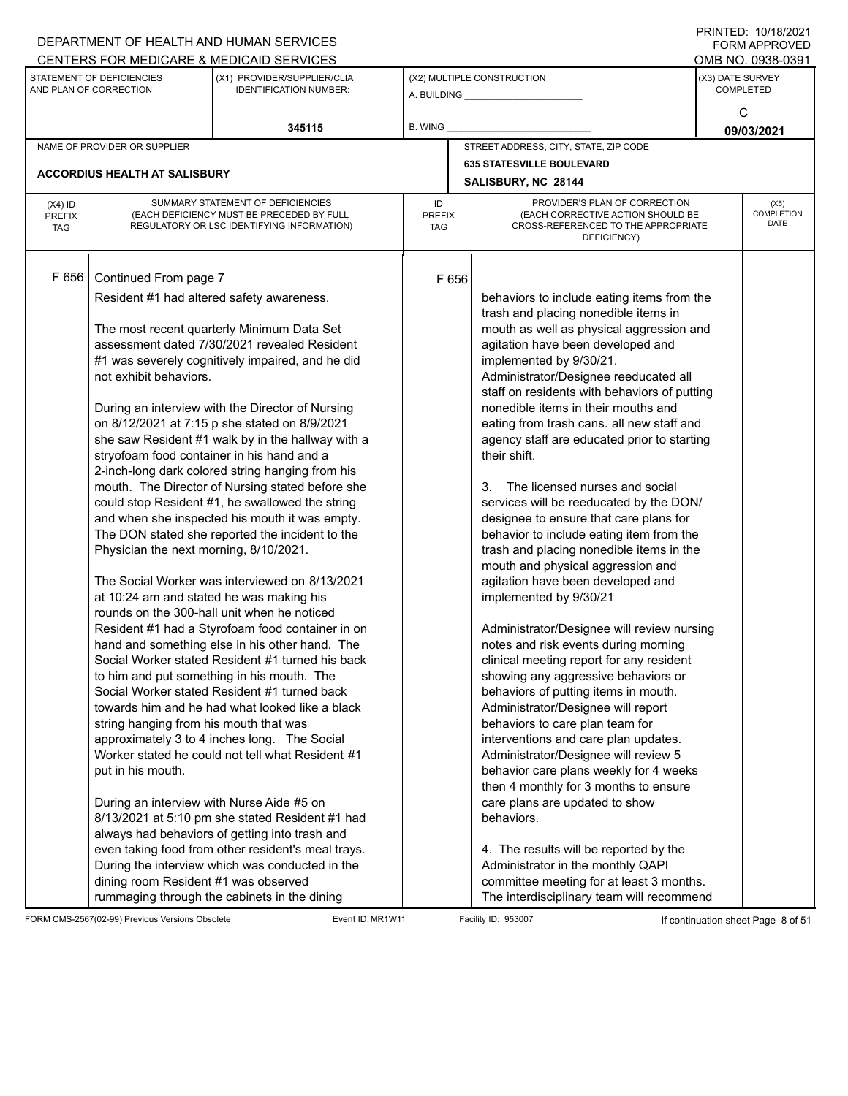|                             |                                                     | DEPARTMENT OF HEALTH AND HUMAN SERVICES                                                            |                             |       |                                                                                     |                  | $1 \times 1 \times 1 = 1$ . $1 \times 1 \times 1 = 1$<br><b>FORM APPROVED</b> |
|-----------------------------|-----------------------------------------------------|----------------------------------------------------------------------------------------------------|-----------------------------|-------|-------------------------------------------------------------------------------------|------------------|-------------------------------------------------------------------------------|
|                             |                                                     | CENTERS FOR MEDICARE & MEDICAID SERVICES                                                           |                             |       |                                                                                     |                  | OMB NO. 0938-0391                                                             |
|                             | STATEMENT OF DEFICIENCIES<br>AND PLAN OF CORRECTION | (X1) PROVIDER/SUPPLIER/CLIA<br><b>IDENTIFICATION NUMBER:</b>                                       |                             |       | (X2) MULTIPLE CONSTRUCTION                                                          | (X3) DATE SURVEY | <b>COMPLETED</b>                                                              |
|                             |                                                     |                                                                                                    |                             |       |                                                                                     |                  | C                                                                             |
|                             |                                                     | 345115                                                                                             | B. WING                     |       |                                                                                     |                  | 09/03/2021                                                                    |
|                             | NAME OF PROVIDER OR SUPPLIER                        |                                                                                                    |                             |       | STREET ADDRESS, CITY, STATE, ZIP CODE                                               |                  |                                                                               |
|                             |                                                     |                                                                                                    |                             |       | <b>635 STATESVILLE BOULEVARD</b>                                                    |                  |                                                                               |
|                             | <b>ACCORDIUS HEALTH AT SALISBURY</b>                |                                                                                                    |                             |       | SALISBURY, NC 28144                                                                 |                  |                                                                               |
| $(X4)$ ID                   |                                                     | SUMMARY STATEMENT OF DEFICIENCIES                                                                  | ID                          |       | PROVIDER'S PLAN OF CORRECTION                                                       |                  | (X5)                                                                          |
| <b>PREFIX</b><br><b>TAG</b> |                                                     | (EACH DEFICIENCY MUST BE PRECEDED BY FULL<br>REGULATORY OR LSC IDENTIFYING INFORMATION)            | <b>PREFIX</b><br><b>TAG</b> |       | (EACH CORRECTIVE ACTION SHOULD BE<br>CROSS-REFERENCED TO THE APPROPRIATE            |                  | COMPLETION<br>DATE                                                            |
|                             |                                                     |                                                                                                    |                             |       | DEFICIENCY)                                                                         |                  |                                                                               |
|                             |                                                     |                                                                                                    |                             |       |                                                                                     |                  |                                                                               |
| F 656                       | Continued From page 7                               |                                                                                                    |                             | F 656 |                                                                                     |                  |                                                                               |
|                             |                                                     | Resident #1 had altered safety awareness.                                                          |                             |       | behaviors to include eating items from the                                          |                  |                                                                               |
|                             |                                                     |                                                                                                    |                             |       | trash and placing nonedible items in                                                |                  |                                                                               |
|                             |                                                     | The most recent quarterly Minimum Data Set                                                         |                             |       | mouth as well as physical aggression and                                            |                  |                                                                               |
|                             |                                                     | assessment dated 7/30/2021 revealed Resident                                                       |                             |       | agitation have been developed and                                                   |                  |                                                                               |
|                             |                                                     | #1 was severely cognitively impaired, and he did                                                   |                             |       | implemented by 9/30/21.                                                             |                  |                                                                               |
|                             | not exhibit behaviors.                              |                                                                                                    |                             |       | Administrator/Designee reeducated all                                               |                  |                                                                               |
|                             |                                                     | During an interview with the Director of Nursing                                                   |                             |       | staff on residents with behaviors of putting<br>nonedible items in their mouths and |                  |                                                                               |
|                             |                                                     | on 8/12/2021 at 7:15 p she stated on 8/9/2021                                                      |                             |       | eating from trash cans. all new staff and                                           |                  |                                                                               |
|                             |                                                     | she saw Resident #1 walk by in the hallway with a                                                  |                             |       | agency staff are educated prior to starting                                         |                  |                                                                               |
|                             | stryofoam food container in his hand and a          |                                                                                                    |                             |       | their shift.                                                                        |                  |                                                                               |
|                             |                                                     | 2-inch-long dark colored string hanging from his                                                   |                             |       |                                                                                     |                  |                                                                               |
|                             |                                                     | mouth. The Director of Nursing stated before she                                                   |                             |       | The licensed nurses and social<br>3.                                                |                  |                                                                               |
|                             |                                                     | could stop Resident #1, he swallowed the string                                                    |                             |       | services will be reeducated by the DON/                                             |                  |                                                                               |
|                             |                                                     | and when she inspected his mouth it was empty.                                                     |                             |       | designee to ensure that care plans for                                              |                  |                                                                               |
|                             |                                                     | The DON stated she reported the incident to the                                                    |                             |       | behavior to include eating item from the                                            |                  |                                                                               |
|                             | Physician the next morning, 8/10/2021.              |                                                                                                    |                             |       | trash and placing nonedible items in the                                            |                  |                                                                               |
|                             |                                                     |                                                                                                    |                             |       | mouth and physical aggression and                                                   |                  |                                                                               |
|                             |                                                     | The Social Worker was interviewed on 8/13/2021                                                     |                             |       | agitation have been developed and                                                   |                  |                                                                               |
|                             | at 10:24 am and stated he was making his            |                                                                                                    |                             |       | implemented by 9/30/21                                                              |                  |                                                                               |
|                             |                                                     | rounds on the 300-hall unit when he noticed                                                        |                             |       |                                                                                     |                  |                                                                               |
|                             |                                                     | Resident #1 had a Styrofoam food container in on                                                   |                             |       | Administrator/Designee will review nursing                                          |                  |                                                                               |
|                             |                                                     | hand and something else in his other hand. The<br>Social Worker stated Resident #1 turned his back |                             |       | notes and risk events during morning<br>clinical meeting report for any resident    |                  |                                                                               |
|                             |                                                     | to him and put something in his mouth. The                                                         |                             |       | showing any aggressive behaviors or                                                 |                  |                                                                               |
|                             |                                                     | Social Worker stated Resident #1 turned back                                                       |                             |       | behaviors of putting items in mouth.                                                |                  |                                                                               |
|                             |                                                     | towards him and he had what looked like a black                                                    |                             |       | Administrator/Designee will report                                                  |                  |                                                                               |
|                             | string hanging from his mouth that was              |                                                                                                    |                             |       | behaviors to care plan team for                                                     |                  |                                                                               |
|                             |                                                     | approximately 3 to 4 inches long. The Social                                                       |                             |       | interventions and care plan updates.                                                |                  |                                                                               |
|                             |                                                     | Worker stated he could not tell what Resident #1                                                   |                             |       | Administrator/Designee will review 5                                                |                  |                                                                               |
|                             | put in his mouth.                                   |                                                                                                    |                             |       | behavior care plans weekly for 4 weeks                                              |                  |                                                                               |
|                             |                                                     |                                                                                                    |                             |       | then 4 monthly for 3 months to ensure                                               |                  |                                                                               |
|                             | During an interview with Nurse Aide #5 on           |                                                                                                    |                             |       | care plans are updated to show                                                      |                  |                                                                               |
|                             |                                                     | 8/13/2021 at 5:10 pm she stated Resident #1 had                                                    |                             |       | behaviors.                                                                          |                  |                                                                               |
|                             |                                                     | always had behaviors of getting into trash and                                                     |                             |       |                                                                                     |                  |                                                                               |
|                             |                                                     | even taking food from other resident's meal trays.                                                 |                             |       | 4. The results will be reported by the                                              |                  |                                                                               |
|                             |                                                     | During the interview which was conducted in the                                                    |                             |       | Administrator in the monthly QAPI                                                   |                  |                                                                               |
|                             | dining room Resident #1 was observed                |                                                                                                    |                             |       | committee meeting for at least 3 months.                                            |                  |                                                                               |
|                             |                                                     | rummaging through the cabinets in the dining                                                       |                             |       | The interdisciplinary team will recommend                                           |                  |                                                                               |

FORM CMS-2567(02-99) Previous Versions Obsolete Event ID: MR1W11 Facility ID: 953007 If continuation sheet Page 8 of 51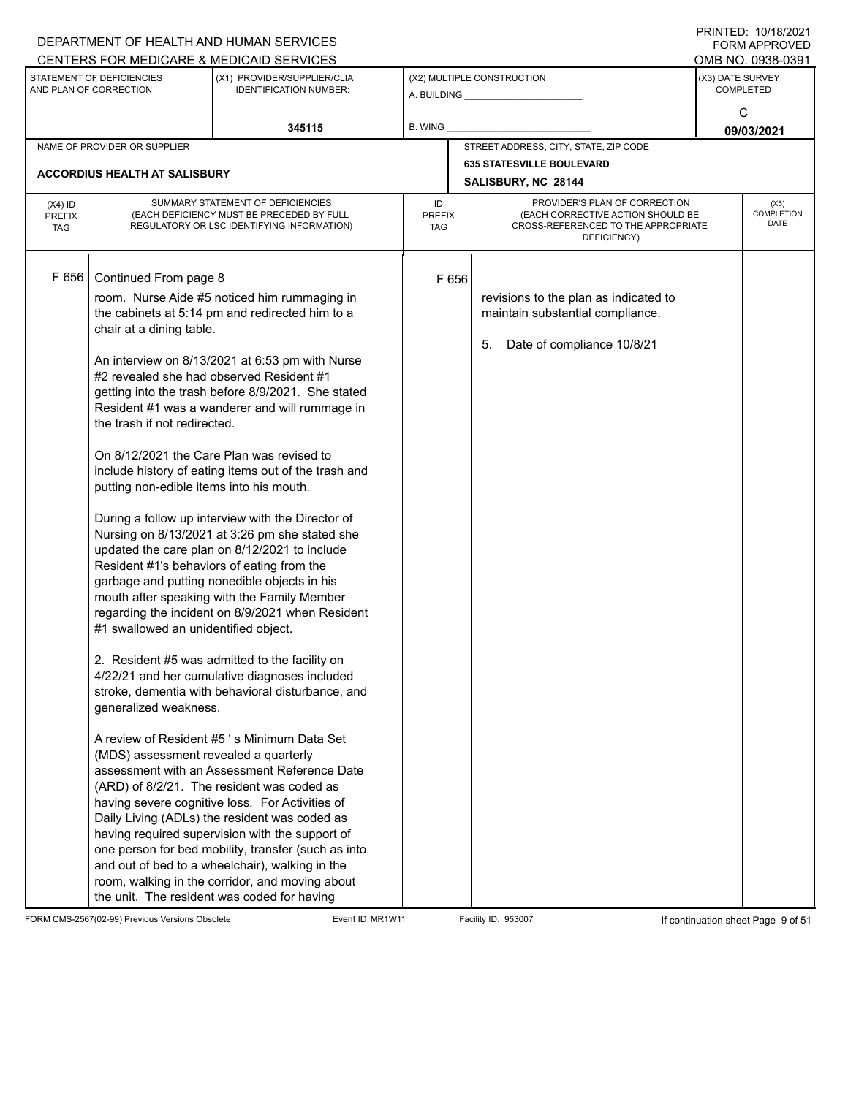|                                          |                                                                                                                                                                                                                                                                                                                                   | DEPARTMENT OF HEALTH AND HUMAN SERVICES                                                                                                                                                                                                                                                                                                                                                                                                                                                                                                                                                                                                                                                                                                                                                                                                                                                                                                                                                                                                                                                                                                                                                                                                                                                                                                           |                            |       |                                                                                                                          |                  | $1 \times 1 \times 1 = 1$ . $1 \times 1 \times 1 = 1$<br><b>FORM APPROVED</b> |
|------------------------------------------|-----------------------------------------------------------------------------------------------------------------------------------------------------------------------------------------------------------------------------------------------------------------------------------------------------------------------------------|---------------------------------------------------------------------------------------------------------------------------------------------------------------------------------------------------------------------------------------------------------------------------------------------------------------------------------------------------------------------------------------------------------------------------------------------------------------------------------------------------------------------------------------------------------------------------------------------------------------------------------------------------------------------------------------------------------------------------------------------------------------------------------------------------------------------------------------------------------------------------------------------------------------------------------------------------------------------------------------------------------------------------------------------------------------------------------------------------------------------------------------------------------------------------------------------------------------------------------------------------------------------------------------------------------------------------------------------------|----------------------------|-------|--------------------------------------------------------------------------------------------------------------------------|------------------|-------------------------------------------------------------------------------|
|                                          |                                                                                                                                                                                                                                                                                                                                   | CENTERS FOR MEDICARE & MEDICAID SERVICES                                                                                                                                                                                                                                                                                                                                                                                                                                                                                                                                                                                                                                                                                                                                                                                                                                                                                                                                                                                                                                                                                                                                                                                                                                                                                                          |                            |       |                                                                                                                          |                  | OMB NO. 0938-0391                                                             |
|                                          | STATEMENT OF DEFICIENCIES<br>AND PLAN OF CORRECTION                                                                                                                                                                                                                                                                               | (X1) PROVIDER/SUPPLIER/CLIA<br><b>IDENTIFICATION NUMBER:</b>                                                                                                                                                                                                                                                                                                                                                                                                                                                                                                                                                                                                                                                                                                                                                                                                                                                                                                                                                                                                                                                                                                                                                                                                                                                                                      |                            |       | (X2) MULTIPLE CONSTRUCTION                                                                                               | (X3) DATE SURVEY | <b>COMPLETED</b>                                                              |
|                                          |                                                                                                                                                                                                                                                                                                                                   | 345115                                                                                                                                                                                                                                                                                                                                                                                                                                                                                                                                                                                                                                                                                                                                                                                                                                                                                                                                                                                                                                                                                                                                                                                                                                                                                                                                            | B. WING                    |       |                                                                                                                          |                  | C<br>09/03/2021                                                               |
|                                          | NAME OF PROVIDER OR SUPPLIER                                                                                                                                                                                                                                                                                                      |                                                                                                                                                                                                                                                                                                                                                                                                                                                                                                                                                                                                                                                                                                                                                                                                                                                                                                                                                                                                                                                                                                                                                                                                                                                                                                                                                   |                            |       | STREET ADDRESS, CITY, STATE, ZIP CODE                                                                                    |                  |                                                                               |
|                                          | ACCORDIUS HEALTH AT SALISBURY                                                                                                                                                                                                                                                                                                     |                                                                                                                                                                                                                                                                                                                                                                                                                                                                                                                                                                                                                                                                                                                                                                                                                                                                                                                                                                                                                                                                                                                                                                                                                                                                                                                                                   |                            |       | <b>635 STATESVILLE BOULEVARD</b><br>SALISBURY, NC 28144                                                                  |                  |                                                                               |
| $(X4)$ ID<br><b>PREFIX</b><br><b>TAG</b> |                                                                                                                                                                                                                                                                                                                                   | SUMMARY STATEMENT OF DEFICIENCIES<br>(EACH DEFICIENCY MUST BE PRECEDED BY FULL<br>REGULATORY OR LSC IDENTIFYING INFORMATION)                                                                                                                                                                                                                                                                                                                                                                                                                                                                                                                                                                                                                                                                                                                                                                                                                                                                                                                                                                                                                                                                                                                                                                                                                      | ID<br><b>PREFIX</b><br>TAG |       | PROVIDER'S PLAN OF CORRECTION<br>(EACH CORRECTIVE ACTION SHOULD BE<br>CROSS-REFERENCED TO THE APPROPRIATE<br>DEFICIENCY) |                  | (X5)<br>COMPLETION<br><b>DATE</b>                                             |
| F 656                                    | Continued From page 8<br>chair at a dining table.<br>#2 revealed she had observed Resident #1<br>the trash if not redirected.<br>putting non-edible items into his mouth.<br>Resident #1's behaviors of eating from the<br>#1 swallowed an unidentified object.<br>generalized weakness.<br>(MDS) assessment revealed a quarterly | room. Nurse Aide #5 noticed him rummaging in<br>the cabinets at 5:14 pm and redirected him to a<br>An interview on 8/13/2021 at 6:53 pm with Nurse<br>getting into the trash before 8/9/2021. She stated<br>Resident #1 was a wanderer and will rummage in<br>On 8/12/2021 the Care Plan was revised to<br>include history of eating items out of the trash and<br>During a follow up interview with the Director of<br>Nursing on 8/13/2021 at 3:26 pm she stated she<br>updated the care plan on 8/12/2021 to include<br>garbage and putting nonedible objects in his<br>mouth after speaking with the Family Member<br>regarding the incident on 8/9/2021 when Resident<br>2. Resident #5 was admitted to the facility on<br>4/22/21 and her cumulative diagnoses included<br>stroke, dementia with behavioral disturbance, and<br>A review of Resident #5's Minimum Data Set<br>assessment with an Assessment Reference Date<br>(ARD) of 8/2/21. The resident was coded as<br>having severe cognitive loss. For Activities of<br>Daily Living (ADLs) the resident was coded as<br>having required supervision with the support of<br>one person for bed mobility, transfer (such as into<br>and out of bed to a wheelchair), walking in the<br>room, walking in the corridor, and moving about<br>the unit. The resident was coded for having |                            | F 656 | revisions to the plan as indicated to<br>maintain substantial compliance.<br>Date of compliance 10/8/21<br>5.            |                  |                                                                               |

FORM CMS-2567(02-99) Previous Versions Obsolete Event ID: MR1W11 Facility ID: 953007 If continuation sheet Page 9 of 51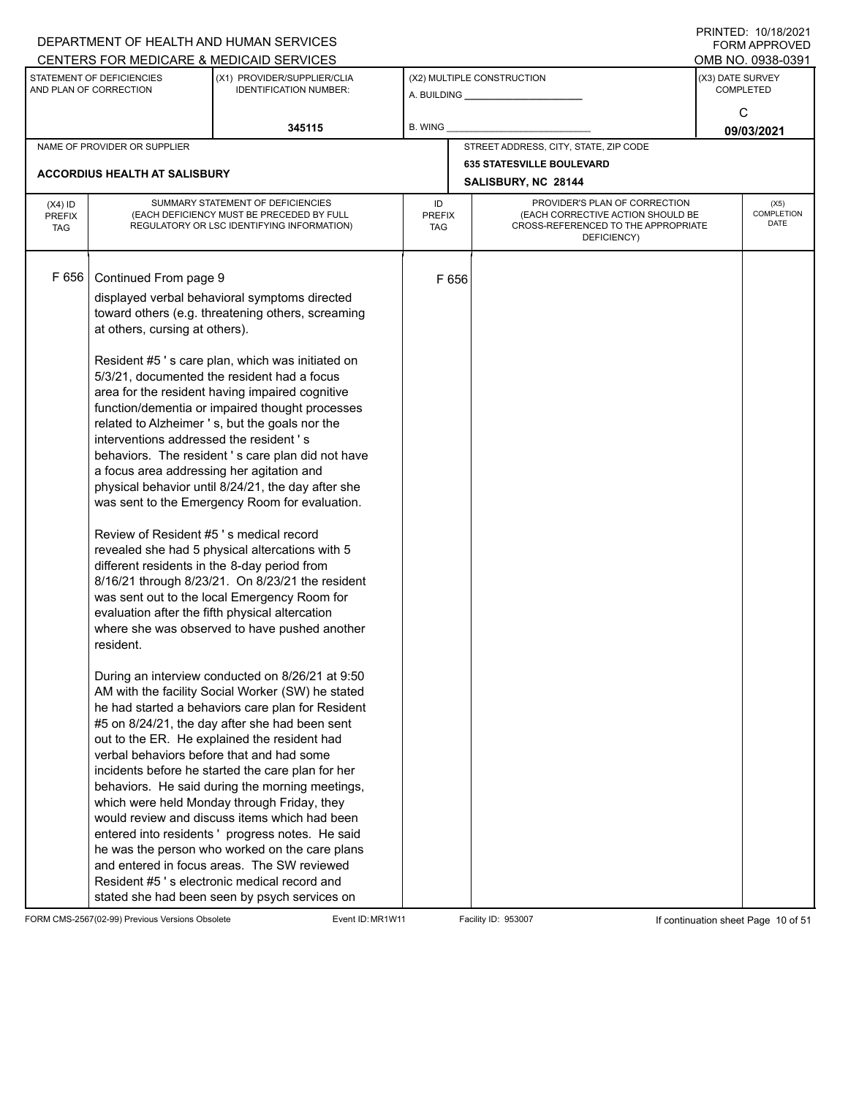| CENTERS FOR MEDICARE & MEDICAID SERVICES<br>STATEMENT OF DEFICIENCIES<br>(X2) MULTIPLE CONSTRUCTION<br>(X3) DATE SURVEY<br>(X1) PROVIDER/SUPPLIER/CLIA<br>AND PLAN OF CORRECTION<br><b>IDENTIFICATION NUMBER:</b><br><b>COMPLETED</b><br>C<br>345115<br>B. WING<br>STREET ADDRESS, CITY, STATE, ZIP CODE<br>NAME OF PROVIDER OR SUPPLIER                                                                                                                                                                                                                                                                                                                                                                                                                                                                                                                                                                                                                                                                                                                                                                                                                                                                                                                                                                                                                                                                                                                                                                                                                                                                                                                                                                                                                                                                                                  | OMB NO. 0938-0391<br>09/03/2021<br>(X5)<br>COMPLETION |
|-------------------------------------------------------------------------------------------------------------------------------------------------------------------------------------------------------------------------------------------------------------------------------------------------------------------------------------------------------------------------------------------------------------------------------------------------------------------------------------------------------------------------------------------------------------------------------------------------------------------------------------------------------------------------------------------------------------------------------------------------------------------------------------------------------------------------------------------------------------------------------------------------------------------------------------------------------------------------------------------------------------------------------------------------------------------------------------------------------------------------------------------------------------------------------------------------------------------------------------------------------------------------------------------------------------------------------------------------------------------------------------------------------------------------------------------------------------------------------------------------------------------------------------------------------------------------------------------------------------------------------------------------------------------------------------------------------------------------------------------------------------------------------------------------------------------------------------------|-------------------------------------------------------|
|                                                                                                                                                                                                                                                                                                                                                                                                                                                                                                                                                                                                                                                                                                                                                                                                                                                                                                                                                                                                                                                                                                                                                                                                                                                                                                                                                                                                                                                                                                                                                                                                                                                                                                                                                                                                                                           |                                                       |
|                                                                                                                                                                                                                                                                                                                                                                                                                                                                                                                                                                                                                                                                                                                                                                                                                                                                                                                                                                                                                                                                                                                                                                                                                                                                                                                                                                                                                                                                                                                                                                                                                                                                                                                                                                                                                                           |                                                       |
|                                                                                                                                                                                                                                                                                                                                                                                                                                                                                                                                                                                                                                                                                                                                                                                                                                                                                                                                                                                                                                                                                                                                                                                                                                                                                                                                                                                                                                                                                                                                                                                                                                                                                                                                                                                                                                           |                                                       |
|                                                                                                                                                                                                                                                                                                                                                                                                                                                                                                                                                                                                                                                                                                                                                                                                                                                                                                                                                                                                                                                                                                                                                                                                                                                                                                                                                                                                                                                                                                                                                                                                                                                                                                                                                                                                                                           |                                                       |
| <b>635 STATESVILLE BOULEVARD</b>                                                                                                                                                                                                                                                                                                                                                                                                                                                                                                                                                                                                                                                                                                                                                                                                                                                                                                                                                                                                                                                                                                                                                                                                                                                                                                                                                                                                                                                                                                                                                                                                                                                                                                                                                                                                          |                                                       |
| ACCORDIUS HEALTH AT SALISBURY<br>SALISBURY, NC 28144                                                                                                                                                                                                                                                                                                                                                                                                                                                                                                                                                                                                                                                                                                                                                                                                                                                                                                                                                                                                                                                                                                                                                                                                                                                                                                                                                                                                                                                                                                                                                                                                                                                                                                                                                                                      |                                                       |
| SUMMARY STATEMENT OF DEFICIENCIES<br>PROVIDER'S PLAN OF CORRECTION<br>ID<br>$(X4)$ ID<br>(EACH CORRECTIVE ACTION SHOULD BE<br>(EACH DEFICIENCY MUST BE PRECEDED BY FULL<br><b>PREFIX</b><br><b>PREFIX</b><br>CROSS-REFERENCED TO THE APPROPRIATE<br>REGULATORY OR LSC IDENTIFYING INFORMATION)<br><b>TAG</b><br>TAG<br>DEFICIENCY)                                                                                                                                                                                                                                                                                                                                                                                                                                                                                                                                                                                                                                                                                                                                                                                                                                                                                                                                                                                                                                                                                                                                                                                                                                                                                                                                                                                                                                                                                                        | DATE                                                  |
| F 656<br>Continued From page 9<br>F 656<br>displayed verbal behavioral symptoms directed<br>toward others (e.g. threatening others, screaming<br>at others, cursing at others).<br>Resident #5's care plan, which was initiated on<br>5/3/21, documented the resident had a focus<br>area for the resident having impaired cognitive<br>function/dementia or impaired thought processes<br>related to Alzheimer 's, but the goals nor the<br>interventions addressed the resident's<br>behaviors. The resident's care plan did not have<br>a focus area addressing her agitation and<br>physical behavior until 8/24/21, the day after she<br>was sent to the Emergency Room for evaluation.<br>Review of Resident #5 's medical record<br>revealed she had 5 physical altercations with 5<br>different residents in the 8-day period from<br>8/16/21 through 8/23/21. On 8/23/21 the resident<br>was sent out to the local Emergency Room for<br>evaluation after the fifth physical altercation<br>where she was observed to have pushed another<br>resident.<br>During an interview conducted on 8/26/21 at 9:50<br>AM with the facility Social Worker (SW) he stated<br>he had started a behaviors care plan for Resident<br>#5 on 8/24/21, the day after she had been sent<br>out to the ER. He explained the resident had<br>verbal behaviors before that and had some<br>incidents before he started the care plan for her<br>behaviors. He said during the morning meetings,<br>which were held Monday through Friday, they<br>would review and discuss items which had been<br>entered into residents ' progress notes. He said<br>he was the person who worked on the care plans<br>and entered in focus areas. The SW reviewed<br>Resident #5's electronic medical record and<br>stated she had been seen by psych services on |                                                       |

FORM CMS-2567(02-99) Previous Versions Obsolete Event ID: MR1W11 Facility ID: 953007 If continuation sheet Page 10 of 51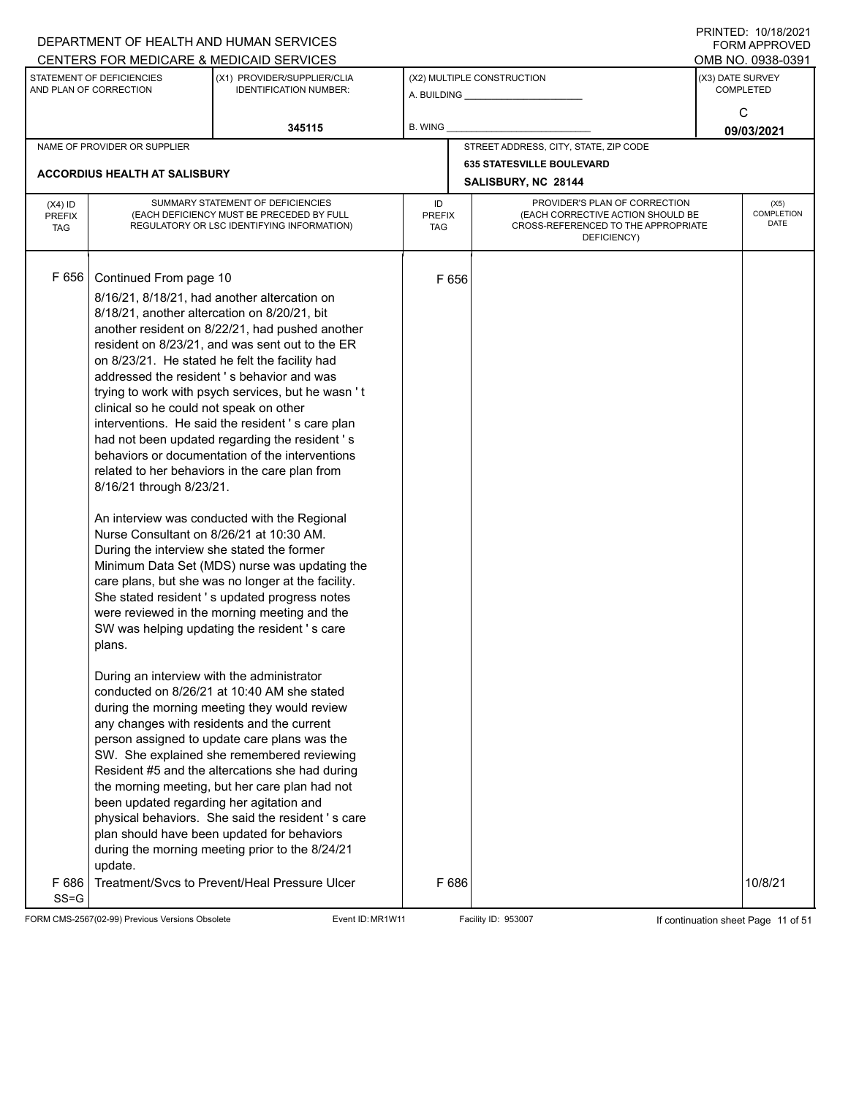|                                          |                                                                                                                                                                                                                                                            | DEPARTMENT OF HEALTH AND HUMAN SERVICES                                                                                                                                                                                                                                                                                                                                                                                                                                                                                                                                                                                                                                                                                                                                                                                                                                                                                                                                                                                                                                                                                                                                                                                                                                                                                                                                                                                   |                                   |                                                       |                                                                                                                          |                  | <b>FORM APPROVED</b>                     |
|------------------------------------------|------------------------------------------------------------------------------------------------------------------------------------------------------------------------------------------------------------------------------------------------------------|---------------------------------------------------------------------------------------------------------------------------------------------------------------------------------------------------------------------------------------------------------------------------------------------------------------------------------------------------------------------------------------------------------------------------------------------------------------------------------------------------------------------------------------------------------------------------------------------------------------------------------------------------------------------------------------------------------------------------------------------------------------------------------------------------------------------------------------------------------------------------------------------------------------------------------------------------------------------------------------------------------------------------------------------------------------------------------------------------------------------------------------------------------------------------------------------------------------------------------------------------------------------------------------------------------------------------------------------------------------------------------------------------------------------------|-----------------------------------|-------------------------------------------------------|--------------------------------------------------------------------------------------------------------------------------|------------------|------------------------------------------|
|                                          |                                                                                                                                                                                                                                                            | CENTERS FOR MEDICARE & MEDICAID SERVICES                                                                                                                                                                                                                                                                                                                                                                                                                                                                                                                                                                                                                                                                                                                                                                                                                                                                                                                                                                                                                                                                                                                                                                                                                                                                                                                                                                                  |                                   |                                                       |                                                                                                                          |                  | OMB NO. 0938-0391                        |
|                                          | STATEMENT OF DEFICIENCIES<br>AND PLAN OF CORRECTION                                                                                                                                                                                                        | (X1) PROVIDER/SUPPLIER/CLIA<br><b>IDENTIFICATION NUMBER:</b>                                                                                                                                                                                                                                                                                                                                                                                                                                                                                                                                                                                                                                                                                                                                                                                                                                                                                                                                                                                                                                                                                                                                                                                                                                                                                                                                                              |                                   | (X2) MULTIPLE CONSTRUCTION<br>A. BUILDING A. BUILDING |                                                                                                                          | (X3) DATE SURVEY | <b>COMPLETED</b>                         |
|                                          |                                                                                                                                                                                                                                                            | 345115                                                                                                                                                                                                                                                                                                                                                                                                                                                                                                                                                                                                                                                                                                                                                                                                                                                                                                                                                                                                                                                                                                                                                                                                                                                                                                                                                                                                                    | B. WING                           |                                                       |                                                                                                                          |                  | C<br>09/03/2021                          |
|                                          | NAME OF PROVIDER OR SUPPLIER                                                                                                                                                                                                                               |                                                                                                                                                                                                                                                                                                                                                                                                                                                                                                                                                                                                                                                                                                                                                                                                                                                                                                                                                                                                                                                                                                                                                                                                                                                                                                                                                                                                                           |                                   |                                                       | STREET ADDRESS, CITY, STATE, ZIP CODE                                                                                    |                  |                                          |
|                                          |                                                                                                                                                                                                                                                            |                                                                                                                                                                                                                                                                                                                                                                                                                                                                                                                                                                                                                                                                                                                                                                                                                                                                                                                                                                                                                                                                                                                                                                                                                                                                                                                                                                                                                           |                                   | <b>635 STATESVILLE BOULEVARD</b>                      |                                                                                                                          |                  |                                          |
|                                          | <b>ACCORDIUS HEALTH AT SALISBURY</b>                                                                                                                                                                                                                       |                                                                                                                                                                                                                                                                                                                                                                                                                                                                                                                                                                                                                                                                                                                                                                                                                                                                                                                                                                                                                                                                                                                                                                                                                                                                                                                                                                                                                           |                                   | SALISBURY, NC 28144                                   |                                                                                                                          |                  |                                          |
| $(X4)$ ID<br><b>PREFIX</b><br><b>TAG</b> |                                                                                                                                                                                                                                                            | SUMMARY STATEMENT OF DEFICIENCIES<br>(EACH DEFICIENCY MUST BE PRECEDED BY FULL<br>REGULATORY OR LSC IDENTIFYING INFORMATION)                                                                                                                                                                                                                                                                                                                                                                                                                                                                                                                                                                                                                                                                                                                                                                                                                                                                                                                                                                                                                                                                                                                                                                                                                                                                                              | ID<br><b>PREFIX</b><br><b>TAG</b> |                                                       | PROVIDER'S PLAN OF CORRECTION<br>(EACH CORRECTIVE ACTION SHOULD BE<br>CROSS-REFERENCED TO THE APPROPRIATE<br>DEFICIENCY) |                  | (X5)<br><b>COMPLETION</b><br><b>DATE</b> |
| F 656                                    | Continued From page 10<br>clinical so he could not speak on other<br>8/16/21 through 8/23/21.<br>During the interview she stated the former<br>plans.<br>During an interview with the administrator<br>been updated regarding her agitation and<br>update. | 8/16/21, 8/18/21, had another altercation on<br>8/18/21, another altercation on 8/20/21, bit<br>another resident on 8/22/21, had pushed another<br>resident on 8/23/21, and was sent out to the ER<br>on 8/23/21. He stated he felt the facility had<br>addressed the resident's behavior and was<br>trying to work with psych services, but he wasn't<br>interventions. He said the resident's care plan<br>had not been updated regarding the resident's<br>behaviors or documentation of the interventions<br>related to her behaviors in the care plan from<br>An interview was conducted with the Regional<br>Nurse Consultant on 8/26/21 at 10:30 AM.<br>Minimum Data Set (MDS) nurse was updating the<br>care plans, but she was no longer at the facility.<br>She stated resident 's updated progress notes<br>were reviewed in the morning meeting and the<br>SW was helping updating the resident 's care<br>conducted on 8/26/21 at 10:40 AM she stated<br>during the morning meeting they would review<br>any changes with residents and the current<br>person assigned to update care plans was the<br>SW. She explained she remembered reviewing<br>Resident #5 and the altercations she had during<br>the morning meeting, but her care plan had not<br>physical behaviors. She said the resident's care<br>plan should have been updated for behaviors<br>during the morning meeting prior to the 8/24/21 | F 656                             |                                                       |                                                                                                                          |                  |                                          |
| F 686<br>$SS = G$                        |                                                                                                                                                                                                                                                            | Treatment/Svcs to Prevent/Heal Pressure Ulcer                                                                                                                                                                                                                                                                                                                                                                                                                                                                                                                                                                                                                                                                                                                                                                                                                                                                                                                                                                                                                                                                                                                                                                                                                                                                                                                                                                             | F 686                             |                                                       |                                                                                                                          |                  | 10/8/21                                  |
|                                          | FORM CMS-2567(02-99) Previous Versions Obsolete                                                                                                                                                                                                            | Event ID: MR1W11                                                                                                                                                                                                                                                                                                                                                                                                                                                                                                                                                                                                                                                                                                                                                                                                                                                                                                                                                                                                                                                                                                                                                                                                                                                                                                                                                                                                          |                                   | Facility ID: 953007                                   |                                                                                                                          |                  | If continuation sheet Page 11 of 51      |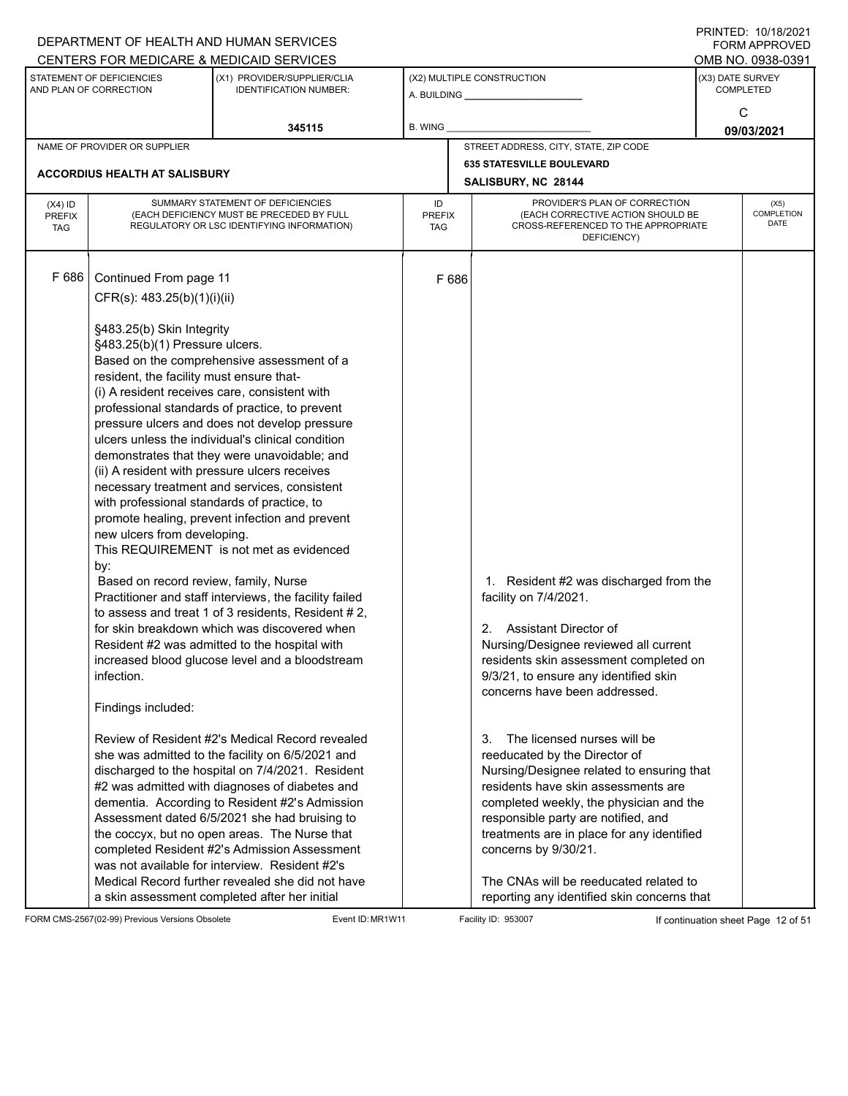|                                          |                                                                                                                                                                                                                                                                                                                                    | DEPARTMENT OF HEALTH AND HUMAN SERVICES<br>CENTERS FOR MEDICARE & MEDICAID SERVICES                                                                                                                                                                                                                                                                                                                                                                                                                                                                                                                                                                                                                                                                                                                                                                                                                                                                                                                                                                                                                                                                                                                                                                                                            |                                   |                            |                                                                                                                                                                                                                                                                                                                                                                                                                                                                                                                                                                                                                         |  | FININILD. IVIIVIZVZI<br><b>FORM APPROVED</b><br>OMB NO. 0938-0391 |
|------------------------------------------|------------------------------------------------------------------------------------------------------------------------------------------------------------------------------------------------------------------------------------------------------------------------------------------------------------------------------------|------------------------------------------------------------------------------------------------------------------------------------------------------------------------------------------------------------------------------------------------------------------------------------------------------------------------------------------------------------------------------------------------------------------------------------------------------------------------------------------------------------------------------------------------------------------------------------------------------------------------------------------------------------------------------------------------------------------------------------------------------------------------------------------------------------------------------------------------------------------------------------------------------------------------------------------------------------------------------------------------------------------------------------------------------------------------------------------------------------------------------------------------------------------------------------------------------------------------------------------------------------------------------------------------|-----------------------------------|----------------------------|-------------------------------------------------------------------------------------------------------------------------------------------------------------------------------------------------------------------------------------------------------------------------------------------------------------------------------------------------------------------------------------------------------------------------------------------------------------------------------------------------------------------------------------------------------------------------------------------------------------------------|--|-------------------------------------------------------------------|
|                                          | STATEMENT OF DEFICIENCIES<br>AND PLAN OF CORRECTION                                                                                                                                                                                                                                                                                | (X1) PROVIDER/SUPPLIER/CLIA<br><b>IDENTIFICATION NUMBER:</b>                                                                                                                                                                                                                                                                                                                                                                                                                                                                                                                                                                                                                                                                                                                                                                                                                                                                                                                                                                                                                                                                                                                                                                                                                                   |                                   | (X2) MULTIPLE CONSTRUCTION |                                                                                                                                                                                                                                                                                                                                                                                                                                                                                                                                                                                                                         |  | (X3) DATE SURVEY<br><b>COMPLETED</b>                              |
|                                          |                                                                                                                                                                                                                                                                                                                                    | 345115                                                                                                                                                                                                                                                                                                                                                                                                                                                                                                                                                                                                                                                                                                                                                                                                                                                                                                                                                                                                                                                                                                                                                                                                                                                                                         | <b>B. WING</b>                    |                            |                                                                                                                                                                                                                                                                                                                                                                                                                                                                                                                                                                                                                         |  | C<br>09/03/2021                                                   |
|                                          | NAME OF PROVIDER OR SUPPLIER                                                                                                                                                                                                                                                                                                       |                                                                                                                                                                                                                                                                                                                                                                                                                                                                                                                                                                                                                                                                                                                                                                                                                                                                                                                                                                                                                                                                                                                                                                                                                                                                                                |                                   |                            | STREET ADDRESS, CITY, STATE, ZIP CODE                                                                                                                                                                                                                                                                                                                                                                                                                                                                                                                                                                                   |  |                                                                   |
|                                          | <b>ACCORDIUS HEALTH AT SALISBURY</b>                                                                                                                                                                                                                                                                                               |                                                                                                                                                                                                                                                                                                                                                                                                                                                                                                                                                                                                                                                                                                                                                                                                                                                                                                                                                                                                                                                                                                                                                                                                                                                                                                |                                   |                            | <b>635 STATESVILLE BOULEVARD</b><br>SALISBURY, NC 28144                                                                                                                                                                                                                                                                                                                                                                                                                                                                                                                                                                 |  |                                                                   |
| $(X4)$ ID<br><b>PREFIX</b><br><b>TAG</b> |                                                                                                                                                                                                                                                                                                                                    | SUMMARY STATEMENT OF DEFICIENCIES<br>(EACH DEFICIENCY MUST BE PRECEDED BY FULL<br>REGULATORY OR LSC IDENTIFYING INFORMATION)                                                                                                                                                                                                                                                                                                                                                                                                                                                                                                                                                                                                                                                                                                                                                                                                                                                                                                                                                                                                                                                                                                                                                                   | ID<br><b>PREFIX</b><br><b>TAG</b> |                            | PROVIDER'S PLAN OF CORRECTION<br>(EACH CORRECTIVE ACTION SHOULD BE<br>CROSS-REFERENCED TO THE APPROPRIATE<br>DEFICIENCY)                                                                                                                                                                                                                                                                                                                                                                                                                                                                                                |  | (X5)<br><b>COMPLETION</b><br><b>DATE</b>                          |
| F 686                                    | Continued From page 11<br>CFR(s): 483.25(b)(1)(i)(ii)<br>§483.25(b) Skin Integrity<br>§483.25(b)(1) Pressure ulcers.<br>resident, the facility must ensure that-<br>with professional standards of practice, to<br>new ulcers from developing.<br>by:<br>Based on record review, family, Nurse<br>infection.<br>Findings included: | Based on the comprehensive assessment of a<br>(i) A resident receives care, consistent with<br>professional standards of practice, to prevent<br>pressure ulcers and does not develop pressure<br>ulcers unless the individual's clinical condition<br>demonstrates that they were unavoidable; and<br>(ii) A resident with pressure ulcers receives<br>necessary treatment and services, consistent<br>promote healing, prevent infection and prevent<br>This REQUIREMENT is not met as evidenced<br>Practitioner and staff interviews, the facility failed<br>to assess and treat 1 of 3 residents, Resident # 2,<br>for skin breakdown which was discovered when<br>Resident #2 was admitted to the hospital with<br>increased blood glucose level and a bloodstream<br>Review of Resident #2's Medical Record revealed<br>she was admitted to the facility on 6/5/2021 and<br>discharged to the hospital on 7/4/2021. Resident<br>#2 was admitted with diagnoses of diabetes and<br>dementia. According to Resident #2's Admission<br>Assessment dated 6/5/2021 she had bruising to<br>the coccyx, but no open areas. The Nurse that<br>completed Resident #2's Admission Assessment<br>was not available for interview. Resident #2's<br>Medical Record further revealed she did not have |                                   | F 686                      | 1. Resident #2 was discharged from the<br>facility on 7/4/2021.<br>Assistant Director of<br>2.<br>Nursing/Designee reviewed all current<br>residents skin assessment completed on<br>9/3/21, to ensure any identified skin<br>concerns have been addressed.<br>The licensed nurses will be<br>3.<br>reeducated by the Director of<br>Nursing/Designee related to ensuring that<br>residents have skin assessments are<br>completed weekly, the physician and the<br>responsible party are notified, and<br>treatments are in place for any identified<br>concerns by 9/30/21.<br>The CNAs will be reeducated related to |  |                                                                   |
|                                          |                                                                                                                                                                                                                                                                                                                                    | a skin assessment completed after her initial                                                                                                                                                                                                                                                                                                                                                                                                                                                                                                                                                                                                                                                                                                                                                                                                                                                                                                                                                                                                                                                                                                                                                                                                                                                  |                                   |                            | reporting any identified skin concerns that                                                                                                                                                                                                                                                                                                                                                                                                                                                                                                                                                                             |  |                                                                   |

FORM CMS-2567(02-99) Previous Versions Obsolete Event ID: MR1W11 Facility ID: 953007 If continuation sheet Page 12 of 51

PRINTED: 10/18/2021 FORM APPROVED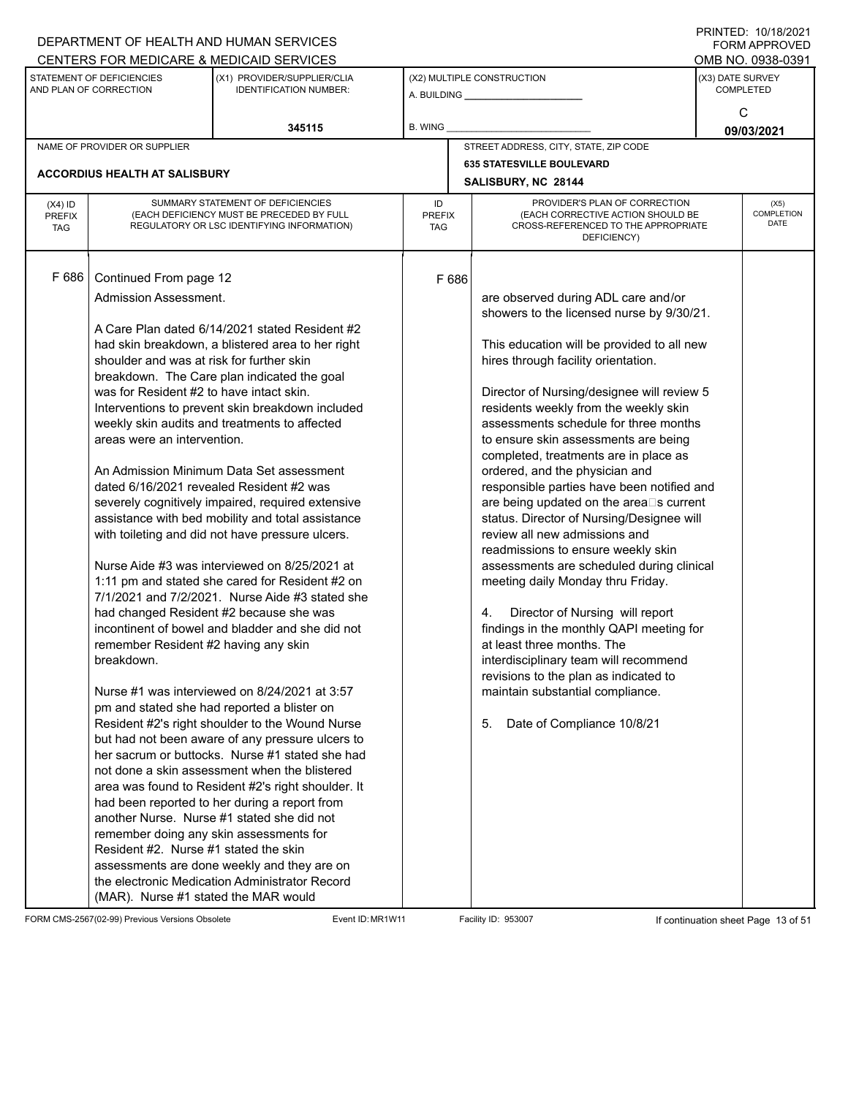|                             |                                                     | DEPARTMENT OF HEALTH AND HUMAN SERVICES                                                 |                      |       |                                                                           |                 | <b>FORM APPROVED</b>                 |  |
|-----------------------------|-----------------------------------------------------|-----------------------------------------------------------------------------------------|----------------------|-------|---------------------------------------------------------------------------|-----------------|--------------------------------------|--|
|                             |                                                     | CENTERS FOR MEDICARE & MEDICAID SERVICES                                                |                      |       |                                                                           |                 | OMB NO. 0938-0391                    |  |
|                             | STATEMENT OF DEFICIENCIES<br>AND PLAN OF CORRECTION | (X1) PROVIDER/SUPPLIER/CLIA<br><b>IDENTIFICATION NUMBER:</b>                            |                      |       | (X2) MULTIPLE CONSTRUCTION<br>A. BUILDING <b>A.</b> BUILDING              |                 | (X3) DATE SURVEY<br><b>COMPLETED</b> |  |
|                             |                                                     | 345115                                                                                  | B. WING              |       |                                                                           | C<br>09/03/2021 |                                      |  |
|                             | NAME OF PROVIDER OR SUPPLIER                        |                                                                                         |                      |       | STREET ADDRESS, CITY, STATE, ZIP CODE                                     |                 |                                      |  |
|                             |                                                     |                                                                                         |                      |       | <b>635 STATESVILLE BOULEVARD</b>                                          |                 |                                      |  |
|                             | <b>ACCORDIUS HEALTH AT SALISBURY</b>                |                                                                                         |                      |       | SALISBURY, NC 28144                                                       |                 |                                      |  |
| $(X4)$ ID                   |                                                     | SUMMARY STATEMENT OF DEFICIENCIES                                                       | ID                   |       | PROVIDER'S PLAN OF CORRECTION                                             |                 | (X5)                                 |  |
| <b>PREFIX</b><br><b>TAG</b> |                                                     | (EACH DEFICIENCY MUST BE PRECEDED BY FULL<br>REGULATORY OR LSC IDENTIFYING INFORMATION) | <b>PREFIX</b><br>TAG |       | (EACH CORRECTIVE ACTION SHOULD BE<br>CROSS-REFERENCED TO THE APPROPRIATE  |                 | <b>COMPLETION</b><br><b>DATE</b>     |  |
|                             |                                                     |                                                                                         |                      |       | DEFICIENCY)                                                               |                 |                                      |  |
|                             |                                                     |                                                                                         |                      |       |                                                                           |                 |                                      |  |
| F 686                       | Continued From page 12                              |                                                                                         |                      | F 686 |                                                                           |                 |                                      |  |
|                             | Admission Assessment.                               |                                                                                         |                      |       | are observed during ADL care and/or                                       |                 |                                      |  |
|                             |                                                     |                                                                                         |                      |       | showers to the licensed nurse by 9/30/21.                                 |                 |                                      |  |
|                             |                                                     | A Care Plan dated 6/14/2021 stated Resident #2                                          |                      |       |                                                                           |                 |                                      |  |
|                             |                                                     | had skin breakdown, a blistered area to her right                                       |                      |       | This education will be provided to all new                                |                 |                                      |  |
|                             | shoulder and was at risk for further skin           | breakdown. The Care plan indicated the goal                                             |                      |       | hires through facility orientation.                                       |                 |                                      |  |
|                             | was for Resident #2 to have intact skin.            |                                                                                         |                      |       | Director of Nursing/designee will review 5                                |                 |                                      |  |
|                             |                                                     | Interventions to prevent skin breakdown included                                        |                      |       | residents weekly from the weekly skin                                     |                 |                                      |  |
|                             |                                                     | weekly skin audits and treatments to affected                                           |                      |       | assessments schedule for three months                                     |                 |                                      |  |
|                             | areas were an intervention.                         |                                                                                         |                      |       | to ensure skin assessments are being                                      |                 |                                      |  |
|                             |                                                     |                                                                                         |                      |       | completed, treatments are in place as                                     |                 |                                      |  |
|                             |                                                     | An Admission Minimum Data Set assessment                                                |                      |       | ordered, and the physician and                                            |                 |                                      |  |
|                             |                                                     | dated 6/16/2021 revealed Resident #2 was                                                |                      |       | responsible parties have been notified and                                |                 |                                      |  |
|                             |                                                     | severely cognitively impaired, required extensive                                       |                      |       | are being updated on the area⊡s current                                   |                 |                                      |  |
|                             |                                                     | assistance with bed mobility and total assistance                                       |                      |       | status. Director of Nursing/Designee will                                 |                 |                                      |  |
|                             |                                                     | with toileting and did not have pressure ulcers.                                        |                      |       | review all new admissions and<br>readmissions to ensure weekly skin       |                 |                                      |  |
|                             |                                                     | Nurse Aide #3 was interviewed on 8/25/2021 at                                           |                      |       | assessments are scheduled during clinical                                 |                 |                                      |  |
|                             |                                                     | 1:11 pm and stated she cared for Resident #2 on                                         |                      |       | meeting daily Monday thru Friday.                                         |                 |                                      |  |
|                             |                                                     | 7/1/2021 and 7/2/2021. Nurse Aide #3 stated she                                         |                      |       |                                                                           |                 |                                      |  |
|                             |                                                     | had changed Resident #2 because she was                                                 |                      |       | Director of Nursing will report<br>4.                                     |                 |                                      |  |
|                             |                                                     | incontinent of bowel and bladder and she did not                                        |                      |       | findings in the monthly QAPI meeting for                                  |                 |                                      |  |
|                             | remember Resident #2 having any skin                |                                                                                         |                      |       | at least three months. The                                                |                 |                                      |  |
|                             | breakdown.                                          |                                                                                         |                      |       | interdisciplinary team will recommend                                     |                 |                                      |  |
|                             |                                                     | Nurse #1 was interviewed on 8/24/2021 at 3:57                                           |                      |       | revisions to the plan as indicated to<br>maintain substantial compliance. |                 |                                      |  |
|                             |                                                     | pm and stated she had reported a blister on                                             |                      |       |                                                                           |                 |                                      |  |
|                             |                                                     | Resident #2's right shoulder to the Wound Nurse                                         |                      |       | Date of Compliance 10/8/21<br>5.                                          |                 |                                      |  |
|                             |                                                     | but had not been aware of any pressure ulcers to                                        |                      |       |                                                                           |                 |                                      |  |
|                             |                                                     | her sacrum or buttocks. Nurse #1 stated she had                                         |                      |       |                                                                           |                 |                                      |  |
|                             |                                                     | not done a skin assessment when the blistered                                           |                      |       |                                                                           |                 |                                      |  |
|                             |                                                     | area was found to Resident #2's right shoulder. It                                      |                      |       |                                                                           |                 |                                      |  |
|                             |                                                     | had been reported to her during a report from                                           |                      |       |                                                                           |                 |                                      |  |
|                             |                                                     | another Nurse. Nurse #1 stated she did not                                              |                      |       |                                                                           |                 |                                      |  |
|                             |                                                     | remember doing any skin assessments for                                                 |                      |       |                                                                           |                 |                                      |  |
|                             | Resident #2. Nurse #1 stated the skin               |                                                                                         |                      |       |                                                                           |                 |                                      |  |
|                             |                                                     | assessments are done weekly and they are on                                             |                      |       |                                                                           |                 |                                      |  |
|                             |                                                     | the electronic Medication Administrator Record                                          |                      |       |                                                                           |                 |                                      |  |
|                             | (MAR). Nurse #1 stated the MAR would                |                                                                                         |                      |       |                                                                           |                 |                                      |  |

FORM CMS-2567(02-99) Previous Versions Obsolete Event ID: MR1W11 Facility ID: 953007 If continuation sheet Page 13 of 51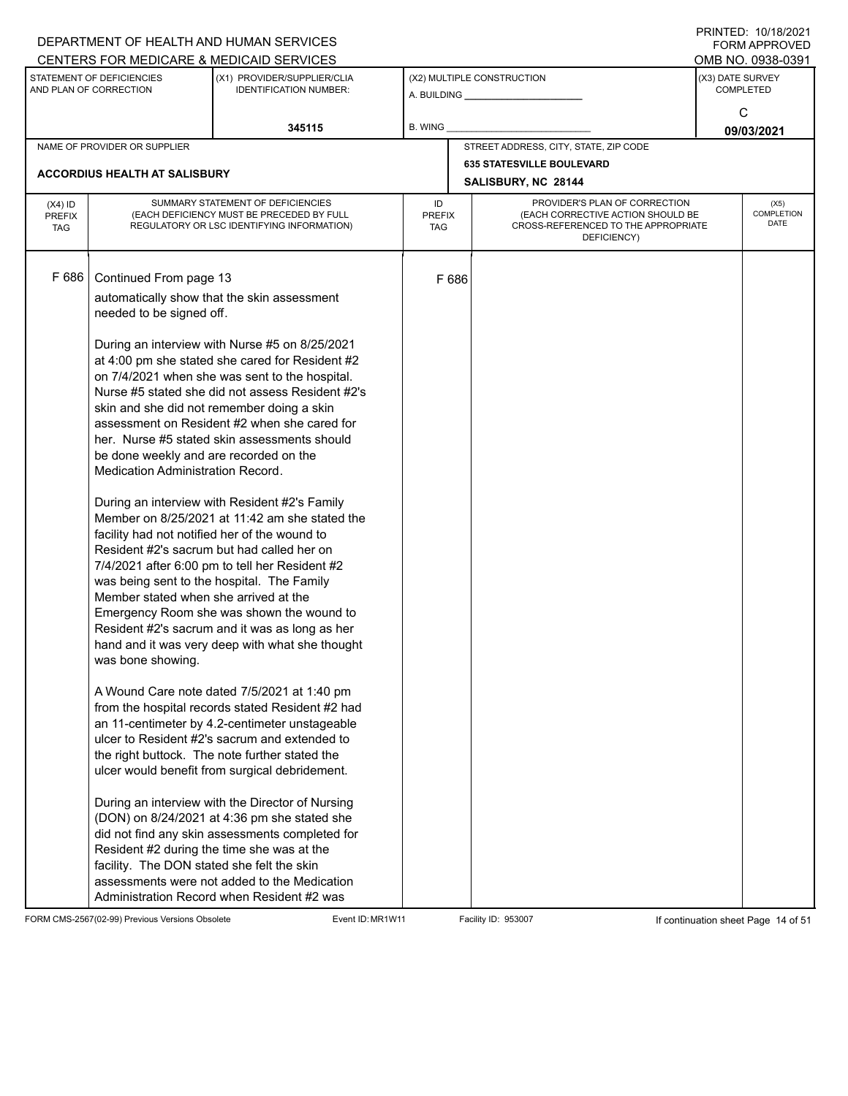|                                          |                                                                                                                                                                                                                                                                                                | DEPARTMENT OF HEALTH AND HUMAN SERVICES<br>CENTERS FOR MEDICARE & MEDICAID SERVICES                                                                                                                                                                                                                                                                                                                                                                                                                                                                                                                                                                                                                                                                                                                                                                                                                                                                                                                                                                                                                                                                                                                                                                                                                                    |                                   |       |                                                                                                                          |            | FININILU. IVIIVIZUZI<br><b>FORM APPROVED</b><br>OMB NO. 0938-0391 |  |
|------------------------------------------|------------------------------------------------------------------------------------------------------------------------------------------------------------------------------------------------------------------------------------------------------------------------------------------------|------------------------------------------------------------------------------------------------------------------------------------------------------------------------------------------------------------------------------------------------------------------------------------------------------------------------------------------------------------------------------------------------------------------------------------------------------------------------------------------------------------------------------------------------------------------------------------------------------------------------------------------------------------------------------------------------------------------------------------------------------------------------------------------------------------------------------------------------------------------------------------------------------------------------------------------------------------------------------------------------------------------------------------------------------------------------------------------------------------------------------------------------------------------------------------------------------------------------------------------------------------------------------------------------------------------------|-----------------------------------|-------|--------------------------------------------------------------------------------------------------------------------------|------------|-------------------------------------------------------------------|--|
|                                          | STATEMENT OF DEFICIENCIES<br>AND PLAN OF CORRECTION                                                                                                                                                                                                                                            | (X1) PROVIDER/SUPPLIER/CLIA<br><b>IDENTIFICATION NUMBER:</b>                                                                                                                                                                                                                                                                                                                                                                                                                                                                                                                                                                                                                                                                                                                                                                                                                                                                                                                                                                                                                                                                                                                                                                                                                                                           |                                   |       | (X2) MULTIPLE CONSTRUCTION                                                                                               |            | (X3) DATE SURVEY<br><b>COMPLETED</b><br>C                         |  |
|                                          |                                                                                                                                                                                                                                                                                                | 345115                                                                                                                                                                                                                                                                                                                                                                                                                                                                                                                                                                                                                                                                                                                                                                                                                                                                                                                                                                                                                                                                                                                                                                                                                                                                                                                 | <b>B. WING</b>                    |       |                                                                                                                          | 09/03/2021 |                                                                   |  |
|                                          | NAME OF PROVIDER OR SUPPLIER                                                                                                                                                                                                                                                                   |                                                                                                                                                                                                                                                                                                                                                                                                                                                                                                                                                                                                                                                                                                                                                                                                                                                                                                                                                                                                                                                                                                                                                                                                                                                                                                                        |                                   |       | STREET ADDRESS, CITY, STATE, ZIP CODE                                                                                    |            |                                                                   |  |
|                                          | <b>ACCORDIUS HEALTH AT SALISBURY</b>                                                                                                                                                                                                                                                           |                                                                                                                                                                                                                                                                                                                                                                                                                                                                                                                                                                                                                                                                                                                                                                                                                                                                                                                                                                                                                                                                                                                                                                                                                                                                                                                        |                                   |       | <b>635 STATESVILLE BOULEVARD</b><br>SALISBURY, NC 28144                                                                  |            |                                                                   |  |
| $(X4)$ ID<br><b>PREFIX</b><br><b>TAG</b> |                                                                                                                                                                                                                                                                                                | SUMMARY STATEMENT OF DEFICIENCIES<br>(EACH DEFICIENCY MUST BE PRECEDED BY FULL<br>REGULATORY OR LSC IDENTIFYING INFORMATION)                                                                                                                                                                                                                                                                                                                                                                                                                                                                                                                                                                                                                                                                                                                                                                                                                                                                                                                                                                                                                                                                                                                                                                                           | ID<br><b>PREFIX</b><br><b>TAG</b> |       | PROVIDER'S PLAN OF CORRECTION<br>(EACH CORRECTIVE ACTION SHOULD BE<br>CROSS-REFERENCED TO THE APPROPRIATE<br>DEFICIENCY) |            | (X5)<br>COMPLETION<br><b>DATE</b>                                 |  |
| F 686                                    | Continued From page 13<br>needed to be signed off.<br>be done weekly and are recorded on the<br>Medication Administration Record.<br>facility had not notified her of the wound to<br>Member stated when she arrived at the<br>was bone showing.<br>facility. The DON stated she felt the skin | automatically show that the skin assessment<br>During an interview with Nurse #5 on 8/25/2021<br>at 4:00 pm she stated she cared for Resident #2<br>on 7/4/2021 when she was sent to the hospital.<br>Nurse #5 stated she did not assess Resident #2's<br>skin and she did not remember doing a skin<br>assessment on Resident #2 when she cared for<br>her. Nurse #5 stated skin assessments should<br>During an interview with Resident #2's Family<br>Member on 8/25/2021 at 11:42 am she stated the<br>Resident #2's sacrum but had called her on<br>7/4/2021 after 6:00 pm to tell her Resident #2<br>was being sent to the hospital. The Family<br>Emergency Room she was shown the wound to<br>Resident #2's sacrum and it was as long as her<br>hand and it was very deep with what she thought<br>A Wound Care note dated 7/5/2021 at 1:40 pm<br>from the hospital records stated Resident #2 had<br>an 11-centimeter by 4.2-centimeter unstageable<br>ulcer to Resident #2's sacrum and extended to<br>the right buttock. The note further stated the<br>ulcer would benefit from surgical debridement.<br>During an interview with the Director of Nursing<br>(DON) on 8/24/2021 at 4:36 pm she stated she<br>did not find any skin assessments completed for<br>Resident #2 during the time she was at the |                                   | F 686 |                                                                                                                          |            |                                                                   |  |
|                                          |                                                                                                                                                                                                                                                                                                | assessments were not added to the Medication<br>Administration Record when Resident #2 was                                                                                                                                                                                                                                                                                                                                                                                                                                                                                                                                                                                                                                                                                                                                                                                                                                                                                                                                                                                                                                                                                                                                                                                                                             |                                   |       |                                                                                                                          |            |                                                                   |  |

FORM CMS-2567(02-99) Previous Versions Obsolete Event ID: MR1W11 Facility ID: 953007 If continuation sheet Page 14 of 51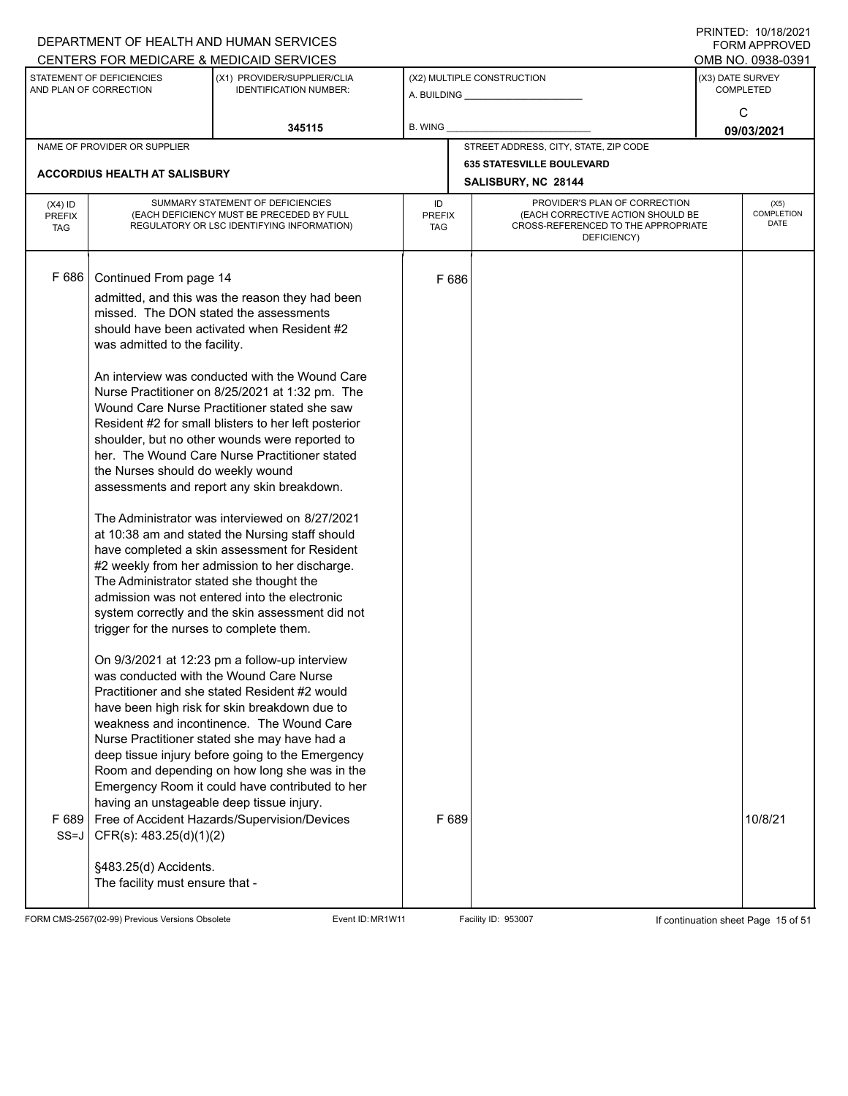|                                                                                                                     |                                                                                                                                                                                                                                                                                                                                                                    | DEPARTMENT OF HEALTH AND HUMAN SERVICES<br>CENTERS FOR MEDICARE & MEDICAID SERVICES                                                                                                                                                                                                                                                                                                                                                                                                                                                                                                                                                                                                                                                                                                                                                                                                                                                                                                                                                                                                                                                                                                                                                                                          |                                   |                            |                                                                                                                          |  | FININILU. IVIIVIZUZI<br><b>FORM APPROVED</b><br>OMB NO. 0938-0391 |
|---------------------------------------------------------------------------------------------------------------------|--------------------------------------------------------------------------------------------------------------------------------------------------------------------------------------------------------------------------------------------------------------------------------------------------------------------------------------------------------------------|------------------------------------------------------------------------------------------------------------------------------------------------------------------------------------------------------------------------------------------------------------------------------------------------------------------------------------------------------------------------------------------------------------------------------------------------------------------------------------------------------------------------------------------------------------------------------------------------------------------------------------------------------------------------------------------------------------------------------------------------------------------------------------------------------------------------------------------------------------------------------------------------------------------------------------------------------------------------------------------------------------------------------------------------------------------------------------------------------------------------------------------------------------------------------------------------------------------------------------------------------------------------------|-----------------------------------|----------------------------|--------------------------------------------------------------------------------------------------------------------------|--|-------------------------------------------------------------------|
| STATEMENT OF DEFICIENCIES<br>(X1) PROVIDER/SUPPLIER/CLIA<br>AND PLAN OF CORRECTION<br><b>IDENTIFICATION NUMBER:</b> |                                                                                                                                                                                                                                                                                                                                                                    |                                                                                                                                                                                                                                                                                                                                                                                                                                                                                                                                                                                                                                                                                                                                                                                                                                                                                                                                                                                                                                                                                                                                                                                                                                                                              |                                   | (X2) MULTIPLE CONSTRUCTION | (X3) DATE SURVEY<br><b>COMPLETED</b><br>C                                                                                |  |                                                                   |
|                                                                                                                     |                                                                                                                                                                                                                                                                                                                                                                    | 345115                                                                                                                                                                                                                                                                                                                                                                                                                                                                                                                                                                                                                                                                                                                                                                                                                                                                                                                                                                                                                                                                                                                                                                                                                                                                       | <b>B. WING</b>                    |                            |                                                                                                                          |  | 09/03/2021                                                        |
|                                                                                                                     | NAME OF PROVIDER OR SUPPLIER                                                                                                                                                                                                                                                                                                                                       |                                                                                                                                                                                                                                                                                                                                                                                                                                                                                                                                                                                                                                                                                                                                                                                                                                                                                                                                                                                                                                                                                                                                                                                                                                                                              |                                   |                            | STREET ADDRESS, CITY, STATE, ZIP CODE                                                                                    |  |                                                                   |
|                                                                                                                     | <b>ACCORDIUS HEALTH AT SALISBURY</b>                                                                                                                                                                                                                                                                                                                               |                                                                                                                                                                                                                                                                                                                                                                                                                                                                                                                                                                                                                                                                                                                                                                                                                                                                                                                                                                                                                                                                                                                                                                                                                                                                              |                                   |                            | <b>635 STATESVILLE BOULEVARD</b><br>SALISBURY, NC 28144                                                                  |  |                                                                   |
| $(X4)$ ID<br><b>PREFIX</b><br><b>TAG</b>                                                                            |                                                                                                                                                                                                                                                                                                                                                                    | SUMMARY STATEMENT OF DEFICIENCIES<br>(EACH DEFICIENCY MUST BE PRECEDED BY FULL<br>REGULATORY OR LSC IDENTIFYING INFORMATION)                                                                                                                                                                                                                                                                                                                                                                                                                                                                                                                                                                                                                                                                                                                                                                                                                                                                                                                                                                                                                                                                                                                                                 | ID<br><b>PREFIX</b><br><b>TAG</b> |                            | PROVIDER'S PLAN OF CORRECTION<br>(EACH CORRECTIVE ACTION SHOULD BE<br>CROSS-REFERENCED TO THE APPROPRIATE<br>DEFICIENCY) |  | (X5)<br>COMPLETION<br><b>DATE</b>                                 |
| F 686<br>F689<br>$SS=J$                                                                                             | Continued From page 14<br>missed. The DON stated the assessments<br>was admitted to the facility.<br>the Nurses should do weekly wound<br>The Administrator stated she thought the<br>trigger for the nurses to complete them.<br>having an unstageable deep tissue injury.<br>CFR(s): 483.25(d)(1)(2)<br>§483.25(d) Accidents.<br>The facility must ensure that - | admitted, and this was the reason they had been<br>should have been activated when Resident #2<br>An interview was conducted with the Wound Care<br>Nurse Practitioner on 8/25/2021 at 1:32 pm. The<br>Wound Care Nurse Practitioner stated she saw<br>Resident #2 for small blisters to her left posterior<br>shoulder, but no other wounds were reported to<br>her. The Wound Care Nurse Practitioner stated<br>assessments and report any skin breakdown.<br>The Administrator was interviewed on 8/27/2021<br>at 10:38 am and stated the Nursing staff should<br>have completed a skin assessment for Resident<br>#2 weekly from her admission to her discharge.<br>admission was not entered into the electronic<br>system correctly and the skin assessment did not<br>On 9/3/2021 at 12:23 pm a follow-up interview<br>was conducted with the Wound Care Nurse<br>Practitioner and she stated Resident #2 would<br>have been high risk for skin breakdown due to<br>weakness and incontinence. The Wound Care<br>Nurse Practitioner stated she may have had a<br>deep tissue injury before going to the Emergency<br>Room and depending on how long she was in the<br>Emergency Room it could have contributed to her<br>Free of Accident Hazards/Supervision/Devices |                                   | F 686<br>F 689             |                                                                                                                          |  | 10/8/21                                                           |
|                                                                                                                     |                                                                                                                                                                                                                                                                                                                                                                    |                                                                                                                                                                                                                                                                                                                                                                                                                                                                                                                                                                                                                                                                                                                                                                                                                                                                                                                                                                                                                                                                                                                                                                                                                                                                              |                                   |                            |                                                                                                                          |  |                                                                   |

FORM CMS-2567(02-99) Previous Versions Obsolete Event ID: MR1W11 Facility ID: 953007 If continuation sheet Page 15 of 51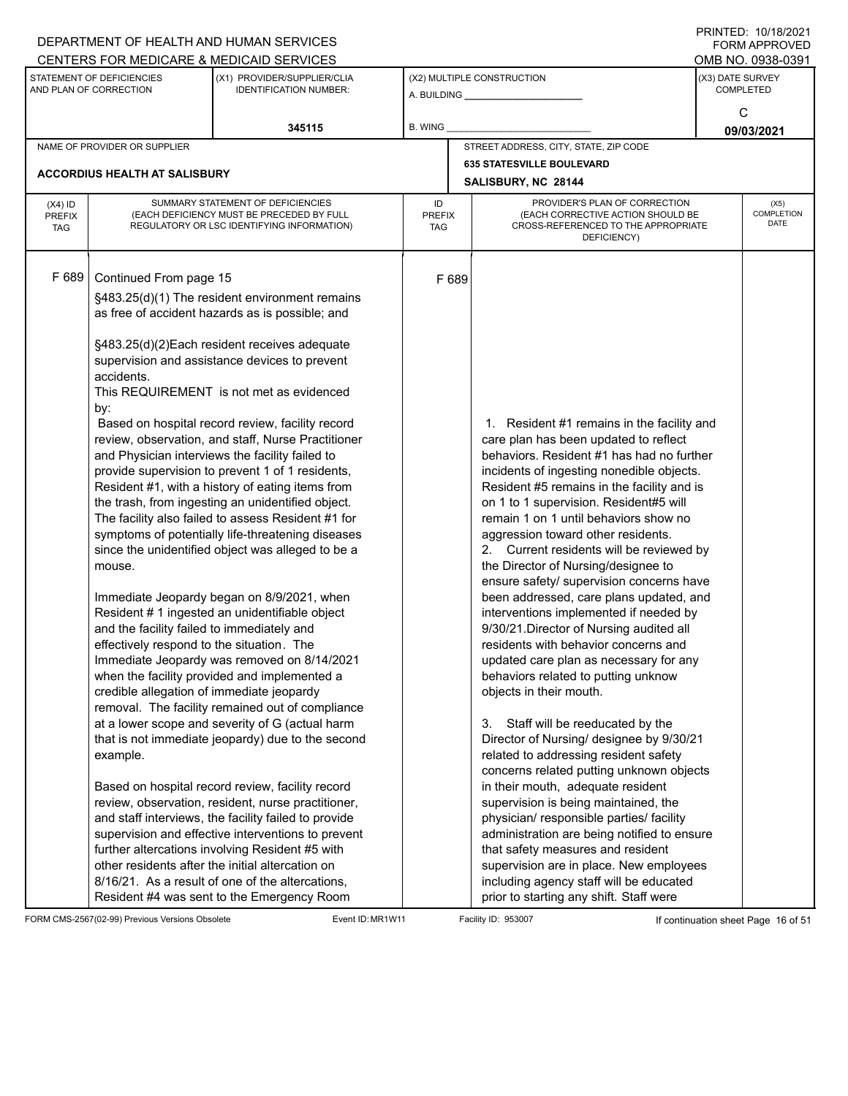|                                          |                                                                                                                                                                                                           | DEPARTMENT OF HEALTH AND HUMAN SERVICES<br>CENTERS FOR MEDICARE & MEDICAID SERVICES                                                                                                                                                                                                                                                                                                                                                                                                                                                                                                                                                                                                                                                                                                                                                                                                                                                                                                                                                                                                                                                                                                                                                                                                                                                                                                                                                                                                                                                  |                                   |                                                                                                                                                                                                                                                                                                                                                                                                                                                                                                                                                                                                                                                                                                                                                                                                                                                                                                                                                                                                                                                                                                                                                                                                                                                                                                  | FININTLU. TU/TO/ZUZT<br><b>FORM APPROVED</b><br>OMB NO. 0938-0391 |  |  |  |
|------------------------------------------|-----------------------------------------------------------------------------------------------------------------------------------------------------------------------------------------------------------|--------------------------------------------------------------------------------------------------------------------------------------------------------------------------------------------------------------------------------------------------------------------------------------------------------------------------------------------------------------------------------------------------------------------------------------------------------------------------------------------------------------------------------------------------------------------------------------------------------------------------------------------------------------------------------------------------------------------------------------------------------------------------------------------------------------------------------------------------------------------------------------------------------------------------------------------------------------------------------------------------------------------------------------------------------------------------------------------------------------------------------------------------------------------------------------------------------------------------------------------------------------------------------------------------------------------------------------------------------------------------------------------------------------------------------------------------------------------------------------------------------------------------------------|-----------------------------------|--------------------------------------------------------------------------------------------------------------------------------------------------------------------------------------------------------------------------------------------------------------------------------------------------------------------------------------------------------------------------------------------------------------------------------------------------------------------------------------------------------------------------------------------------------------------------------------------------------------------------------------------------------------------------------------------------------------------------------------------------------------------------------------------------------------------------------------------------------------------------------------------------------------------------------------------------------------------------------------------------------------------------------------------------------------------------------------------------------------------------------------------------------------------------------------------------------------------------------------------------------------------------------------------------|-------------------------------------------------------------------|--|--|--|
|                                          | STATEMENT OF DEFICIENCIES<br>AND PLAN OF CORRECTION                                                                                                                                                       | (X1) PROVIDER/SUPPLIER/CLIA<br><b>IDENTIFICATION NUMBER:</b>                                                                                                                                                                                                                                                                                                                                                                                                                                                                                                                                                                                                                                                                                                                                                                                                                                                                                                                                                                                                                                                                                                                                                                                                                                                                                                                                                                                                                                                                         |                                   | (X2) MULTIPLE CONSTRUCTION                                                                                                                                                                                                                                                                                                                                                                                                                                                                                                                                                                                                                                                                                                                                                                                                                                                                                                                                                                                                                                                                                                                                                                                                                                                                       | (X3) DATE SURVEY<br><b>COMPLETED</b>                              |  |  |  |
|                                          |                                                                                                                                                                                                           | 345115                                                                                                                                                                                                                                                                                                                                                                                                                                                                                                                                                                                                                                                                                                                                                                                                                                                                                                                                                                                                                                                                                                                                                                                                                                                                                                                                                                                                                                                                                                                               | <b>B. WING</b>                    |                                                                                                                                                                                                                                                                                                                                                                                                                                                                                                                                                                                                                                                                                                                                                                                                                                                                                                                                                                                                                                                                                                                                                                                                                                                                                                  | C<br>09/03/2021                                                   |  |  |  |
|                                          | NAME OF PROVIDER OR SUPPLIER                                                                                                                                                                              |                                                                                                                                                                                                                                                                                                                                                                                                                                                                                                                                                                                                                                                                                                                                                                                                                                                                                                                                                                                                                                                                                                                                                                                                                                                                                                                                                                                                                                                                                                                                      |                                   | STREET ADDRESS, CITY, STATE, ZIP CODE                                                                                                                                                                                                                                                                                                                                                                                                                                                                                                                                                                                                                                                                                                                                                                                                                                                                                                                                                                                                                                                                                                                                                                                                                                                            |                                                                   |  |  |  |
|                                          | <b>ACCORDIUS HEALTH AT SALISBURY</b>                                                                                                                                                                      |                                                                                                                                                                                                                                                                                                                                                                                                                                                                                                                                                                                                                                                                                                                                                                                                                                                                                                                                                                                                                                                                                                                                                                                                                                                                                                                                                                                                                                                                                                                                      |                                   | <b>635 STATESVILLE BOULEVARD</b><br>SALISBURY, NC 28144                                                                                                                                                                                                                                                                                                                                                                                                                                                                                                                                                                                                                                                                                                                                                                                                                                                                                                                                                                                                                                                                                                                                                                                                                                          |                                                                   |  |  |  |
| $(X4)$ ID<br><b>PREFIX</b><br><b>TAG</b> |                                                                                                                                                                                                           | SUMMARY STATEMENT OF DEFICIENCIES<br>(EACH DEFICIENCY MUST BE PRECEDED BY FULL<br>REGULATORY OR LSC IDENTIFYING INFORMATION)                                                                                                                                                                                                                                                                                                                                                                                                                                                                                                                                                                                                                                                                                                                                                                                                                                                                                                                                                                                                                                                                                                                                                                                                                                                                                                                                                                                                         | ID<br><b>PREFIX</b><br><b>TAG</b> | PROVIDER'S PLAN OF CORRECTION<br>(EACH CORRECTIVE ACTION SHOULD BE<br>CROSS-REFERENCED TO THE APPROPRIATE<br>DEFICIENCY)                                                                                                                                                                                                                                                                                                                                                                                                                                                                                                                                                                                                                                                                                                                                                                                                                                                                                                                                                                                                                                                                                                                                                                         | (X5)<br><b>COMPLETION</b><br><b>DATE</b>                          |  |  |  |
| F689                                     | Continued From page 15<br>accidents.<br>by:<br>mouse.<br>and the facility failed to immediately and<br>effectively respond to the situation. The<br>credible allegation of immediate jeopardy<br>example. | §483.25(d)(1) The resident environment remains<br>as free of accident hazards as is possible; and<br>§483.25(d)(2)Each resident receives adequate<br>supervision and assistance devices to prevent<br>This REQUIREMENT is not met as evidenced<br>Based on hospital record review, facility record<br>review, observation, and staff, Nurse Practitioner<br>and Physician interviews the facility failed to<br>provide supervision to prevent 1 of 1 residents,<br>Resident #1, with a history of eating items from<br>the trash, from ingesting an unidentified object.<br>The facility also failed to assess Resident #1 for<br>symptoms of potentially life-threatening diseases<br>since the unidentified object was alleged to be a<br>Immediate Jeopardy began on 8/9/2021, when<br>Resident # 1 ingested an unidentifiable object<br>Immediate Jeopardy was removed on 8/14/2021<br>when the facility provided and implemented a<br>removal. The facility remained out of compliance<br>at a lower scope and severity of G (actual harm<br>that is not immediate jeopardy) due to the second<br>Based on hospital record review, facility record<br>review, observation, resident, nurse practitioner,<br>and staff interviews, the facility failed to provide<br>supervision and effective interventions to prevent<br>further altercations involving Resident #5 with<br>other residents after the initial altercation on<br>8/16/21. As a result of one of the altercations,<br>Resident #4 was sent to the Emergency Room | F 689                             | 1. Resident #1 remains in the facility and<br>care plan has been updated to reflect<br>behaviors. Resident #1 has had no further<br>incidents of ingesting nonedible objects.<br>Resident #5 remains in the facility and is<br>on 1 to 1 supervision. Resident#5 will<br>remain 1 on 1 until behaviors show no<br>aggression toward other residents.<br>2. Current residents will be reviewed by<br>the Director of Nursing/designee to<br>ensure safety/ supervision concerns have<br>been addressed, care plans updated, and<br>interventions implemented if needed by<br>9/30/21. Director of Nursing audited all<br>residents with behavior concerns and<br>updated care plan as necessary for any<br>behaviors related to putting unknow<br>objects in their mouth.<br>Staff will be reeducated by the<br>3.<br>Director of Nursing/ designee by 9/30/21<br>related to addressing resident safety<br>concerns related putting unknown objects<br>in their mouth, adequate resident<br>supervision is being maintained, the<br>physician/ responsible parties/ facility<br>administration are being notified to ensure<br>that safety measures and resident<br>supervision are in place. New employees<br>including agency staff will be educated<br>prior to starting any shift. Staff were |                                                                   |  |  |  |

FORM CMS-2567(02-99) Previous Versions Obsolete Event ID: MR1W11 Facility ID: 953007 If continuation sheet Page 16 of 51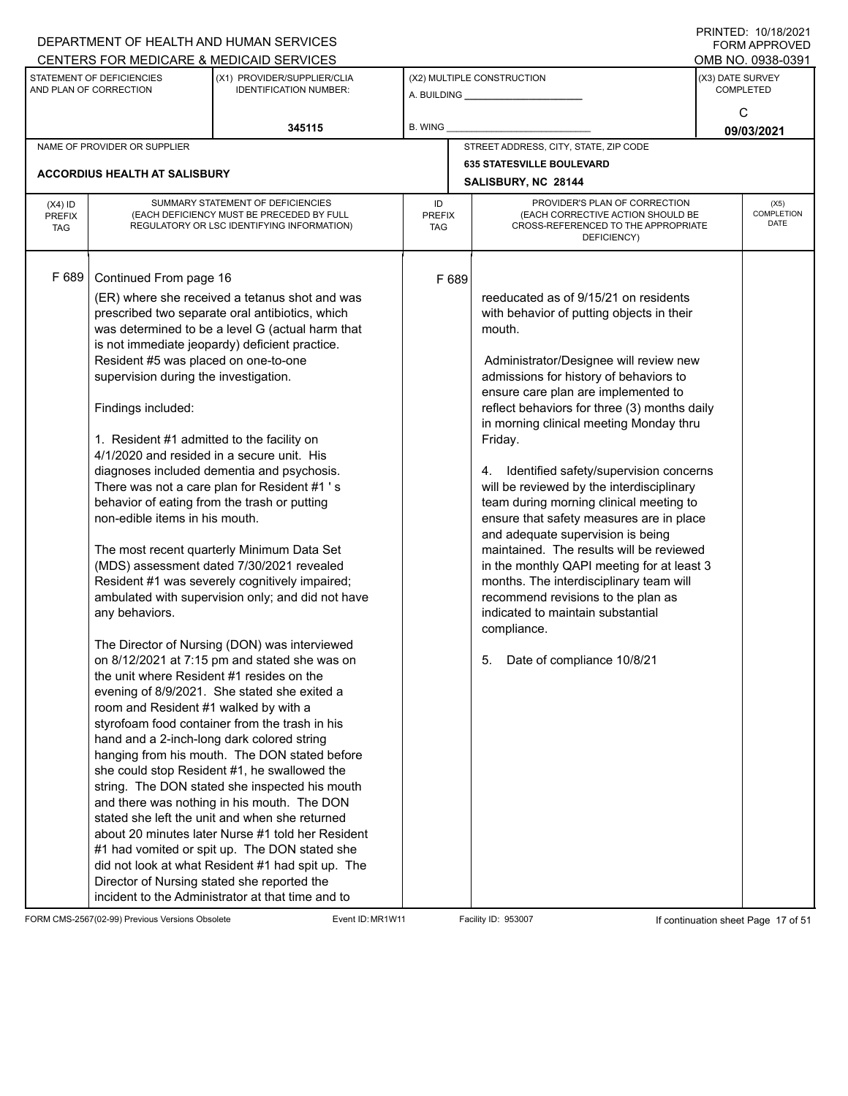|                                          |                                                                                                                                                                                                                                                                                                                                                                                                                                                                   | DEPARTMENT OF HEALTH AND HUMAN SERVICES                                                                                                                                                                                                                                                                                                                                                                                                                                                                                                                                                                                                                                                                                                                                                                                                                        |                            |                     |                                                                                                                                                                                                                                                                                                                                                                                                                                                                                                                                                                                                                                                                                                                                                                                                                        |                  | $1 \times 1 \times 1 = 1$ . $1 \times 1 \times 1 = 1$<br><b>FORM APPROVED</b> |
|------------------------------------------|-------------------------------------------------------------------------------------------------------------------------------------------------------------------------------------------------------------------------------------------------------------------------------------------------------------------------------------------------------------------------------------------------------------------------------------------------------------------|----------------------------------------------------------------------------------------------------------------------------------------------------------------------------------------------------------------------------------------------------------------------------------------------------------------------------------------------------------------------------------------------------------------------------------------------------------------------------------------------------------------------------------------------------------------------------------------------------------------------------------------------------------------------------------------------------------------------------------------------------------------------------------------------------------------------------------------------------------------|----------------------------|---------------------|------------------------------------------------------------------------------------------------------------------------------------------------------------------------------------------------------------------------------------------------------------------------------------------------------------------------------------------------------------------------------------------------------------------------------------------------------------------------------------------------------------------------------------------------------------------------------------------------------------------------------------------------------------------------------------------------------------------------------------------------------------------------------------------------------------------------|------------------|-------------------------------------------------------------------------------|
|                                          |                                                                                                                                                                                                                                                                                                                                                                                                                                                                   | CENTERS FOR MEDICARE & MEDICAID SERVICES                                                                                                                                                                                                                                                                                                                                                                                                                                                                                                                                                                                                                                                                                                                                                                                                                       |                            |                     |                                                                                                                                                                                                                                                                                                                                                                                                                                                                                                                                                                                                                                                                                                                                                                                                                        |                  | OMB NO. 0938-0391                                                             |
|                                          | STATEMENT OF DEFICIENCIES<br>AND PLAN OF CORRECTION                                                                                                                                                                                                                                                                                                                                                                                                               | (X1) PROVIDER/SUPPLIER/CLIA<br><b>IDENTIFICATION NUMBER:</b>                                                                                                                                                                                                                                                                                                                                                                                                                                                                                                                                                                                                                                                                                                                                                                                                   |                            |                     | (X2) MULTIPLE CONSTRUCTION<br>A. BUILDING A. BUILDING                                                                                                                                                                                                                                                                                                                                                                                                                                                                                                                                                                                                                                                                                                                                                                  | (X3) DATE SURVEY | <b>COMPLETED</b>                                                              |
|                                          |                                                                                                                                                                                                                                                                                                                                                                                                                                                                   | 345115                                                                                                                                                                                                                                                                                                                                                                                                                                                                                                                                                                                                                                                                                                                                                                                                                                                         | B. WING                    |                     |                                                                                                                                                                                                                                                                                                                                                                                                                                                                                                                                                                                                                                                                                                                                                                                                                        |                  | C<br>09/03/2021                                                               |
|                                          | NAME OF PROVIDER OR SUPPLIER                                                                                                                                                                                                                                                                                                                                                                                                                                      |                                                                                                                                                                                                                                                                                                                                                                                                                                                                                                                                                                                                                                                                                                                                                                                                                                                                |                            |                     | STREET ADDRESS, CITY, STATE, ZIP CODE                                                                                                                                                                                                                                                                                                                                                                                                                                                                                                                                                                                                                                                                                                                                                                                  |                  |                                                                               |
|                                          |                                                                                                                                                                                                                                                                                                                                                                                                                                                                   |                                                                                                                                                                                                                                                                                                                                                                                                                                                                                                                                                                                                                                                                                                                                                                                                                                                                |                            |                     | <b>635 STATESVILLE BOULEVARD</b>                                                                                                                                                                                                                                                                                                                                                                                                                                                                                                                                                                                                                                                                                                                                                                                       |                  |                                                                               |
|                                          | <b>ACCORDIUS HEALTH AT SALISBURY</b>                                                                                                                                                                                                                                                                                                                                                                                                                              |                                                                                                                                                                                                                                                                                                                                                                                                                                                                                                                                                                                                                                                                                                                                                                                                                                                                |                            | SALISBURY, NC 28144 |                                                                                                                                                                                                                                                                                                                                                                                                                                                                                                                                                                                                                                                                                                                                                                                                                        |                  |                                                                               |
| $(X4)$ ID<br><b>PREFIX</b><br><b>TAG</b> |                                                                                                                                                                                                                                                                                                                                                                                                                                                                   | SUMMARY STATEMENT OF DEFICIENCIES<br>(EACH DEFICIENCY MUST BE PRECEDED BY FULL<br>REGULATORY OR LSC IDENTIFYING INFORMATION)                                                                                                                                                                                                                                                                                                                                                                                                                                                                                                                                                                                                                                                                                                                                   | ID<br><b>PREFIX</b><br>TAG |                     | PROVIDER'S PLAN OF CORRECTION<br>(EACH CORRECTIVE ACTION SHOULD BE<br>CROSS-REFERENCED TO THE APPROPRIATE<br>DEFICIENCY)                                                                                                                                                                                                                                                                                                                                                                                                                                                                                                                                                                                                                                                                                               |                  | (X5)<br>COMPLETION<br><b>DATE</b>                                             |
| F 689                                    | Continued From page 16<br>Resident #5 was placed on one-to-one<br>supervision during the investigation.<br>Findings included:<br>1. Resident #1 admitted to the facility on<br>4/1/2020 and resided in a secure unit. His<br>behavior of eating from the trash or putting<br>non-edible items in his mouth.<br>any behaviors.<br>the unit where Resident #1 resides on the<br>room and Resident #1 walked by with a<br>hand and a 2-inch-long dark colored string | (ER) where she received a tetanus shot and was<br>prescribed two separate oral antibiotics, which<br>was determined to be a level G (actual harm that<br>is not immediate jeopardy) deficient practice.<br>diagnoses included dementia and psychosis.<br>There was not a care plan for Resident #1 's<br>The most recent quarterly Minimum Data Set<br>(MDS) assessment dated 7/30/2021 revealed<br>Resident #1 was severely cognitively impaired;<br>ambulated with supervision only; and did not have<br>The Director of Nursing (DON) was interviewed<br>on 8/12/2021 at 7:15 pm and stated she was on<br>evening of 8/9/2021. She stated she exited a<br>styrofoam food container from the trash in his<br>hanging from his mouth. The DON stated before<br>she could stop Resident #1, he swallowed the<br>string. The DON stated she inspected his mouth | F 689                      |                     | reeducated as of 9/15/21 on residents<br>with behavior of putting objects in their<br>mouth.<br>Administrator/Designee will review new<br>admissions for history of behaviors to<br>ensure care plan are implemented to<br>reflect behaviors for three (3) months daily<br>in morning clinical meeting Monday thru<br>Friday.<br>4. Identified safety/supervision concerns<br>will be reviewed by the interdisciplinary<br>team during morning clinical meeting to<br>ensure that safety measures are in place<br>and adequate supervision is being<br>maintained. The results will be reviewed<br>in the monthly QAPI meeting for at least 3<br>months. The interdisciplinary team will<br>recommend revisions to the plan as<br>indicated to maintain substantial<br>compliance.<br>Date of compliance 10/8/21<br>5. |                  |                                                                               |
|                                          |                                                                                                                                                                                                                                                                                                                                                                                                                                                                   | and there was nothing in his mouth. The DON<br>stated she left the unit and when she returned<br>about 20 minutes later Nurse #1 told her Resident<br>#1 had vomited or spit up. The DON stated she<br>did not look at what Resident #1 had spit up. The<br>Director of Nursing stated she reported the<br>incident to the Administrator at that time and to                                                                                                                                                                                                                                                                                                                                                                                                                                                                                                   |                            |                     |                                                                                                                                                                                                                                                                                                                                                                                                                                                                                                                                                                                                                                                                                                                                                                                                                        |                  |                                                                               |

FORM CMS-2567(02-99) Previous Versions Obsolete Event ID: MR1W11 Facility ID: 953007 If continuation sheet Page 17 of 51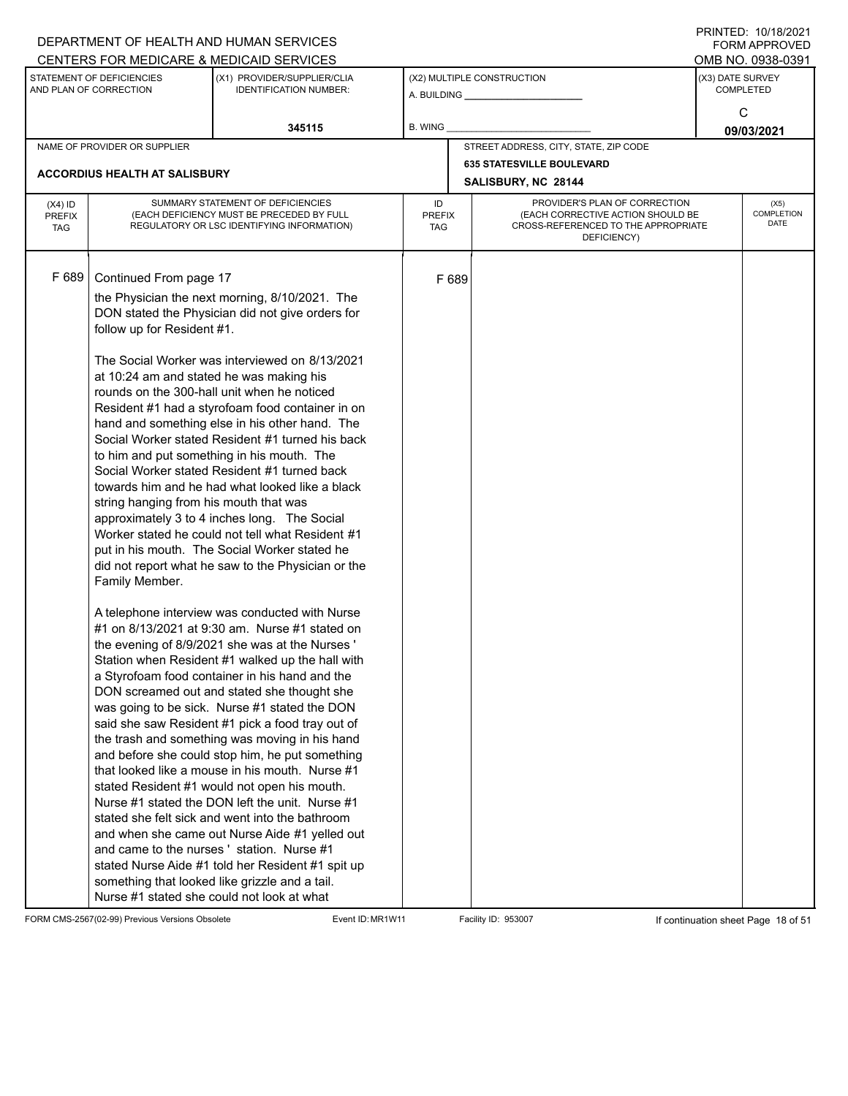|                                          |                                                                                                                                                              | DEPARTMENT OF HEALTH AND HUMAN SERVICES                                                                                                                                                                                                                                                                                                                                                                                                                                                                                                                                                                                                                                                                                                                                                                                                                                                                                                                                                                                                                                                                                                                                                                                                                                                                                                                                                                                                                                                                                                                                                                                                                                                                      |                     |       |                                                                                                                          |                  | <b>FORM APPROVED</b>              |
|------------------------------------------|--------------------------------------------------------------------------------------------------------------------------------------------------------------|--------------------------------------------------------------------------------------------------------------------------------------------------------------------------------------------------------------------------------------------------------------------------------------------------------------------------------------------------------------------------------------------------------------------------------------------------------------------------------------------------------------------------------------------------------------------------------------------------------------------------------------------------------------------------------------------------------------------------------------------------------------------------------------------------------------------------------------------------------------------------------------------------------------------------------------------------------------------------------------------------------------------------------------------------------------------------------------------------------------------------------------------------------------------------------------------------------------------------------------------------------------------------------------------------------------------------------------------------------------------------------------------------------------------------------------------------------------------------------------------------------------------------------------------------------------------------------------------------------------------------------------------------------------------------------------------------------------|---------------------|-------|--------------------------------------------------------------------------------------------------------------------------|------------------|-----------------------------------|
|                                          |                                                                                                                                                              | CENTERS FOR MEDICARE & MEDICAID SERVICES                                                                                                                                                                                                                                                                                                                                                                                                                                                                                                                                                                                                                                                                                                                                                                                                                                                                                                                                                                                                                                                                                                                                                                                                                                                                                                                                                                                                                                                                                                                                                                                                                                                                     |                     |       |                                                                                                                          |                  | OMB NO. 0938-0391                 |
|                                          | STATEMENT OF DEFICIENCIES<br>AND PLAN OF CORRECTION                                                                                                          | (X1) PROVIDER/SUPPLIER/CLIA<br><b>IDENTIFICATION NUMBER:</b>                                                                                                                                                                                                                                                                                                                                                                                                                                                                                                                                                                                                                                                                                                                                                                                                                                                                                                                                                                                                                                                                                                                                                                                                                                                                                                                                                                                                                                                                                                                                                                                                                                                 |                     |       | (X2) MULTIPLE CONSTRUCTION                                                                                               | (X3) DATE SURVEY | <b>COMPLETED</b>                  |
|                                          |                                                                                                                                                              | 345115                                                                                                                                                                                                                                                                                                                                                                                                                                                                                                                                                                                                                                                                                                                                                                                                                                                                                                                                                                                                                                                                                                                                                                                                                                                                                                                                                                                                                                                                                                                                                                                                                                                                                                       | B. WING             |       |                                                                                                                          |                  | C<br>09/03/2021                   |
|                                          | NAME OF PROVIDER OR SUPPLIER                                                                                                                                 |                                                                                                                                                                                                                                                                                                                                                                                                                                                                                                                                                                                                                                                                                                                                                                                                                                                                                                                                                                                                                                                                                                                                                                                                                                                                                                                                                                                                                                                                                                                                                                                                                                                                                                              |                     |       | STREET ADDRESS, CITY, STATE, ZIP CODE                                                                                    |                  |                                   |
|                                          |                                                                                                                                                              |                                                                                                                                                                                                                                                                                                                                                                                                                                                                                                                                                                                                                                                                                                                                                                                                                                                                                                                                                                                                                                                                                                                                                                                                                                                                                                                                                                                                                                                                                                                                                                                                                                                                                                              |                     |       | <b>635 STATESVILLE BOULEVARD</b>                                                                                         |                  |                                   |
|                                          | <b>ACCORDIUS HEALTH AT SALISBURY</b>                                                                                                                         |                                                                                                                                                                                                                                                                                                                                                                                                                                                                                                                                                                                                                                                                                                                                                                                                                                                                                                                                                                                                                                                                                                                                                                                                                                                                                                                                                                                                                                                                                                                                                                                                                                                                                                              |                     |       | SALISBURY, NC 28144                                                                                                      |                  |                                   |
| $(X4)$ ID<br><b>PREFIX</b><br><b>TAG</b> |                                                                                                                                                              | SUMMARY STATEMENT OF DEFICIENCIES<br>(EACH DEFICIENCY MUST BE PRECEDED BY FULL<br>REGULATORY OR LSC IDENTIFYING INFORMATION)                                                                                                                                                                                                                                                                                                                                                                                                                                                                                                                                                                                                                                                                                                                                                                                                                                                                                                                                                                                                                                                                                                                                                                                                                                                                                                                                                                                                                                                                                                                                                                                 | ID<br>PREFIX<br>TAG |       | PROVIDER'S PLAN OF CORRECTION<br>(EACH CORRECTIVE ACTION SHOULD BE<br>CROSS-REFERENCED TO THE APPROPRIATE<br>DEFICIENCY) |                  | (X5)<br>COMPLETION<br><b>DATE</b> |
| F 689                                    | Continued From page 17<br>follow up for Resident #1.<br>at 10:24 am and stated he was making his<br>string hanging from his mouth that was<br>Family Member. | the Physician the next morning, 8/10/2021. The<br>DON stated the Physician did not give orders for<br>The Social Worker was interviewed on 8/13/2021<br>rounds on the 300-hall unit when he noticed<br>Resident #1 had a styrofoam food container in on<br>hand and something else in his other hand. The<br>Social Worker stated Resident #1 turned his back<br>to him and put something in his mouth. The<br>Social Worker stated Resident #1 turned back<br>towards him and he had what looked like a black<br>approximately 3 to 4 inches long. The Social<br>Worker stated he could not tell what Resident #1<br>put in his mouth. The Social Worker stated he<br>did not report what he saw to the Physician or the<br>A telephone interview was conducted with Nurse<br>#1 on 8/13/2021 at 9:30 am. Nurse #1 stated on<br>the evening of 8/9/2021 she was at the Nurses'<br>Station when Resident #1 walked up the hall with<br>a Styrofoam food container in his hand and the<br>DON screamed out and stated she thought she<br>was going to be sick. Nurse #1 stated the DON<br>said she saw Resident #1 pick a food tray out of<br>the trash and something was moving in his hand<br>and before she could stop him, he put something<br>that looked like a mouse in his mouth. Nurse #1<br>stated Resident #1 would not open his mouth.<br>Nurse #1 stated the DON left the unit. Nurse #1<br>stated she felt sick and went into the bathroom<br>and when she came out Nurse Aide #1 yelled out<br>and came to the nurses ' station. Nurse #1<br>stated Nurse Aide #1 told her Resident #1 spit up<br>something that looked like grizzle and a tail.<br>Nurse #1 stated she could not look at what |                     | F 689 |                                                                                                                          |                  |                                   |

FORM CMS-2567(02-99) Previous Versions Obsolete Event ID: MR1W11 Facility ID: 953007 If continuation sheet Page 18 of 51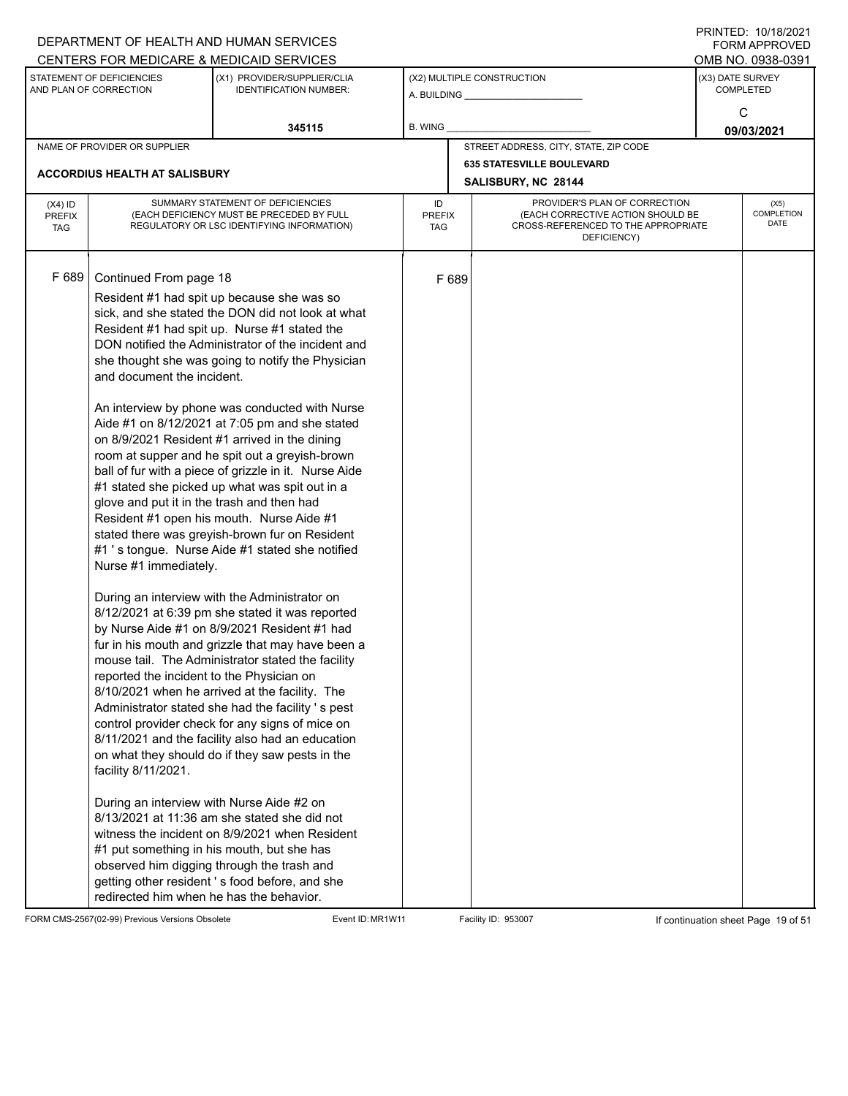|                                          |                                                                                                                                                                                                                                                                                                                                        | DEPARTMENT OF HEALTH AND HUMAN SERVICES<br>CENTERS FOR MEDICARE & MEDICAID SERVICES                                                                                                                                                                                                                                                                                                                                                                                                                                                                                                                                                                                                                                                                                                                                                                                                                                                                                                                                                                                                                                                                                                                                                                                                                                                                                                                                                                              |                                   |       |                                                                                                                          |                  | FININTLU. TV/TO/ZVZT<br><b>FORM APPROVED</b><br>OMB NO. 0938-0391 |
|------------------------------------------|----------------------------------------------------------------------------------------------------------------------------------------------------------------------------------------------------------------------------------------------------------------------------------------------------------------------------------------|------------------------------------------------------------------------------------------------------------------------------------------------------------------------------------------------------------------------------------------------------------------------------------------------------------------------------------------------------------------------------------------------------------------------------------------------------------------------------------------------------------------------------------------------------------------------------------------------------------------------------------------------------------------------------------------------------------------------------------------------------------------------------------------------------------------------------------------------------------------------------------------------------------------------------------------------------------------------------------------------------------------------------------------------------------------------------------------------------------------------------------------------------------------------------------------------------------------------------------------------------------------------------------------------------------------------------------------------------------------------------------------------------------------------------------------------------------------|-----------------------------------|-------|--------------------------------------------------------------------------------------------------------------------------|------------------|-------------------------------------------------------------------|
|                                          | STATEMENT OF DEFICIENCIES<br>AND PLAN OF CORRECTION                                                                                                                                                                                                                                                                                    | (X1) PROVIDER/SUPPLIER/CLIA<br><b>IDENTIFICATION NUMBER:</b>                                                                                                                                                                                                                                                                                                                                                                                                                                                                                                                                                                                                                                                                                                                                                                                                                                                                                                                                                                                                                                                                                                                                                                                                                                                                                                                                                                                                     |                                   |       | (X2) MULTIPLE CONSTRUCTION                                                                                               | (X3) DATE SURVEY | <b>COMPLETED</b><br>C                                             |
|                                          |                                                                                                                                                                                                                                                                                                                                        | 345115                                                                                                                                                                                                                                                                                                                                                                                                                                                                                                                                                                                                                                                                                                                                                                                                                                                                                                                                                                                                                                                                                                                                                                                                                                                                                                                                                                                                                                                           | B. WING                           |       |                                                                                                                          |                  | 09/03/2021                                                        |
|                                          | NAME OF PROVIDER OR SUPPLIER                                                                                                                                                                                                                                                                                                           |                                                                                                                                                                                                                                                                                                                                                                                                                                                                                                                                                                                                                                                                                                                                                                                                                                                                                                                                                                                                                                                                                                                                                                                                                                                                                                                                                                                                                                                                  |                                   |       | STREET ADDRESS, CITY, STATE, ZIP CODE                                                                                    |                  |                                                                   |
|                                          | ACCORDIUS HEALTH AT SALISBURY                                                                                                                                                                                                                                                                                                          |                                                                                                                                                                                                                                                                                                                                                                                                                                                                                                                                                                                                                                                                                                                                                                                                                                                                                                                                                                                                                                                                                                                                                                                                                                                                                                                                                                                                                                                                  |                                   |       | <b>635 STATESVILLE BOULEVARD</b><br>SALISBURY, NC 28144                                                                  |                  |                                                                   |
| $(X4)$ ID<br><b>PREFIX</b><br><b>TAG</b> |                                                                                                                                                                                                                                                                                                                                        | SUMMARY STATEMENT OF DEFICIENCIES<br>(EACH DEFICIENCY MUST BE PRECEDED BY FULL<br>REGULATORY OR LSC IDENTIFYING INFORMATION)                                                                                                                                                                                                                                                                                                                                                                                                                                                                                                                                                                                                                                                                                                                                                                                                                                                                                                                                                                                                                                                                                                                                                                                                                                                                                                                                     | ID<br><b>PREFIX</b><br><b>TAG</b> |       | PROVIDER'S PLAN OF CORRECTION<br>(EACH CORRECTIVE ACTION SHOULD BE<br>CROSS-REFERENCED TO THE APPROPRIATE<br>DEFICIENCY) |                  | (X5)<br>COMPLETION<br><b>DATE</b>                                 |
| F 689                                    | Continued From page 18<br>and document the incident.<br>glove and put it in the trash and then had<br>Nurse #1 immediately.<br>reported the incident to the Physician on<br>facility 8/11/2021.<br>During an interview with Nurse Aide #2 on<br>#1 put something in his mouth, but she has<br>redirected him when he has the behavior. | Resident #1 had spit up because she was so<br>sick, and she stated the DON did not look at what<br>Resident #1 had spit up. Nurse #1 stated the<br>DON notified the Administrator of the incident and<br>she thought she was going to notify the Physician<br>An interview by phone was conducted with Nurse<br>Aide #1 on 8/12/2021 at 7:05 pm and she stated<br>on 8/9/2021 Resident #1 arrived in the dining<br>room at supper and he spit out a greyish-brown<br>ball of fur with a piece of grizzle in it. Nurse Aide<br>#1 stated she picked up what was spit out in a<br>Resident #1 open his mouth. Nurse Aide #1<br>stated there was greyish-brown fur on Resident<br>#1 's tongue. Nurse Aide #1 stated she notified<br>During an interview with the Administrator on<br>8/12/2021 at 6:39 pm she stated it was reported<br>by Nurse Aide #1 on 8/9/2021 Resident #1 had<br>fur in his mouth and grizzle that may have been a<br>mouse tail. The Administrator stated the facility<br>8/10/2021 when he arrived at the facility. The<br>Administrator stated she had the facility 's pest<br>control provider check for any signs of mice on<br>8/11/2021 and the facility also had an education<br>on what they should do if they saw pests in the<br>$8/13/2021$ at 11:36 am she stated she did not<br>witness the incident on 8/9/2021 when Resident<br>observed him digging through the trash and<br>getting other resident's food before, and she |                                   | F 689 |                                                                                                                          |                  |                                                                   |

FORM CMS-2567(02-99) Previous Versions Obsolete Event ID: MR1W11 Facility ID: 953007 If continuation sheet Page 19 of 51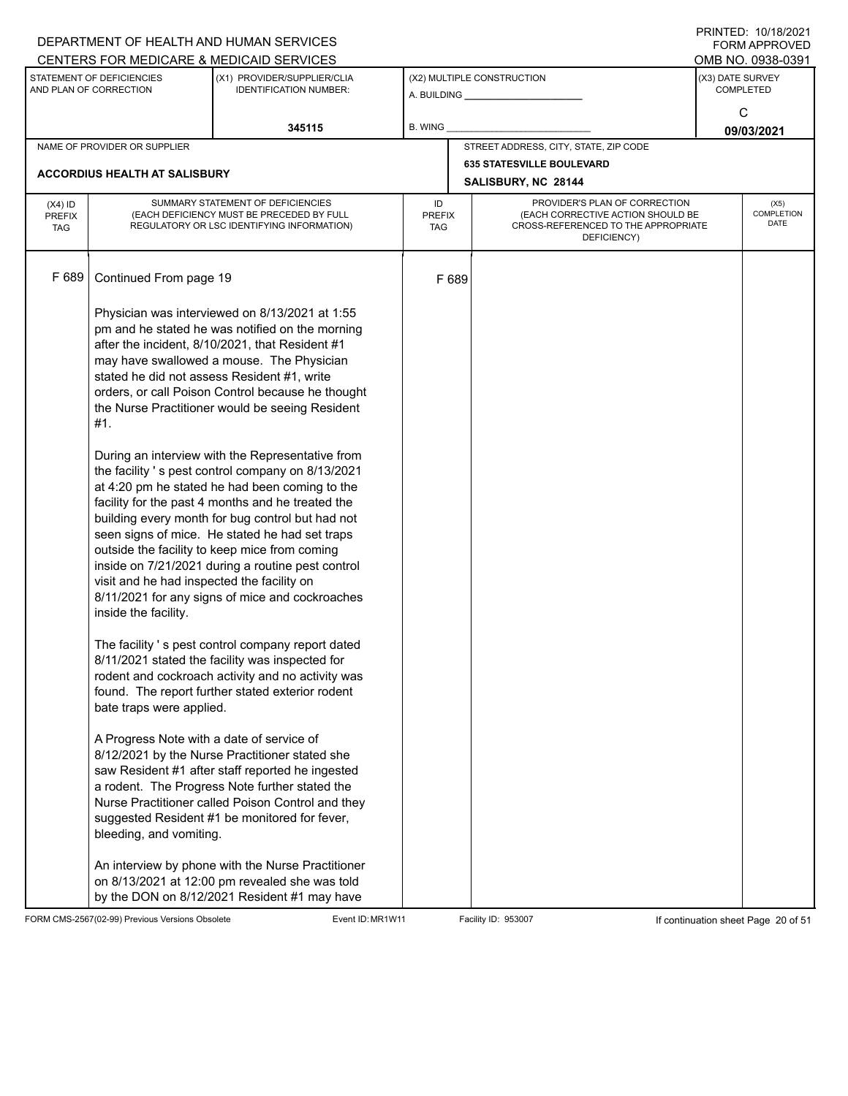|                                          |                                                                                                                                                      | DEPARTMENT OF HEALTH AND HUMAN SERVICES                                                                                                                                                                                                                                                                                                                                                                                                                                                                                                                                                                                                                                                                                                                                                                                                                                                                                                                                                                   |                                   |       |                                                                                                                          |                  | I I \ II \ I L D . I U / I U / L U L I<br>FORM APPROVED |  |
|------------------------------------------|------------------------------------------------------------------------------------------------------------------------------------------------------|-----------------------------------------------------------------------------------------------------------------------------------------------------------------------------------------------------------------------------------------------------------------------------------------------------------------------------------------------------------------------------------------------------------------------------------------------------------------------------------------------------------------------------------------------------------------------------------------------------------------------------------------------------------------------------------------------------------------------------------------------------------------------------------------------------------------------------------------------------------------------------------------------------------------------------------------------------------------------------------------------------------|-----------------------------------|-------|--------------------------------------------------------------------------------------------------------------------------|------------------|---------------------------------------------------------|--|
|                                          |                                                                                                                                                      | CENTERS FOR MEDICARE & MEDICAID SERVICES                                                                                                                                                                                                                                                                                                                                                                                                                                                                                                                                                                                                                                                                                                                                                                                                                                                                                                                                                                  |                                   |       |                                                                                                                          |                  | OMB NO. 0938-0391                                       |  |
|                                          | STATEMENT OF DEFICIENCIES<br>AND PLAN OF CORRECTION                                                                                                  | (X1) PROVIDER/SUPPLIER/CLIA<br><b>IDENTIFICATION NUMBER:</b>                                                                                                                                                                                                                                                                                                                                                                                                                                                                                                                                                                                                                                                                                                                                                                                                                                                                                                                                              |                                   |       | (X2) MULTIPLE CONSTRUCTION<br>A. BUILDING A. BUILDING                                                                    | (X3) DATE SURVEY | <b>COMPLETED</b>                                        |  |
|                                          |                                                                                                                                                      | 345115                                                                                                                                                                                                                                                                                                                                                                                                                                                                                                                                                                                                                                                                                                                                                                                                                                                                                                                                                                                                    | B. WING                           |       |                                                                                                                          | C<br>09/03/2021  |                                                         |  |
|                                          | NAME OF PROVIDER OR SUPPLIER                                                                                                                         |                                                                                                                                                                                                                                                                                                                                                                                                                                                                                                                                                                                                                                                                                                                                                                                                                                                                                                                                                                                                           |                                   |       | STREET ADDRESS, CITY, STATE, ZIP CODE                                                                                    |                  |                                                         |  |
|                                          |                                                                                                                                                      |                                                                                                                                                                                                                                                                                                                                                                                                                                                                                                                                                                                                                                                                                                                                                                                                                                                                                                                                                                                                           |                                   |       | <b>635 STATESVILLE BOULEVARD</b>                                                                                         |                  |                                                         |  |
|                                          | <b>ACCORDIUS HEALTH AT SALISBURY</b>                                                                                                                 |                                                                                                                                                                                                                                                                                                                                                                                                                                                                                                                                                                                                                                                                                                                                                                                                                                                                                                                                                                                                           |                                   |       | SALISBURY, NC 28144                                                                                                      |                  |                                                         |  |
| $(X4)$ ID<br><b>PREFIX</b><br><b>TAG</b> |                                                                                                                                                      | SUMMARY STATEMENT OF DEFICIENCIES<br>(EACH DEFICIENCY MUST BE PRECEDED BY FULL<br>REGULATORY OR LSC IDENTIFYING INFORMATION)                                                                                                                                                                                                                                                                                                                                                                                                                                                                                                                                                                                                                                                                                                                                                                                                                                                                              | ID<br><b>PREFIX</b><br><b>TAG</b> |       | PROVIDER'S PLAN OF CORRECTION<br>(EACH CORRECTIVE ACTION SHOULD BE<br>CROSS-REFERENCED TO THE APPROPRIATE<br>DEFICIENCY) |                  | (X5)<br>COMPLETION<br>DATE                              |  |
| F 689                                    | Continued From page 19                                                                                                                               |                                                                                                                                                                                                                                                                                                                                                                                                                                                                                                                                                                                                                                                                                                                                                                                                                                                                                                                                                                                                           |                                   | F 689 |                                                                                                                          |                  |                                                         |  |
|                                          | stated he did not assess Resident #1, write<br>#1.<br>visit and he had inspected the facility on<br>inside the facility.<br>bate traps were applied. | Physician was interviewed on 8/13/2021 at 1:55<br>pm and he stated he was notified on the morning<br>after the incident, 8/10/2021, that Resident #1<br>may have swallowed a mouse. The Physician<br>orders, or call Poison Control because he thought<br>the Nurse Practitioner would be seeing Resident<br>During an interview with the Representative from<br>the facility 's pest control company on 8/13/2021<br>at 4:20 pm he stated he had been coming to the<br>facility for the past 4 months and he treated the<br>building every month for bug control but had not<br>seen signs of mice. He stated he had set traps<br>outside the facility to keep mice from coming<br>inside on 7/21/2021 during a routine pest control<br>8/11/2021 for any signs of mice and cockroaches<br>The facility 's pest control company report dated<br>8/11/2021 stated the facility was inspected for<br>rodent and cockroach activity and no activity was<br>found. The report further stated exterior rodent |                                   |       |                                                                                                                          |                  |                                                         |  |
|                                          | A Progress Note with a date of service of<br>bleeding, and vomiting.                                                                                 | 8/12/2021 by the Nurse Practitioner stated she<br>saw Resident #1 after staff reported he ingested<br>a rodent. The Progress Note further stated the<br>Nurse Practitioner called Poison Control and they<br>suggested Resident #1 be monitored for fever,                                                                                                                                                                                                                                                                                                                                                                                                                                                                                                                                                                                                                                                                                                                                                |                                   |       |                                                                                                                          |                  |                                                         |  |
|                                          |                                                                                                                                                      | An interview by phone with the Nurse Practitioner<br>on 8/13/2021 at 12:00 pm revealed she was told<br>by the DON on 8/12/2021 Resident #1 may have                                                                                                                                                                                                                                                                                                                                                                                                                                                                                                                                                                                                                                                                                                                                                                                                                                                       |                                   |       |                                                                                                                          |                  |                                                         |  |

FORM CMS-2567(02-99) Previous Versions Obsolete Event ID: MR1W11 Facility ID: 953007 If continuation sheet Page 20 of 51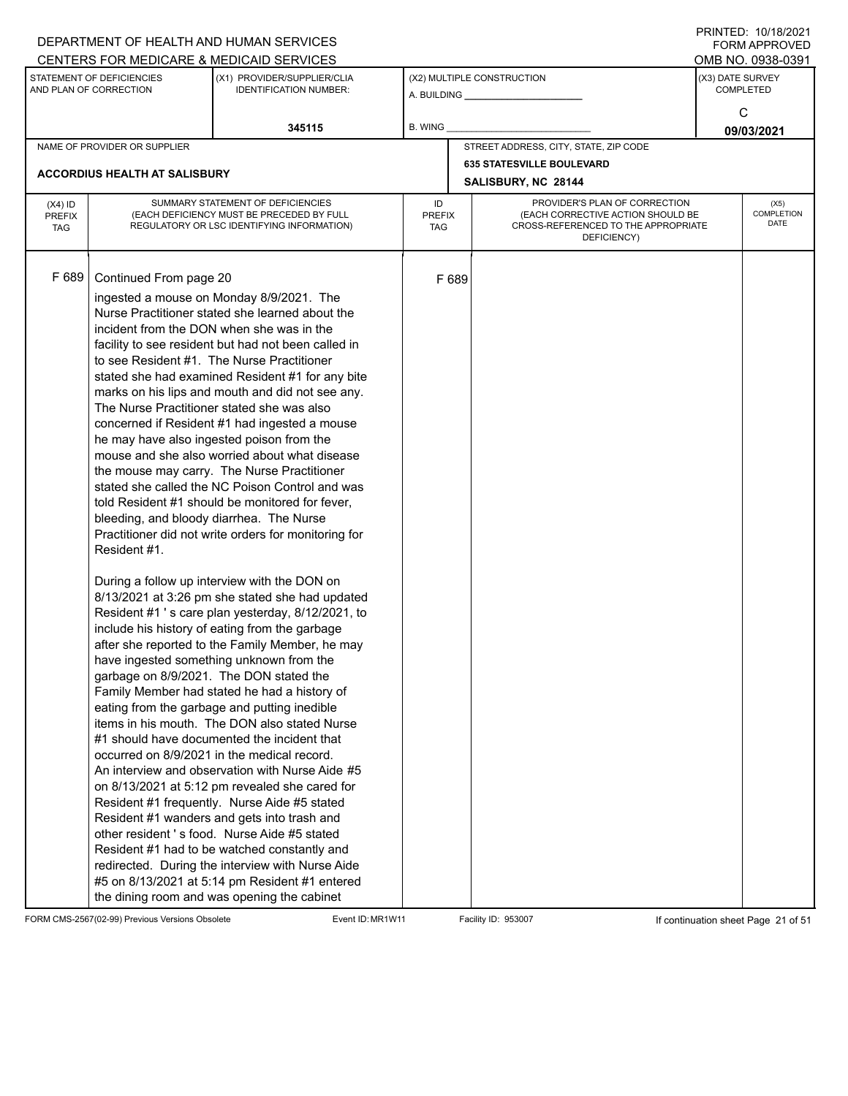|               |                                                     | DEPARTMENT OF HEALTH AND HUMAN SERVICES                      |               |       |                                                    |            | $1 \times 1 \times 1 = 1$ . $1 \times 1 \times 1 = 1$<br>FORM APPROVED |  |
|---------------|-----------------------------------------------------|--------------------------------------------------------------|---------------|-------|----------------------------------------------------|------------|------------------------------------------------------------------------|--|
|               |                                                     | CENTERS FOR MEDICARE & MEDICAID SERVICES                     |               |       |                                                    |            | OMB NO. 0938-0391                                                      |  |
|               | STATEMENT OF DEFICIENCIES<br>AND PLAN OF CORRECTION | (X1) PROVIDER/SUPPLIER/CLIA<br><b>IDENTIFICATION NUMBER:</b> |               |       | (X2) MULTIPLE CONSTRUCTION                         |            | (X3) DATE SURVEY<br><b>COMPLETED</b>                                   |  |
|               |                                                     |                                                              |               |       |                                                    |            | C                                                                      |  |
|               |                                                     | 345115                                                       | B. WING       |       |                                                    | 09/03/2021 |                                                                        |  |
|               | NAME OF PROVIDER OR SUPPLIER                        |                                                              |               |       | STREET ADDRESS, CITY, STATE, ZIP CODE              |            |                                                                        |  |
|               |                                                     |                                                              |               |       | <b>635 STATESVILLE BOULEVARD</b>                   |            |                                                                        |  |
|               | <b>ACCORDIUS HEALTH AT SALISBURY</b>                |                                                              |               |       | SALISBURY, NC 28144                                |            |                                                                        |  |
| $(X4)$ ID     |                                                     | SUMMARY STATEMENT OF DEFICIENCIES                            | ID            |       | PROVIDER'S PLAN OF CORRECTION                      |            | (X5)                                                                   |  |
| <b>PREFIX</b> |                                                     | (EACH DEFICIENCY MUST BE PRECEDED BY FULL                    | <b>PREFIX</b> |       | (EACH CORRECTIVE ACTION SHOULD BE                  |            | COMPLETION<br>DATE                                                     |  |
| <b>TAG</b>    |                                                     | REGULATORY OR LSC IDENTIFYING INFORMATION)                   | TAG           |       | CROSS-REFERENCED TO THE APPROPRIATE<br>DEFICIENCY) |            |                                                                        |  |
|               |                                                     |                                                              |               |       |                                                    |            |                                                                        |  |
|               |                                                     |                                                              |               |       |                                                    |            |                                                                        |  |
| F 689         | Continued From page 20                              |                                                              |               | F 689 |                                                    |            |                                                                        |  |
|               |                                                     | ingested a mouse on Monday 8/9/2021. The                     |               |       |                                                    |            |                                                                        |  |
|               |                                                     | Nurse Practitioner stated she learned about the              |               |       |                                                    |            |                                                                        |  |
|               |                                                     | incident from the DON when she was in the                    |               |       |                                                    |            |                                                                        |  |
|               |                                                     | facility to see resident but had not been called in          |               |       |                                                    |            |                                                                        |  |
|               |                                                     | to see Resident #1. The Nurse Practitioner                   |               |       |                                                    |            |                                                                        |  |
|               |                                                     | stated she had examined Resident #1 for any bite             |               |       |                                                    |            |                                                                        |  |
|               |                                                     | marks on his lips and mouth and did not see any.             |               |       |                                                    |            |                                                                        |  |
|               |                                                     | The Nurse Practitioner stated she was also                   |               |       |                                                    |            |                                                                        |  |
|               |                                                     | concerned if Resident #1 had ingested a mouse                |               |       |                                                    |            |                                                                        |  |
|               |                                                     | he may have also ingested poison from the                    |               |       |                                                    |            |                                                                        |  |
|               |                                                     | mouse and she also worried about what disease                |               |       |                                                    |            |                                                                        |  |
|               |                                                     | the mouse may carry. The Nurse Practitioner                  |               |       |                                                    |            |                                                                        |  |
|               |                                                     | stated she called the NC Poison Control and was              |               |       |                                                    |            |                                                                        |  |
|               |                                                     | told Resident #1 should be monitored for fever,              |               |       |                                                    |            |                                                                        |  |
|               | bleeding, and bloody diarrhea. The Nurse            |                                                              |               |       |                                                    |            |                                                                        |  |
|               |                                                     | Practitioner did not write orders for monitoring for         |               |       |                                                    |            |                                                                        |  |
|               | Resident #1.                                        |                                                              |               |       |                                                    |            |                                                                        |  |
|               |                                                     | During a follow up interview with the DON on                 |               |       |                                                    |            |                                                                        |  |
|               |                                                     | 8/13/2021 at 3:26 pm she stated she had updated              |               |       |                                                    |            |                                                                        |  |
|               |                                                     | Resident #1's care plan yesterday, 8/12/2021, to             |               |       |                                                    |            |                                                                        |  |
|               |                                                     | include his history of eating from the garbage               |               |       |                                                    |            |                                                                        |  |
|               |                                                     | after she reported to the Family Member, he may              |               |       |                                                    |            |                                                                        |  |
|               |                                                     | have ingested something unknown from the                     |               |       |                                                    |            |                                                                        |  |
|               |                                                     | garbage on 8/9/2021. The DON stated the                      |               |       |                                                    |            |                                                                        |  |
|               |                                                     | Family Member had stated he had a history of                 |               |       |                                                    |            |                                                                        |  |
|               |                                                     | eating from the garbage and putting inedible                 |               |       |                                                    |            |                                                                        |  |
|               |                                                     | items in his mouth. The DON also stated Nurse                |               |       |                                                    |            |                                                                        |  |
|               |                                                     | #1 should have documented the incident that                  |               |       |                                                    |            |                                                                        |  |
|               |                                                     | occurred on 8/9/2021 in the medical record.                  |               |       |                                                    |            |                                                                        |  |
|               |                                                     | An interview and observation with Nurse Aide #5              |               |       |                                                    |            |                                                                        |  |
|               |                                                     | on 8/13/2021 at 5:12 pm revealed she cared for               |               |       |                                                    |            |                                                                        |  |
|               |                                                     | Resident #1 frequently. Nurse Aide #5 stated                 |               |       |                                                    |            |                                                                        |  |
|               |                                                     | Resident #1 wanders and gets into trash and                  |               |       |                                                    |            |                                                                        |  |
|               |                                                     | other resident 's food. Nurse Aide #5 stated                 |               |       |                                                    |            |                                                                        |  |
|               |                                                     | Resident #1 had to be watched constantly and                 |               |       |                                                    |            |                                                                        |  |
|               |                                                     | redirected. During the interview with Nurse Aide             |               |       |                                                    |            |                                                                        |  |
|               |                                                     | #5 on 8/13/2021 at 5:14 pm Resident #1 entered               |               |       |                                                    |            |                                                                        |  |
|               |                                                     | the dining room and was opening the cabinet                  |               |       |                                                    |            |                                                                        |  |

FORM CMS-2567(02-99) Previous Versions Obsolete Event ID: MR1W11 Facility ID: 953007 If continuation sheet Page 21 of 51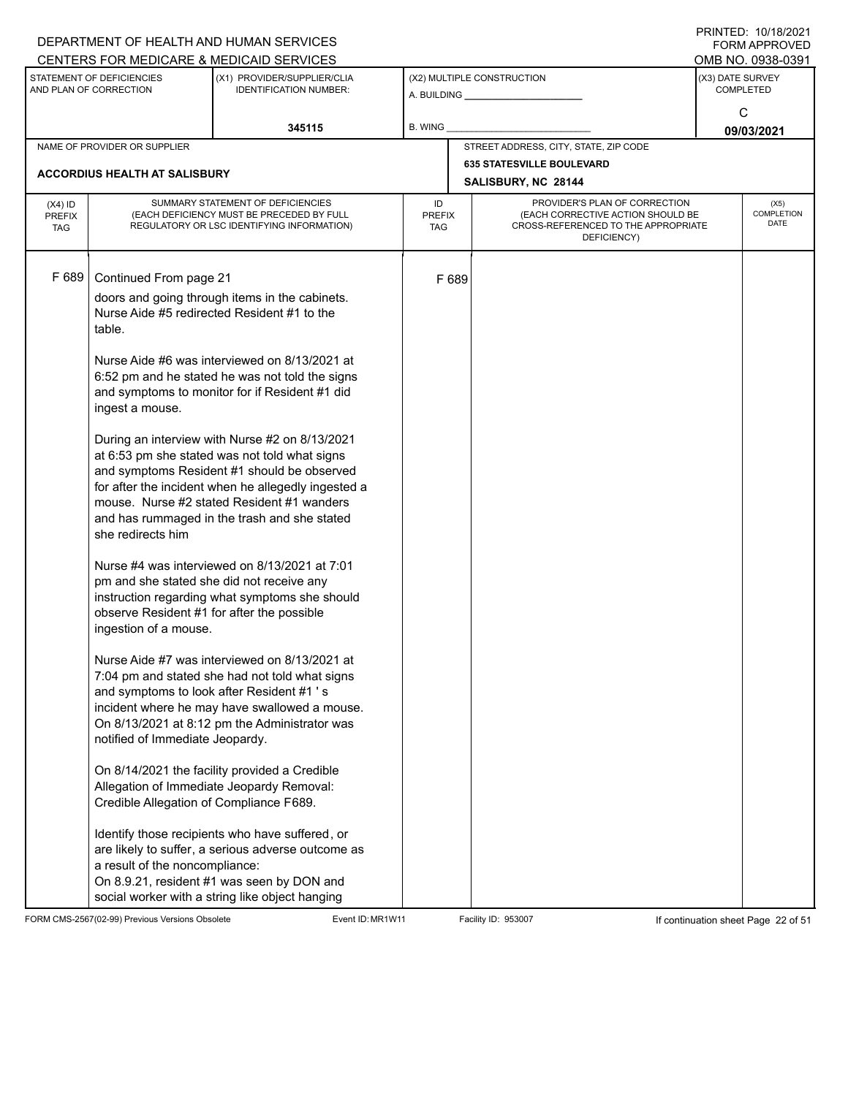|                                          |                                                                                                                                                                                                                                                                                                                                                           | DEPARTMENT OF HEALTH AND HUMAN SERVICES<br>CENTERS FOR MEDICARE & MEDICAID SERVICES                                                                                                                                                                                                                                                                                                                                                                                                                                                                                                                                                                                                                                                                                                                                                                                                                                                                                                                                                                                                                                                                                        |                                   |       |                                                                                                                          |                 | FININILU. IVIIVIZUZI<br><b>FORM APPROVED</b><br>OMB NO. 0938-0391 |  |
|------------------------------------------|-----------------------------------------------------------------------------------------------------------------------------------------------------------------------------------------------------------------------------------------------------------------------------------------------------------------------------------------------------------|----------------------------------------------------------------------------------------------------------------------------------------------------------------------------------------------------------------------------------------------------------------------------------------------------------------------------------------------------------------------------------------------------------------------------------------------------------------------------------------------------------------------------------------------------------------------------------------------------------------------------------------------------------------------------------------------------------------------------------------------------------------------------------------------------------------------------------------------------------------------------------------------------------------------------------------------------------------------------------------------------------------------------------------------------------------------------------------------------------------------------------------------------------------------------|-----------------------------------|-------|--------------------------------------------------------------------------------------------------------------------------|-----------------|-------------------------------------------------------------------|--|
|                                          | STATEMENT OF DEFICIENCIES<br>AND PLAN OF CORRECTION                                                                                                                                                                                                                                                                                                       | (X1) PROVIDER/SUPPLIER/CLIA<br><b>IDENTIFICATION NUMBER:</b>                                                                                                                                                                                                                                                                                                                                                                                                                                                                                                                                                                                                                                                                                                                                                                                                                                                                                                                                                                                                                                                                                                               |                                   |       | (X2) MULTIPLE CONSTRUCTION                                                                                               |                 | (X3) DATE SURVEY<br><b>COMPLETED</b>                              |  |
|                                          |                                                                                                                                                                                                                                                                                                                                                           | 345115                                                                                                                                                                                                                                                                                                                                                                                                                                                                                                                                                                                                                                                                                                                                                                                                                                                                                                                                                                                                                                                                                                                                                                     | <b>B. WING</b>                    |       |                                                                                                                          | C<br>09/03/2021 |                                                                   |  |
|                                          | NAME OF PROVIDER OR SUPPLIER                                                                                                                                                                                                                                                                                                                              |                                                                                                                                                                                                                                                                                                                                                                                                                                                                                                                                                                                                                                                                                                                                                                                                                                                                                                                                                                                                                                                                                                                                                                            |                                   |       | STREET ADDRESS, CITY, STATE, ZIP CODE                                                                                    |                 |                                                                   |  |
|                                          | <b>ACCORDIUS HEALTH AT SALISBURY</b>                                                                                                                                                                                                                                                                                                                      |                                                                                                                                                                                                                                                                                                                                                                                                                                                                                                                                                                                                                                                                                                                                                                                                                                                                                                                                                                                                                                                                                                                                                                            |                                   |       | <b>635 STATESVILLE BOULEVARD</b><br>SALISBURY, NC 28144                                                                  |                 |                                                                   |  |
| $(X4)$ ID<br><b>PREFIX</b><br><b>TAG</b> |                                                                                                                                                                                                                                                                                                                                                           | SUMMARY STATEMENT OF DEFICIENCIES<br>(EACH DEFICIENCY MUST BE PRECEDED BY FULL<br>REGULATORY OR LSC IDENTIFYING INFORMATION)                                                                                                                                                                                                                                                                                                                                                                                                                                                                                                                                                                                                                                                                                                                                                                                                                                                                                                                                                                                                                                               | ID<br><b>PREFIX</b><br><b>TAG</b> |       | PROVIDER'S PLAN OF CORRECTION<br>(EACH CORRECTIVE ACTION SHOULD BE<br>CROSS-REFERENCED TO THE APPROPRIATE<br>DEFICIENCY) |                 | (X5)<br>COMPLETION<br><b>DATE</b>                                 |  |
| F 689                                    | Continued From page 21<br>table.<br>ingest a mouse.<br>she redirects him<br>pm and she stated she did not receive any<br>observe Resident #1 for after the possible<br>ingestion of a mouse.<br>and symptoms to look after Resident #1 's<br>notified of Immediate Jeopardy.<br>Credible Allegation of Compliance F689.<br>a result of the noncompliance: | doors and going through items in the cabinets.<br>Nurse Aide #5 redirected Resident #1 to the<br>Nurse Aide #6 was interviewed on 8/13/2021 at<br>6:52 pm and he stated he was not told the signs<br>and symptoms to monitor for if Resident #1 did<br>During an interview with Nurse #2 on 8/13/2021<br>at 6:53 pm she stated was not told what signs<br>and symptoms Resident #1 should be observed<br>for after the incident when he allegedly ingested a<br>mouse. Nurse #2 stated Resident #1 wanders<br>and has rummaged in the trash and she stated<br>Nurse #4 was interviewed on 8/13/2021 at 7:01<br>instruction regarding what symptoms she should<br>Nurse Aide #7 was interviewed on 8/13/2021 at<br>7:04 pm and stated she had not told what signs<br>incident where he may have swallowed a mouse.<br>On 8/13/2021 at 8:12 pm the Administrator was<br>On 8/14/2021 the facility provided a Credible<br>Allegation of Immediate Jeopardy Removal:<br>Identify those recipients who have suffered, or<br>are likely to suffer, a serious adverse outcome as<br>On 8.9.21, resident #1 was seen by DON and<br>social worker with a string like object hanging |                                   | F 689 |                                                                                                                          |                 |                                                                   |  |

FORM CMS-2567(02-99) Previous Versions Obsolete Event ID: MR1W11 Facility ID: 953007 If continuation sheet Page 22 of 51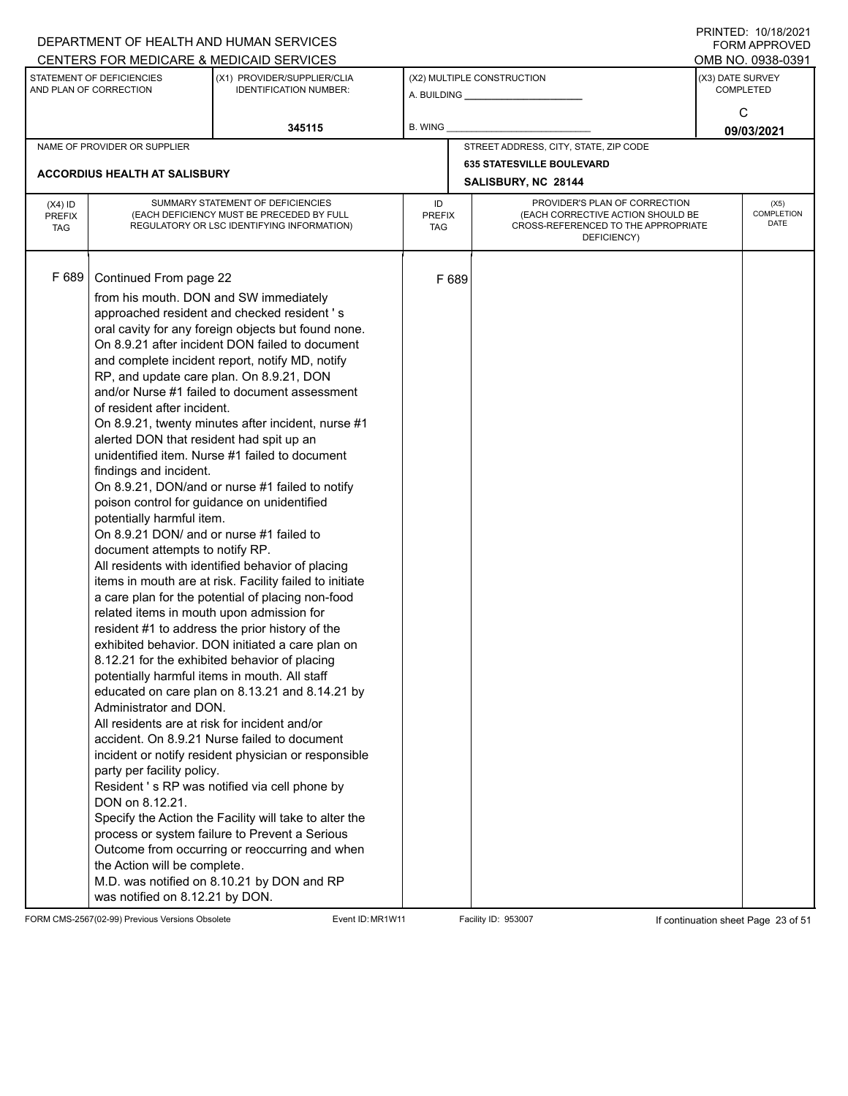|                                          |                                                                                                                                                                                                                                                                                                                                                                                                                                                                                                                                                                                                                               | DEPARTMENT OF HEALTH AND HUMAN SERVICES<br>CENTERS FOR MEDICARE & MEDICAID SERVICES                                                                                                                                                                                                                                                                                                                                                                                                                                                                                                                                                                                                                                                                                                                                                                                                                                                                                                                                                                                                                                                                                                                                   |                                   |       |                                                                                                                          |                  | FININILU. IVIIVIZUZI<br><b>FORM APPROVED</b><br>OMB NO. 0938-0391 |
|------------------------------------------|-------------------------------------------------------------------------------------------------------------------------------------------------------------------------------------------------------------------------------------------------------------------------------------------------------------------------------------------------------------------------------------------------------------------------------------------------------------------------------------------------------------------------------------------------------------------------------------------------------------------------------|-----------------------------------------------------------------------------------------------------------------------------------------------------------------------------------------------------------------------------------------------------------------------------------------------------------------------------------------------------------------------------------------------------------------------------------------------------------------------------------------------------------------------------------------------------------------------------------------------------------------------------------------------------------------------------------------------------------------------------------------------------------------------------------------------------------------------------------------------------------------------------------------------------------------------------------------------------------------------------------------------------------------------------------------------------------------------------------------------------------------------------------------------------------------------------------------------------------------------|-----------------------------------|-------|--------------------------------------------------------------------------------------------------------------------------|------------------|-------------------------------------------------------------------|
|                                          | STATEMENT OF DEFICIENCIES<br>AND PLAN OF CORRECTION                                                                                                                                                                                                                                                                                                                                                                                                                                                                                                                                                                           | (X1) PROVIDER/SUPPLIER/CLIA<br><b>IDENTIFICATION NUMBER:</b>                                                                                                                                                                                                                                                                                                                                                                                                                                                                                                                                                                                                                                                                                                                                                                                                                                                                                                                                                                                                                                                                                                                                                          |                                   |       | (X2) MULTIPLE CONSTRUCTION<br>A. BUILDING <b>A.</b> BUILDING                                                             | (X3) DATE SURVEY | <b>COMPLETED</b>                                                  |
|                                          |                                                                                                                                                                                                                                                                                                                                                                                                                                                                                                                                                                                                                               | 345115                                                                                                                                                                                                                                                                                                                                                                                                                                                                                                                                                                                                                                                                                                                                                                                                                                                                                                                                                                                                                                                                                                                                                                                                                | <b>B. WING</b>                    |       |                                                                                                                          |                  | C<br>09/03/2021                                                   |
|                                          | NAME OF PROVIDER OR SUPPLIER                                                                                                                                                                                                                                                                                                                                                                                                                                                                                                                                                                                                  |                                                                                                                                                                                                                                                                                                                                                                                                                                                                                                                                                                                                                                                                                                                                                                                                                                                                                                                                                                                                                                                                                                                                                                                                                       |                                   |       | STREET ADDRESS, CITY, STATE, ZIP CODE                                                                                    |                  |                                                                   |
|                                          | <b>ACCORDIUS HEALTH AT SALISBURY</b>                                                                                                                                                                                                                                                                                                                                                                                                                                                                                                                                                                                          |                                                                                                                                                                                                                                                                                                                                                                                                                                                                                                                                                                                                                                                                                                                                                                                                                                                                                                                                                                                                                                                                                                                                                                                                                       |                                   |       | <b>635 STATESVILLE BOULEVARD</b><br>SALISBURY, NC 28144                                                                  |                  |                                                                   |
| $(X4)$ ID<br><b>PREFIX</b><br><b>TAG</b> |                                                                                                                                                                                                                                                                                                                                                                                                                                                                                                                                                                                                                               | SUMMARY STATEMENT OF DEFICIENCIES<br>(EACH DEFICIENCY MUST BE PRECEDED BY FULL<br>REGULATORY OR LSC IDENTIFYING INFORMATION)                                                                                                                                                                                                                                                                                                                                                                                                                                                                                                                                                                                                                                                                                                                                                                                                                                                                                                                                                                                                                                                                                          | ID<br><b>PREFIX</b><br><b>TAG</b> |       | PROVIDER'S PLAN OF CORRECTION<br>(EACH CORRECTIVE ACTION SHOULD BE<br>CROSS-REFERENCED TO THE APPROPRIATE<br>DEFICIENCY) |                  | (X5)<br>COMPLETION<br><b>DATE</b>                                 |
| F 689                                    | Continued From page 22<br>from his mouth. DON and SW immediately<br>of resident after incident.<br>alerted DON that resident had spit up an<br>findings and incident.<br>poison control for guidance on unidentified<br>potentially harmful item.<br>On 8.9.21 DON/ and or nurse #1 failed to<br>document attempts to notify RP.<br>related items in mouth upon admission for<br>potentially harmful items in mouth. All staff<br>Administrator and DON.<br>All residents are at risk for incident and/or<br>party per facility policy.<br>DON on 8.12.21.<br>the Action will be complete.<br>was notified on 8.12.21 by DON. | approached resident and checked resident 's<br>oral cavity for any foreign objects but found none.<br>On 8.9.21 after incident DON failed to document<br>and complete incident report, notify MD, notify<br>RP, and update care plan. On 8.9.21, DON<br>and/or Nurse #1 failed to document assessment<br>On 8.9.21, twenty minutes after incident, nurse #1<br>unidentified item. Nurse #1 failed to document<br>On 8.9.21, DON/and or nurse #1 failed to notify<br>All residents with identified behavior of placing<br>items in mouth are at risk. Facility failed to initiate<br>a care plan for the potential of placing non-food<br>resident #1 to address the prior history of the<br>exhibited behavior. DON initiated a care plan on<br>8.12.21 for the exhibited behavior of placing<br>educated on care plan on 8.13.21 and 8.14.21 by<br>accident. On 8.9.21 Nurse failed to document<br>incident or notify resident physician or responsible<br>Resident 's RP was notified via cell phone by<br>Specify the Action the Facility will take to alter the<br>process or system failure to Prevent a Serious<br>Outcome from occurring or reoccurring and when<br>M.D. was notified on 8.10.21 by DON and RP |                                   | F 689 |                                                                                                                          |                  |                                                                   |

FORM CMS-2567(02-99) Previous Versions Obsolete Event ID: MR1W11 Facility ID: 953007 If continuation sheet Page 23 of 51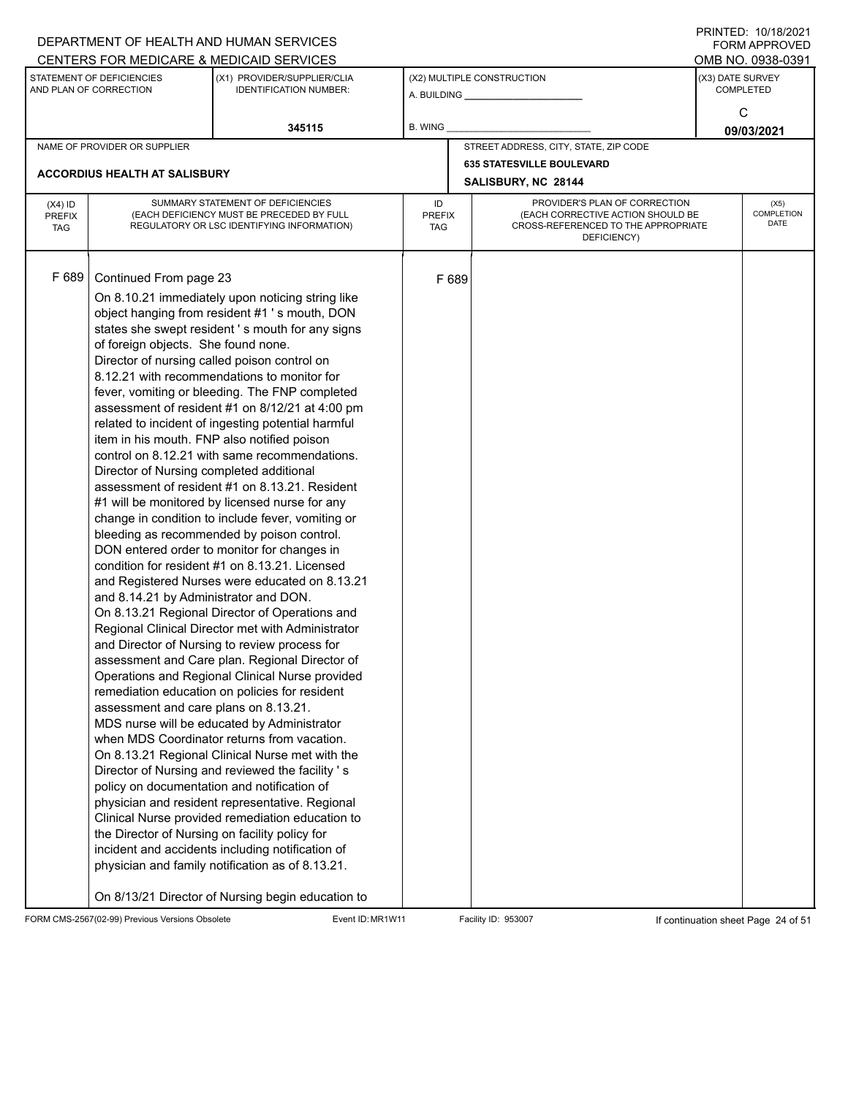|                             |                                                     | DEPARTMENT OF HEALTH AND HUMAN SERVICES                                                         |               |       |                                                                          |                  | $1 \times 1 \times 1 = 1$ . $1 \times 1 \times 1 = 1$<br>FORM APPROVED |
|-----------------------------|-----------------------------------------------------|-------------------------------------------------------------------------------------------------|---------------|-------|--------------------------------------------------------------------------|------------------|------------------------------------------------------------------------|
|                             |                                                     | CENTERS FOR MEDICARE & MEDICAID SERVICES                                                        |               |       |                                                                          |                  | OMB NO. 0938-0391                                                      |
|                             | STATEMENT OF DEFICIENCIES<br>AND PLAN OF CORRECTION | (X1) PROVIDER/SUPPLIER/CLIA<br><b>IDENTIFICATION NUMBER:</b>                                    |               |       | (X2) MULTIPLE CONSTRUCTION                                               | (X3) DATE SURVEY | <b>COMPLETED</b>                                                       |
|                             |                                                     |                                                                                                 |               |       |                                                                          |                  |                                                                        |
|                             |                                                     |                                                                                                 |               |       |                                                                          |                  | C                                                                      |
|                             |                                                     | 345115                                                                                          | B. WING       |       |                                                                          |                  | 09/03/2021                                                             |
|                             | NAME OF PROVIDER OR SUPPLIER                        |                                                                                                 |               |       | STREET ADDRESS, CITY, STATE, ZIP CODE                                    |                  |                                                                        |
|                             | <b>ACCORDIUS HEALTH AT SALISBURY</b>                |                                                                                                 |               |       | <b>635 STATESVILLE BOULEVARD</b>                                         |                  |                                                                        |
|                             |                                                     |                                                                                                 |               |       | SALISBURY, NC 28144                                                      |                  |                                                                        |
| $(X4)$ ID                   |                                                     | SUMMARY STATEMENT OF DEFICIENCIES                                                               | ID            |       | PROVIDER'S PLAN OF CORRECTION                                            |                  | (X5)                                                                   |
| <b>PREFIX</b><br><b>TAG</b> |                                                     | (EACH DEFICIENCY MUST BE PRECEDED BY FULL<br>REGULATORY OR LSC IDENTIFYING INFORMATION)         | PREFIX<br>TAG |       | (EACH CORRECTIVE ACTION SHOULD BE<br>CROSS-REFERENCED TO THE APPROPRIATE |                  | COMPLETION<br>DATE                                                     |
|                             |                                                     |                                                                                                 |               |       | DEFICIENCY)                                                              |                  |                                                                        |
|                             |                                                     |                                                                                                 |               |       |                                                                          |                  |                                                                        |
| F 689                       | Continued From page 23                              |                                                                                                 |               | F 689 |                                                                          |                  |                                                                        |
|                             |                                                     | On 8.10.21 immediately upon noticing string like                                                |               |       |                                                                          |                  |                                                                        |
|                             |                                                     | object hanging from resident #1 's mouth, DON                                                   |               |       |                                                                          |                  |                                                                        |
|                             |                                                     | states she swept resident's mouth for any signs                                                 |               |       |                                                                          |                  |                                                                        |
|                             | of foreign objects. She found none.                 |                                                                                                 |               |       |                                                                          |                  |                                                                        |
|                             |                                                     | Director of nursing called poison control on                                                    |               |       |                                                                          |                  |                                                                        |
|                             |                                                     | 8.12.21 with recommendations to monitor for                                                     |               |       |                                                                          |                  |                                                                        |
|                             |                                                     | fever, vomiting or bleeding. The FNP completed                                                  |               |       |                                                                          |                  |                                                                        |
|                             |                                                     | assessment of resident #1 on 8/12/21 at 4:00 pm                                                 |               |       |                                                                          |                  |                                                                        |
|                             |                                                     | related to incident of ingesting potential harmful                                              |               |       |                                                                          |                  |                                                                        |
|                             | item in his mouth. FNP also notified poison         |                                                                                                 |               |       |                                                                          |                  |                                                                        |
|                             |                                                     | control on 8.12.21 with same recommendations.                                                   |               |       |                                                                          |                  |                                                                        |
|                             | Director of Nursing completed additional            |                                                                                                 |               |       |                                                                          |                  |                                                                        |
|                             |                                                     | assessment of resident #1 on 8.13.21. Resident                                                  |               |       |                                                                          |                  |                                                                        |
|                             |                                                     | #1 will be monitored by licensed nurse for any                                                  |               |       |                                                                          |                  |                                                                        |
|                             |                                                     | change in condition to include fever, vomiting or<br>bleeding as recommended by poison control. |               |       |                                                                          |                  |                                                                        |
|                             |                                                     | DON entered order to monitor for changes in                                                     |               |       |                                                                          |                  |                                                                        |
|                             |                                                     | condition for resident #1 on 8.13.21. Licensed                                                  |               |       |                                                                          |                  |                                                                        |
|                             |                                                     | and Registered Nurses were educated on 8.13.21                                                  |               |       |                                                                          |                  |                                                                        |
|                             | and 8.14.21 by Administrator and DON.               |                                                                                                 |               |       |                                                                          |                  |                                                                        |
|                             |                                                     | On 8.13.21 Regional Director of Operations and                                                  |               |       |                                                                          |                  |                                                                        |
|                             |                                                     | Regional Clinical Director met with Administrator                                               |               |       |                                                                          |                  |                                                                        |
|                             |                                                     | and Director of Nursing to review process for                                                   |               |       |                                                                          |                  |                                                                        |
|                             |                                                     | assessment and Care plan. Regional Director of                                                  |               |       |                                                                          |                  |                                                                        |
|                             |                                                     | Operations and Regional Clinical Nurse provided                                                 |               |       |                                                                          |                  |                                                                        |
|                             |                                                     | remediation education on policies for resident                                                  |               |       |                                                                          |                  |                                                                        |
|                             | assessment and care plans on 8.13.21.               |                                                                                                 |               |       |                                                                          |                  |                                                                        |
|                             |                                                     | MDS nurse will be educated by Administrator<br>when MDS Coordinator returns from vacation.      |               |       |                                                                          |                  |                                                                        |
|                             |                                                     | On 8.13.21 Regional Clinical Nurse met with the                                                 |               |       |                                                                          |                  |                                                                        |
|                             |                                                     | Director of Nursing and reviewed the facility 's                                                |               |       |                                                                          |                  |                                                                        |
|                             |                                                     | policy on documentation and notification of                                                     |               |       |                                                                          |                  |                                                                        |
|                             |                                                     | physician and resident representative. Regional                                                 |               |       |                                                                          |                  |                                                                        |
|                             |                                                     | Clinical Nurse provided remediation education to                                                |               |       |                                                                          |                  |                                                                        |
|                             | the Director of Nursing on facility policy for      |                                                                                                 |               |       |                                                                          |                  |                                                                        |
|                             |                                                     | incident and accidents including notification of                                                |               |       |                                                                          |                  |                                                                        |
|                             |                                                     | physician and family notification as of 8.13.21.                                                |               |       |                                                                          |                  |                                                                        |
|                             |                                                     |                                                                                                 |               |       |                                                                          |                  |                                                                        |
|                             |                                                     | On 8/13/21 Director of Nursing begin education to                                               |               |       |                                                                          |                  |                                                                        |

FORM CMS-2567(02-99) Previous Versions Obsolete Event ID: MR1W11 Facility ID: 953007 If continuation sheet Page 24 of 51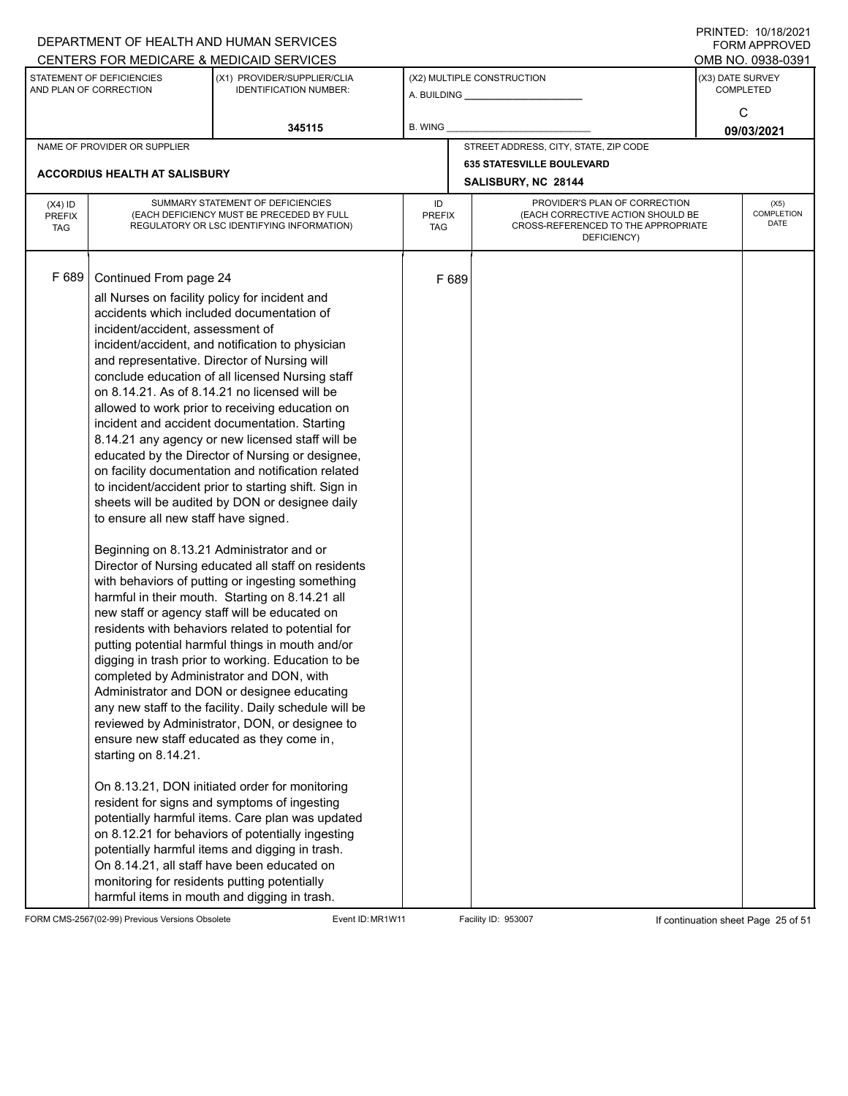|                                          |                                                                                                                                                                                                                                                                                                                                                                       | DEPARTMENT OF HEALTH AND HUMAN SERVICES<br>CENTERS FOR MEDICARE & MEDICAID SERVICES                                                                                                                                                                                                                                                                                                                                                                                                                                                                                                                                                                                                                                                                                                                                                                                                                                                                                                                                                                                                                                                                                                                                                                                                                                                                                                                                                                                                                                                 |                                   |       |                                                                                                                          |                  | FININILU. IVIIVIZUZI<br>FORM APPROVED<br>OMB NO. 0938-0391 |  |
|------------------------------------------|-----------------------------------------------------------------------------------------------------------------------------------------------------------------------------------------------------------------------------------------------------------------------------------------------------------------------------------------------------------------------|-------------------------------------------------------------------------------------------------------------------------------------------------------------------------------------------------------------------------------------------------------------------------------------------------------------------------------------------------------------------------------------------------------------------------------------------------------------------------------------------------------------------------------------------------------------------------------------------------------------------------------------------------------------------------------------------------------------------------------------------------------------------------------------------------------------------------------------------------------------------------------------------------------------------------------------------------------------------------------------------------------------------------------------------------------------------------------------------------------------------------------------------------------------------------------------------------------------------------------------------------------------------------------------------------------------------------------------------------------------------------------------------------------------------------------------------------------------------------------------------------------------------------------------|-----------------------------------|-------|--------------------------------------------------------------------------------------------------------------------------|------------------|------------------------------------------------------------|--|
|                                          | STATEMENT OF DEFICIENCIES<br>AND PLAN OF CORRECTION                                                                                                                                                                                                                                                                                                                   | (X1) PROVIDER/SUPPLIER/CLIA<br><b>IDENTIFICATION NUMBER:</b>                                                                                                                                                                                                                                                                                                                                                                                                                                                                                                                                                                                                                                                                                                                                                                                                                                                                                                                                                                                                                                                                                                                                                                                                                                                                                                                                                                                                                                                                        |                                   |       | (X2) MULTIPLE CONSTRUCTION                                                                                               | (X3) DATE SURVEY | <b>COMPLETED</b>                                           |  |
|                                          |                                                                                                                                                                                                                                                                                                                                                                       | 345115                                                                                                                                                                                                                                                                                                                                                                                                                                                                                                                                                                                                                                                                                                                                                                                                                                                                                                                                                                                                                                                                                                                                                                                                                                                                                                                                                                                                                                                                                                                              | <b>B. WING</b>                    |       |                                                                                                                          |                  | C<br>09/03/2021                                            |  |
|                                          | NAME OF PROVIDER OR SUPPLIER                                                                                                                                                                                                                                                                                                                                          |                                                                                                                                                                                                                                                                                                                                                                                                                                                                                                                                                                                                                                                                                                                                                                                                                                                                                                                                                                                                                                                                                                                                                                                                                                                                                                                                                                                                                                                                                                                                     |                                   |       | STREET ADDRESS, CITY, STATE, ZIP CODE                                                                                    |                  |                                                            |  |
|                                          | <b>ACCORDIUS HEALTH AT SALISBURY</b>                                                                                                                                                                                                                                                                                                                                  |                                                                                                                                                                                                                                                                                                                                                                                                                                                                                                                                                                                                                                                                                                                                                                                                                                                                                                                                                                                                                                                                                                                                                                                                                                                                                                                                                                                                                                                                                                                                     |                                   |       | <b>635 STATESVILLE BOULEVARD</b><br>SALISBURY, NC 28144                                                                  |                  |                                                            |  |
| $(X4)$ ID<br><b>PREFIX</b><br><b>TAG</b> |                                                                                                                                                                                                                                                                                                                                                                       | SUMMARY STATEMENT OF DEFICIENCIES<br>(EACH DEFICIENCY MUST BE PRECEDED BY FULL<br>REGULATORY OR LSC IDENTIFYING INFORMATION)                                                                                                                                                                                                                                                                                                                                                                                                                                                                                                                                                                                                                                                                                                                                                                                                                                                                                                                                                                                                                                                                                                                                                                                                                                                                                                                                                                                                        | ID<br><b>PREFIX</b><br><b>TAG</b> |       | PROVIDER'S PLAN OF CORRECTION<br>(EACH CORRECTIVE ACTION SHOULD BE<br>CROSS-REFERENCED TO THE APPROPRIATE<br>DEFICIENCY) |                  | (X5)<br>COMPLETION<br><b>DATE</b>                          |  |
| F 689                                    | Continued From page 24<br>all Nurses on facility policy for incident and<br>incident/accident, assessment of<br>and representative. Director of Nursing will<br>to ensure all new staff have signed.<br>Beginning on 8.13.21 Administrator and or<br>completed by Administrator and DON, with<br>starting on 8.14.21.<br>monitoring for residents putting potentially | accidents which included documentation of<br>incident/accident, and notification to physician<br>conclude education of all licensed Nursing staff<br>on 8.14.21. As of 8.14.21 no licensed will be<br>allowed to work prior to receiving education on<br>incident and accident documentation. Starting<br>8.14.21 any agency or new licensed staff will be<br>educated by the Director of Nursing or designee,<br>on facility documentation and notification related<br>to incident/accident prior to starting shift. Sign in<br>sheets will be audited by DON or designee daily<br>Director of Nursing educated all staff on residents<br>with behaviors of putting or ingesting something<br>harmful in their mouth. Starting on 8.14.21 all<br>new staff or agency staff will be educated on<br>residents with behaviors related to potential for<br>putting potential harmful things in mouth and/or<br>digging in trash prior to working. Education to be<br>Administrator and DON or designee educating<br>any new staff to the facility. Daily schedule will be<br>reviewed by Administrator, DON, or designee to<br>ensure new staff educated as they come in,<br>On 8.13.21, DON initiated order for monitoring<br>resident for signs and symptoms of ingesting<br>potentially harmful items. Care plan was updated<br>on 8.12.21 for behaviors of potentially ingesting<br>potentially harmful items and digging in trash.<br>On 8.14.21, all staff have been educated on<br>harmful items in mouth and digging in trash. |                                   | F 689 |                                                                                                                          |                  |                                                            |  |

FORM CMS-2567(02-99) Previous Versions Obsolete Event ID: MR1W11 Facility ID: 953007 If continuation sheet Page 25 of 51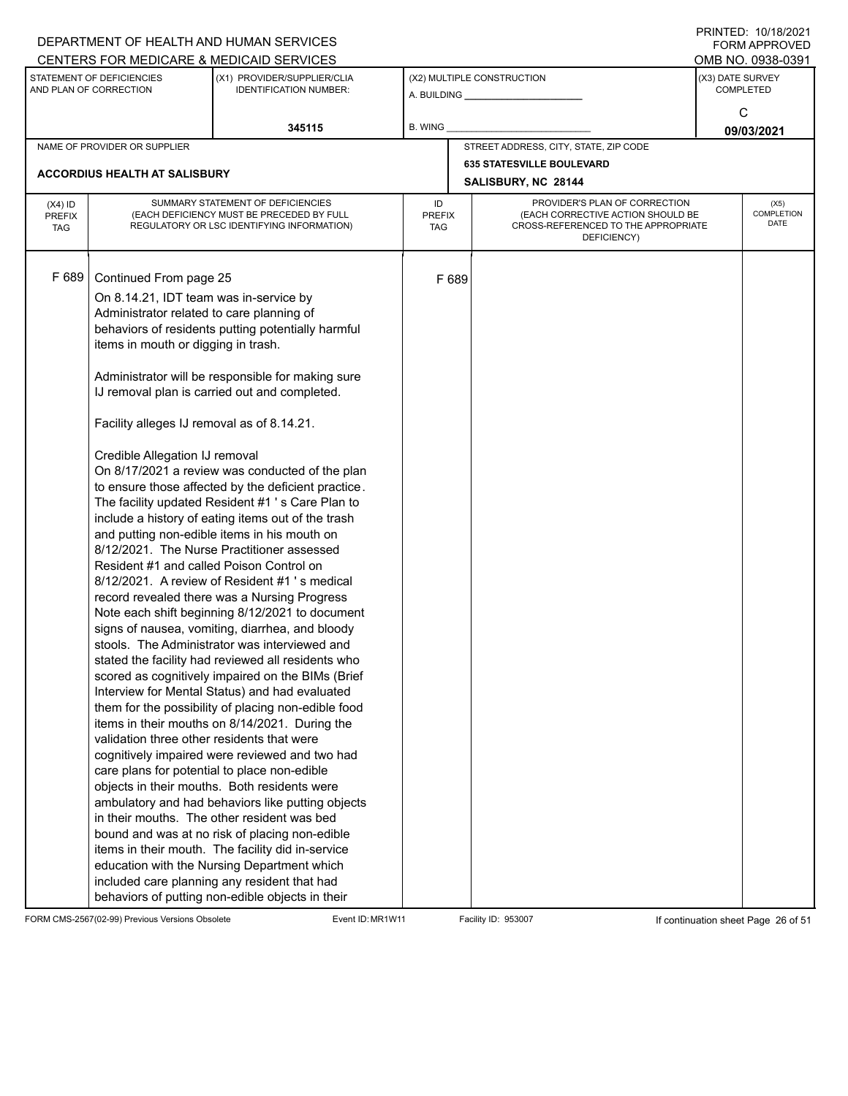|                                          |                                                                                                                                                                                                                                                                                                                                | DEPARTMENT OF HEALTH AND HUMAN SERVICES                                                                                                                                                                                                                                                                                                                                                                                                                                                                                                                                                                                                                                                                                                                                                                                                                                                                                                                                                                                                                                                                                                                                                                                                                                                                                                                                                                                                                             |                                                            |       |                                                                                         |                  | $1 \times 1 \times 1 = 1$ . $1 \times 1 \times 1 = 1$<br>FORM APPROVED |
|------------------------------------------|--------------------------------------------------------------------------------------------------------------------------------------------------------------------------------------------------------------------------------------------------------------------------------------------------------------------------------|---------------------------------------------------------------------------------------------------------------------------------------------------------------------------------------------------------------------------------------------------------------------------------------------------------------------------------------------------------------------------------------------------------------------------------------------------------------------------------------------------------------------------------------------------------------------------------------------------------------------------------------------------------------------------------------------------------------------------------------------------------------------------------------------------------------------------------------------------------------------------------------------------------------------------------------------------------------------------------------------------------------------------------------------------------------------------------------------------------------------------------------------------------------------------------------------------------------------------------------------------------------------------------------------------------------------------------------------------------------------------------------------------------------------------------------------------------------------|------------------------------------------------------------|-------|-----------------------------------------------------------------------------------------|------------------|------------------------------------------------------------------------|
|                                          |                                                                                                                                                                                                                                                                                                                                | CENTERS FOR MEDICARE & MEDICAID SERVICES                                                                                                                                                                                                                                                                                                                                                                                                                                                                                                                                                                                                                                                                                                                                                                                                                                                                                                                                                                                                                                                                                                                                                                                                                                                                                                                                                                                                                            |                                                            |       |                                                                                         |                  | OMB NO. 0938-0391                                                      |
|                                          | STATEMENT OF DEFICIENCIES<br>AND PLAN OF CORRECTION                                                                                                                                                                                                                                                                            | (X1) PROVIDER/SUPPLIER/CLIA<br><b>IDENTIFICATION NUMBER:</b>                                                                                                                                                                                                                                                                                                                                                                                                                                                                                                                                                                                                                                                                                                                                                                                                                                                                                                                                                                                                                                                                                                                                                                                                                                                                                                                                                                                                        |                                                            |       | (X2) MULTIPLE CONSTRUCTION                                                              | (X3) DATE SURVEY | <b>COMPLETED</b>                                                       |
|                                          |                                                                                                                                                                                                                                                                                                                                | 345115                                                                                                                                                                                                                                                                                                                                                                                                                                                                                                                                                                                                                                                                                                                                                                                                                                                                                                                                                                                                                                                                                                                                                                                                                                                                                                                                                                                                                                                              | B. WING                                                    |       |                                                                                         |                  | C<br>09/03/2021                                                        |
|                                          | NAME OF PROVIDER OR SUPPLIER                                                                                                                                                                                                                                                                                                   |                                                                                                                                                                                                                                                                                                                                                                                                                                                                                                                                                                                                                                                                                                                                                                                                                                                                                                                                                                                                                                                                                                                                                                                                                                                                                                                                                                                                                                                                     |                                                            |       | STREET ADDRESS, CITY, STATE, ZIP CODE                                                   |                  |                                                                        |
|                                          |                                                                                                                                                                                                                                                                                                                                |                                                                                                                                                                                                                                                                                                                                                                                                                                                                                                                                                                                                                                                                                                                                                                                                                                                                                                                                                                                                                                                                                                                                                                                                                                                                                                                                                                                                                                                                     |                                                            |       | <b>635 STATESVILLE BOULEVARD</b>                                                        |                  |                                                                        |
|                                          | ACCORDIUS HEALTH AT SALISBURY                                                                                                                                                                                                                                                                                                  |                                                                                                                                                                                                                                                                                                                                                                                                                                                                                                                                                                                                                                                                                                                                                                                                                                                                                                                                                                                                                                                                                                                                                                                                                                                                                                                                                                                                                                                                     | SALISBURY, NC 28144<br>PROVIDER'S PLAN OF CORRECTION<br>ID |       |                                                                                         |                  |                                                                        |
| $(X4)$ ID<br><b>PREFIX</b><br><b>TAG</b> |                                                                                                                                                                                                                                                                                                                                | SUMMARY STATEMENT OF DEFICIENCIES<br>(EACH DEFICIENCY MUST BE PRECEDED BY FULL<br>REGULATORY OR LSC IDENTIFYING INFORMATION)                                                                                                                                                                                                                                                                                                                                                                                                                                                                                                                                                                                                                                                                                                                                                                                                                                                                                                                                                                                                                                                                                                                                                                                                                                                                                                                                        | <b>PREFIX</b><br>TAG                                       |       | (EACH CORRECTIVE ACTION SHOULD BE<br>CROSS-REFERENCED TO THE APPROPRIATE<br>DEFICIENCY) |                  | (X5)<br><b>COMPLETION</b><br><b>DATE</b>                               |
| F 689                                    | Continued From page 25<br>On 8.14.21, IDT team was in-service by<br>Administrator related to care planning of<br>items in mouth or digging in trash.<br>Facility alleges IJ removal as of 8.14.21.<br>Credible Allegation IJ removal<br>Resident #1 and called Poison Control on<br>validation three other residents that were | behaviors of residents putting potentially harmful<br>Administrator will be responsible for making sure<br>IJ removal plan is carried out and completed.<br>On 8/17/2021 a review was conducted of the plan<br>to ensure those affected by the deficient practice.<br>The facility updated Resident #1 's Care Plan to<br>include a history of eating items out of the trash<br>and putting non-edible items in his mouth on<br>8/12/2021. The Nurse Practitioner assessed<br>8/12/2021. A review of Resident #1's medical<br>record revealed there was a Nursing Progress<br>Note each shift beginning 8/12/2021 to document<br>signs of nausea, vomiting, diarrhea, and bloody<br>stools. The Administrator was interviewed and<br>stated the facility had reviewed all residents who<br>scored as cognitively impaired on the BIMs (Brief<br>Interview for Mental Status) and had evaluated<br>them for the possibility of placing non-edible food<br>items in their mouths on 8/14/2021. During the<br>cognitively impaired were reviewed and two had<br>care plans for potential to place non-edible<br>objects in their mouths. Both residents were<br>ambulatory and had behaviors like putting objects<br>in their mouths. The other resident was bed<br>bound and was at no risk of placing non-edible<br>items in their mouth. The facility did in-service<br>education with the Nursing Department which<br>included care planning any resident that had |                                                            | F 689 |                                                                                         |                  |                                                                        |
|                                          |                                                                                                                                                                                                                                                                                                                                | behaviors of putting non-edible objects in their                                                                                                                                                                                                                                                                                                                                                                                                                                                                                                                                                                                                                                                                                                                                                                                                                                                                                                                                                                                                                                                                                                                                                                                                                                                                                                                                                                                                                    |                                                            |       |                                                                                         |                  |                                                                        |

FORM CMS-2567(02-99) Previous Versions Obsolete Event ID: MR1W11 Facility ID: 953007 If continuation sheet Page 26 of 51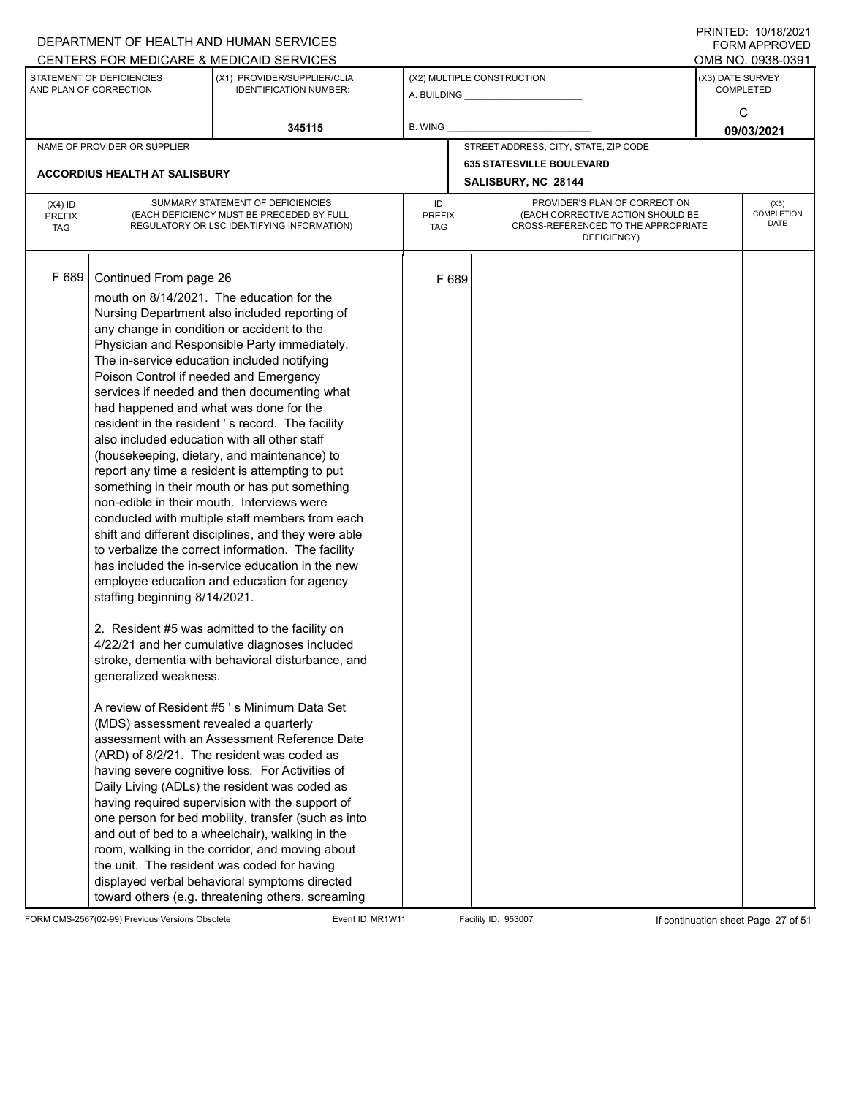|                                          |                                                                                                                                                                                                                                                                                                                                                                                                          | DEPARTMENT OF HEALTH AND HUMAN SERVICES<br>CENTERS FOR MEDICARE & MEDICAID SERVICES                                                                                                                                                                                                                                                                                                                                                                                                                                                                                                                                                                                                                                                                                                                                                                                                                                                                                                                                                                                                                                                                                                                                                                                                                                                                                                                                                              |                                   |       |                                                                                                                          |                  | FININILD. IVIIVIZVZI<br><b>FORM APPROVED</b><br>OMB NO. 0938-0391 |
|------------------------------------------|----------------------------------------------------------------------------------------------------------------------------------------------------------------------------------------------------------------------------------------------------------------------------------------------------------------------------------------------------------------------------------------------------------|--------------------------------------------------------------------------------------------------------------------------------------------------------------------------------------------------------------------------------------------------------------------------------------------------------------------------------------------------------------------------------------------------------------------------------------------------------------------------------------------------------------------------------------------------------------------------------------------------------------------------------------------------------------------------------------------------------------------------------------------------------------------------------------------------------------------------------------------------------------------------------------------------------------------------------------------------------------------------------------------------------------------------------------------------------------------------------------------------------------------------------------------------------------------------------------------------------------------------------------------------------------------------------------------------------------------------------------------------------------------------------------------------------------------------------------------------|-----------------------------------|-------|--------------------------------------------------------------------------------------------------------------------------|------------------|-------------------------------------------------------------------|
|                                          | STATEMENT OF DEFICIENCIES<br>AND PLAN OF CORRECTION                                                                                                                                                                                                                                                                                                                                                      | (X1) PROVIDER/SUPPLIER/CLIA<br><b>IDENTIFICATION NUMBER:</b>                                                                                                                                                                                                                                                                                                                                                                                                                                                                                                                                                                                                                                                                                                                                                                                                                                                                                                                                                                                                                                                                                                                                                                                                                                                                                                                                                                                     |                                   |       | (X2) MULTIPLE CONSTRUCTION<br>A. BUILDING A. BUILDING                                                                    | (X3) DATE SURVEY | <b>COMPLETED</b>                                                  |
|                                          |                                                                                                                                                                                                                                                                                                                                                                                                          | 345115                                                                                                                                                                                                                                                                                                                                                                                                                                                                                                                                                                                                                                                                                                                                                                                                                                                                                                                                                                                                                                                                                                                                                                                                                                                                                                                                                                                                                                           | B. WING                           |       |                                                                                                                          |                  | C<br>09/03/2021                                                   |
|                                          | NAME OF PROVIDER OR SUPPLIER                                                                                                                                                                                                                                                                                                                                                                             |                                                                                                                                                                                                                                                                                                                                                                                                                                                                                                                                                                                                                                                                                                                                                                                                                                                                                                                                                                                                                                                                                                                                                                                                                                                                                                                                                                                                                                                  |                                   |       | STREET ADDRESS, CITY, STATE, ZIP CODE                                                                                    |                  |                                                                   |
|                                          | <b>ACCORDIUS HEALTH AT SALISBURY</b>                                                                                                                                                                                                                                                                                                                                                                     |                                                                                                                                                                                                                                                                                                                                                                                                                                                                                                                                                                                                                                                                                                                                                                                                                                                                                                                                                                                                                                                                                                                                                                                                                                                                                                                                                                                                                                                  |                                   |       | <b>635 STATESVILLE BOULEVARD</b><br>SALISBURY, NC 28144                                                                  |                  |                                                                   |
| $(X4)$ ID<br><b>PREFIX</b><br><b>TAG</b> |                                                                                                                                                                                                                                                                                                                                                                                                          | SUMMARY STATEMENT OF DEFICIENCIES<br>(EACH DEFICIENCY MUST BE PRECEDED BY FULL<br>REGULATORY OR LSC IDENTIFYING INFORMATION)                                                                                                                                                                                                                                                                                                                                                                                                                                                                                                                                                                                                                                                                                                                                                                                                                                                                                                                                                                                                                                                                                                                                                                                                                                                                                                                     | ID<br><b>PREFIX</b><br><b>TAG</b> |       | PROVIDER'S PLAN OF CORRECTION<br>(EACH CORRECTIVE ACTION SHOULD BE<br>CROSS-REFERENCED TO THE APPROPRIATE<br>DEFICIENCY) |                  | (X5)<br>COMPLETION<br><b>DATE</b>                                 |
| F 689                                    | Continued From page 26<br>any change in condition or accident to the<br>The in-service education included notifying<br>Poison Control if needed and Emergency<br>had happened and what was done for the<br>also included education with all other staff<br>non-edible in their mouth. Interviews were<br>staffing beginning 8/14/2021.<br>generalized weakness.<br>(MDS) assessment revealed a quarterly | mouth on 8/14/2021. The education for the<br>Nursing Department also included reporting of<br>Physician and Responsible Party immediately.<br>services if needed and then documenting what<br>resident in the resident's record. The facility<br>(housekeeping, dietary, and maintenance) to<br>report any time a resident is attempting to put<br>something in their mouth or has put something<br>conducted with multiple staff members from each<br>shift and different disciplines, and they were able<br>to verbalize the correct information. The facility<br>has included the in-service education in the new<br>employee education and education for agency<br>2. Resident #5 was admitted to the facility on<br>4/22/21 and her cumulative diagnoses included<br>stroke, dementia with behavioral disturbance, and<br>A review of Resident #5's Minimum Data Set<br>assessment with an Assessment Reference Date<br>(ARD) of 8/2/21. The resident was coded as<br>having severe cognitive loss. For Activities of<br>Daily Living (ADLs) the resident was coded as<br>having required supervision with the support of<br>one person for bed mobility, transfer (such as into<br>and out of bed to a wheelchair), walking in the<br>room, walking in the corridor, and moving about<br>the unit. The resident was coded for having<br>displayed verbal behavioral symptoms directed<br>toward others (e.g. threatening others, screaming |                                   | F 689 |                                                                                                                          |                  |                                                                   |

FORM CMS-2567(02-99) Previous Versions Obsolete Event ID: MR1W11 Facility ID: 953007 If continuation sheet Page 27 of 51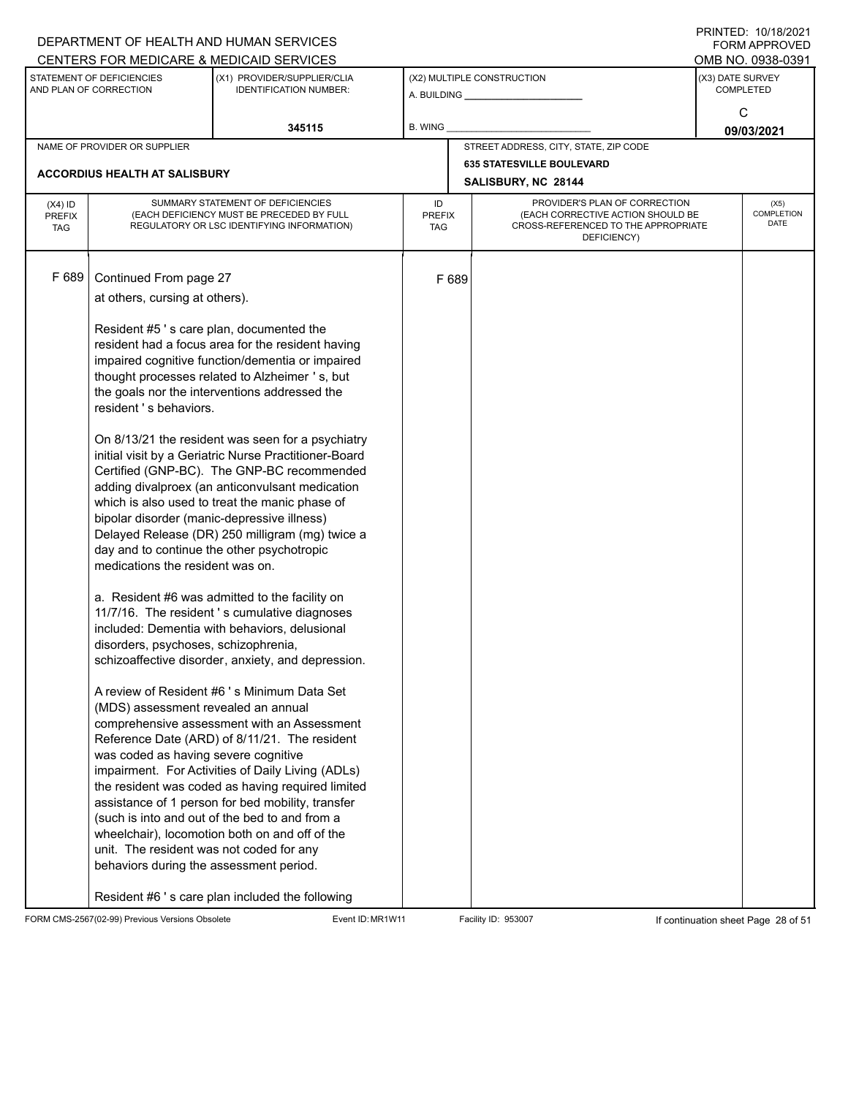|               |                                                     | DEPARTMENT OF HEALTH AND HUMAN SERVICES                                                            |               |       |                                                    |                  | $1 \times 1 \times 1 = 1$ . $1 \times 1 \times 1 = 1$<br>FORM APPROVED |
|---------------|-----------------------------------------------------|----------------------------------------------------------------------------------------------------|---------------|-------|----------------------------------------------------|------------------|------------------------------------------------------------------------|
|               |                                                     | CENTERS FOR MEDICARE & MEDICAID SERVICES                                                           |               |       |                                                    |                  | OMB NO. 0938-0391                                                      |
|               | STATEMENT OF DEFICIENCIES<br>AND PLAN OF CORRECTION | (X1) PROVIDER/SUPPLIER/CLIA<br><b>IDENTIFICATION NUMBER:</b>                                       |               |       | (X2) MULTIPLE CONSTRUCTION                         | (X3) DATE SURVEY | <b>COMPLETED</b>                                                       |
|               |                                                     |                                                                                                    |               |       |                                                    |                  |                                                                        |
|               |                                                     |                                                                                                    |               |       |                                                    |                  | C                                                                      |
|               |                                                     | 345115                                                                                             | B. WING       |       |                                                    |                  | 09/03/2021                                                             |
|               | NAME OF PROVIDER OR SUPPLIER                        |                                                                                                    |               |       | STREET ADDRESS, CITY, STATE, ZIP CODE              |                  |                                                                        |
|               | ACCORDIUS HEALTH AT SALISBURY                       |                                                                                                    |               |       | <b>635 STATESVILLE BOULEVARD</b>                   |                  |                                                                        |
|               |                                                     |                                                                                                    |               |       | SALISBURY, NC 28144                                |                  |                                                                        |
| $(X4)$ ID     |                                                     | SUMMARY STATEMENT OF DEFICIENCIES                                                                  | ID            |       | PROVIDER'S PLAN OF CORRECTION                      |                  | (X5)                                                                   |
| <b>PREFIX</b> |                                                     | (EACH DEFICIENCY MUST BE PRECEDED BY FULL                                                          | <b>PREFIX</b> |       | (EACH CORRECTIVE ACTION SHOULD BE                  |                  | COMPLETION<br>DATE                                                     |
| <b>TAG</b>    |                                                     | REGULATORY OR LSC IDENTIFYING INFORMATION)                                                         | TAG           |       | CROSS-REFERENCED TO THE APPROPRIATE<br>DEFICIENCY) |                  |                                                                        |
|               |                                                     |                                                                                                    |               |       |                                                    |                  |                                                                        |
|               |                                                     |                                                                                                    |               |       |                                                    |                  |                                                                        |
| F 689         | Continued From page 27                              |                                                                                                    |               | F 689 |                                                    |                  |                                                                        |
|               | at others, cursing at others).                      |                                                                                                    |               |       |                                                    |                  |                                                                        |
|               |                                                     |                                                                                                    |               |       |                                                    |                  |                                                                        |
|               | Resident #5's care plan, documented the             |                                                                                                    |               |       |                                                    |                  |                                                                        |
|               |                                                     | resident had a focus area for the resident having                                                  |               |       |                                                    |                  |                                                                        |
|               |                                                     | impaired cognitive function/dementia or impaired<br>thought processes related to Alzheimer 's, but |               |       |                                                    |                  |                                                                        |
|               |                                                     | the goals nor the interventions addressed the                                                      |               |       |                                                    |                  |                                                                        |
|               | resident 's behaviors.                              |                                                                                                    |               |       |                                                    |                  |                                                                        |
|               |                                                     |                                                                                                    |               |       |                                                    |                  |                                                                        |
|               |                                                     | On 8/13/21 the resident was seen for a psychiatry                                                  |               |       |                                                    |                  |                                                                        |
|               |                                                     | initial visit by a Geriatric Nurse Practitioner-Board                                              |               |       |                                                    |                  |                                                                        |
|               |                                                     | Certified (GNP-BC). The GNP-BC recommended                                                         |               |       |                                                    |                  |                                                                        |
|               |                                                     | adding divalproex (an anticonvulsant medication                                                    |               |       |                                                    |                  |                                                                        |
|               |                                                     | which is also used to treat the manic phase of                                                     |               |       |                                                    |                  |                                                                        |
|               | bipolar disorder (manic-depressive illness)         |                                                                                                    |               |       |                                                    |                  |                                                                        |
|               |                                                     | Delayed Release (DR) 250 milligram (mg) twice a                                                    |               |       |                                                    |                  |                                                                        |
|               | day and to continue the other psychotropic          |                                                                                                    |               |       |                                                    |                  |                                                                        |
|               | medications the resident was on.                    |                                                                                                    |               |       |                                                    |                  |                                                                        |
|               |                                                     |                                                                                                    |               |       |                                                    |                  |                                                                        |
|               |                                                     | a. Resident #6 was admitted to the facility on                                                     |               |       |                                                    |                  |                                                                        |
|               |                                                     | 11/7/16. The resident 's cumulative diagnoses                                                      |               |       |                                                    |                  |                                                                        |
|               |                                                     | included: Dementia with behaviors, delusional                                                      |               |       |                                                    |                  |                                                                        |
|               | disorders, psychoses, schizophrenia,                | schizoaffective disorder, anxiety, and depression.                                                 |               |       |                                                    |                  |                                                                        |
|               |                                                     |                                                                                                    |               |       |                                                    |                  |                                                                        |
|               |                                                     | A review of Resident #6 's Minimum Data Set                                                        |               |       |                                                    |                  |                                                                        |
|               | (MDS) assessment revealed an annual                 |                                                                                                    |               |       |                                                    |                  |                                                                        |
|               |                                                     | comprehensive assessment with an Assessment                                                        |               |       |                                                    |                  |                                                                        |
|               |                                                     | Reference Date (ARD) of 8/11/21. The resident                                                      |               |       |                                                    |                  |                                                                        |
|               | was coded as having severe cognitive                |                                                                                                    |               |       |                                                    |                  |                                                                        |
|               |                                                     | impairment. For Activities of Daily Living (ADLs)                                                  |               |       |                                                    |                  |                                                                        |
|               |                                                     | the resident was coded as having required limited                                                  |               |       |                                                    |                  |                                                                        |
|               |                                                     | assistance of 1 person for bed mobility, transfer                                                  |               |       |                                                    |                  |                                                                        |
|               |                                                     | (such is into and out of the bed to and from a                                                     |               |       |                                                    |                  |                                                                        |
|               |                                                     | wheelchair), locomotion both on and off of the                                                     |               |       |                                                    |                  |                                                                        |
|               | unit. The resident was not coded for any            |                                                                                                    |               |       |                                                    |                  |                                                                        |
|               | behaviors during the assessment period.             |                                                                                                    |               |       |                                                    |                  |                                                                        |
|               |                                                     | Resident #6 's care plan included the following                                                    |               |       |                                                    |                  |                                                                        |

FORM CMS-2567(02-99) Previous Versions Obsolete Event ID: MR1W11 Facility ID: 953007 If continuation sheet Page 28 of 51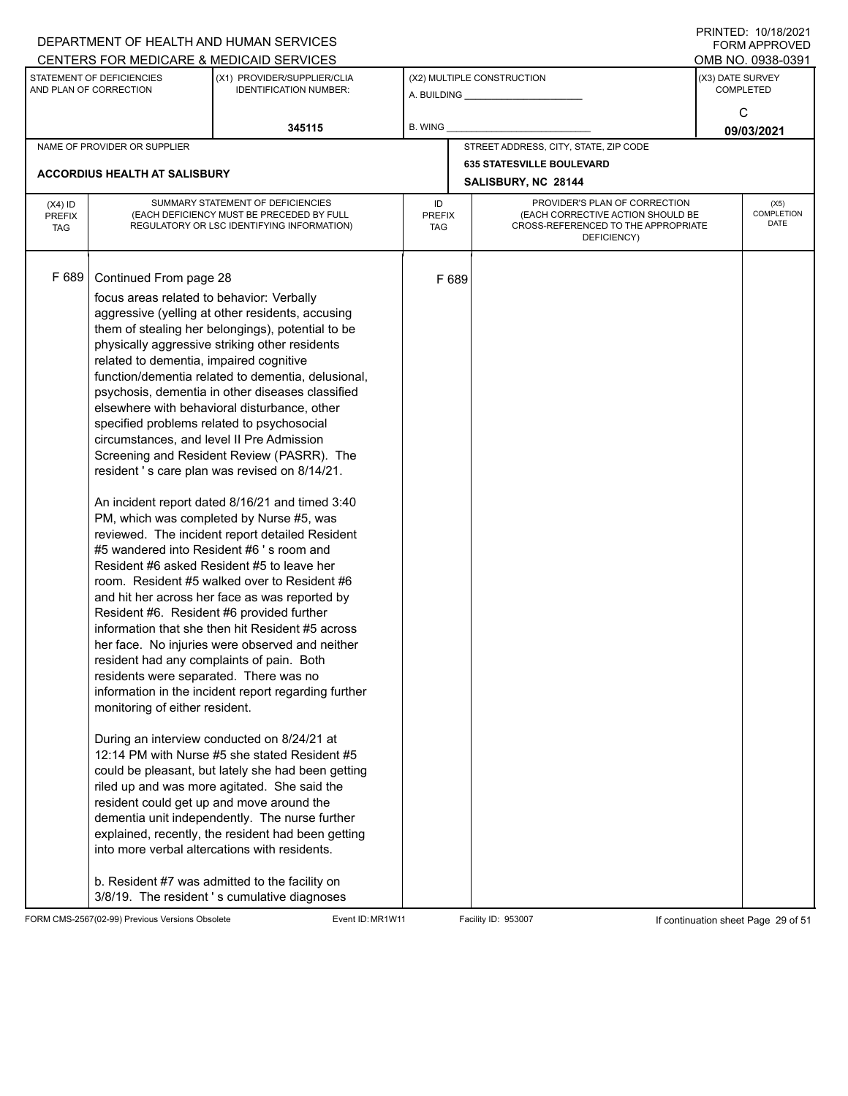|                             |                                                     | DEPARTMENT OF HEALTH AND HUMAN SERVICES                                                       |                      |       |                                                                          |                  | $1 \times 1 \times 1 = 1$ . $1 \times 1 \times 1 = 1$<br>FORM APPROVED |
|-----------------------------|-----------------------------------------------------|-----------------------------------------------------------------------------------------------|----------------------|-------|--------------------------------------------------------------------------|------------------|------------------------------------------------------------------------|
|                             |                                                     | CENTERS FOR MEDICARE & MEDICAID SERVICES                                                      |                      |       |                                                                          |                  | OMB NO. 0938-0391                                                      |
|                             | STATEMENT OF DEFICIENCIES<br>AND PLAN OF CORRECTION | (X1) PROVIDER/SUPPLIER/CLIA<br><b>IDENTIFICATION NUMBER:</b>                                  |                      |       | (X2) MULTIPLE CONSTRUCTION                                               | (X3) DATE SURVEY | <b>COMPLETED</b>                                                       |
|                             |                                                     |                                                                                               |                      |       |                                                                          |                  |                                                                        |
|                             |                                                     |                                                                                               |                      |       |                                                                          |                  | C                                                                      |
|                             |                                                     | 345115                                                                                        | B. WING              |       |                                                                          |                  | 09/03/2021                                                             |
|                             | NAME OF PROVIDER OR SUPPLIER                        |                                                                                               |                      |       | STREET ADDRESS, CITY, STATE, ZIP CODE                                    |                  |                                                                        |
|                             | ACCORDIUS HEALTH AT SALISBURY                       |                                                                                               |                      |       | <b>635 STATESVILLE BOULEVARD</b>                                         |                  |                                                                        |
|                             |                                                     |                                                                                               |                      |       | SALISBURY, NC 28144                                                      |                  |                                                                        |
| $(X4)$ ID                   |                                                     | SUMMARY STATEMENT OF DEFICIENCIES                                                             | ID                   |       | PROVIDER'S PLAN OF CORRECTION                                            |                  | (X5)                                                                   |
| <b>PREFIX</b><br><b>TAG</b> |                                                     | (EACH DEFICIENCY MUST BE PRECEDED BY FULL<br>REGULATORY OR LSC IDENTIFYING INFORMATION)       | <b>PREFIX</b><br>TAG |       | (EACH CORRECTIVE ACTION SHOULD BE<br>CROSS-REFERENCED TO THE APPROPRIATE |                  | COMPLETION<br>DATE                                                     |
|                             |                                                     |                                                                                               |                      |       | DEFICIENCY)                                                              |                  |                                                                        |
|                             |                                                     |                                                                                               |                      |       |                                                                          |                  |                                                                        |
| F 689                       | Continued From page 28                              |                                                                                               |                      | F 689 |                                                                          |                  |                                                                        |
|                             | focus areas related to behavior: Verbally           |                                                                                               |                      |       |                                                                          |                  |                                                                        |
|                             |                                                     | aggressive (yelling at other residents, accusing                                              |                      |       |                                                                          |                  |                                                                        |
|                             |                                                     | them of stealing her belongings), potential to be                                             |                      |       |                                                                          |                  |                                                                        |
|                             |                                                     | physically aggressive striking other residents                                                |                      |       |                                                                          |                  |                                                                        |
|                             | related to dementia, impaired cognitive             |                                                                                               |                      |       |                                                                          |                  |                                                                        |
|                             |                                                     | function/dementia related to dementia, delusional,                                            |                      |       |                                                                          |                  |                                                                        |
|                             |                                                     | psychosis, dementia in other diseases classified                                              |                      |       |                                                                          |                  |                                                                        |
|                             |                                                     | elsewhere with behavioral disturbance, other                                                  |                      |       |                                                                          |                  |                                                                        |
|                             | specified problems related to psychosocial          |                                                                                               |                      |       |                                                                          |                  |                                                                        |
|                             | circumstances, and level II Pre Admission           |                                                                                               |                      |       |                                                                          |                  |                                                                        |
|                             |                                                     | Screening and Resident Review (PASRR). The                                                    |                      |       |                                                                          |                  |                                                                        |
|                             |                                                     | resident 's care plan was revised on 8/14/21.                                                 |                      |       |                                                                          |                  |                                                                        |
|                             |                                                     | An incident report dated 8/16/21 and timed 3:40                                               |                      |       |                                                                          |                  |                                                                        |
|                             |                                                     | PM, which was completed by Nurse #5, was                                                      |                      |       |                                                                          |                  |                                                                        |
|                             |                                                     | reviewed. The incident report detailed Resident                                               |                      |       |                                                                          |                  |                                                                        |
|                             |                                                     | #5 wandered into Resident #6 's room and                                                      |                      |       |                                                                          |                  |                                                                        |
|                             |                                                     | Resident #6 asked Resident #5 to leave her                                                    |                      |       |                                                                          |                  |                                                                        |
|                             |                                                     | room. Resident #5 walked over to Resident #6                                                  |                      |       |                                                                          |                  |                                                                        |
|                             |                                                     | and hit her across her face as was reported by                                                |                      |       |                                                                          |                  |                                                                        |
|                             | Resident #6. Resident #6 provided further           |                                                                                               |                      |       |                                                                          |                  |                                                                        |
|                             |                                                     | information that she then hit Resident #5 across                                              |                      |       |                                                                          |                  |                                                                        |
|                             |                                                     | her face. No injuries were observed and neither                                               |                      |       |                                                                          |                  |                                                                        |
|                             | resident had any complaints of pain. Both           |                                                                                               |                      |       |                                                                          |                  |                                                                        |
|                             | residents were separated. There was no              |                                                                                               |                      |       |                                                                          |                  |                                                                        |
|                             | monitoring of either resident.                      | information in the incident report regarding further                                          |                      |       |                                                                          |                  |                                                                        |
|                             |                                                     |                                                                                               |                      |       |                                                                          |                  |                                                                        |
|                             |                                                     | During an interview conducted on 8/24/21 at                                                   |                      |       |                                                                          |                  |                                                                        |
|                             |                                                     | 12:14 PM with Nurse #5 she stated Resident #5                                                 |                      |       |                                                                          |                  |                                                                        |
|                             |                                                     | could be pleasant, but lately she had been getting                                            |                      |       |                                                                          |                  |                                                                        |
|                             |                                                     | riled up and was more agitated. She said the                                                  |                      |       |                                                                          |                  |                                                                        |
|                             |                                                     | resident could get up and move around the                                                     |                      |       |                                                                          |                  |                                                                        |
|                             |                                                     | dementia unit independently. The nurse further                                                |                      |       |                                                                          |                  |                                                                        |
|                             |                                                     | explained, recently, the resident had been getting                                            |                      |       |                                                                          |                  |                                                                        |
|                             |                                                     | into more verbal altercations with residents.                                                 |                      |       |                                                                          |                  |                                                                        |
|                             |                                                     |                                                                                               |                      |       |                                                                          |                  |                                                                        |
|                             |                                                     | b. Resident #7 was admitted to the facility on<br>3/8/19. The resident's cumulative diagnoses |                      |       |                                                                          |                  |                                                                        |

FORM CMS-2567(02-99) Previous Versions Obsolete Event ID: MR1W11 Facility ID: 953007 If continuation sheet Page 29 of 51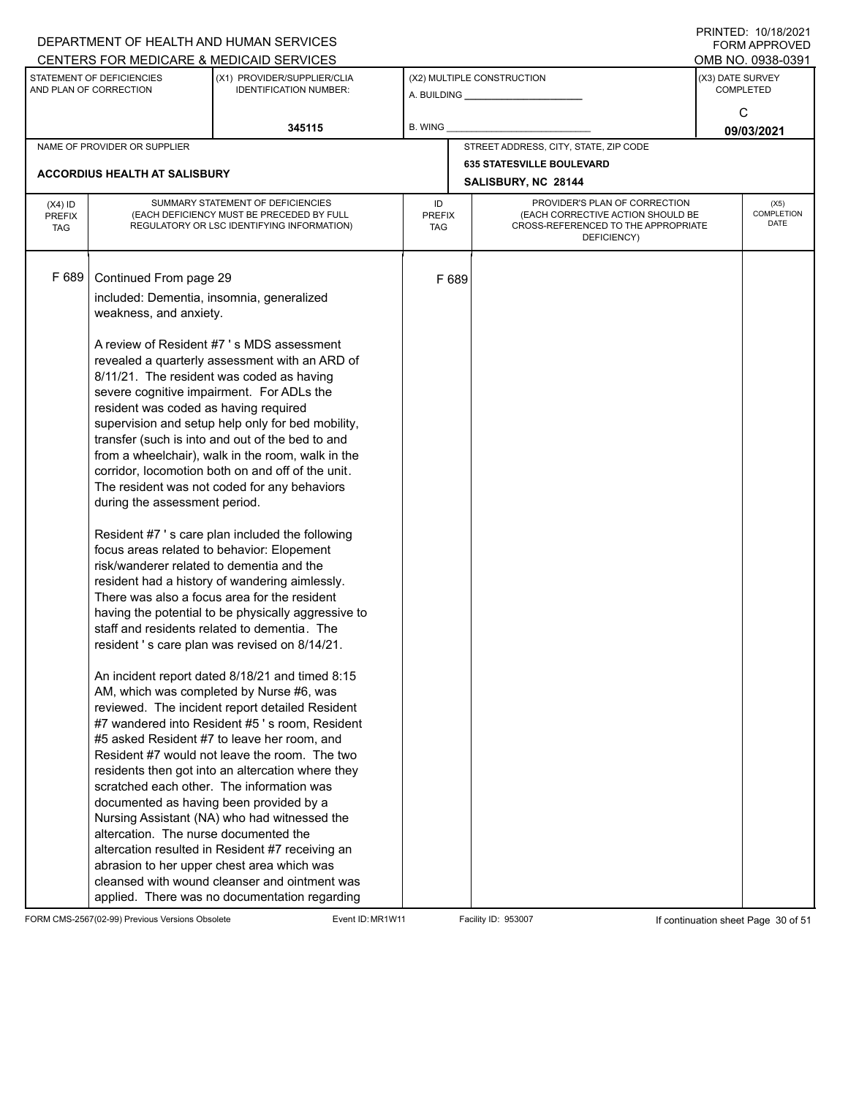|                                          |                                                                                                                                                                                                                                                                                                          | DEPARTMENT OF HEALTH AND HUMAN SERVICES                                                                                                                                                                                                                                                                                                                                                                                                                                                                                                                                                                                                                                                                                                                                                                                                                                                                                                                                                                                                                                                                                                                                                                                                                                  |                            |       |                                                                                                                          |  | <b>FORM APPROVED</b>                 |  |
|------------------------------------------|----------------------------------------------------------------------------------------------------------------------------------------------------------------------------------------------------------------------------------------------------------------------------------------------------------|--------------------------------------------------------------------------------------------------------------------------------------------------------------------------------------------------------------------------------------------------------------------------------------------------------------------------------------------------------------------------------------------------------------------------------------------------------------------------------------------------------------------------------------------------------------------------------------------------------------------------------------------------------------------------------------------------------------------------------------------------------------------------------------------------------------------------------------------------------------------------------------------------------------------------------------------------------------------------------------------------------------------------------------------------------------------------------------------------------------------------------------------------------------------------------------------------------------------------------------------------------------------------|----------------------------|-------|--------------------------------------------------------------------------------------------------------------------------|--|--------------------------------------|--|
|                                          |                                                                                                                                                                                                                                                                                                          | CENTERS FOR MEDICARE & MEDICAID SERVICES                                                                                                                                                                                                                                                                                                                                                                                                                                                                                                                                                                                                                                                                                                                                                                                                                                                                                                                                                                                                                                                                                                                                                                                                                                 |                            |       |                                                                                                                          |  | OMB NO. 0938-0391                    |  |
|                                          | STATEMENT OF DEFICIENCIES<br>AND PLAN OF CORRECTION                                                                                                                                                                                                                                                      | (X1) PROVIDER/SUPPLIER/CLIA<br>IDENTIFICATION NUMBER:                                                                                                                                                                                                                                                                                                                                                                                                                                                                                                                                                                                                                                                                                                                                                                                                                                                                                                                                                                                                                                                                                                                                                                                                                    |                            |       | (X2) MULTIPLE CONSTRUCTION                                                                                               |  | (X3) DATE SURVEY<br><b>COMPLETED</b> |  |
|                                          |                                                                                                                                                                                                                                                                                                          | 345115                                                                                                                                                                                                                                                                                                                                                                                                                                                                                                                                                                                                                                                                                                                                                                                                                                                                                                                                                                                                                                                                                                                                                                                                                                                                   | B. WING                    |       |                                                                                                                          |  | C<br>09/03/2021                      |  |
|                                          | NAME OF PROVIDER OR SUPPLIER                                                                                                                                                                                                                                                                             |                                                                                                                                                                                                                                                                                                                                                                                                                                                                                                                                                                                                                                                                                                                                                                                                                                                                                                                                                                                                                                                                                                                                                                                                                                                                          |                            |       | STREET ADDRESS, CITY, STATE, ZIP CODE                                                                                    |  |                                      |  |
|                                          |                                                                                                                                                                                                                                                                                                          |                                                                                                                                                                                                                                                                                                                                                                                                                                                                                                                                                                                                                                                                                                                                                                                                                                                                                                                                                                                                                                                                                                                                                                                                                                                                          |                            |       | <b>635 STATESVILLE BOULEVARD</b>                                                                                         |  |                                      |  |
|                                          | ACCORDIUS HEALTH AT SALISBURY                                                                                                                                                                                                                                                                            |                                                                                                                                                                                                                                                                                                                                                                                                                                                                                                                                                                                                                                                                                                                                                                                                                                                                                                                                                                                                                                                                                                                                                                                                                                                                          |                            |       | SALISBURY, NC 28144                                                                                                      |  |                                      |  |
| $(X4)$ ID<br><b>PREFIX</b><br><b>TAG</b> |                                                                                                                                                                                                                                                                                                          | SUMMARY STATEMENT OF DEFICIENCIES<br>(EACH DEFICIENCY MUST BE PRECEDED BY FULL<br>REGULATORY OR LSC IDENTIFYING INFORMATION)                                                                                                                                                                                                                                                                                                                                                                                                                                                                                                                                                                                                                                                                                                                                                                                                                                                                                                                                                                                                                                                                                                                                             | ID<br><b>PREFIX</b><br>TAG |       | PROVIDER'S PLAN OF CORRECTION<br>(EACH CORRECTIVE ACTION SHOULD BE<br>CROSS-REFERENCED TO THE APPROPRIATE<br>DEFICIENCY) |  | (X5)<br>COMPLETION<br>DATE           |  |
| F 689                                    | Continued From page 29<br>included: Dementia, insomnia, generalized<br>weakness, and anxiety.<br>resident was coded as having required<br>during the assessment period.<br>risk/wanderer related to dementia and the<br>documented as having been provided by a<br>altercation. The nurse documented the | A review of Resident #7 's MDS assessment<br>revealed a quarterly assessment with an ARD of<br>8/11/21. The resident was coded as having<br>severe cognitive impairment. For ADLs the<br>supervision and setup help only for bed mobility,<br>transfer (such is into and out of the bed to and<br>from a wheelchair), walk in the room, walk in the<br>corridor, locomotion both on and off of the unit.<br>The resident was not coded for any behaviors<br>Resident #7's care plan included the following<br>focus areas related to behavior: Elopement<br>resident had a history of wandering aimlessly.<br>There was also a focus area for the resident<br>having the potential to be physically aggressive to<br>staff and residents related to dementia. The<br>resident 's care plan was revised on 8/14/21.<br>An incident report dated 8/18/21 and timed 8:15<br>AM, which was completed by Nurse #6, was<br>reviewed. The incident report detailed Resident<br>#7 wandered into Resident #5 's room, Resident<br>#5 asked Resident #7 to leave her room, and<br>Resident #7 would not leave the room. The two<br>residents then got into an altercation where they<br>scratched each other. The information was<br>Nursing Assistant (NA) who had witnessed the |                            | F 689 |                                                                                                                          |  |                                      |  |
|                                          |                                                                                                                                                                                                                                                                                                          | altercation resulted in Resident #7 receiving an<br>abrasion to her upper chest area which was<br>cleansed with wound cleanser and ointment was<br>applied. There was no documentation regarding                                                                                                                                                                                                                                                                                                                                                                                                                                                                                                                                                                                                                                                                                                                                                                                                                                                                                                                                                                                                                                                                         |                            |       |                                                                                                                          |  |                                      |  |

FORM CMS-2567(02-99) Previous Versions Obsolete Event ID: MR1W11 Facility ID: 953007 If continuation sheet Page 30 of 51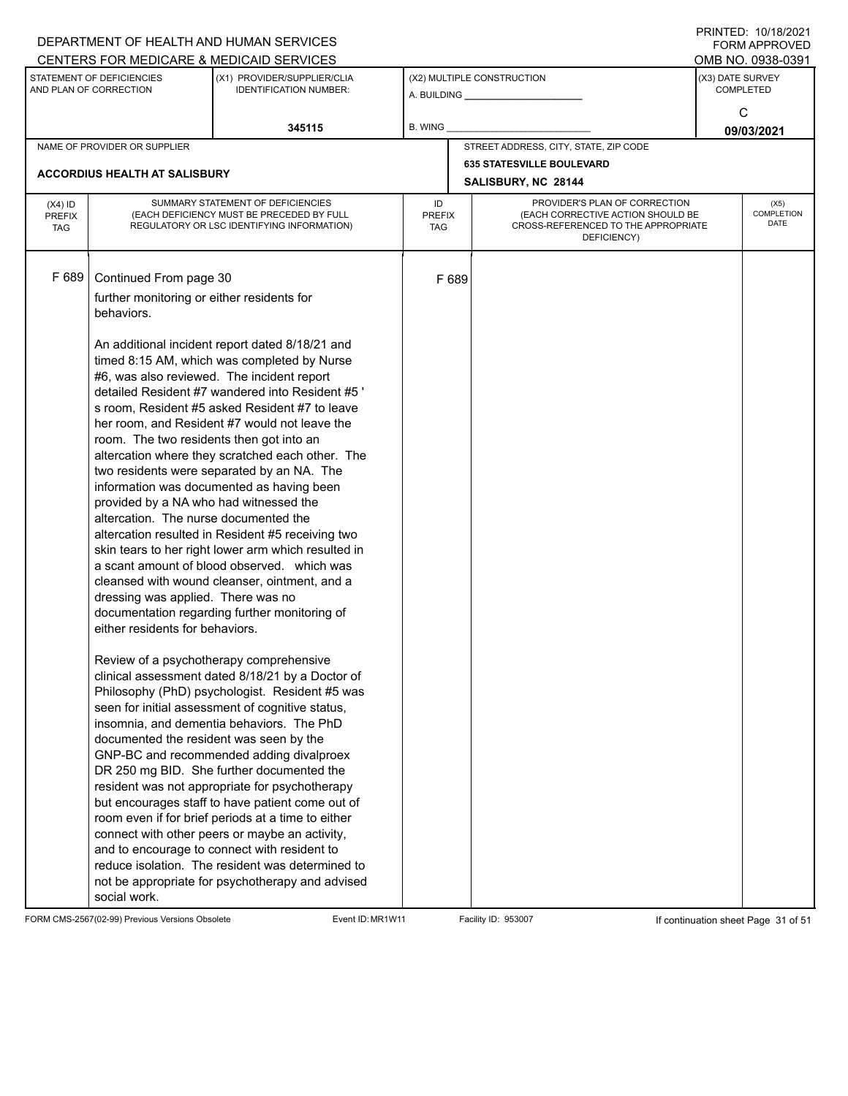|               |                                                     | DEPARTMENT OF HEALTH AND HUMAN SERVICES                                                                  |               |       |                                                         |                  | $1 \times 1 \times 1 = 1$ . $1 \times 1 \times 1 = 1$<br>FORM APPROVED |
|---------------|-----------------------------------------------------|----------------------------------------------------------------------------------------------------------|---------------|-------|---------------------------------------------------------|------------------|------------------------------------------------------------------------|
|               |                                                     | CENTERS FOR MEDICARE & MEDICAID SERVICES                                                                 |               |       |                                                         |                  | OMB NO. 0938-0391                                                      |
|               | STATEMENT OF DEFICIENCIES<br>AND PLAN OF CORRECTION | (X1) PROVIDER/SUPPLIER/CLIA<br><b>IDENTIFICATION NUMBER:</b>                                             |               |       | (X2) MULTIPLE CONSTRUCTION                              | (X3) DATE SURVEY | <b>COMPLETED</b>                                                       |
|               |                                                     |                                                                                                          |               |       |                                                         |                  |                                                                        |
|               |                                                     | 345115                                                                                                   | B. WING       |       |                                                         |                  | C                                                                      |
|               |                                                     |                                                                                                          |               |       |                                                         |                  | 09/03/2021                                                             |
|               | NAME OF PROVIDER OR SUPPLIER                        |                                                                                                          |               |       | STREET ADDRESS, CITY, STATE, ZIP CODE                   |                  |                                                                        |
|               | ACCORDIUS HEALTH AT SALISBURY                       |                                                                                                          |               |       | <b>635 STATESVILLE BOULEVARD</b><br>SALISBURY, NC 28144 |                  |                                                                        |
| $(X4)$ ID     |                                                     | SUMMARY STATEMENT OF DEFICIENCIES                                                                        | ID            |       | PROVIDER'S PLAN OF CORRECTION                           |                  | (X5)                                                                   |
| <b>PREFIX</b> |                                                     | (EACH DEFICIENCY MUST BE PRECEDED BY FULL                                                                | <b>PREFIX</b> |       | (EACH CORRECTIVE ACTION SHOULD BE                       |                  | COMPLETION<br>DATE                                                     |
| <b>TAG</b>    |                                                     | REGULATORY OR LSC IDENTIFYING INFORMATION)                                                               | TAG           |       | CROSS-REFERENCED TO THE APPROPRIATE<br>DEFICIENCY)      |                  |                                                                        |
|               |                                                     |                                                                                                          |               |       |                                                         |                  |                                                                        |
| F 689         |                                                     |                                                                                                          |               |       |                                                         |                  |                                                                        |
|               | Continued From page 30                              |                                                                                                          |               | F 689 |                                                         |                  |                                                                        |
|               | further monitoring or either residents for          |                                                                                                          |               |       |                                                         |                  |                                                                        |
|               | behaviors.                                          |                                                                                                          |               |       |                                                         |                  |                                                                        |
|               |                                                     | An additional incident report dated 8/18/21 and                                                          |               |       |                                                         |                  |                                                                        |
|               |                                                     | timed 8:15 AM, which was completed by Nurse                                                              |               |       |                                                         |                  |                                                                        |
|               |                                                     | #6, was also reviewed. The incident report                                                               |               |       |                                                         |                  |                                                                        |
|               |                                                     | detailed Resident #7 wandered into Resident #5 '                                                         |               |       |                                                         |                  |                                                                        |
|               |                                                     | s room, Resident #5 asked Resident #7 to leave                                                           |               |       |                                                         |                  |                                                                        |
|               |                                                     | her room, and Resident #7 would not leave the                                                            |               |       |                                                         |                  |                                                                        |
|               | room. The two residents then got into an            |                                                                                                          |               |       |                                                         |                  |                                                                        |
|               |                                                     | altercation where they scratched each other. The                                                         |               |       |                                                         |                  |                                                                        |
|               |                                                     | two residents were separated by an NA. The                                                               |               |       |                                                         |                  |                                                                        |
|               |                                                     | information was documented as having been                                                                |               |       |                                                         |                  |                                                                        |
|               | provided by a NA who had witnessed the              |                                                                                                          |               |       |                                                         |                  |                                                                        |
|               | altercation. The nurse documented the               |                                                                                                          |               |       |                                                         |                  |                                                                        |
|               |                                                     | altercation resulted in Resident #5 receiving two<br>skin tears to her right lower arm which resulted in |               |       |                                                         |                  |                                                                        |
|               |                                                     | a scant amount of blood observed. which was                                                              |               |       |                                                         |                  |                                                                        |
|               |                                                     | cleansed with wound cleanser, ointment, and a                                                            |               |       |                                                         |                  |                                                                        |
|               | dressing was applied. There was no                  |                                                                                                          |               |       |                                                         |                  |                                                                        |
|               |                                                     | documentation regarding further monitoring of                                                            |               |       |                                                         |                  |                                                                        |
|               | either residents for behaviors.                     |                                                                                                          |               |       |                                                         |                  |                                                                        |
|               |                                                     |                                                                                                          |               |       |                                                         |                  |                                                                        |
|               |                                                     | Review of a psychotherapy comprehensive                                                                  |               |       |                                                         |                  |                                                                        |
|               |                                                     | clinical assessment dated 8/18/21 by a Doctor of                                                         |               |       |                                                         |                  |                                                                        |
|               |                                                     | Philosophy (PhD) psychologist. Resident #5 was                                                           |               |       |                                                         |                  |                                                                        |
|               |                                                     | seen for initial assessment of cognitive status,                                                         |               |       |                                                         |                  |                                                                        |
|               |                                                     | insomnia, and dementia behaviors. The PhD                                                                |               |       |                                                         |                  |                                                                        |
|               | documented the resident was seen by the             | GNP-BC and recommended adding divalproex                                                                 |               |       |                                                         |                  |                                                                        |
|               |                                                     | DR 250 mg BID. She further documented the                                                                |               |       |                                                         |                  |                                                                        |
|               |                                                     | resident was not appropriate for psychotherapy                                                           |               |       |                                                         |                  |                                                                        |
|               |                                                     | but encourages staff to have patient come out of                                                         |               |       |                                                         |                  |                                                                        |
|               |                                                     | room even if for brief periods at a time to either                                                       |               |       |                                                         |                  |                                                                        |
|               |                                                     | connect with other peers or maybe an activity,                                                           |               |       |                                                         |                  |                                                                        |
|               |                                                     | and to encourage to connect with resident to                                                             |               |       |                                                         |                  |                                                                        |
|               |                                                     | reduce isolation. The resident was determined to                                                         |               |       |                                                         |                  |                                                                        |
|               |                                                     | not be appropriate for psychotherapy and advised                                                         |               |       |                                                         |                  |                                                                        |
|               | social work.                                        |                                                                                                          |               |       |                                                         |                  |                                                                        |

FORM CMS-2567(02-99) Previous Versions Obsolete Event ID: MR1W11 Facility ID: 953007 If continuation sheet Page 31 of 51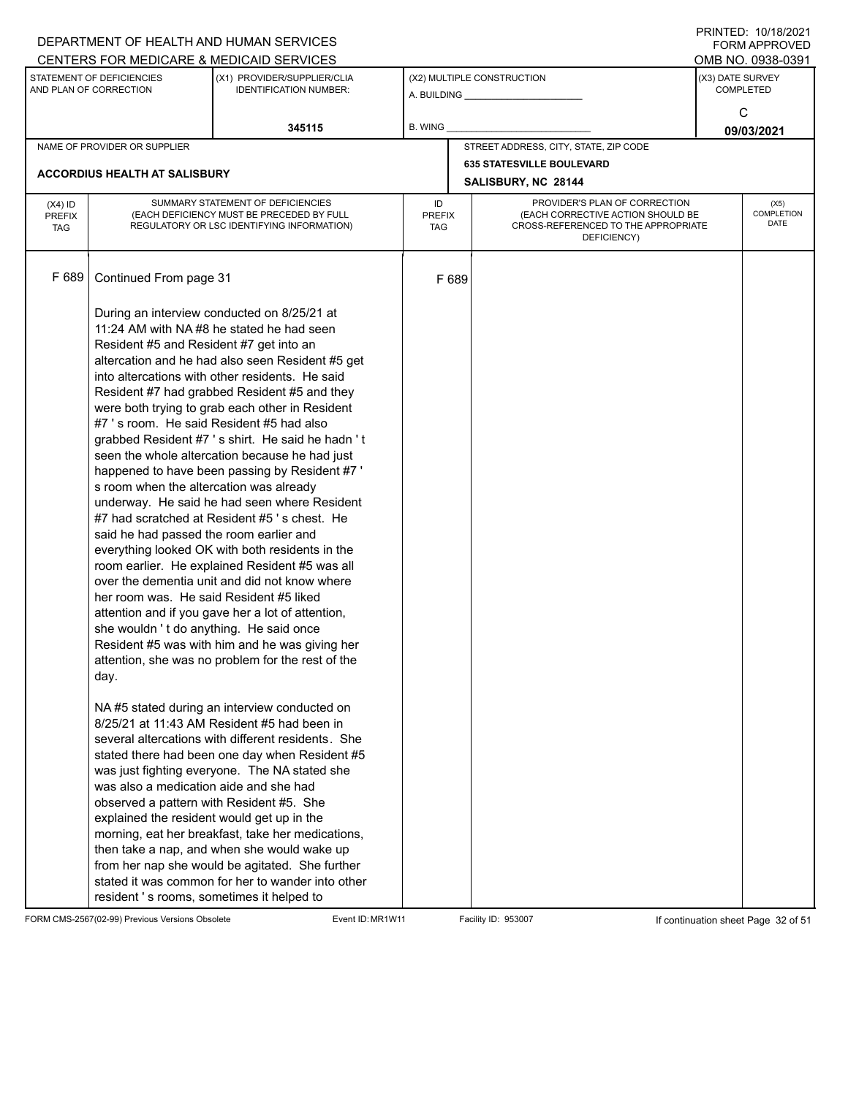|                                          |                                                                                                                                                                                                                                                                        | DEPARTMENT OF HEALTH AND HUMAN SERVICES                                                                                                                                                                                                                                                                                                                                                                                                                                                                                                                                                                                                                                                                                                                                                                                                                                  |                                                            |       |                                                                                         |  | 11111111122.10111012021<br>FORM APPROVED |
|------------------------------------------|------------------------------------------------------------------------------------------------------------------------------------------------------------------------------------------------------------------------------------------------------------------------|--------------------------------------------------------------------------------------------------------------------------------------------------------------------------------------------------------------------------------------------------------------------------------------------------------------------------------------------------------------------------------------------------------------------------------------------------------------------------------------------------------------------------------------------------------------------------------------------------------------------------------------------------------------------------------------------------------------------------------------------------------------------------------------------------------------------------------------------------------------------------|------------------------------------------------------------|-------|-----------------------------------------------------------------------------------------|--|------------------------------------------|
|                                          |                                                                                                                                                                                                                                                                        | CENTERS FOR MEDICARE & MEDICAID SERVICES                                                                                                                                                                                                                                                                                                                                                                                                                                                                                                                                                                                                                                                                                                                                                                                                                                 |                                                            |       |                                                                                         |  | OMB NO. 0938-0391                        |
|                                          | STATEMENT OF DEFICIENCIES<br>AND PLAN OF CORRECTION                                                                                                                                                                                                                    | (X1) PROVIDER/SUPPLIER/CLIA<br><b>IDENTIFICATION NUMBER:</b>                                                                                                                                                                                                                                                                                                                                                                                                                                                                                                                                                                                                                                                                                                                                                                                                             |                                                            |       | (X2) MULTIPLE CONSTRUCTION                                                              |  | (X3) DATE SURVEY<br><b>COMPLETED</b>     |
|                                          |                                                                                                                                                                                                                                                                        | 345115                                                                                                                                                                                                                                                                                                                                                                                                                                                                                                                                                                                                                                                                                                                                                                                                                                                                   | B. WING                                                    |       |                                                                                         |  | C<br>09/03/2021                          |
|                                          | NAME OF PROVIDER OR SUPPLIER                                                                                                                                                                                                                                           |                                                                                                                                                                                                                                                                                                                                                                                                                                                                                                                                                                                                                                                                                                                                                                                                                                                                          |                                                            |       | STREET ADDRESS, CITY, STATE, ZIP CODE                                                   |  |                                          |
|                                          |                                                                                                                                                                                                                                                                        |                                                                                                                                                                                                                                                                                                                                                                                                                                                                                                                                                                                                                                                                                                                                                                                                                                                                          |                                                            |       | <b>635 STATESVILLE BOULEVARD</b>                                                        |  |                                          |
|                                          | <b>ACCORDIUS HEALTH AT SALISBURY</b>                                                                                                                                                                                                                                   |                                                                                                                                                                                                                                                                                                                                                                                                                                                                                                                                                                                                                                                                                                                                                                                                                                                                          | SALISBURY, NC 28144<br>PROVIDER'S PLAN OF CORRECTION<br>ID |       |                                                                                         |  |                                          |
| $(X4)$ ID<br><b>PREFIX</b><br><b>TAG</b> |                                                                                                                                                                                                                                                                        | SUMMARY STATEMENT OF DEFICIENCIES<br>(EACH DEFICIENCY MUST BE PRECEDED BY FULL<br>REGULATORY OR LSC IDENTIFYING INFORMATION)                                                                                                                                                                                                                                                                                                                                                                                                                                                                                                                                                                                                                                                                                                                                             | <b>PREFIX</b><br>TAG                                       |       | (EACH CORRECTIVE ACTION SHOULD BE<br>CROSS-REFERENCED TO THE APPROPRIATE<br>DEFICIENCY) |  | (X5)<br>COMPLETION<br>DATE               |
| F 689                                    | Continued From page 31                                                                                                                                                                                                                                                 |                                                                                                                                                                                                                                                                                                                                                                                                                                                                                                                                                                                                                                                                                                                                                                                                                                                                          |                                                            | F 689 |                                                                                         |  |                                          |
|                                          | Resident #5 and Resident #7 get into an<br>#7 's room. He said Resident #5 had also<br>s room when the altercation was already<br>said he had passed the room earlier and<br>her room was. He said Resident #5 liked<br>she wouldn't do anything. He said once<br>day. | During an interview conducted on 8/25/21 at<br>11:24 AM with NA#8 he stated he had seen<br>altercation and he had also seen Resident #5 get<br>into altercations with other residents. He said<br>Resident #7 had grabbed Resident #5 and they<br>were both trying to grab each other in Resident<br>grabbed Resident #7's shirt. He said he hadn't<br>seen the whole altercation because he had just<br>happened to have been passing by Resident #7 '<br>underway. He said he had seen where Resident<br>#7 had scratched at Resident #5's chest. He<br>everything looked OK with both residents in the<br>room earlier. He explained Resident #5 was all<br>over the dementia unit and did not know where<br>attention and if you gave her a lot of attention,<br>Resident #5 was with him and he was giving her<br>attention, she was no problem for the rest of the |                                                            |       |                                                                                         |  |                                          |
|                                          | was also a medication aide and she had<br>observed a pattern with Resident #5. She<br>explained the resident would get up in the<br>resident's rooms, sometimes it helped to                                                                                           | NA#5 stated during an interview conducted on<br>8/25/21 at 11:43 AM Resident #5 had been in<br>several altercations with different residents. She<br>stated there had been one day when Resident #5<br>was just fighting everyone. The NA stated she<br>morning, eat her breakfast, take her medications,<br>then take a nap, and when she would wake up<br>from her nap she would be agitated. She further<br>stated it was common for her to wander into other                                                                                                                                                                                                                                                                                                                                                                                                         |                                                            |       |                                                                                         |  |                                          |

FORM CMS-2567(02-99) Previous Versions Obsolete Event ID: MR1W11 Facility ID: 953007 If continuation sheet Page 32 of 51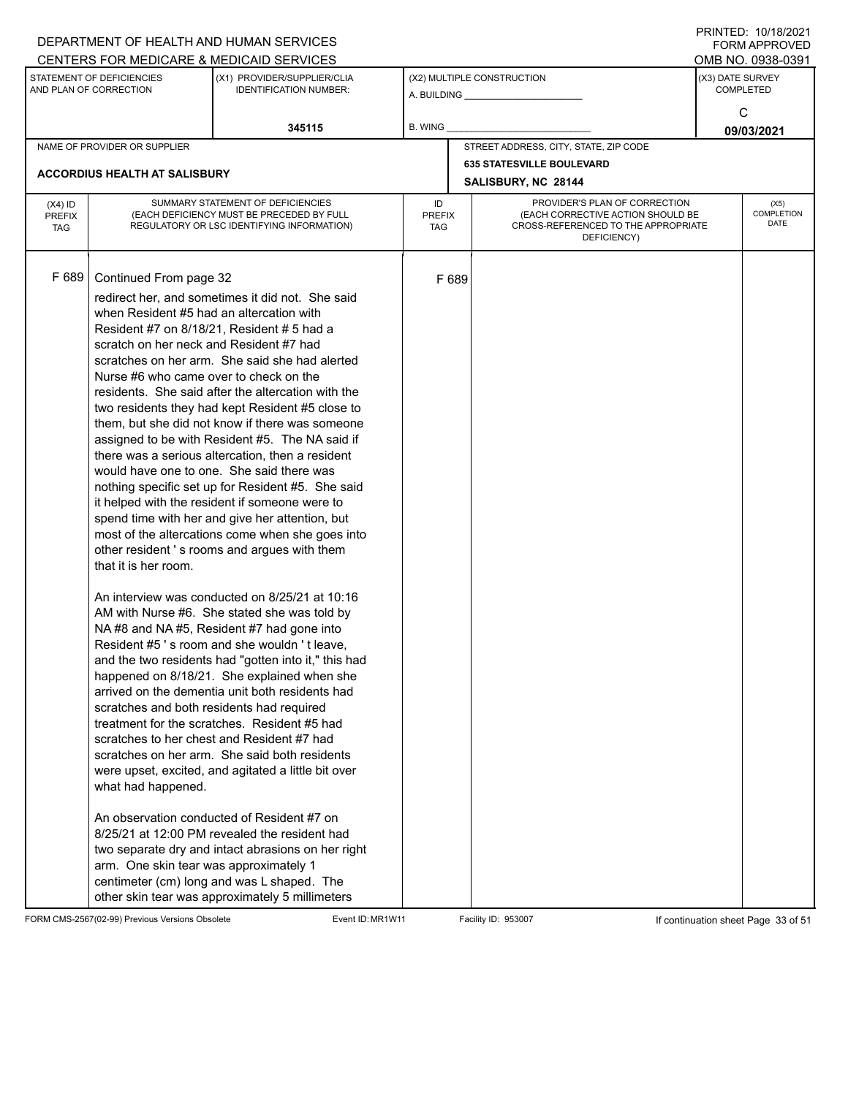|                                          |                                                                                                                                                                                                                                                                                              | DEPARTMENT OF HEALTH AND HUMAN SERVICES<br>CENTERS FOR MEDICARE & MEDICAID SERVICES                                                                                                                                                                                                                                                                                                                                                                                                                                                                                                                                                                                                                                                                                                                                                                                                                                                                                                                                                                                                                                                                                                                                                                                                                                                                                                                                                                                                                                                              |                                   |       |                                                                                                                          | FININILU. IVIIVIZUZI<br><b>FORM APPROVED</b><br>OMB NO. 0938-0391 |
|------------------------------------------|----------------------------------------------------------------------------------------------------------------------------------------------------------------------------------------------------------------------------------------------------------------------------------------------|--------------------------------------------------------------------------------------------------------------------------------------------------------------------------------------------------------------------------------------------------------------------------------------------------------------------------------------------------------------------------------------------------------------------------------------------------------------------------------------------------------------------------------------------------------------------------------------------------------------------------------------------------------------------------------------------------------------------------------------------------------------------------------------------------------------------------------------------------------------------------------------------------------------------------------------------------------------------------------------------------------------------------------------------------------------------------------------------------------------------------------------------------------------------------------------------------------------------------------------------------------------------------------------------------------------------------------------------------------------------------------------------------------------------------------------------------------------------------------------------------------------------------------------------------|-----------------------------------|-------|--------------------------------------------------------------------------------------------------------------------------|-------------------------------------------------------------------|
|                                          | STATEMENT OF DEFICIENCIES<br>AND PLAN OF CORRECTION                                                                                                                                                                                                                                          | (X1) PROVIDER/SUPPLIER/CLIA<br><b>IDENTIFICATION NUMBER:</b>                                                                                                                                                                                                                                                                                                                                                                                                                                                                                                                                                                                                                                                                                                                                                                                                                                                                                                                                                                                                                                                                                                                                                                                                                                                                                                                                                                                                                                                                                     |                                   |       | (X2) MULTIPLE CONSTRUCTION                                                                                               | (X3) DATE SURVEY<br><b>COMPLETED</b>                              |
|                                          |                                                                                                                                                                                                                                                                                              | 345115                                                                                                                                                                                                                                                                                                                                                                                                                                                                                                                                                                                                                                                                                                                                                                                                                                                                                                                                                                                                                                                                                                                                                                                                                                                                                                                                                                                                                                                                                                                                           | <b>B. WING</b>                    |       |                                                                                                                          | C<br>09/03/2021                                                   |
|                                          | NAME OF PROVIDER OR SUPPLIER                                                                                                                                                                                                                                                                 |                                                                                                                                                                                                                                                                                                                                                                                                                                                                                                                                                                                                                                                                                                                                                                                                                                                                                                                                                                                                                                                                                                                                                                                                                                                                                                                                                                                                                                                                                                                                                  |                                   |       | STREET ADDRESS, CITY, STATE, ZIP CODE                                                                                    |                                                                   |
|                                          | <b>ACCORDIUS HEALTH AT SALISBURY</b>                                                                                                                                                                                                                                                         |                                                                                                                                                                                                                                                                                                                                                                                                                                                                                                                                                                                                                                                                                                                                                                                                                                                                                                                                                                                                                                                                                                                                                                                                                                                                                                                                                                                                                                                                                                                                                  |                                   |       | <b>635 STATESVILLE BOULEVARD</b><br>SALISBURY, NC 28144                                                                  |                                                                   |
| $(X4)$ ID<br><b>PREFIX</b><br><b>TAG</b> |                                                                                                                                                                                                                                                                                              | SUMMARY STATEMENT OF DEFICIENCIES<br>(EACH DEFICIENCY MUST BE PRECEDED BY FULL<br>REGULATORY OR LSC IDENTIFYING INFORMATION)                                                                                                                                                                                                                                                                                                                                                                                                                                                                                                                                                                                                                                                                                                                                                                                                                                                                                                                                                                                                                                                                                                                                                                                                                                                                                                                                                                                                                     | ID<br><b>PREFIX</b><br><b>TAG</b> |       | PROVIDER'S PLAN OF CORRECTION<br>(EACH CORRECTIVE ACTION SHOULD BE<br>CROSS-REFERENCED TO THE APPROPRIATE<br>DEFICIENCY) | (X5)<br>COMPLETION<br><b>DATE</b>                                 |
| F 689                                    | Continued From page 32<br>when Resident #5 had an altercation with<br>scratch on her neck and Resident #7 had<br>Nurse #6 who came over to check on the<br>that it is her room.<br>scratches and both residents had required<br>what had happened.<br>arm. One skin tear was approximately 1 | redirect her, and sometimes it did not. She said<br>Resident #7 on 8/18/21, Resident # 5 had a<br>scratches on her arm. She said she had alerted<br>residents. She said after the altercation with the<br>two residents they had kept Resident #5 close to<br>them, but she did not know if there was someone<br>assigned to be with Resident #5. The NA said if<br>there was a serious altercation, then a resident<br>would have one to one. She said there was<br>nothing specific set up for Resident #5. She said<br>it helped with the resident if someone were to<br>spend time with her and give her attention, but<br>most of the altercations come when she goes into<br>other resident's rooms and argues with them<br>An interview was conducted on 8/25/21 at 10:16<br>AM with Nurse #6. She stated she was told by<br>NA#8 and NA#5, Resident #7 had gone into<br>Resident #5's room and she wouldn't leave,<br>and the two residents had "gotten into it," this had<br>happened on 8/18/21. She explained when she<br>arrived on the dementia unit both residents had<br>treatment for the scratches. Resident #5 had<br>scratches to her chest and Resident #7 had<br>scratches on her arm. She said both residents<br>were upset, excited, and agitated a little bit over<br>An observation conducted of Resident #7 on<br>8/25/21 at 12:00 PM revealed the resident had<br>two separate dry and intact abrasions on her right<br>centimeter (cm) long and was L shaped. The<br>other skin tear was approximately 5 millimeters |                                   | F 689 |                                                                                                                          |                                                                   |

FORM CMS-2567(02-99) Previous Versions Obsolete Event ID: MR1W11 Facility ID: 953007 If continuation sheet Page 33 of 51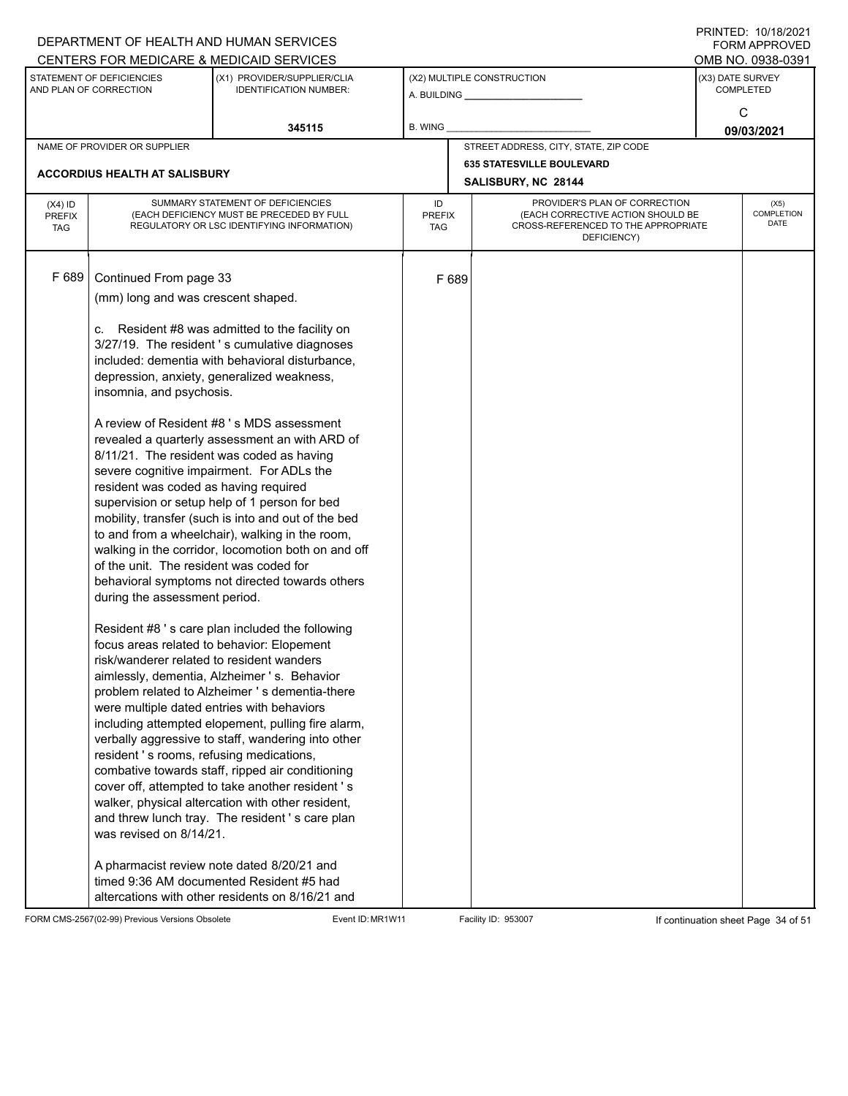|               |                                                     | DEPARTMENT OF HEALTH AND HUMAN SERVICES                                                                  |                      |       |                                                                          | $1 \times 1 \times 1 = 1$ . $1 \times 1 \times 1 = 1$<br>FORM APPROVED |
|---------------|-----------------------------------------------------|----------------------------------------------------------------------------------------------------------|----------------------|-------|--------------------------------------------------------------------------|------------------------------------------------------------------------|
|               |                                                     | CENTERS FOR MEDICARE & MEDICAID SERVICES                                                                 |                      |       |                                                                          | OMB NO. 0938-0391                                                      |
|               | STATEMENT OF DEFICIENCIES<br>AND PLAN OF CORRECTION | (X1) PROVIDER/SUPPLIER/CLIA<br><b>IDENTIFICATION NUMBER:</b>                                             |                      |       | (X2) MULTIPLE CONSTRUCTION                                               | (X3) DATE SURVEY<br><b>COMPLETED</b>                                   |
|               |                                                     |                                                                                                          |                      |       |                                                                          | C                                                                      |
|               |                                                     | 345115                                                                                                   | B. WING              |       |                                                                          | 09/03/2021                                                             |
|               | NAME OF PROVIDER OR SUPPLIER                        |                                                                                                          |                      |       | STREET ADDRESS, CITY, STATE, ZIP CODE                                    |                                                                        |
|               |                                                     |                                                                                                          |                      |       | <b>635 STATESVILLE BOULEVARD</b>                                         |                                                                        |
|               | <b>ACCORDIUS HEALTH AT SALISBURY</b>                |                                                                                                          |                      |       | SALISBURY, NC 28144                                                      |                                                                        |
| $(X4)$ ID     |                                                     | SUMMARY STATEMENT OF DEFICIENCIES                                                                        | ID                   |       | PROVIDER'S PLAN OF CORRECTION                                            | (X5)                                                                   |
| <b>PREFIX</b> |                                                     | (EACH DEFICIENCY MUST BE PRECEDED BY FULL<br>REGULATORY OR LSC IDENTIFYING INFORMATION)                  | <b>PREFIX</b><br>TAG |       | (EACH CORRECTIVE ACTION SHOULD BE<br>CROSS-REFERENCED TO THE APPROPRIATE | COMPLETION<br>DATE                                                     |
| <b>TAG</b>    |                                                     |                                                                                                          |                      |       | DEFICIENCY)                                                              |                                                                        |
|               |                                                     |                                                                                                          |                      |       |                                                                          |                                                                        |
| F 689         | Continued From page 33                              |                                                                                                          |                      | F 689 |                                                                          |                                                                        |
|               | (mm) long and was crescent shaped.                  |                                                                                                          |                      |       |                                                                          |                                                                        |
|               |                                                     |                                                                                                          |                      |       |                                                                          |                                                                        |
|               |                                                     | c. Resident #8 was admitted to the facility on                                                           |                      |       |                                                                          |                                                                        |
|               |                                                     | 3/27/19. The resident 's cumulative diagnoses                                                            |                      |       |                                                                          |                                                                        |
|               |                                                     | included: dementia with behavioral disturbance,                                                          |                      |       |                                                                          |                                                                        |
|               | insomnia, and psychosis.                            | depression, anxiety, generalized weakness,                                                               |                      |       |                                                                          |                                                                        |
|               |                                                     |                                                                                                          |                      |       |                                                                          |                                                                        |
|               |                                                     | A review of Resident #8 's MDS assessment                                                                |                      |       |                                                                          |                                                                        |
|               |                                                     | revealed a quarterly assessment an with ARD of                                                           |                      |       |                                                                          |                                                                        |
|               |                                                     | 8/11/21. The resident was coded as having                                                                |                      |       |                                                                          |                                                                        |
|               |                                                     | severe cognitive impairment. For ADLs the                                                                |                      |       |                                                                          |                                                                        |
|               | resident was coded as having required               | supervision or setup help of 1 person for bed                                                            |                      |       |                                                                          |                                                                        |
|               |                                                     | mobility, transfer (such is into and out of the bed                                                      |                      |       |                                                                          |                                                                        |
|               |                                                     | to and from a wheelchair), walking in the room,                                                          |                      |       |                                                                          |                                                                        |
|               |                                                     | walking in the corridor, locomotion both on and off                                                      |                      |       |                                                                          |                                                                        |
|               | of the unit. The resident was coded for             |                                                                                                          |                      |       |                                                                          |                                                                        |
|               |                                                     | behavioral symptoms not directed towards others                                                          |                      |       |                                                                          |                                                                        |
|               | during the assessment period.                       |                                                                                                          |                      |       |                                                                          |                                                                        |
|               |                                                     | Resident #8 's care plan included the following                                                          |                      |       |                                                                          |                                                                        |
|               |                                                     | focus areas related to behavior: Elopement                                                               |                      |       |                                                                          |                                                                        |
|               | risk/wanderer related to resident wanders           |                                                                                                          |                      |       |                                                                          |                                                                        |
|               |                                                     | aimlessly, dementia, Alzheimer 's. Behavior                                                              |                      |       |                                                                          |                                                                        |
|               |                                                     | problem related to Alzheimer 's dementia-there                                                           |                      |       |                                                                          |                                                                        |
|               | were multiple dated entries with behaviors          |                                                                                                          |                      |       |                                                                          |                                                                        |
|               |                                                     | including attempted elopement, pulling fire alarm,<br>verbally aggressive to staff, wandering into other |                      |       |                                                                          |                                                                        |
|               | resident 's rooms, refusing medications,            |                                                                                                          |                      |       |                                                                          |                                                                        |
|               |                                                     | combative towards staff, ripped air conditioning                                                         |                      |       |                                                                          |                                                                        |
|               |                                                     | cover off, attempted to take another resident 's                                                         |                      |       |                                                                          |                                                                        |
|               |                                                     | walker, physical altercation with other resident,                                                        |                      |       |                                                                          |                                                                        |
|               |                                                     | and threw lunch tray. The resident's care plan                                                           |                      |       |                                                                          |                                                                        |
|               | was revised on 8/14/21.                             |                                                                                                          |                      |       |                                                                          |                                                                        |
|               |                                                     | A pharmacist review note dated 8/20/21 and                                                               |                      |       |                                                                          |                                                                        |
|               |                                                     | timed 9:36 AM documented Resident #5 had                                                                 |                      |       |                                                                          |                                                                        |
|               |                                                     | altercations with other residents on 8/16/21 and                                                         |                      |       |                                                                          |                                                                        |

FORM CMS-2567(02-99) Previous Versions Obsolete Event ID: MR1W11 Facility ID: 953007 If continuation sheet Page 34 of 51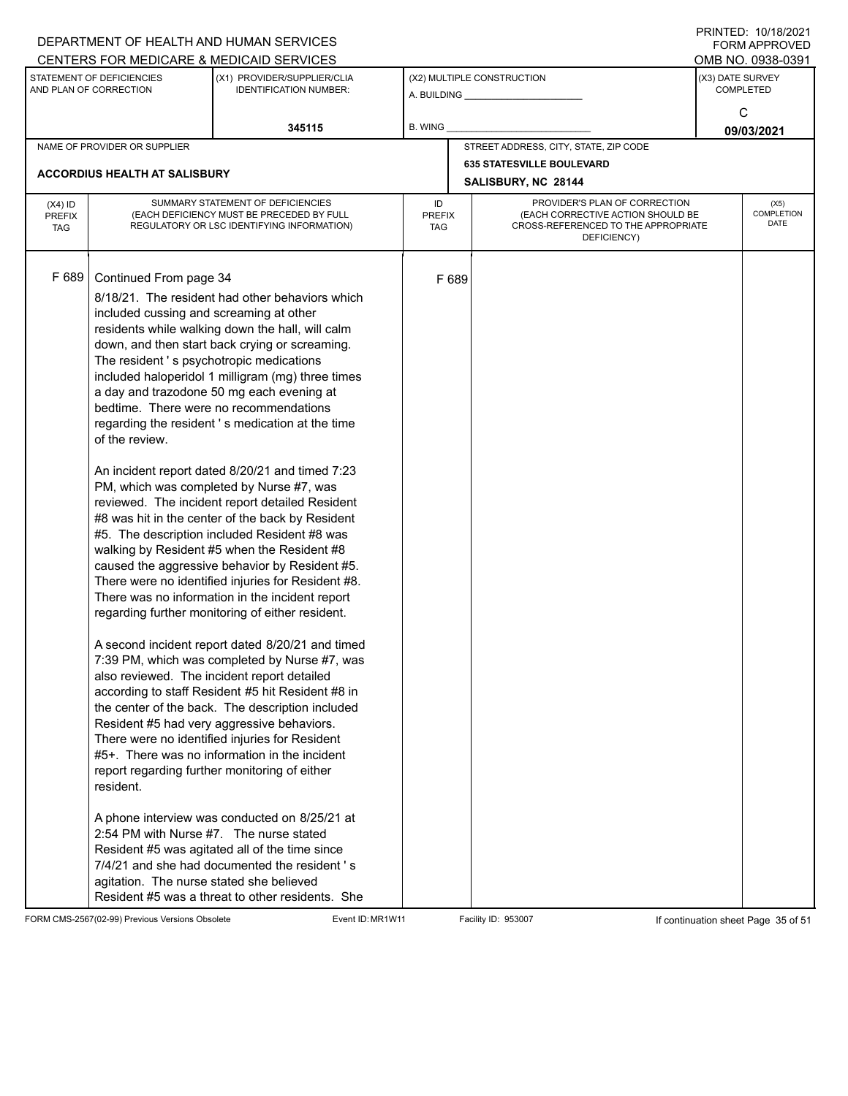|                                          |                                                                                                                                                                                                                                                                                                                             | DEPARTMENT OF HEALTH AND HUMAN SERVICES<br>CENTERS FOR MEDICARE & MEDICAID SERVICES                                                                                                                                                                                                                                                                                                                                                                                                                                                                                                                                                                                                                                                                                                                                                                                                                                                                                                                                                                                                                                                                                                                                                                                                                                                                                                                                                                   |                                   |       |                                                                                                                          |                  | FININTLU. TU/TO/ZUZT<br><b>FORM APPROVED</b><br>OMB NO. 0938-0391 |
|------------------------------------------|-----------------------------------------------------------------------------------------------------------------------------------------------------------------------------------------------------------------------------------------------------------------------------------------------------------------------------|-------------------------------------------------------------------------------------------------------------------------------------------------------------------------------------------------------------------------------------------------------------------------------------------------------------------------------------------------------------------------------------------------------------------------------------------------------------------------------------------------------------------------------------------------------------------------------------------------------------------------------------------------------------------------------------------------------------------------------------------------------------------------------------------------------------------------------------------------------------------------------------------------------------------------------------------------------------------------------------------------------------------------------------------------------------------------------------------------------------------------------------------------------------------------------------------------------------------------------------------------------------------------------------------------------------------------------------------------------------------------------------------------------------------------------------------------------|-----------------------------------|-------|--------------------------------------------------------------------------------------------------------------------------|------------------|-------------------------------------------------------------------|
|                                          | STATEMENT OF DEFICIENCIES<br>AND PLAN OF CORRECTION                                                                                                                                                                                                                                                                         | (X1) PROVIDER/SUPPLIER/CLIA<br><b>IDENTIFICATION NUMBER:</b>                                                                                                                                                                                                                                                                                                                                                                                                                                                                                                                                                                                                                                                                                                                                                                                                                                                                                                                                                                                                                                                                                                                                                                                                                                                                                                                                                                                          |                                   |       | (X2) MULTIPLE CONSTRUCTION                                                                                               | (X3) DATE SURVEY | <b>COMPLETED</b>                                                  |
|                                          |                                                                                                                                                                                                                                                                                                                             | 345115                                                                                                                                                                                                                                                                                                                                                                                                                                                                                                                                                                                                                                                                                                                                                                                                                                                                                                                                                                                                                                                                                                                                                                                                                                                                                                                                                                                                                                                | B. WING                           |       |                                                                                                                          |                  | C<br>09/03/2021                                                   |
|                                          | NAME OF PROVIDER OR SUPPLIER                                                                                                                                                                                                                                                                                                |                                                                                                                                                                                                                                                                                                                                                                                                                                                                                                                                                                                                                                                                                                                                                                                                                                                                                                                                                                                                                                                                                                                                                                                                                                                                                                                                                                                                                                                       |                                   |       | STREET ADDRESS, CITY, STATE, ZIP CODE                                                                                    |                  |                                                                   |
|                                          | <b>ACCORDIUS HEALTH AT SALISBURY</b>                                                                                                                                                                                                                                                                                        |                                                                                                                                                                                                                                                                                                                                                                                                                                                                                                                                                                                                                                                                                                                                                                                                                                                                                                                                                                                                                                                                                                                                                                                                                                                                                                                                                                                                                                                       |                                   |       | <b>635 STATESVILLE BOULEVARD</b><br>SALISBURY, NC 28144                                                                  |                  |                                                                   |
| $(X4)$ ID<br><b>PREFIX</b><br><b>TAG</b> |                                                                                                                                                                                                                                                                                                                             | SUMMARY STATEMENT OF DEFICIENCIES<br>(EACH DEFICIENCY MUST BE PRECEDED BY FULL<br>REGULATORY OR LSC IDENTIFYING INFORMATION)                                                                                                                                                                                                                                                                                                                                                                                                                                                                                                                                                                                                                                                                                                                                                                                                                                                                                                                                                                                                                                                                                                                                                                                                                                                                                                                          | ID<br><b>PREFIX</b><br><b>TAG</b> |       | PROVIDER'S PLAN OF CORRECTION<br>(EACH CORRECTIVE ACTION SHOULD BE<br>CROSS-REFERENCED TO THE APPROPRIATE<br>DEFICIENCY) |                  | (X5)<br>COMPLETION<br><b>DATE</b>                                 |
| F 689                                    | Continued From page 34<br>included cussing and screaming at other<br>The resident's psychotropic medications<br>bedtime. There were no recommendations<br>of the review.<br>also reviewed. The incident report detailed<br>resident.<br>2:54 PM with Nurse #7. The nurse stated<br>agitation. The nurse stated she believed | 8/18/21. The resident had other behaviors which<br>residents while walking down the hall, will calm<br>down, and then start back crying or screaming.<br>included haloperidol 1 milligram (mg) three times<br>a day and trazodone 50 mg each evening at<br>regarding the resident's medication at the time<br>An incident report dated 8/20/21 and timed 7:23<br>PM, which was completed by Nurse #7, was<br>reviewed. The incident report detailed Resident<br>#8 was hit in the center of the back by Resident<br>#5. The description included Resident #8 was<br>walking by Resident #5 when the Resident #8<br>caused the aggressive behavior by Resident #5.<br>There were no identified injuries for Resident #8.<br>There was no information in the incident report<br>regarding further monitoring of either resident.<br>A second incident report dated 8/20/21 and timed<br>7:39 PM, which was completed by Nurse #7, was<br>according to staff Resident #5 hit Resident #8 in<br>the center of the back. The description included<br>Resident #5 had very aggressive behaviors.<br>There were no identified injuries for Resident<br>#5+. There was no information in the incident<br>report regarding further monitoring of either<br>A phone interview was conducted on 8/25/21 at<br>Resident #5 was agitated all of the time since<br>7/4/21 and she had documented the resident's<br>Resident #5 was a threat to other residents. She |                                   | F 689 |                                                                                                                          |                  |                                                                   |

FORM CMS-2567(02-99) Previous Versions Obsolete Event ID: MR1W11 Facility ID: 953007 If continuation sheet Page 35 of 51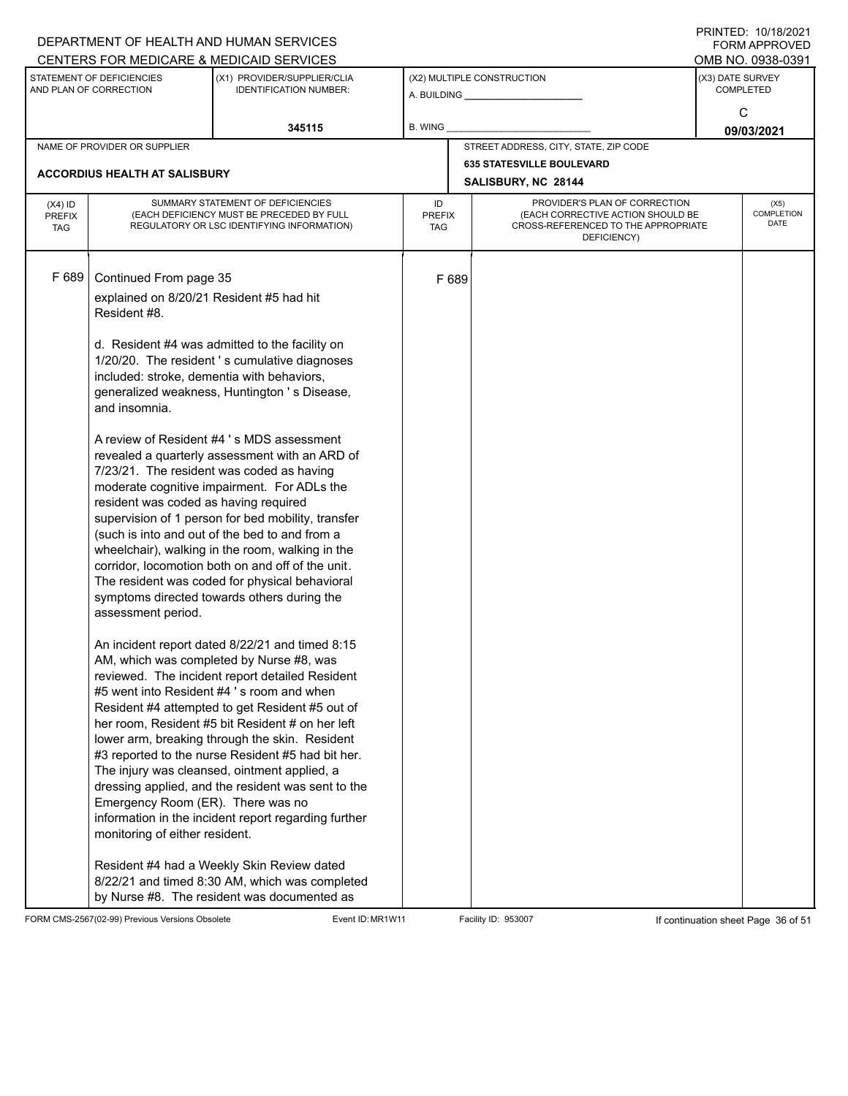|                                          |                                                                                                                                                                                                                                                                                         | DEPARTMENT OF HEALTH AND HUMAN SERVICES<br>CENTERS FOR MEDICARE & MEDICAID SERVICES                                                                                                                                                                                                                                                                                                                                                                                                                                                                                                                                                                                                                                                                                                                                                                                                                                                                                                                                                                                                                                                                                                                                                                                                                                                                                                    |                                   |       |                                                                                                                          | FININILD. IVIIVIZVZI<br>FORM APPROVED<br>OMB NO. 0938-0391 |
|------------------------------------------|-----------------------------------------------------------------------------------------------------------------------------------------------------------------------------------------------------------------------------------------------------------------------------------------|----------------------------------------------------------------------------------------------------------------------------------------------------------------------------------------------------------------------------------------------------------------------------------------------------------------------------------------------------------------------------------------------------------------------------------------------------------------------------------------------------------------------------------------------------------------------------------------------------------------------------------------------------------------------------------------------------------------------------------------------------------------------------------------------------------------------------------------------------------------------------------------------------------------------------------------------------------------------------------------------------------------------------------------------------------------------------------------------------------------------------------------------------------------------------------------------------------------------------------------------------------------------------------------------------------------------------------------------------------------------------------------|-----------------------------------|-------|--------------------------------------------------------------------------------------------------------------------------|------------------------------------------------------------|
|                                          | STATEMENT OF DEFICIENCIES<br>AND PLAN OF CORRECTION                                                                                                                                                                                                                                     | (X1) PROVIDER/SUPPLIER/CLIA<br><b>IDENTIFICATION NUMBER:</b>                                                                                                                                                                                                                                                                                                                                                                                                                                                                                                                                                                                                                                                                                                                                                                                                                                                                                                                                                                                                                                                                                                                                                                                                                                                                                                                           |                                   |       | (X2) MULTIPLE CONSTRUCTION                                                                                               | (X3) DATE SURVEY<br><b>COMPLETED</b>                       |
|                                          |                                                                                                                                                                                                                                                                                         | 345115                                                                                                                                                                                                                                                                                                                                                                                                                                                                                                                                                                                                                                                                                                                                                                                                                                                                                                                                                                                                                                                                                                                                                                                                                                                                                                                                                                                 | <b>B. WING</b>                    |       |                                                                                                                          | C<br>09/03/2021                                            |
|                                          | NAME OF PROVIDER OR SUPPLIER                                                                                                                                                                                                                                                            |                                                                                                                                                                                                                                                                                                                                                                                                                                                                                                                                                                                                                                                                                                                                                                                                                                                                                                                                                                                                                                                                                                                                                                                                                                                                                                                                                                                        |                                   |       | STREET ADDRESS, CITY, STATE, ZIP CODE                                                                                    |                                                            |
|                                          | <b>ACCORDIUS HEALTH AT SALISBURY</b>                                                                                                                                                                                                                                                    |                                                                                                                                                                                                                                                                                                                                                                                                                                                                                                                                                                                                                                                                                                                                                                                                                                                                                                                                                                                                                                                                                                                                                                                                                                                                                                                                                                                        |                                   |       | <b>635 STATESVILLE BOULEVARD</b><br>SALISBURY, NC 28144                                                                  |                                                            |
| $(X4)$ ID<br><b>PREFIX</b><br><b>TAG</b> |                                                                                                                                                                                                                                                                                         | SUMMARY STATEMENT OF DEFICIENCIES<br>(EACH DEFICIENCY MUST BE PRECEDED BY FULL<br>REGULATORY OR LSC IDENTIFYING INFORMATION)                                                                                                                                                                                                                                                                                                                                                                                                                                                                                                                                                                                                                                                                                                                                                                                                                                                                                                                                                                                                                                                                                                                                                                                                                                                           | ID<br><b>PREFIX</b><br><b>TAG</b> |       | PROVIDER'S PLAN OF CORRECTION<br>(EACH CORRECTIVE ACTION SHOULD BE<br>CROSS-REFERENCED TO THE APPROPRIATE<br>DEFICIENCY) | (X5)<br>COMPLETION<br><b>DATE</b>                          |
| F 689                                    | Continued From page 35<br>explained on 8/20/21 Resident #5 had hit<br>Resident #8.<br>included: stroke, dementia with behaviors,<br>and insomnia.<br>resident was coded as having required<br>assessment period.<br>Emergency Room (ER). There was no<br>monitoring of either resident. | d. Resident #4 was admitted to the facility on<br>1/20/20. The resident 's cumulative diagnoses<br>generalized weakness, Huntington 's Disease,<br>A review of Resident #4 's MDS assessment<br>revealed a quarterly assessment with an ARD of<br>7/23/21. The resident was coded as having<br>moderate cognitive impairment. For ADLs the<br>supervision of 1 person for bed mobility, transfer<br>(such is into and out of the bed to and from a<br>wheelchair), walking in the room, walking in the<br>corridor, locomotion both on and off of the unit.<br>The resident was coded for physical behavioral<br>symptoms directed towards others during the<br>An incident report dated 8/22/21 and timed 8:15<br>AM, which was completed by Nurse #8, was<br>reviewed. The incident report detailed Resident<br>#5 went into Resident #4 's room and when<br>Resident #4 attempted to get Resident #5 out of<br>her room, Resident #5 bit Resident # on her left<br>lower arm, breaking through the skin. Resident<br>#3 reported to the nurse Resident #5 had bit her.<br>The injury was cleansed, ointment applied, a<br>dressing applied, and the resident was sent to the<br>information in the incident report regarding further<br>Resident #4 had a Weekly Skin Review dated<br>8/22/21 and timed 8:30 AM, which was completed<br>by Nurse #8. The resident was documented as |                                   | F 689 |                                                                                                                          |                                                            |

FORM CMS-2567(02-99) Previous Versions Obsolete Event ID: MR1W11 Facility ID: 953007 If continuation sheet Page 36 of 51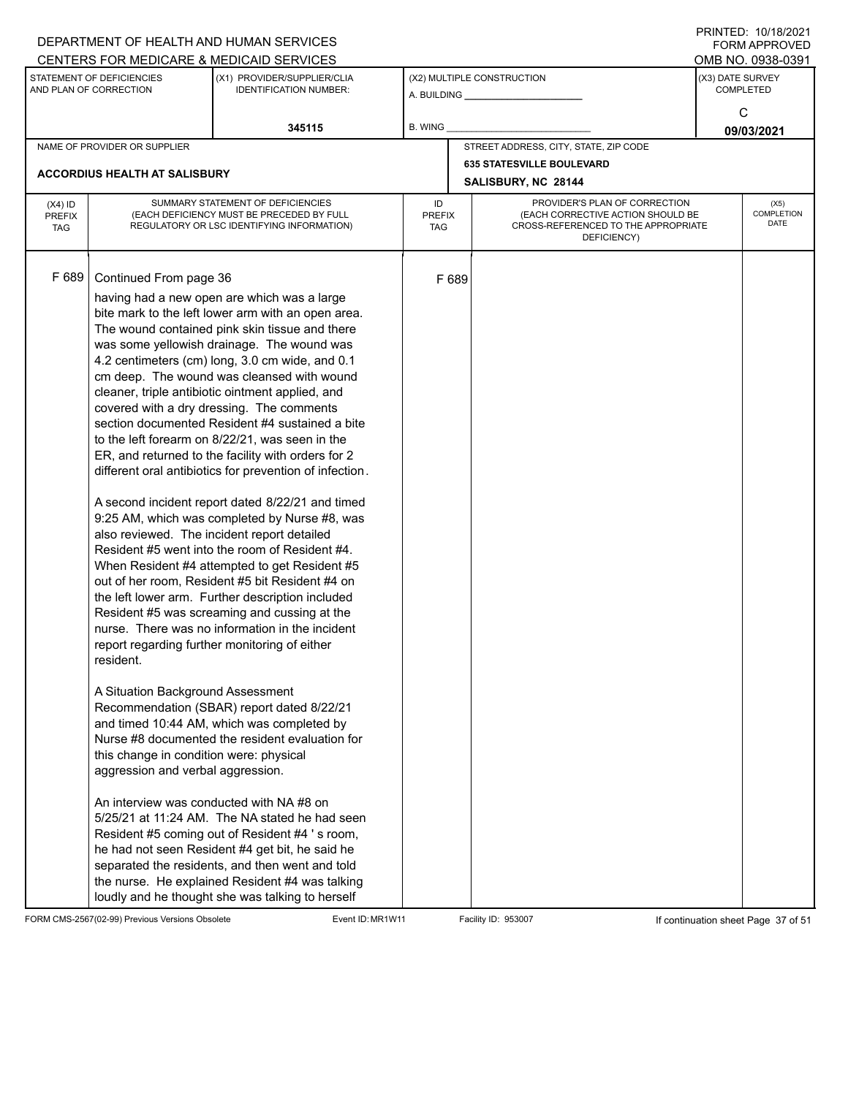|                                          |                                                                                                                                                                                                                                                     | DEPARTMENT OF HEALTH AND HUMAN SERVICES<br>CENTERS FOR MEDICARE & MEDICAID SERVICES                                                                                                                                                                                                                                                                                                                                                                                                                                                                                                                                                                                                                                                                                                                                                                                                                                                                                                                                                                                                                                                                                                                                                                                                                                                                                                                                                                                                                                                                           |                                   |       |                                                                                                                          |                 | FININTLU. TV/TO/ZVZT<br><b>FORM APPROVED</b><br>OMB NO. 0938-0391 |  |
|------------------------------------------|-----------------------------------------------------------------------------------------------------------------------------------------------------------------------------------------------------------------------------------------------------|---------------------------------------------------------------------------------------------------------------------------------------------------------------------------------------------------------------------------------------------------------------------------------------------------------------------------------------------------------------------------------------------------------------------------------------------------------------------------------------------------------------------------------------------------------------------------------------------------------------------------------------------------------------------------------------------------------------------------------------------------------------------------------------------------------------------------------------------------------------------------------------------------------------------------------------------------------------------------------------------------------------------------------------------------------------------------------------------------------------------------------------------------------------------------------------------------------------------------------------------------------------------------------------------------------------------------------------------------------------------------------------------------------------------------------------------------------------------------------------------------------------------------------------------------------------|-----------------------------------|-------|--------------------------------------------------------------------------------------------------------------------------|-----------------|-------------------------------------------------------------------|--|
|                                          | STATEMENT OF DEFICIENCIES<br>AND PLAN OF CORRECTION                                                                                                                                                                                                 | (X1) PROVIDER/SUPPLIER/CLIA<br><b>IDENTIFICATION NUMBER:</b>                                                                                                                                                                                                                                                                                                                                                                                                                                                                                                                                                                                                                                                                                                                                                                                                                                                                                                                                                                                                                                                                                                                                                                                                                                                                                                                                                                                                                                                                                                  |                                   |       | (X2) MULTIPLE CONSTRUCTION                                                                                               |                 | (X3) DATE SURVEY<br><b>COMPLETED</b>                              |  |
|                                          |                                                                                                                                                                                                                                                     | 345115                                                                                                                                                                                                                                                                                                                                                                                                                                                                                                                                                                                                                                                                                                                                                                                                                                                                                                                                                                                                                                                                                                                                                                                                                                                                                                                                                                                                                                                                                                                                                        | <b>B. WING</b>                    |       |                                                                                                                          | C<br>09/03/2021 |                                                                   |  |
|                                          | NAME OF PROVIDER OR SUPPLIER                                                                                                                                                                                                                        |                                                                                                                                                                                                                                                                                                                                                                                                                                                                                                                                                                                                                                                                                                                                                                                                                                                                                                                                                                                                                                                                                                                                                                                                                                                                                                                                                                                                                                                                                                                                                               |                                   |       | STREET ADDRESS, CITY, STATE, ZIP CODE                                                                                    |                 |                                                                   |  |
|                                          | <b>ACCORDIUS HEALTH AT SALISBURY</b>                                                                                                                                                                                                                |                                                                                                                                                                                                                                                                                                                                                                                                                                                                                                                                                                                                                                                                                                                                                                                                                                                                                                                                                                                                                                                                                                                                                                                                                                                                                                                                                                                                                                                                                                                                                               |                                   |       | <b>635 STATESVILLE BOULEVARD</b><br>SALISBURY, NC 28144                                                                  |                 |                                                                   |  |
| $(X4)$ ID<br><b>PREFIX</b><br><b>TAG</b> |                                                                                                                                                                                                                                                     | SUMMARY STATEMENT OF DEFICIENCIES<br>(EACH DEFICIENCY MUST BE PRECEDED BY FULL<br>REGULATORY OR LSC IDENTIFYING INFORMATION)                                                                                                                                                                                                                                                                                                                                                                                                                                                                                                                                                                                                                                                                                                                                                                                                                                                                                                                                                                                                                                                                                                                                                                                                                                                                                                                                                                                                                                  | ID<br><b>PREFIX</b><br><b>TAG</b> |       | PROVIDER'S PLAN OF CORRECTION<br>(EACH CORRECTIVE ACTION SHOULD BE<br>CROSS-REFERENCED TO THE APPROPRIATE<br>DEFICIENCY) |                 | (X5)<br>COMPLETION<br><b>DATE</b>                                 |  |
| F 689                                    | Continued From page 36<br>also reviewed. The incident report detailed<br>resident.<br>A Situation Background Assessment<br>this change in condition were: physical<br>aggression and verbal aggression.<br>An interview was conducted with NA #8 on | having had a new open are which was a large<br>bite mark to the left lower arm with an open area.<br>The wound contained pink skin tissue and there<br>was some yellowish drainage. The wound was<br>4.2 centimeters (cm) long, 3.0 cm wide, and 0.1<br>cm deep. The wound was cleansed with wound<br>cleaner, triple antibiotic ointment applied, and<br>covered with a dry dressing. The comments<br>section documented Resident #4 sustained a bite<br>to the left forearm on 8/22/21, was seen in the<br>ER, and returned to the facility with orders for 2<br>different oral antibiotics for prevention of infection.<br>A second incident report dated 8/22/21 and timed<br>9:25 AM, which was completed by Nurse #8, was<br>Resident #5 went into the room of Resident #4.<br>When Resident #4 attempted to get Resident #5<br>out of her room, Resident #5 bit Resident #4 on<br>the left lower arm. Further description included<br>Resident #5 was screaming and cussing at the<br>nurse. There was no information in the incident<br>report regarding further monitoring of either<br>Recommendation (SBAR) report dated 8/22/21<br>and timed 10:44 AM, which was completed by<br>Nurse #8 documented the resident evaluation for<br>5/25/21 at 11:24 AM. The NA stated he had seen<br>Resident #5 coming out of Resident #4 's room,<br>he had not seen Resident #4 get bit, he said he<br>separated the residents, and then went and told<br>the nurse. He explained Resident #4 was talking<br>loudly and he thought she was talking to herself |                                   | F 689 |                                                                                                                          |                 |                                                                   |  |

FORM CMS-2567(02-99) Previous Versions Obsolete Event ID: MR1W11 Facility ID: 953007 If continuation sheet Page 37 of 51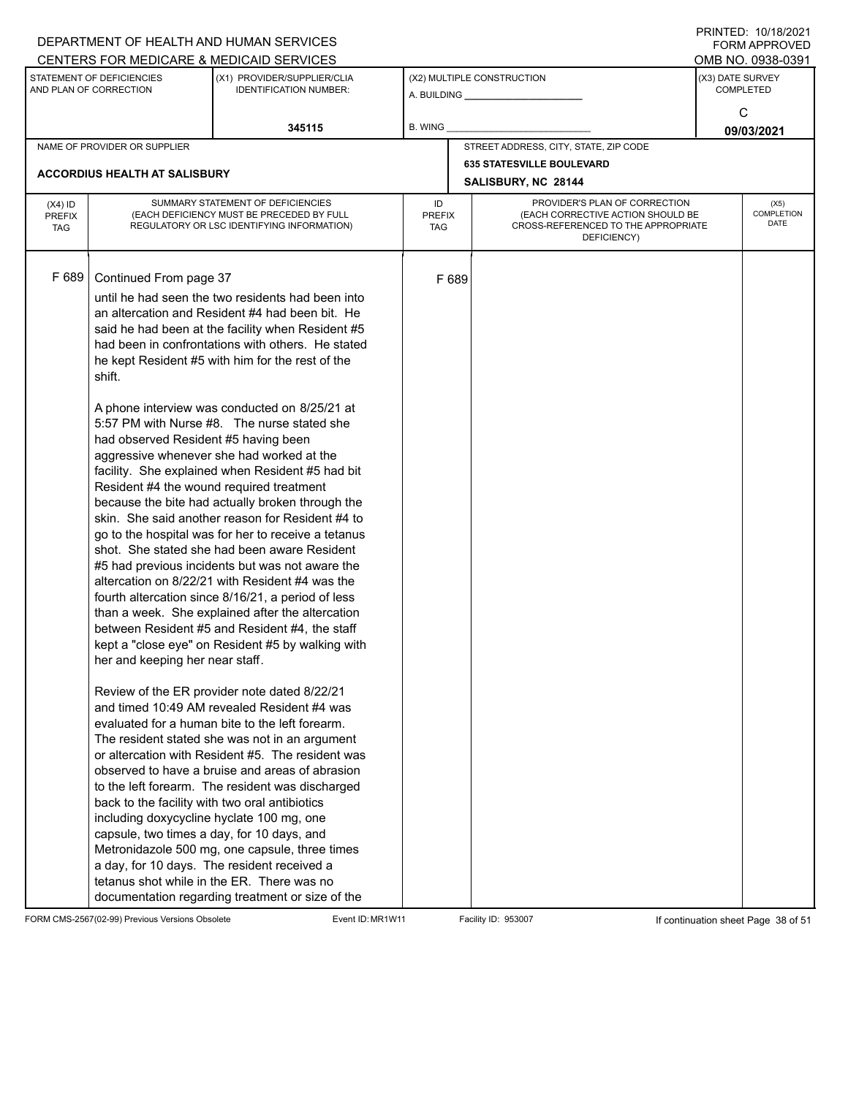| CENTERS FOR MEDICARE & MEDICAID SERVICES<br>OMB NO. 0938-0391<br>STATEMENT OF DEFICIENCIES<br>(X2) MULTIPLE CONSTRUCTION<br>(X3) DATE SURVEY<br>(X1) PROVIDER/SUPPLIER/CLIA<br>AND PLAN OF CORRECTION<br><b>IDENTIFICATION NUMBER:</b><br><b>COMPLETED</b><br>C<br>345115<br>B. WING<br>09/03/2021<br>STREET ADDRESS, CITY, STATE, ZIP CODE<br>NAME OF PROVIDER OR SUPPLIER<br><b>635 STATESVILLE BOULEVARD</b><br>ACCORDIUS HEALTH AT SALISBURY<br>SALISBURY, NC 28144<br>SUMMARY STATEMENT OF DEFICIENCIES<br>PROVIDER'S PLAN OF CORRECTION<br>ID<br>$(X4)$ ID<br>(X5)<br>COMPLETION<br>(EACH DEFICIENCY MUST BE PRECEDED BY FULL<br>(EACH CORRECTIVE ACTION SHOULD BE<br>PREFIX<br><b>PREFIX</b><br>DATE<br>CROSS-REFERENCED TO THE APPROPRIATE<br>REGULATORY OR LSC IDENTIFYING INFORMATION)<br><b>TAG</b><br>TAG<br>DEFICIENCY)<br>F 689<br>Continued From page 37<br>F 689<br>until he had seen the two residents had been into<br>an altercation and Resident #4 had been bit. He<br>said he had been at the facility when Resident #5<br>had been in confrontations with others. He stated<br>he kept Resident #5 with him for the rest of the<br>shift.<br>A phone interview was conducted on 8/25/21 at<br>5:57 PM with Nurse #8. The nurse stated she<br>had observed Resident #5 having been<br>aggressive whenever she had worked at the<br>facility. She explained when Resident #5 had bit<br>Resident #4 the wound required treatment<br>because the bite had actually broken through the<br>skin. She said another reason for Resident #4 to<br>go to the hospital was for her to receive a tetanus<br>shot. She stated she had been aware Resident<br>#5 had previous incidents but was not aware the<br>altercation on 8/22/21 with Resident #4 was the<br>fourth altercation since 8/16/21, a period of less<br>than a week. She explained after the altercation<br>between Resident #5 and Resident #4, the staff<br>kept a "close eye" on Resident #5 by walking with<br>her and keeping her near staff.<br>Review of the ER provider note dated 8/22/21<br>and timed 10:49 AM revealed Resident #4 was<br>evaluated for a human bite to the left forearm.<br>The resident stated she was not in an argument<br>or altercation with Resident #5. The resident was<br>observed to have a bruise and areas of abrasion<br>to the left forearm. The resident was discharged<br>back to the facility with two oral antibiotics<br>including doxycycline hyclate 100 mg, one<br>capsule, two times a day, for 10 days, and |  | DEPARTMENT OF HEALTH AND HUMAN SERVICES |  |  | <b>FORM APPROVED</b> |
|---------------------------------------------------------------------------------------------------------------------------------------------------------------------------------------------------------------------------------------------------------------------------------------------------------------------------------------------------------------------------------------------------------------------------------------------------------------------------------------------------------------------------------------------------------------------------------------------------------------------------------------------------------------------------------------------------------------------------------------------------------------------------------------------------------------------------------------------------------------------------------------------------------------------------------------------------------------------------------------------------------------------------------------------------------------------------------------------------------------------------------------------------------------------------------------------------------------------------------------------------------------------------------------------------------------------------------------------------------------------------------------------------------------------------------------------------------------------------------------------------------------------------------------------------------------------------------------------------------------------------------------------------------------------------------------------------------------------------------------------------------------------------------------------------------------------------------------------------------------------------------------------------------------------------------------------------------------------------------------------------------------------------------------------------------------------------------------------------------------------------------------------------------------------------------------------------------------------------------------------------------------------------------------------------------------------------------------------------------------------------------------------------------------------------------------------------------------------------------------------------------------------------------------------|--|-----------------------------------------|--|--|----------------------|
|                                                                                                                                                                                                                                                                                                                                                                                                                                                                                                                                                                                                                                                                                                                                                                                                                                                                                                                                                                                                                                                                                                                                                                                                                                                                                                                                                                                                                                                                                                                                                                                                                                                                                                                                                                                                                                                                                                                                                                                                                                                                                                                                                                                                                                                                                                                                                                                                                                                                                                                                             |  |                                         |  |  |                      |
|                                                                                                                                                                                                                                                                                                                                                                                                                                                                                                                                                                                                                                                                                                                                                                                                                                                                                                                                                                                                                                                                                                                                                                                                                                                                                                                                                                                                                                                                                                                                                                                                                                                                                                                                                                                                                                                                                                                                                                                                                                                                                                                                                                                                                                                                                                                                                                                                                                                                                                                                             |  |                                         |  |  |                      |
|                                                                                                                                                                                                                                                                                                                                                                                                                                                                                                                                                                                                                                                                                                                                                                                                                                                                                                                                                                                                                                                                                                                                                                                                                                                                                                                                                                                                                                                                                                                                                                                                                                                                                                                                                                                                                                                                                                                                                                                                                                                                                                                                                                                                                                                                                                                                                                                                                                                                                                                                             |  |                                         |  |  |                      |
|                                                                                                                                                                                                                                                                                                                                                                                                                                                                                                                                                                                                                                                                                                                                                                                                                                                                                                                                                                                                                                                                                                                                                                                                                                                                                                                                                                                                                                                                                                                                                                                                                                                                                                                                                                                                                                                                                                                                                                                                                                                                                                                                                                                                                                                                                                                                                                                                                                                                                                                                             |  |                                         |  |  |                      |
|                                                                                                                                                                                                                                                                                                                                                                                                                                                                                                                                                                                                                                                                                                                                                                                                                                                                                                                                                                                                                                                                                                                                                                                                                                                                                                                                                                                                                                                                                                                                                                                                                                                                                                                                                                                                                                                                                                                                                                                                                                                                                                                                                                                                                                                                                                                                                                                                                                                                                                                                             |  |                                         |  |  |                      |
|                                                                                                                                                                                                                                                                                                                                                                                                                                                                                                                                                                                                                                                                                                                                                                                                                                                                                                                                                                                                                                                                                                                                                                                                                                                                                                                                                                                                                                                                                                                                                                                                                                                                                                                                                                                                                                                                                                                                                                                                                                                                                                                                                                                                                                                                                                                                                                                                                                                                                                                                             |  |                                         |  |  |                      |
|                                                                                                                                                                                                                                                                                                                                                                                                                                                                                                                                                                                                                                                                                                                                                                                                                                                                                                                                                                                                                                                                                                                                                                                                                                                                                                                                                                                                                                                                                                                                                                                                                                                                                                                                                                                                                                                                                                                                                                                                                                                                                                                                                                                                                                                                                                                                                                                                                                                                                                                                             |  |                                         |  |  |                      |
| Metronidazole 500 mg, one capsule, three times<br>a day, for 10 days. The resident received a<br>tetanus shot while in the ER. There was no<br>documentation regarding treatment or size of the                                                                                                                                                                                                                                                                                                                                                                                                                                                                                                                                                                                                                                                                                                                                                                                                                                                                                                                                                                                                                                                                                                                                                                                                                                                                                                                                                                                                                                                                                                                                                                                                                                                                                                                                                                                                                                                                                                                                                                                                                                                                                                                                                                                                                                                                                                                                             |  |                                         |  |  |                      |

FORM CMS-2567(02-99) Previous Versions Obsolete Event ID: MR1W11 Facility ID: 953007 If continuation sheet Page 38 of 51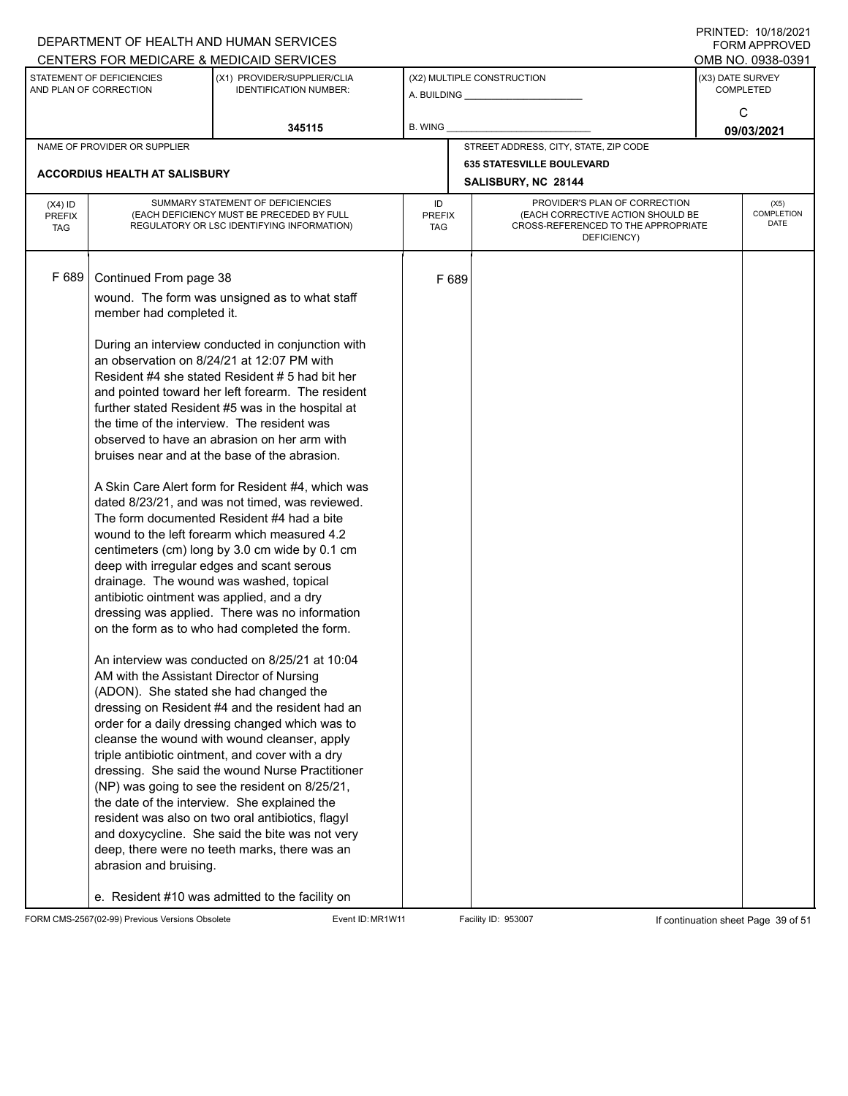|                             |                                                     | DEPARTMENT OF HEALTH AND HUMAN SERVICES                                                 |                      |       |                                                                          |                  | $1 \times 1 \times 1 = 1$ . $1 \times 1 \times 1 = 1$<br><b>FORM APPROVED</b> |
|-----------------------------|-----------------------------------------------------|-----------------------------------------------------------------------------------------|----------------------|-------|--------------------------------------------------------------------------|------------------|-------------------------------------------------------------------------------|
|                             |                                                     | CENTERS FOR MEDICARE & MEDICAID SERVICES                                                |                      |       |                                                                          |                  | OMB NO. 0938-0391                                                             |
|                             | STATEMENT OF DEFICIENCIES<br>AND PLAN OF CORRECTION | (X1) PROVIDER/SUPPLIER/CLIA<br><b>IDENTIFICATION NUMBER:</b>                            |                      |       | (X2) MULTIPLE CONSTRUCTION                                               | (X3) DATE SURVEY | <b>COMPLETED</b>                                                              |
|                             |                                                     |                                                                                         |                      |       | A. BUILDING <b>A.</b> BUILDING                                           |                  |                                                                               |
|                             |                                                     |                                                                                         |                      |       |                                                                          |                  | C                                                                             |
|                             |                                                     | 345115                                                                                  | B. WING              |       |                                                                          |                  | 09/03/2021                                                                    |
|                             | NAME OF PROVIDER OR SUPPLIER                        |                                                                                         |                      |       | STREET ADDRESS, CITY, STATE, ZIP CODE                                    |                  |                                                                               |
|                             | <b>ACCORDIUS HEALTH AT SALISBURY</b>                |                                                                                         |                      |       | <b>635 STATESVILLE BOULEVARD</b>                                         |                  |                                                                               |
|                             |                                                     |                                                                                         |                      |       | SALISBURY, NC 28144                                                      |                  |                                                                               |
| $(X4)$ ID                   |                                                     | SUMMARY STATEMENT OF DEFICIENCIES                                                       | ID                   |       | PROVIDER'S PLAN OF CORRECTION                                            |                  | (X5)                                                                          |
| <b>PREFIX</b><br><b>TAG</b> |                                                     | (EACH DEFICIENCY MUST BE PRECEDED BY FULL<br>REGULATORY OR LSC IDENTIFYING INFORMATION) | <b>PREFIX</b><br>TAG |       | (EACH CORRECTIVE ACTION SHOULD BE<br>CROSS-REFERENCED TO THE APPROPRIATE |                  | COMPLETION<br><b>DATE</b>                                                     |
|                             |                                                     |                                                                                         |                      |       | DEFICIENCY)                                                              |                  |                                                                               |
|                             |                                                     |                                                                                         |                      |       |                                                                          |                  |                                                                               |
| F 689                       | Continued From page 38                              |                                                                                         |                      | F 689 |                                                                          |                  |                                                                               |
|                             |                                                     |                                                                                         |                      |       |                                                                          |                  |                                                                               |
|                             | member had completed it.                            | wound. The form was unsigned as to what staff                                           |                      |       |                                                                          |                  |                                                                               |
|                             |                                                     |                                                                                         |                      |       |                                                                          |                  |                                                                               |
|                             |                                                     | During an interview conducted in conjunction with                                       |                      |       |                                                                          |                  |                                                                               |
|                             |                                                     | an observation on 8/24/21 at 12:07 PM with                                              |                      |       |                                                                          |                  |                                                                               |
|                             |                                                     | Resident #4 she stated Resident # 5 had bit her                                         |                      |       |                                                                          |                  |                                                                               |
|                             |                                                     | and pointed toward her left forearm. The resident                                       |                      |       |                                                                          |                  |                                                                               |
|                             |                                                     | further stated Resident #5 was in the hospital at                                       |                      |       |                                                                          |                  |                                                                               |
|                             |                                                     | the time of the interview. The resident was                                             |                      |       |                                                                          |                  |                                                                               |
|                             |                                                     | observed to have an abrasion on her arm with                                            |                      |       |                                                                          |                  |                                                                               |
|                             |                                                     | bruises near and at the base of the abrasion.                                           |                      |       |                                                                          |                  |                                                                               |
|                             |                                                     | A Skin Care Alert form for Resident #4, which was                                       |                      |       |                                                                          |                  |                                                                               |
|                             |                                                     | dated 8/23/21, and was not timed, was reviewed.                                         |                      |       |                                                                          |                  |                                                                               |
|                             |                                                     | The form documented Resident #4 had a bite                                              |                      |       |                                                                          |                  |                                                                               |
|                             |                                                     | wound to the left forearm which measured 4.2                                            |                      |       |                                                                          |                  |                                                                               |
|                             |                                                     | centimeters (cm) long by 3.0 cm wide by 0.1 cm                                          |                      |       |                                                                          |                  |                                                                               |
|                             |                                                     | deep with irregular edges and scant serous                                              |                      |       |                                                                          |                  |                                                                               |
|                             |                                                     | drainage. The wound was washed, topical                                                 |                      |       |                                                                          |                  |                                                                               |
|                             | antibiotic ointment was applied, and a dry          |                                                                                         |                      |       |                                                                          |                  |                                                                               |
|                             |                                                     | dressing was applied. There was no information                                          |                      |       |                                                                          |                  |                                                                               |
|                             |                                                     | on the form as to who had completed the form.                                           |                      |       |                                                                          |                  |                                                                               |
|                             |                                                     | An interview was conducted on 8/25/21 at 10:04                                          |                      |       |                                                                          |                  |                                                                               |
|                             | AM with the Assistant Director of Nursing           |                                                                                         |                      |       |                                                                          |                  |                                                                               |
|                             | (ADON). She stated she had changed the              |                                                                                         |                      |       |                                                                          |                  |                                                                               |
|                             |                                                     | dressing on Resident #4 and the resident had an                                         |                      |       |                                                                          |                  |                                                                               |
|                             |                                                     | order for a daily dressing changed which was to                                         |                      |       |                                                                          |                  |                                                                               |
|                             |                                                     | cleanse the wound with wound cleanser, apply                                            |                      |       |                                                                          |                  |                                                                               |
|                             |                                                     | triple antibiotic ointment, and cover with a dry                                        |                      |       |                                                                          |                  |                                                                               |
|                             |                                                     | dressing. She said the wound Nurse Practitioner                                         |                      |       |                                                                          |                  |                                                                               |
|                             |                                                     | (NP) was going to see the resident on 8/25/21,                                          |                      |       |                                                                          |                  |                                                                               |
|                             |                                                     | the date of the interview. She explained the                                            |                      |       |                                                                          |                  |                                                                               |
|                             |                                                     | resident was also on two oral antibiotics, flagyl                                       |                      |       |                                                                          |                  |                                                                               |
|                             |                                                     | and doxycycline. She said the bite was not very                                         |                      |       |                                                                          |                  |                                                                               |
|                             |                                                     | deep, there were no teeth marks, there was an                                           |                      |       |                                                                          |                  |                                                                               |
|                             | abrasion and bruising.                              |                                                                                         |                      |       |                                                                          |                  |                                                                               |
|                             |                                                     | e. Resident #10 was admitted to the facility on                                         |                      |       |                                                                          |                  |                                                                               |

FORM CMS-2567(02-99) Previous Versions Obsolete Event ID: MR1W11 Facility ID: 953007 If continuation sheet Page 39 of 51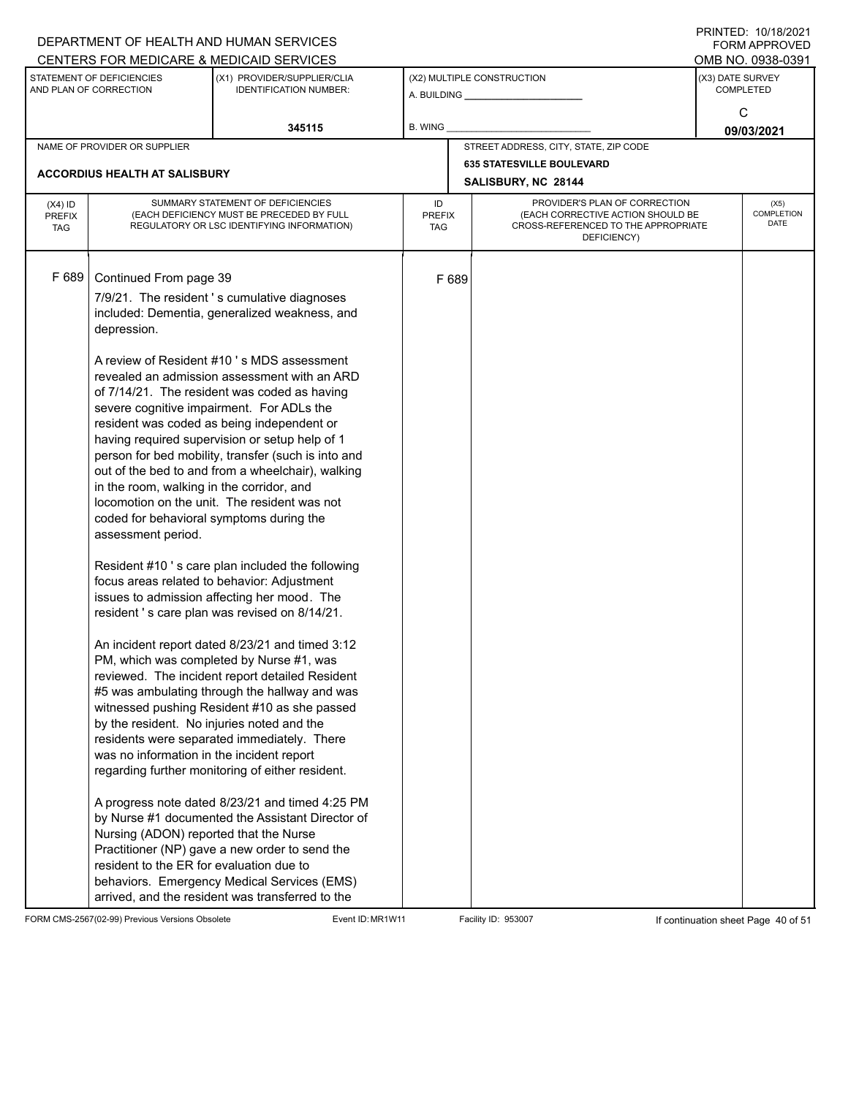|                                          |                                                                                                                                                                                                                                                                                                                                       | DEPARTMENT OF HEALTH AND HUMAN SERVICES<br>CENTERS FOR MEDICARE & MEDICAID SERVICES                                                                                                                                                                                                                                                                                                                                                                                                                                                                                                                                                                                                                                                                                                                                                                                                                                                                                                                                                                                                                                                                                                                                                                                                                                                                                      |                                   |       |                                                                                                                          |                  | FININTLU. TV/TO/ZVZT<br><b>FORM APPROVED</b><br>OMB NO. 0938-0391 |
|------------------------------------------|---------------------------------------------------------------------------------------------------------------------------------------------------------------------------------------------------------------------------------------------------------------------------------------------------------------------------------------|--------------------------------------------------------------------------------------------------------------------------------------------------------------------------------------------------------------------------------------------------------------------------------------------------------------------------------------------------------------------------------------------------------------------------------------------------------------------------------------------------------------------------------------------------------------------------------------------------------------------------------------------------------------------------------------------------------------------------------------------------------------------------------------------------------------------------------------------------------------------------------------------------------------------------------------------------------------------------------------------------------------------------------------------------------------------------------------------------------------------------------------------------------------------------------------------------------------------------------------------------------------------------------------------------------------------------------------------------------------------------|-----------------------------------|-------|--------------------------------------------------------------------------------------------------------------------------|------------------|-------------------------------------------------------------------|
|                                          | STATEMENT OF DEFICIENCIES<br>AND PLAN OF CORRECTION                                                                                                                                                                                                                                                                                   | (X1) PROVIDER/SUPPLIER/CLIA<br><b>IDENTIFICATION NUMBER:</b>                                                                                                                                                                                                                                                                                                                                                                                                                                                                                                                                                                                                                                                                                                                                                                                                                                                                                                                                                                                                                                                                                                                                                                                                                                                                                                             |                                   |       | (X2) MULTIPLE CONSTRUCTION                                                                                               | (X3) DATE SURVEY | <b>COMPLETED</b>                                                  |
|                                          |                                                                                                                                                                                                                                                                                                                                       | 345115                                                                                                                                                                                                                                                                                                                                                                                                                                                                                                                                                                                                                                                                                                                                                                                                                                                                                                                                                                                                                                                                                                                                                                                                                                                                                                                                                                   | <b>B. WING</b>                    |       |                                                                                                                          |                  | C<br>09/03/2021                                                   |
|                                          | NAME OF PROVIDER OR SUPPLIER                                                                                                                                                                                                                                                                                                          |                                                                                                                                                                                                                                                                                                                                                                                                                                                                                                                                                                                                                                                                                                                                                                                                                                                                                                                                                                                                                                                                                                                                                                                                                                                                                                                                                                          |                                   |       | STREET ADDRESS, CITY, STATE, ZIP CODE                                                                                    |                  |                                                                   |
|                                          | <b>ACCORDIUS HEALTH AT SALISBURY</b>                                                                                                                                                                                                                                                                                                  |                                                                                                                                                                                                                                                                                                                                                                                                                                                                                                                                                                                                                                                                                                                                                                                                                                                                                                                                                                                                                                                                                                                                                                                                                                                                                                                                                                          |                                   |       | <b>635 STATESVILLE BOULEVARD</b><br>SALISBURY, NC 28144                                                                  |                  |                                                                   |
| $(X4)$ ID<br><b>PREFIX</b><br><b>TAG</b> |                                                                                                                                                                                                                                                                                                                                       | SUMMARY STATEMENT OF DEFICIENCIES<br>(EACH DEFICIENCY MUST BE PRECEDED BY FULL<br>REGULATORY OR LSC IDENTIFYING INFORMATION)                                                                                                                                                                                                                                                                                                                                                                                                                                                                                                                                                                                                                                                                                                                                                                                                                                                                                                                                                                                                                                                                                                                                                                                                                                             | ID<br><b>PREFIX</b><br><b>TAG</b> |       | PROVIDER'S PLAN OF CORRECTION<br>(EACH CORRECTIVE ACTION SHOULD BE<br>CROSS-REFERENCED TO THE APPROPRIATE<br>DEFICIENCY) |                  | (X5)<br>COMPLETION<br><b>DATE</b>                                 |
| F 689                                    | Continued From page 39<br>depression.<br>in the room, walking in the corridor, and<br>coded for behavioral symptoms during the<br>assessment period.<br>by the resident. No injuries noted and the<br>was no information in the incident report<br>Nursing (ADON) reported that the Nurse<br>resident to the ER for evaluation due to | 7/9/21. The resident 's cumulative diagnoses<br>included: Dementia, generalized weakness, and<br>A review of Resident #10 's MDS assessment<br>revealed an admission assessment with an ARD<br>of 7/14/21. The resident was coded as having<br>severe cognitive impairment. For ADLs the<br>resident was coded as being independent or<br>having required supervision or setup help of 1<br>person for bed mobility, transfer (such is into and<br>out of the bed to and from a wheelchair), walking<br>locomotion on the unit. The resident was not<br>Resident #10's care plan included the following<br>focus areas related to behavior: Adjustment<br>issues to admission affecting her mood. The<br>resident 's care plan was revised on 8/14/21.<br>An incident report dated 8/23/21 and timed 3:12<br>PM, which was completed by Nurse #1, was<br>reviewed. The incident report detailed Resident<br>#5 was ambulating through the hallway and was<br>witnessed pushing Resident #10 as she passed<br>residents were separated immediately. There<br>regarding further monitoring of either resident.<br>A progress note dated 8/23/21 and timed 4:25 PM<br>by Nurse #1 documented the Assistant Director of<br>Practitioner (NP) gave a new order to send the<br>behaviors. Emergency Medical Services (EMS)<br>arrived, and the resident was transferred to the |                                   | F 689 |                                                                                                                          |                  |                                                                   |

FORM CMS-2567(02-99) Previous Versions Obsolete Event ID: MR1W11 Facility ID: 953007 If continuation sheet Page 40 of 51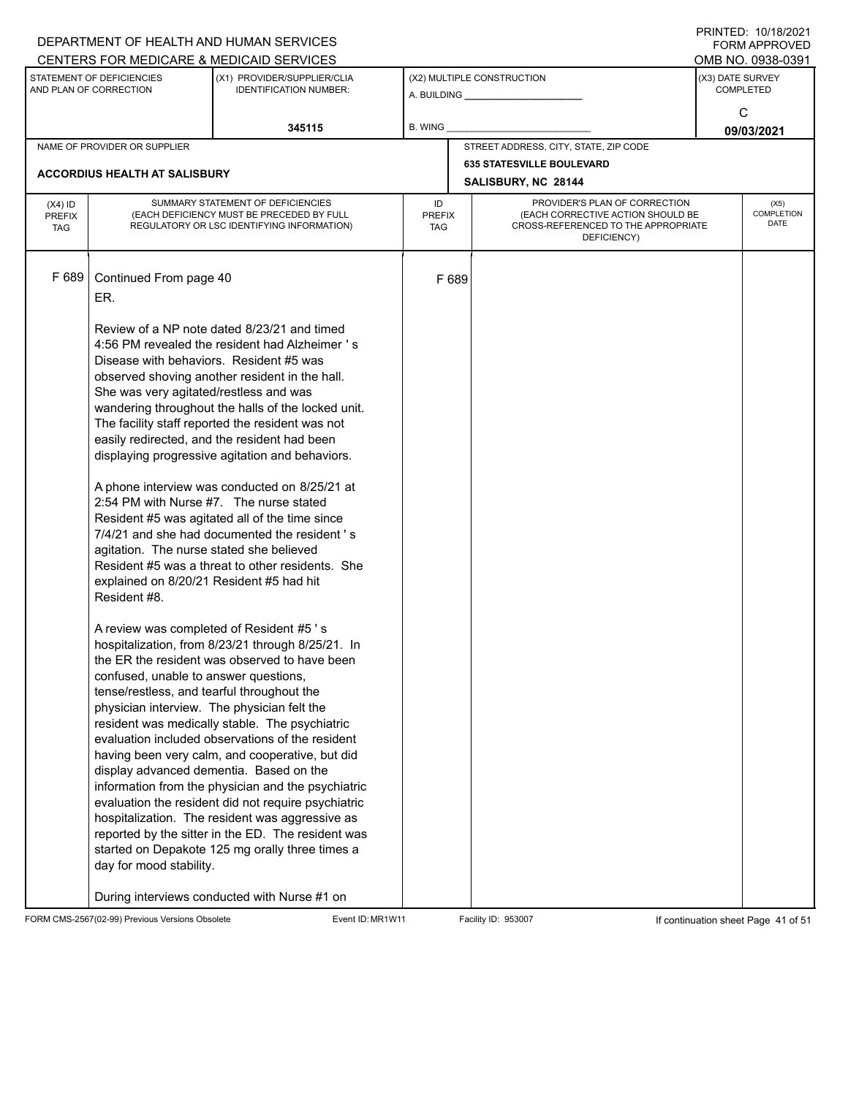|                             |                                                          | DEPARTMENT OF HEALTH AND HUMAN SERVICES                                                          |                      |       |                                                                          | <b>FORM APPROVED</b>                 |
|-----------------------------|----------------------------------------------------------|--------------------------------------------------------------------------------------------------|----------------------|-------|--------------------------------------------------------------------------|--------------------------------------|
|                             |                                                          | CENTERS FOR MEDICARE & MEDICAID SERVICES                                                         |                      |       |                                                                          | OMB NO. 0938-0391                    |
|                             | STATEMENT OF DEFICIENCIES<br>AND PLAN OF CORRECTION      | (X1) PROVIDER/SUPPLIER/CLIA<br><b>IDENTIFICATION NUMBER:</b>                                     |                      |       | (X2) MULTIPLE CONSTRUCTION<br>A. BUILDING A. BUILDING                    | (X3) DATE SURVEY<br><b>COMPLETED</b> |
|                             |                                                          |                                                                                                  |                      |       |                                                                          | C                                    |
|                             |                                                          | 345115                                                                                           | B. WING              |       |                                                                          |                                      |
|                             | NAME OF PROVIDER OR SUPPLIER                             |                                                                                                  |                      |       | STREET ADDRESS, CITY, STATE, ZIP CODE                                    | 09/03/2021                           |
|                             |                                                          |                                                                                                  |                      |       | <b>635 STATESVILLE BOULEVARD</b>                                         |                                      |
|                             | <b>ACCORDIUS HEALTH AT SALISBURY</b>                     |                                                                                                  |                      |       | SALISBURY, NC 28144                                                      |                                      |
| $(X4)$ ID                   |                                                          | SUMMARY STATEMENT OF DEFICIENCIES                                                                | ID                   |       | PROVIDER'S PLAN OF CORRECTION                                            | (X5)                                 |
| <b>PREFIX</b><br><b>TAG</b> |                                                          | (EACH DEFICIENCY MUST BE PRECEDED BY FULL<br>REGULATORY OR LSC IDENTIFYING INFORMATION)          | <b>PREFIX</b><br>TAG |       | (EACH CORRECTIVE ACTION SHOULD BE<br>CROSS-REFERENCED TO THE APPROPRIATE | COMPLETION<br><b>DATE</b>            |
|                             |                                                          |                                                                                                  |                      |       | DEFICIENCY)                                                              |                                      |
|                             |                                                          |                                                                                                  |                      |       |                                                                          |                                      |
| F 689                       | Continued From page 40                                   |                                                                                                  |                      | F 689 |                                                                          |                                      |
|                             | ER.                                                      |                                                                                                  |                      |       |                                                                          |                                      |
|                             |                                                          |                                                                                                  |                      |       |                                                                          |                                      |
|                             |                                                          | Review of a NP note dated 8/23/21 and timed                                                      |                      |       |                                                                          |                                      |
|                             |                                                          | 4:56 PM revealed the resident had Alzheimer 's                                                   |                      |       |                                                                          |                                      |
|                             | Disease with behaviors. Resident #5 was                  |                                                                                                  |                      |       |                                                                          |                                      |
|                             |                                                          | observed shoving another resident in the hall.                                                   |                      |       |                                                                          |                                      |
|                             | She was very agitated/restless and was                   |                                                                                                  |                      |       |                                                                          |                                      |
|                             |                                                          | wandering throughout the halls of the locked unit.                                               |                      |       |                                                                          |                                      |
|                             |                                                          | The facility staff reported the resident was not<br>easily redirected, and the resident had been |                      |       |                                                                          |                                      |
|                             |                                                          | displaying progressive agitation and behaviors.                                                  |                      |       |                                                                          |                                      |
|                             |                                                          |                                                                                                  |                      |       |                                                                          |                                      |
|                             |                                                          | A phone interview was conducted on 8/25/21 at                                                    |                      |       |                                                                          |                                      |
|                             | 2:54 PM with Nurse #7. The nurse stated                  |                                                                                                  |                      |       |                                                                          |                                      |
|                             |                                                          | Resident #5 was agitated all of the time since                                                   |                      |       |                                                                          |                                      |
|                             |                                                          | 7/4/21 and she had documented the resident 's                                                    |                      |       |                                                                          |                                      |
|                             | agitation. The nurse stated she believed                 |                                                                                                  |                      |       |                                                                          |                                      |
|                             |                                                          | Resident #5 was a threat to other residents. She                                                 |                      |       |                                                                          |                                      |
|                             | explained on 8/20/21 Resident #5 had hit<br>Resident #8. |                                                                                                  |                      |       |                                                                          |                                      |
|                             |                                                          |                                                                                                  |                      |       |                                                                          |                                      |
|                             |                                                          | A review was completed of Resident #5's                                                          |                      |       |                                                                          |                                      |
|                             |                                                          | hospitalization, from 8/23/21 through 8/25/21. In                                                |                      |       |                                                                          |                                      |
|                             |                                                          | the ER the resident was observed to have been                                                    |                      |       |                                                                          |                                      |
|                             | confused, unable to answer questions,                    |                                                                                                  |                      |       |                                                                          |                                      |
|                             | tense/restless, and tearful throughout the               |                                                                                                  |                      |       |                                                                          |                                      |
|                             |                                                          | physician interview. The physician felt the                                                      |                      |       |                                                                          |                                      |
|                             |                                                          | resident was medically stable. The psychiatric                                                   |                      |       |                                                                          |                                      |
|                             |                                                          | evaluation included observations of the resident                                                 |                      |       |                                                                          |                                      |
|                             |                                                          | having been very calm, and cooperative, but did<br>display advanced dementia. Based on the       |                      |       |                                                                          |                                      |
|                             |                                                          | information from the physician and the psychiatric                                               |                      |       |                                                                          |                                      |
|                             |                                                          | evaluation the resident did not require psychiatric                                              |                      |       |                                                                          |                                      |
|                             |                                                          | hospitalization. The resident was aggressive as                                                  |                      |       |                                                                          |                                      |
|                             |                                                          | reported by the sitter in the ED. The resident was                                               |                      |       |                                                                          |                                      |
|                             |                                                          | started on Depakote 125 mg orally three times a                                                  |                      |       |                                                                          |                                      |
|                             | day for mood stability.                                  |                                                                                                  |                      |       |                                                                          |                                      |
|                             |                                                          |                                                                                                  |                      |       |                                                                          |                                      |
|                             |                                                          | During interviews conducted with Nurse #1 on                                                     |                      |       |                                                                          |                                      |

FORM CMS-2567(02-99) Previous Versions Obsolete Event ID: MR1W11 Facility ID: 953007 If continuation sheet Page 41 of 51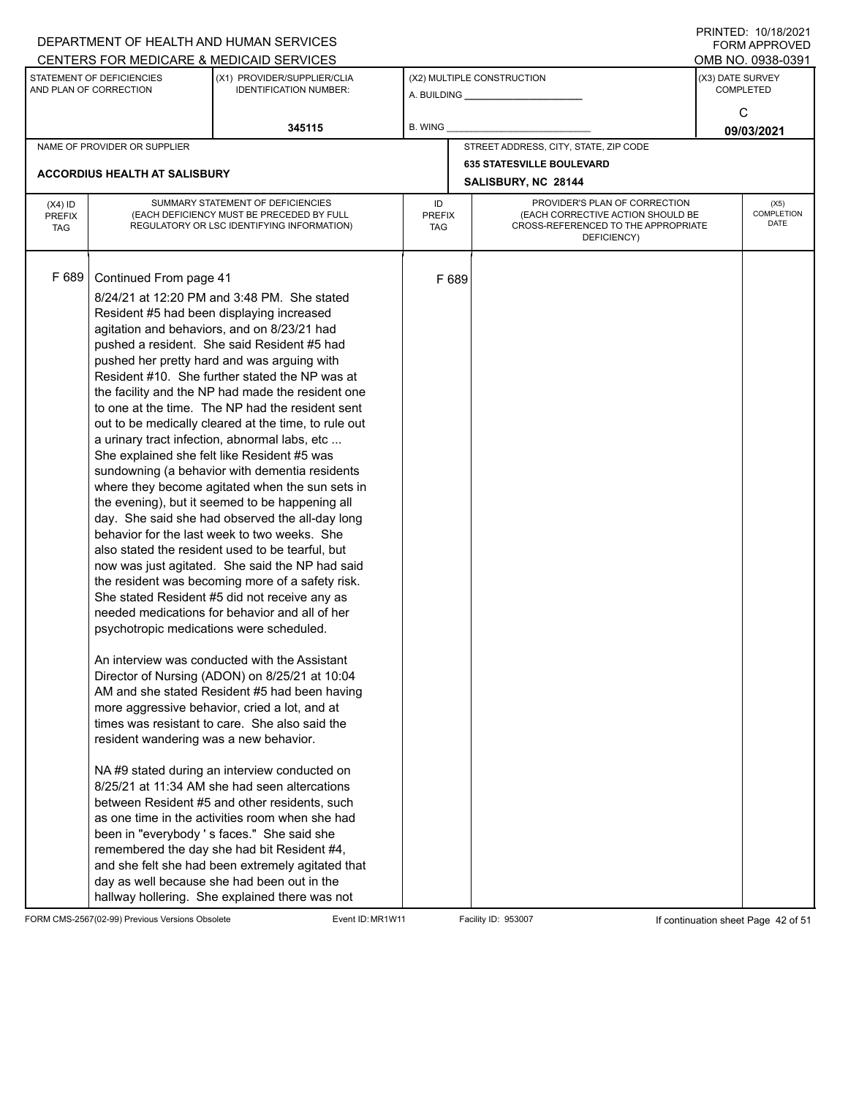|                                          |                                                                                                              | DEPARTMENT OF HEALTH AND HUMAN SERVICES                                                                                                                                                                                                                                                                                                                                                                                                                                                                                                                                                                                                                                                                                                                                                                                                                                                                                                                                                                                                                                                                                                                                                                                                                                                                                                                                                                                                                                                                                                                                                                                                                                                                                                                                                          |                            |       |                                                                                                                          | 11111111122.10111012021<br>FORM APPROVED |
|------------------------------------------|--------------------------------------------------------------------------------------------------------------|--------------------------------------------------------------------------------------------------------------------------------------------------------------------------------------------------------------------------------------------------------------------------------------------------------------------------------------------------------------------------------------------------------------------------------------------------------------------------------------------------------------------------------------------------------------------------------------------------------------------------------------------------------------------------------------------------------------------------------------------------------------------------------------------------------------------------------------------------------------------------------------------------------------------------------------------------------------------------------------------------------------------------------------------------------------------------------------------------------------------------------------------------------------------------------------------------------------------------------------------------------------------------------------------------------------------------------------------------------------------------------------------------------------------------------------------------------------------------------------------------------------------------------------------------------------------------------------------------------------------------------------------------------------------------------------------------------------------------------------------------------------------------------------------------|----------------------------|-------|--------------------------------------------------------------------------------------------------------------------------|------------------------------------------|
|                                          |                                                                                                              | CENTERS FOR MEDICARE & MEDICAID SERVICES                                                                                                                                                                                                                                                                                                                                                                                                                                                                                                                                                                                                                                                                                                                                                                                                                                                                                                                                                                                                                                                                                                                                                                                                                                                                                                                                                                                                                                                                                                                                                                                                                                                                                                                                                         |                            |       |                                                                                                                          | OMB NO. 0938-0391                        |
|                                          | STATEMENT OF DEFICIENCIES<br>AND PLAN OF CORRECTION                                                          | (X1) PROVIDER/SUPPLIER/CLIA<br><b>IDENTIFICATION NUMBER:</b>                                                                                                                                                                                                                                                                                                                                                                                                                                                                                                                                                                                                                                                                                                                                                                                                                                                                                                                                                                                                                                                                                                                                                                                                                                                                                                                                                                                                                                                                                                                                                                                                                                                                                                                                     |                            |       | (X2) MULTIPLE CONSTRUCTION                                                                                               | (X3) DATE SURVEY<br><b>COMPLETED</b>     |
|                                          |                                                                                                              | 345115                                                                                                                                                                                                                                                                                                                                                                                                                                                                                                                                                                                                                                                                                                                                                                                                                                                                                                                                                                                                                                                                                                                                                                                                                                                                                                                                                                                                                                                                                                                                                                                                                                                                                                                                                                                           | B. WING                    |       |                                                                                                                          | C<br>09/03/2021                          |
|                                          | NAME OF PROVIDER OR SUPPLIER                                                                                 |                                                                                                                                                                                                                                                                                                                                                                                                                                                                                                                                                                                                                                                                                                                                                                                                                                                                                                                                                                                                                                                                                                                                                                                                                                                                                                                                                                                                                                                                                                                                                                                                                                                                                                                                                                                                  |                            |       | STREET ADDRESS, CITY, STATE, ZIP CODE                                                                                    |                                          |
|                                          |                                                                                                              |                                                                                                                                                                                                                                                                                                                                                                                                                                                                                                                                                                                                                                                                                                                                                                                                                                                                                                                                                                                                                                                                                                                                                                                                                                                                                                                                                                                                                                                                                                                                                                                                                                                                                                                                                                                                  |                            |       | <b>635 STATESVILLE BOULEVARD</b>                                                                                         |                                          |
|                                          | ACCORDIUS HEALTH AT SALISBURY                                                                                |                                                                                                                                                                                                                                                                                                                                                                                                                                                                                                                                                                                                                                                                                                                                                                                                                                                                                                                                                                                                                                                                                                                                                                                                                                                                                                                                                                                                                                                                                                                                                                                                                                                                                                                                                                                                  |                            |       | SALISBURY, NC 28144                                                                                                      |                                          |
| $(X4)$ ID<br><b>PREFIX</b><br><b>TAG</b> |                                                                                                              | SUMMARY STATEMENT OF DEFICIENCIES<br>(EACH DEFICIENCY MUST BE PRECEDED BY FULL<br>REGULATORY OR LSC IDENTIFYING INFORMATION)                                                                                                                                                                                                                                                                                                                                                                                                                                                                                                                                                                                                                                                                                                                                                                                                                                                                                                                                                                                                                                                                                                                                                                                                                                                                                                                                                                                                                                                                                                                                                                                                                                                                     | ID<br><b>PREFIX</b><br>TAG |       | PROVIDER'S PLAN OF CORRECTION<br>(EACH CORRECTIVE ACTION SHOULD BE<br>CROSS-REFERENCED TO THE APPROPRIATE<br>DEFICIENCY) | (X5)<br>COMPLETION<br>DATE               |
| F 689                                    | Continued From page 41<br>psychotropic medications were scheduled.<br>resident wandering was a new behavior. | 8/24/21 at 12:20 PM and 3:48 PM. She stated<br>Resident #5 had been displaying increased<br>agitation and behaviors, and on 8/23/21 had<br>pushed a resident. She said Resident #5 had<br>pushed her pretty hard and was arguing with<br>Resident #10. She further stated the NP was at<br>the facility and the NP had made the resident one<br>to one at the time. The NP had the resident sent<br>out to be medically cleared at the time, to rule out<br>a urinary tract infection, abnormal labs, etc<br>She explained she felt like Resident #5 was<br>sundowning (a behavior with dementia residents<br>where they become agitated when the sun sets in<br>the evening), but it seemed to be happening all<br>day. She said she had observed the all-day long<br>behavior for the last week to two weeks. She<br>also stated the resident used to be tearful, but<br>now was just agitated. She said the NP had said<br>the resident was becoming more of a safety risk.<br>She stated Resident #5 did not receive any as<br>needed medications for behavior and all of her<br>An interview was conducted with the Assistant<br>Director of Nursing (ADON) on 8/25/21 at 10:04<br>AM and she stated Resident #5 had been having<br>more aggressive behavior, cried a lot, and at<br>times was resistant to care. She also said the<br>NA#9 stated during an interview conducted on<br>8/25/21 at 11:34 AM she had seen altercations<br>between Resident #5 and other residents, such<br>as one time in the activities room when she had<br>been in "everybody 's faces." She said she<br>remembered the day she had bit Resident #4,<br>and she felt she had been extremely agitated that<br>day as well because she had been out in the<br>hallway hollering. She explained there was not |                            | F 689 |                                                                                                                          |                                          |

FORM CMS-2567(02-99) Previous Versions Obsolete Event ID: MR1W11 Facility ID: 953007 If continuation sheet Page 42 of 51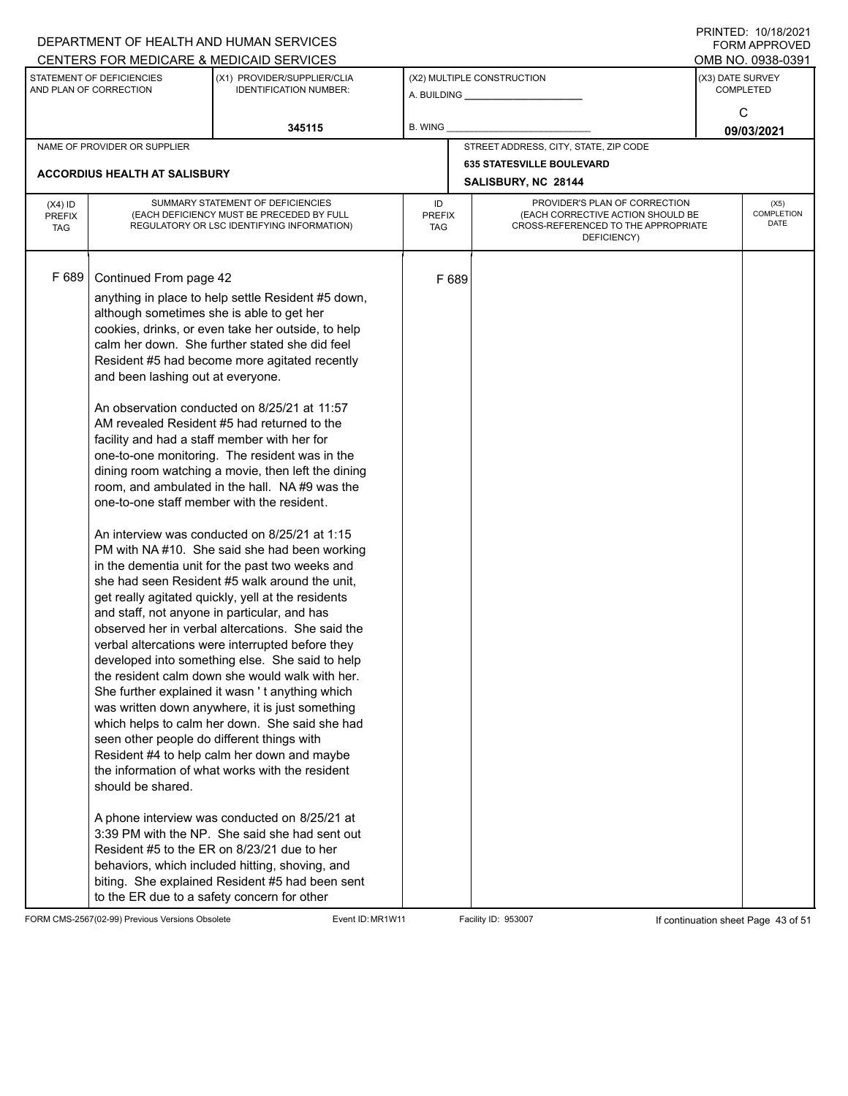|                                          |                                                                                                                                                                                                                                                                                                                                                                          | DEPARTMENT OF HEALTH AND HUMAN SERVICES<br>CENTERS FOR MEDICARE & MEDICAID SERVICES                                                                                                                                                                                                                                                                                                                                                                                                                                                                                                                                                                                                                                                                                                                                                                                                                                                                                                                                                                                                                                                                                                                                                                                                                                                                                                                                                                             |                                   |       |                                                                                                                          | FININTLU. TV/TO/ZVZT<br><b>FORM APPROVED</b><br>OMB NO. 0938-0391 |
|------------------------------------------|--------------------------------------------------------------------------------------------------------------------------------------------------------------------------------------------------------------------------------------------------------------------------------------------------------------------------------------------------------------------------|-----------------------------------------------------------------------------------------------------------------------------------------------------------------------------------------------------------------------------------------------------------------------------------------------------------------------------------------------------------------------------------------------------------------------------------------------------------------------------------------------------------------------------------------------------------------------------------------------------------------------------------------------------------------------------------------------------------------------------------------------------------------------------------------------------------------------------------------------------------------------------------------------------------------------------------------------------------------------------------------------------------------------------------------------------------------------------------------------------------------------------------------------------------------------------------------------------------------------------------------------------------------------------------------------------------------------------------------------------------------------------------------------------------------------------------------------------------------|-----------------------------------|-------|--------------------------------------------------------------------------------------------------------------------------|-------------------------------------------------------------------|
|                                          | STATEMENT OF DEFICIENCIES<br>AND PLAN OF CORRECTION                                                                                                                                                                                                                                                                                                                      | (X1) PROVIDER/SUPPLIER/CLIA<br><b>IDENTIFICATION NUMBER:</b>                                                                                                                                                                                                                                                                                                                                                                                                                                                                                                                                                                                                                                                                                                                                                                                                                                                                                                                                                                                                                                                                                                                                                                                                                                                                                                                                                                                                    |                                   |       | (X2) MULTIPLE CONSTRUCTION                                                                                               | (X3) DATE SURVEY<br><b>COMPLETED</b><br>C                         |
|                                          |                                                                                                                                                                                                                                                                                                                                                                          | 345115                                                                                                                                                                                                                                                                                                                                                                                                                                                                                                                                                                                                                                                                                                                                                                                                                                                                                                                                                                                                                                                                                                                                                                                                                                                                                                                                                                                                                                                          | B. WING                           |       |                                                                                                                          | 09/03/2021                                                        |
|                                          | NAME OF PROVIDER OR SUPPLIER                                                                                                                                                                                                                                                                                                                                             |                                                                                                                                                                                                                                                                                                                                                                                                                                                                                                                                                                                                                                                                                                                                                                                                                                                                                                                                                                                                                                                                                                                                                                                                                                                                                                                                                                                                                                                                 |                                   |       | STREET ADDRESS, CITY, STATE, ZIP CODE                                                                                    |                                                                   |
|                                          | <b>ACCORDIUS HEALTH AT SALISBURY</b>                                                                                                                                                                                                                                                                                                                                     |                                                                                                                                                                                                                                                                                                                                                                                                                                                                                                                                                                                                                                                                                                                                                                                                                                                                                                                                                                                                                                                                                                                                                                                                                                                                                                                                                                                                                                                                 |                                   |       | <b>635 STATESVILLE BOULEVARD</b><br>SALISBURY, NC 28144                                                                  |                                                                   |
| $(X4)$ ID<br><b>PREFIX</b><br><b>TAG</b> |                                                                                                                                                                                                                                                                                                                                                                          | SUMMARY STATEMENT OF DEFICIENCIES<br>(EACH DEFICIENCY MUST BE PRECEDED BY FULL<br>REGULATORY OR LSC IDENTIFYING INFORMATION)                                                                                                                                                                                                                                                                                                                                                                                                                                                                                                                                                                                                                                                                                                                                                                                                                                                                                                                                                                                                                                                                                                                                                                                                                                                                                                                                    | ID<br><b>PREFIX</b><br><b>TAG</b> |       | PROVIDER'S PLAN OF CORRECTION<br>(EACH CORRECTIVE ACTION SHOULD BE<br>CROSS-REFERENCED TO THE APPROPRIATE<br>DEFICIENCY) | (X5)<br>COMPLETION<br><b>DATE</b>                                 |
| F 689                                    | Continued From page 42<br>although sometimes she is able to get her<br>and been lashing out at everyone.<br>facility and had a staff member with her for<br>one-to-one staff member with the resident.<br>and staff, not anyone in particular, and has<br>seen other people do different things with<br>should be shared.<br>to the ER due to a safety concern for other | anything in place to help settle Resident #5 down,<br>cookies, drinks, or even take her outside, to help<br>calm her down. She further stated she did feel<br>Resident #5 had become more agitated recently<br>An observation conducted on 8/25/21 at 11:57<br>AM revealed Resident #5 had returned to the<br>one-to-one monitoring. The resident was in the<br>dining room watching a movie, then left the dining<br>room, and ambulated in the hall. NA#9 was the<br>An interview was conducted on 8/25/21 at 1:15<br>PM with NA#10. She said she had been working<br>in the dementia unit for the past two weeks and<br>she had seen Resident #5 walk around the unit,<br>get really agitated quickly, yell at the residents<br>observed her in verbal altercations. She said the<br>verbal altercations were interrupted before they<br>developed into something else. She said to help<br>the resident calm down she would walk with her.<br>She further explained it wasn't anything which<br>was written down anywhere, it is just something<br>which helps to calm her down. She said she had<br>Resident #4 to help calm her down and maybe<br>the information of what works with the resident<br>A phone interview was conducted on 8/25/21 at<br>3:39 PM with the NP. She said she had sent out<br>Resident #5 to the ER on 8/23/21 due to her<br>behaviors, which included hitting, shoving, and<br>biting. She explained Resident #5 had been sent |                                   | F 689 |                                                                                                                          |                                                                   |

FORM CMS-2567(02-99) Previous Versions Obsolete Event ID: MR1W11 Facility ID: 953007 If continuation sheet Page 43 of 51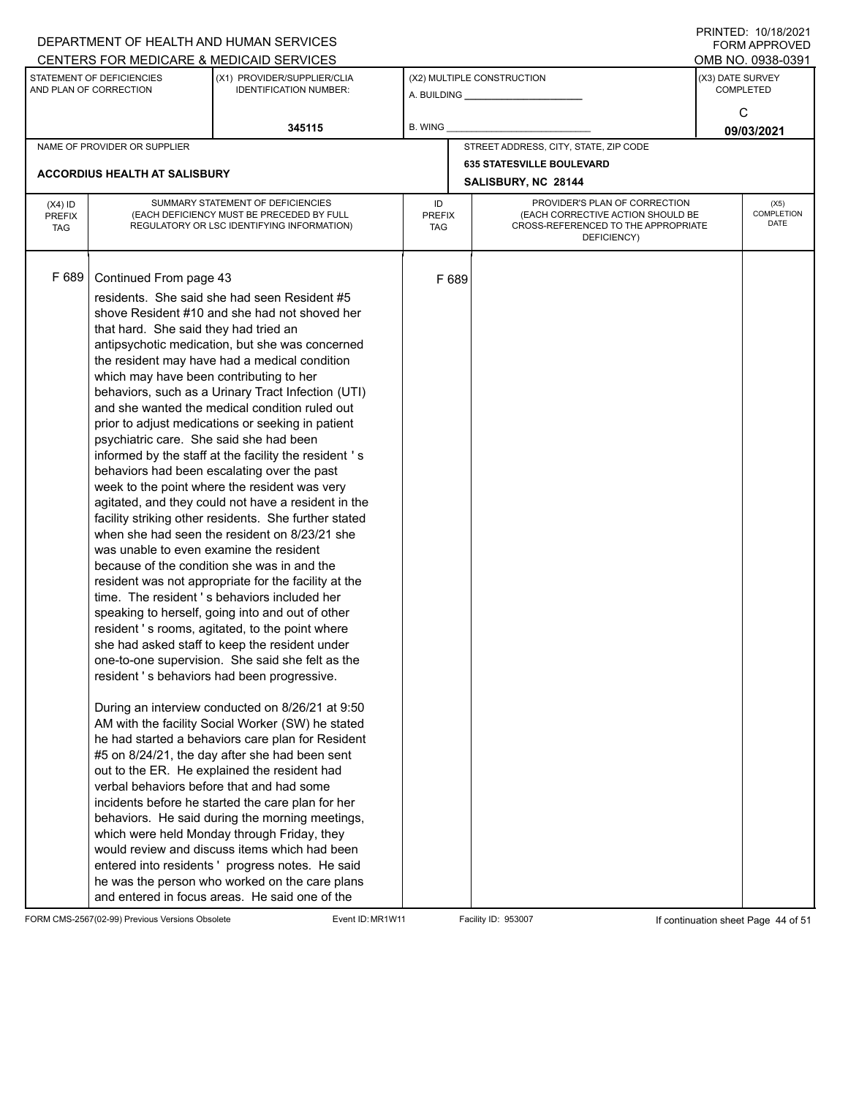|                                          |                                                                                                                                                                                                  | DEPARTMENT OF HEALTH AND HUMAN SERVICES                                                                                                                                                                                                                                                                                                                                                                                                                                                                                                                                                                                                                                                                                                                                                                                                                                                                                                                                                                                                                                                                                                                                                                                                                                                                                                                                                                                                                                                                                                                                                                                                                                                                                                                                                |                            |       |                                                                                                                          |                  | $1 \times 1 \times 1 = 1$ . $1 \times 1 \times 1 = 1$<br>FORM APPROVED |
|------------------------------------------|--------------------------------------------------------------------------------------------------------------------------------------------------------------------------------------------------|----------------------------------------------------------------------------------------------------------------------------------------------------------------------------------------------------------------------------------------------------------------------------------------------------------------------------------------------------------------------------------------------------------------------------------------------------------------------------------------------------------------------------------------------------------------------------------------------------------------------------------------------------------------------------------------------------------------------------------------------------------------------------------------------------------------------------------------------------------------------------------------------------------------------------------------------------------------------------------------------------------------------------------------------------------------------------------------------------------------------------------------------------------------------------------------------------------------------------------------------------------------------------------------------------------------------------------------------------------------------------------------------------------------------------------------------------------------------------------------------------------------------------------------------------------------------------------------------------------------------------------------------------------------------------------------------------------------------------------------------------------------------------------------|----------------------------|-------|--------------------------------------------------------------------------------------------------------------------------|------------------|------------------------------------------------------------------------|
|                                          |                                                                                                                                                                                                  | CENTERS FOR MEDICARE & MEDICAID SERVICES                                                                                                                                                                                                                                                                                                                                                                                                                                                                                                                                                                                                                                                                                                                                                                                                                                                                                                                                                                                                                                                                                                                                                                                                                                                                                                                                                                                                                                                                                                                                                                                                                                                                                                                                               |                            |       |                                                                                                                          |                  | OMB NO. 0938-0391                                                      |
|                                          | STATEMENT OF DEFICIENCIES<br>AND PLAN OF CORRECTION                                                                                                                                              | (X1) PROVIDER/SUPPLIER/CLIA<br><b>IDENTIFICATION NUMBER:</b>                                                                                                                                                                                                                                                                                                                                                                                                                                                                                                                                                                                                                                                                                                                                                                                                                                                                                                                                                                                                                                                                                                                                                                                                                                                                                                                                                                                                                                                                                                                                                                                                                                                                                                                           |                            |       | (X2) MULTIPLE CONSTRUCTION                                                                                               | (X3) DATE SURVEY | <b>COMPLETED</b>                                                       |
|                                          |                                                                                                                                                                                                  | 345115                                                                                                                                                                                                                                                                                                                                                                                                                                                                                                                                                                                                                                                                                                                                                                                                                                                                                                                                                                                                                                                                                                                                                                                                                                                                                                                                                                                                                                                                                                                                                                                                                                                                                                                                                                                 | B. WING                    |       |                                                                                                                          |                  | C<br>09/03/2021                                                        |
|                                          | NAME OF PROVIDER OR SUPPLIER                                                                                                                                                                     |                                                                                                                                                                                                                                                                                                                                                                                                                                                                                                                                                                                                                                                                                                                                                                                                                                                                                                                                                                                                                                                                                                                                                                                                                                                                                                                                                                                                                                                                                                                                                                                                                                                                                                                                                                                        |                            |       | STREET ADDRESS, CITY, STATE, ZIP CODE                                                                                    |                  |                                                                        |
|                                          |                                                                                                                                                                                                  |                                                                                                                                                                                                                                                                                                                                                                                                                                                                                                                                                                                                                                                                                                                                                                                                                                                                                                                                                                                                                                                                                                                                                                                                                                                                                                                                                                                                                                                                                                                                                                                                                                                                                                                                                                                        |                            |       | <b>635 STATESVILLE BOULEVARD</b>                                                                                         |                  |                                                                        |
|                                          | <b>ACCORDIUS HEALTH AT SALISBURY</b>                                                                                                                                                             |                                                                                                                                                                                                                                                                                                                                                                                                                                                                                                                                                                                                                                                                                                                                                                                                                                                                                                                                                                                                                                                                                                                                                                                                                                                                                                                                                                                                                                                                                                                                                                                                                                                                                                                                                                                        |                            |       | SALISBURY, NC 28144                                                                                                      |                  |                                                                        |
| $(X4)$ ID<br><b>PREFIX</b><br><b>TAG</b> |                                                                                                                                                                                                  | SUMMARY STATEMENT OF DEFICIENCIES<br>(EACH DEFICIENCY MUST BE PRECEDED BY FULL<br>REGULATORY OR LSC IDENTIFYING INFORMATION)                                                                                                                                                                                                                                                                                                                                                                                                                                                                                                                                                                                                                                                                                                                                                                                                                                                                                                                                                                                                                                                                                                                                                                                                                                                                                                                                                                                                                                                                                                                                                                                                                                                           | ID<br><b>PREFIX</b><br>TAG |       | PROVIDER'S PLAN OF CORRECTION<br>(EACH CORRECTIVE ACTION SHOULD BE<br>CROSS-REFERENCED TO THE APPROPRIATE<br>DEFICIENCY) |                  | (X5)<br>COMPLETION<br>DATE                                             |
| F 689                                    | Continued From page 43<br>that hard. She said they had tried an<br>which may have been contributing to her<br>psychiatric care. She said she had been<br>was unable to even examine the resident | residents. She said she had seen Resident #5<br>shove Resident #10 and she had not shoved her<br>antipsychotic medication, but she was concerned<br>the resident may have had a medical condition<br>behaviors, such as a Urinary Tract Infection (UTI)<br>and she wanted the medical condition ruled out<br>prior to adjust medications or seeking in patient<br>informed by the staff at the facility the resident 's<br>behaviors had been escalating over the past<br>week to the point where the resident was very<br>agitated, and they could not have a resident in the<br>facility striking other residents. She further stated<br>when she had seen the resident on 8/23/21 she<br>because of the condition she was in and the<br>resident was not appropriate for the facility at the<br>time. The resident's behaviors included her<br>speaking to herself, going into and out of other<br>resident 's rooms, agitated, to the point where<br>she had asked staff to keep the resident under<br>one-to-one supervision. She said she felt as the<br>resident 's behaviors had been progressive.<br>During an interview conducted on 8/26/21 at 9:50<br>AM with the facility Social Worker (SW) he stated<br>he had started a behaviors care plan for Resident<br>#5 on 8/24/21, the day after she had been sent<br>out to the ER. He explained the resident had<br>verbal behaviors before that and had some<br>incidents before he started the care plan for her<br>behaviors. He said during the morning meetings,<br>which were held Monday through Friday, they<br>would review and discuss items which had been<br>entered into residents' progress notes. He said<br>he was the person who worked on the care plans<br>and entered in focus areas. He said one of the |                            | F 689 |                                                                                                                          |                  |                                                                        |

FORM CMS-2567(02-99) Previous Versions Obsolete Event ID: MR1W11 Facility ID: 953007 If continuation sheet Page 44 of 51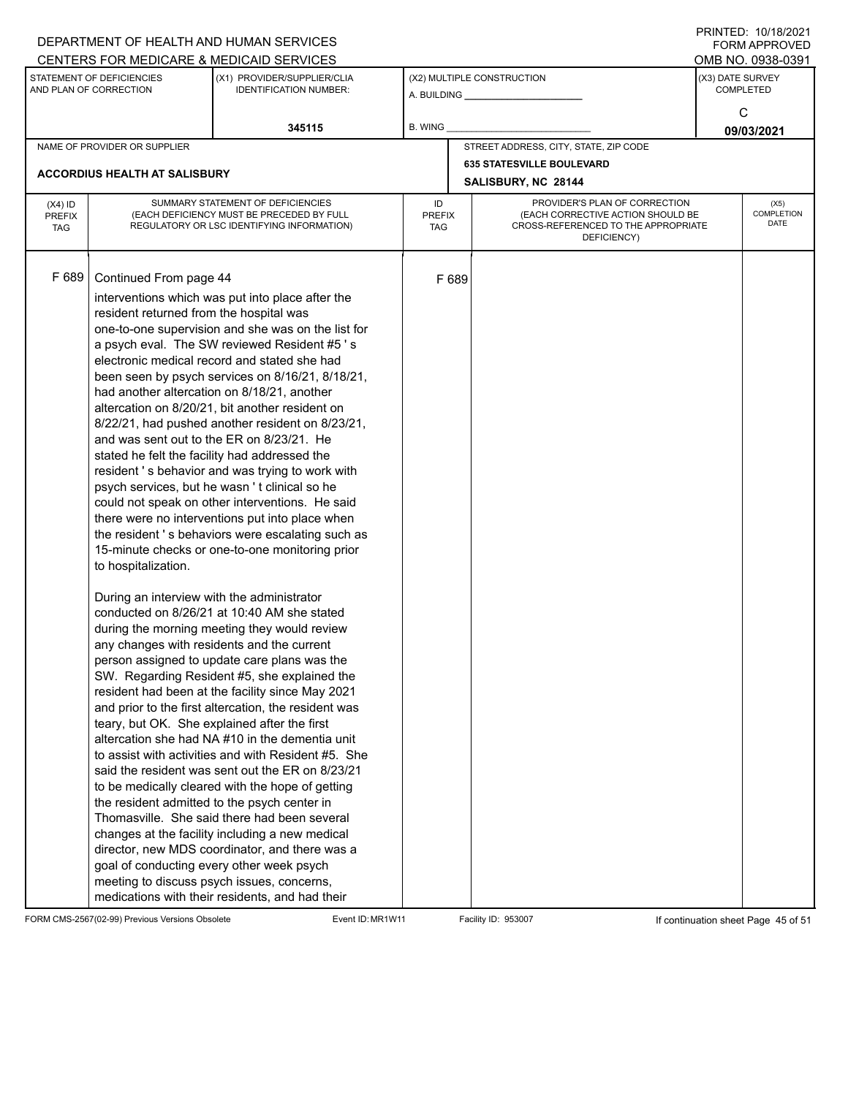|               |                                            | DEPARTMENT OF HEALTH AND HUMAN SERVICES                                                    |               |       |                                                    |  | $1 \times 1 \times 1 = 1$ . $1 \times 1 \times 1 = 1$<br>FORM APPROVED |  |
|---------------|--------------------------------------------|--------------------------------------------------------------------------------------------|---------------|-------|----------------------------------------------------|--|------------------------------------------------------------------------|--|
|               | STATEMENT OF DEFICIENCIES                  | CENTERS FOR MEDICARE & MEDICAID SERVICES                                                   |               |       |                                                    |  | OMB NO. 0938-0391                                                      |  |
|               | AND PLAN OF CORRECTION                     | (X1) PROVIDER/SUPPLIER/CLIA<br><b>IDENTIFICATION NUMBER:</b>                               |               |       | (X2) MULTIPLE CONSTRUCTION                         |  | (X3) DATE SURVEY<br><b>COMPLETED</b>                                   |  |
|               |                                            |                                                                                            |               |       |                                                    |  |                                                                        |  |
|               |                                            |                                                                                            |               |       |                                                    |  | C                                                                      |  |
|               |                                            | 345115                                                                                     | B. WING       |       |                                                    |  | 09/03/2021                                                             |  |
|               | NAME OF PROVIDER OR SUPPLIER               |                                                                                            |               |       | STREET ADDRESS, CITY, STATE, ZIP CODE              |  |                                                                        |  |
|               | <b>ACCORDIUS HEALTH AT SALISBURY</b>       |                                                                                            |               |       | <b>635 STATESVILLE BOULEVARD</b>                   |  |                                                                        |  |
|               |                                            |                                                                                            |               |       | SALISBURY, NC 28144                                |  |                                                                        |  |
| $(X4)$ ID     |                                            | SUMMARY STATEMENT OF DEFICIENCIES                                                          | ID            |       | PROVIDER'S PLAN OF CORRECTION                      |  | (X5)                                                                   |  |
| <b>PREFIX</b> |                                            | (EACH DEFICIENCY MUST BE PRECEDED BY FULL                                                  | <b>PREFIX</b> |       | (EACH CORRECTIVE ACTION SHOULD BE                  |  | COMPLETION<br>DATE                                                     |  |
| <b>TAG</b>    |                                            | REGULATORY OR LSC IDENTIFYING INFORMATION)                                                 | TAG           |       | CROSS-REFERENCED TO THE APPROPRIATE<br>DEFICIENCY) |  |                                                                        |  |
|               |                                            |                                                                                            |               |       |                                                    |  |                                                                        |  |
|               |                                            |                                                                                            |               |       |                                                    |  |                                                                        |  |
| F 689         | Continued From page 44                     |                                                                                            |               | F 689 |                                                    |  |                                                                        |  |
|               |                                            | interventions which was put into place after the                                           |               |       |                                                    |  |                                                                        |  |
|               | resident returned from the hospital was    |                                                                                            |               |       |                                                    |  |                                                                        |  |
|               |                                            | one-to-one supervision and she was on the list for                                         |               |       |                                                    |  |                                                                        |  |
|               |                                            | a psych eval. The SW reviewed Resident #5's                                                |               |       |                                                    |  |                                                                        |  |
|               |                                            | electronic medical record and stated she had                                               |               |       |                                                    |  |                                                                        |  |
|               |                                            | been seen by psych services on 8/16/21, 8/18/21,                                           |               |       |                                                    |  |                                                                        |  |
|               |                                            | had another altercation on 8/18/21, another                                                |               |       |                                                    |  |                                                                        |  |
|               |                                            | altercation on 8/20/21, bit another resident on                                            |               |       |                                                    |  |                                                                        |  |
|               |                                            | 8/22/21, had pushed another resident on 8/23/21,                                           |               |       |                                                    |  |                                                                        |  |
|               |                                            | and was sent out to the ER on 8/23/21. He                                                  |               |       |                                                    |  |                                                                        |  |
|               |                                            | stated he felt the facility had addressed the                                              |               |       |                                                    |  |                                                                        |  |
|               |                                            | resident's behavior and was trying to work with                                            |               |       |                                                    |  |                                                                        |  |
|               |                                            | psych services, but he wasn't clinical so he                                               |               |       |                                                    |  |                                                                        |  |
|               |                                            | could not speak on other interventions. He said                                            |               |       |                                                    |  |                                                                        |  |
|               |                                            | there were no interventions put into place when                                            |               |       |                                                    |  |                                                                        |  |
|               |                                            | the resident's behaviors were escalating such as                                           |               |       |                                                    |  |                                                                        |  |
|               |                                            | 15-minute checks or one-to-one monitoring prior                                            |               |       |                                                    |  |                                                                        |  |
|               | to hospitalization.                        |                                                                                            |               |       |                                                    |  |                                                                        |  |
|               |                                            |                                                                                            |               |       |                                                    |  |                                                                        |  |
|               | During an interview with the administrator | conducted on 8/26/21 at 10:40 AM she stated                                                |               |       |                                                    |  |                                                                        |  |
|               |                                            |                                                                                            |               |       |                                                    |  |                                                                        |  |
|               |                                            | during the morning meeting they would review<br>any changes with residents and the current |               |       |                                                    |  |                                                                        |  |
|               |                                            | person assigned to update care plans was the                                               |               |       |                                                    |  |                                                                        |  |
|               |                                            | SW. Regarding Resident #5, she explained the                                               |               |       |                                                    |  |                                                                        |  |
|               |                                            | resident had been at the facility since May 2021                                           |               |       |                                                    |  |                                                                        |  |
|               |                                            | and prior to the first altercation, the resident was                                       |               |       |                                                    |  |                                                                        |  |
|               |                                            | teary, but OK. She explained after the first                                               |               |       |                                                    |  |                                                                        |  |
|               |                                            | altercation she had NA #10 in the dementia unit                                            |               |       |                                                    |  |                                                                        |  |
|               |                                            | to assist with activities and with Resident #5. She                                        |               |       |                                                    |  |                                                                        |  |
|               |                                            | said the resident was sent out the ER on 8/23/21                                           |               |       |                                                    |  |                                                                        |  |
|               |                                            | to be medically cleared with the hope of getting                                           |               |       |                                                    |  |                                                                        |  |
|               |                                            | the resident admitted to the psych center in                                               |               |       |                                                    |  |                                                                        |  |
|               |                                            | Thomasville. She said there had been several                                               |               |       |                                                    |  |                                                                        |  |
|               |                                            | changes at the facility including a new medical                                            |               |       |                                                    |  |                                                                        |  |
|               |                                            | director, new MDS coordinator, and there was a                                             |               |       |                                                    |  |                                                                        |  |
|               | goal of conducting every other week psych  |                                                                                            |               |       |                                                    |  |                                                                        |  |
|               |                                            | meeting to discuss psych issues, concerns,                                                 |               |       |                                                    |  |                                                                        |  |
|               |                                            | medications with their residents, and had their                                            |               |       |                                                    |  |                                                                        |  |

FORM CMS-2567(02-99) Previous Versions Obsolete Event ID: MR1W11 Facility ID: 953007 If continuation sheet Page 45 of 51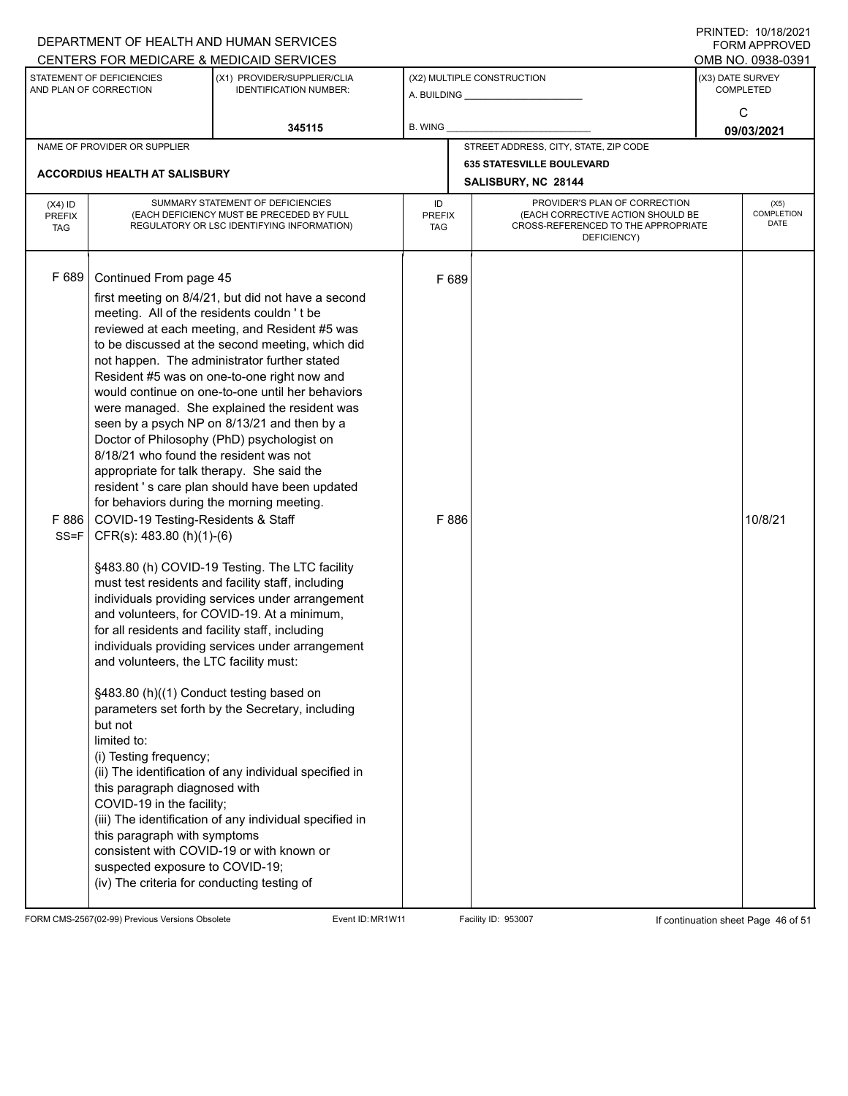|                                          |                                                                                                                                                                                                                                                                                                                                                                                                                                                                                                                                                                                                                                                          | DEPARTMENT OF HEALTH AND HUMAN SERVICES                                                                                                                                                                                                                                                                                                                                                                                                                                                                                                                                                                                                                                                                                                                                                                                                                                                                                                                                                       |                                   |                                                                                                                          |                 | <b>FORM APPROVED</b>                 |
|------------------------------------------|----------------------------------------------------------------------------------------------------------------------------------------------------------------------------------------------------------------------------------------------------------------------------------------------------------------------------------------------------------------------------------------------------------------------------------------------------------------------------------------------------------------------------------------------------------------------------------------------------------------------------------------------------------|-----------------------------------------------------------------------------------------------------------------------------------------------------------------------------------------------------------------------------------------------------------------------------------------------------------------------------------------------------------------------------------------------------------------------------------------------------------------------------------------------------------------------------------------------------------------------------------------------------------------------------------------------------------------------------------------------------------------------------------------------------------------------------------------------------------------------------------------------------------------------------------------------------------------------------------------------------------------------------------------------|-----------------------------------|--------------------------------------------------------------------------------------------------------------------------|-----------------|--------------------------------------|
|                                          |                                                                                                                                                                                                                                                                                                                                                                                                                                                                                                                                                                                                                                                          | CENTERS FOR MEDICARE & MEDICAID SERVICES                                                                                                                                                                                                                                                                                                                                                                                                                                                                                                                                                                                                                                                                                                                                                                                                                                                                                                                                                      |                                   |                                                                                                                          |                 | OMB NO. 0938-0391                    |
|                                          | STATEMENT OF DEFICIENCIES<br>AND PLAN OF CORRECTION                                                                                                                                                                                                                                                                                                                                                                                                                                                                                                                                                                                                      | (X1) PROVIDER/SUPPLIER/CLIA<br><b>IDENTIFICATION NUMBER:</b>                                                                                                                                                                                                                                                                                                                                                                                                                                                                                                                                                                                                                                                                                                                                                                                                                                                                                                                                  |                                   | (X2) MULTIPLE CONSTRUCTION                                                                                               |                 | (X3) DATE SURVEY<br><b>COMPLETED</b> |
|                                          |                                                                                                                                                                                                                                                                                                                                                                                                                                                                                                                                                                                                                                                          | 345115                                                                                                                                                                                                                                                                                                                                                                                                                                                                                                                                                                                                                                                                                                                                                                                                                                                                                                                                                                                        | <b>B. WING</b>                    |                                                                                                                          | C<br>09/03/2021 |                                      |
|                                          | NAME OF PROVIDER OR SUPPLIER                                                                                                                                                                                                                                                                                                                                                                                                                                                                                                                                                                                                                             |                                                                                                                                                                                                                                                                                                                                                                                                                                                                                                                                                                                                                                                                                                                                                                                                                                                                                                                                                                                               |                                   | STREET ADDRESS, CITY, STATE, ZIP CODE                                                                                    |                 |                                      |
|                                          | <b>ACCORDIUS HEALTH AT SALISBURY</b>                                                                                                                                                                                                                                                                                                                                                                                                                                                                                                                                                                                                                     |                                                                                                                                                                                                                                                                                                                                                                                                                                                                                                                                                                                                                                                                                                                                                                                                                                                                                                                                                                                               |                                   | <b>635 STATESVILLE BOULEVARD</b><br>SALISBURY, NC 28144                                                                  |                 |                                      |
| $(X4)$ ID<br><b>PREFIX</b><br><b>TAG</b> |                                                                                                                                                                                                                                                                                                                                                                                                                                                                                                                                                                                                                                                          | SUMMARY STATEMENT OF DEFICIENCIES<br>(EACH DEFICIENCY MUST BE PRECEDED BY FULL<br>REGULATORY OR LSC IDENTIFYING INFORMATION)                                                                                                                                                                                                                                                                                                                                                                                                                                                                                                                                                                                                                                                                                                                                                                                                                                                                  | ID<br><b>PREFIX</b><br><b>TAG</b> | PROVIDER'S PLAN OF CORRECTION<br>(EACH CORRECTIVE ACTION SHOULD BE<br>CROSS-REFERENCED TO THE APPROPRIATE<br>DEFICIENCY) |                 | (X5)<br><b>COMPLETION</b><br>DATE    |
| F 689<br>F 886<br>$SS = F$               | Continued From page 45<br>meeting. All of the residents couldn't be<br>8/18/21 who found the resident was not<br>appropriate for talk therapy. She said the<br>for behaviors during the morning meeting.<br>COVID-19 Testing-Residents & Staff<br>CFR(s): 483.80 (h)(1)-(6)<br>for all residents and facility staff, including<br>and volunteers, the LTC facility must:<br>§483.80 (h)((1) Conduct testing based on<br>but not<br>limited to:<br>(i) Testing frequency;<br>this paragraph diagnosed with<br>COVID-19 in the facility;<br>this paragraph with symptoms<br>suspected exposure to COVID-19;<br>(iv) The criteria for conducting testing of | first meeting on 8/4/21, but did not have a second<br>reviewed at each meeting, and Resident #5 was<br>to be discussed at the second meeting, which did<br>not happen. The administrator further stated<br>Resident #5 was on one-to-one right now and<br>would continue on one-to-one until her behaviors<br>were managed. She explained the resident was<br>seen by a psych NP on 8/13/21 and then by a<br>Doctor of Philosophy (PhD) psychologist on<br>resident 's care plan should have been updated<br>§483.80 (h) COVID-19 Testing. The LTC facility<br>must test residents and facility staff, including<br>individuals providing services under arrangement<br>and volunteers, for COVID-19. At a minimum,<br>individuals providing services under arrangement<br>parameters set forth by the Secretary, including<br>(ii) The identification of any individual specified in<br>(iii) The identification of any individual specified in<br>consistent with COVID-19 or with known or | F 689<br>F 886                    |                                                                                                                          |                 | 10/8/21                              |

FORM CMS-2567(02-99) Previous Versions Obsolete Event ID: MR1W11 Facility ID: 953007 If continuation sheet Page 46 of 51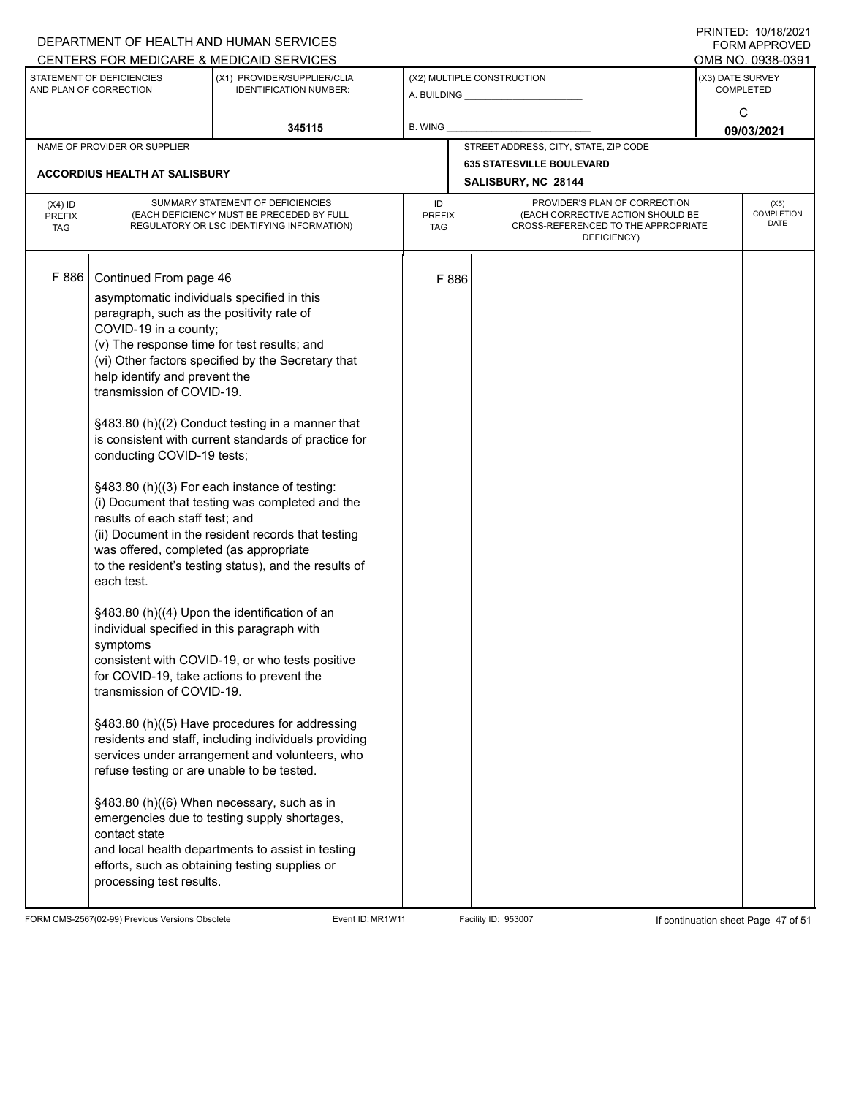|                                          |                                                                                                                                                                                                                                                                                                                                                                                                                                                                                                                                                                                                                  | DEPARTMENT OF HEALTH AND HUMAN SERVICES<br>CENTERS FOR MEDICARE & MEDICAID SERVICES                                                                                                                                                                                                                                                                                                                                                                                                                                                                                                                                                                                                                                                                                                                                                                    |                                   |       |                                                                                                                          |                  | FININTLU. TV/TO/ZVZT<br><b>FORM APPROVED</b><br>OMB NO. 0938-0391 |  |
|------------------------------------------|------------------------------------------------------------------------------------------------------------------------------------------------------------------------------------------------------------------------------------------------------------------------------------------------------------------------------------------------------------------------------------------------------------------------------------------------------------------------------------------------------------------------------------------------------------------------------------------------------------------|--------------------------------------------------------------------------------------------------------------------------------------------------------------------------------------------------------------------------------------------------------------------------------------------------------------------------------------------------------------------------------------------------------------------------------------------------------------------------------------------------------------------------------------------------------------------------------------------------------------------------------------------------------------------------------------------------------------------------------------------------------------------------------------------------------------------------------------------------------|-----------------------------------|-------|--------------------------------------------------------------------------------------------------------------------------|------------------|-------------------------------------------------------------------|--|
|                                          | STATEMENT OF DEFICIENCIES<br>AND PLAN OF CORRECTION                                                                                                                                                                                                                                                                                                                                                                                                                                                                                                                                                              | (X1) PROVIDER/SUPPLIER/CLIA<br><b>IDENTIFICATION NUMBER:</b>                                                                                                                                                                                                                                                                                                                                                                                                                                                                                                                                                                                                                                                                                                                                                                                           |                                   |       | (X2) MULTIPLE CONSTRUCTION                                                                                               | (X3) DATE SURVEY | <b>COMPLETED</b><br>C                                             |  |
|                                          |                                                                                                                                                                                                                                                                                                                                                                                                                                                                                                                                                                                                                  | 345115                                                                                                                                                                                                                                                                                                                                                                                                                                                                                                                                                                                                                                                                                                                                                                                                                                                 | B. WING                           |       |                                                                                                                          | 09/03/2021       |                                                                   |  |
|                                          | NAME OF PROVIDER OR SUPPLIER                                                                                                                                                                                                                                                                                                                                                                                                                                                                                                                                                                                     |                                                                                                                                                                                                                                                                                                                                                                                                                                                                                                                                                                                                                                                                                                                                                                                                                                                        |                                   |       | STREET ADDRESS, CITY, STATE, ZIP CODE                                                                                    |                  |                                                                   |  |
|                                          | <b>ACCORDIUS HEALTH AT SALISBURY</b>                                                                                                                                                                                                                                                                                                                                                                                                                                                                                                                                                                             |                                                                                                                                                                                                                                                                                                                                                                                                                                                                                                                                                                                                                                                                                                                                                                                                                                                        |                                   |       | <b>635 STATESVILLE BOULEVARD</b><br>SALISBURY, NC 28144                                                                  |                  |                                                                   |  |
| $(X4)$ ID<br><b>PREFIX</b><br><b>TAG</b> |                                                                                                                                                                                                                                                                                                                                                                                                                                                                                                                                                                                                                  | SUMMARY STATEMENT OF DEFICIENCIES<br>(EACH DEFICIENCY MUST BE PRECEDED BY FULL<br>REGULATORY OR LSC IDENTIFYING INFORMATION)                                                                                                                                                                                                                                                                                                                                                                                                                                                                                                                                                                                                                                                                                                                           | ID<br><b>PREFIX</b><br><b>TAG</b> |       | PROVIDER'S PLAN OF CORRECTION<br>(EACH CORRECTIVE ACTION SHOULD BE<br>CROSS-REFERENCED TO THE APPROPRIATE<br>DEFICIENCY) |                  | (X5)<br>COMPLETION<br><b>DATE</b>                                 |  |
| F 886                                    | Continued From page 46<br>asymptomatic individuals specified in this<br>paragraph, such as the positivity rate of<br>COVID-19 in a county;<br>(v) The response time for test results; and<br>help identify and prevent the<br>transmission of COVID-19.<br>conducting COVID-19 tests;<br>results of each staff test; and<br>was offered, completed (as appropriate<br>each test.<br>individual specified in this paragraph with<br>symptoms<br>for COVID-19, take actions to prevent the<br>transmission of COVID-19.<br>refuse testing or are unable to be tested.<br>contact state<br>processing test results. | (vi) Other factors specified by the Secretary that<br>§483.80 (h)((2) Conduct testing in a manner that<br>is consistent with current standards of practice for<br>§483.80 (h)((3) For each instance of testing:<br>(i) Document that testing was completed and the<br>(ii) Document in the resident records that testing<br>to the resident's testing status), and the results of<br>§483.80 (h)((4) Upon the identification of an<br>consistent with COVID-19, or who tests positive<br>§483.80 (h)((5) Have procedures for addressing<br>residents and staff, including individuals providing<br>services under arrangement and volunteers, who<br>§483.80 (h)((6) When necessary, such as in<br>emergencies due to testing supply shortages,<br>and local health departments to assist in testing<br>efforts, such as obtaining testing supplies or |                                   | F 886 |                                                                                                                          |                  |                                                                   |  |

FORM CMS-2567(02-99) Previous Versions Obsolete Event ID: MR1W11 Facility ID: 953007 If continuation sheet Page 47 of 51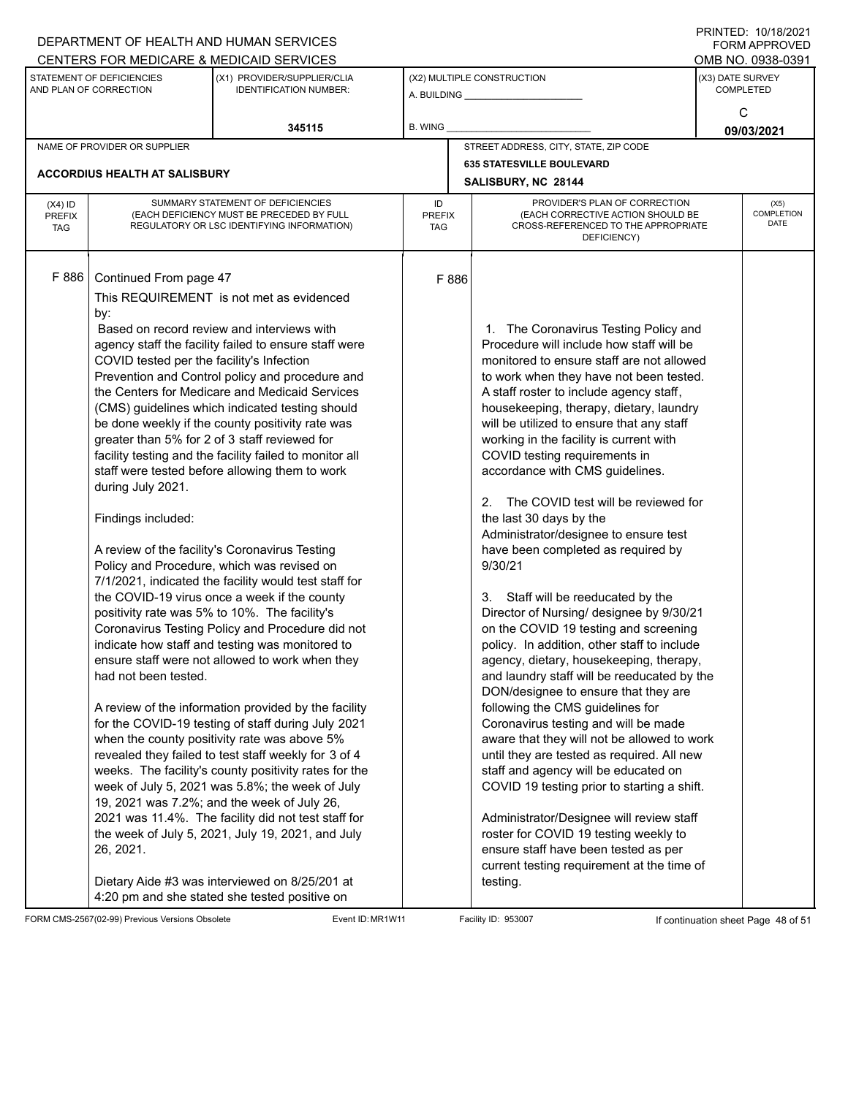|                                          |                                                                                                                                                            | DEPARTMENT OF HEALTH AND HUMAN SERVICES                                                                                                                                                                                                                                                                                                                                                                                                                                                                                                                                                                                                                                                                                                                                                                                                                                                                                                                                                                                                                                                                                                                                                                                                                                                                                                                                                                                                                                                      |                                   |                                                                                                                                                                                                                                                                                                                                                                                                                                                                                                                                                                                                                                                                                                                                                                                                                                                                                                                                                                                                                                                                                                                                                                                                                                                                                                                                                                  |                  | $1 \times 1 \times 1 = 1$ . $1 \times 1 \times 1 = 1$<br><b>FORM APPROVED</b> |
|------------------------------------------|------------------------------------------------------------------------------------------------------------------------------------------------------------|----------------------------------------------------------------------------------------------------------------------------------------------------------------------------------------------------------------------------------------------------------------------------------------------------------------------------------------------------------------------------------------------------------------------------------------------------------------------------------------------------------------------------------------------------------------------------------------------------------------------------------------------------------------------------------------------------------------------------------------------------------------------------------------------------------------------------------------------------------------------------------------------------------------------------------------------------------------------------------------------------------------------------------------------------------------------------------------------------------------------------------------------------------------------------------------------------------------------------------------------------------------------------------------------------------------------------------------------------------------------------------------------------------------------------------------------------------------------------------------------|-----------------------------------|------------------------------------------------------------------------------------------------------------------------------------------------------------------------------------------------------------------------------------------------------------------------------------------------------------------------------------------------------------------------------------------------------------------------------------------------------------------------------------------------------------------------------------------------------------------------------------------------------------------------------------------------------------------------------------------------------------------------------------------------------------------------------------------------------------------------------------------------------------------------------------------------------------------------------------------------------------------------------------------------------------------------------------------------------------------------------------------------------------------------------------------------------------------------------------------------------------------------------------------------------------------------------------------------------------------------------------------------------------------|------------------|-------------------------------------------------------------------------------|
|                                          |                                                                                                                                                            | CENTERS FOR MEDICARE & MEDICAID SERVICES                                                                                                                                                                                                                                                                                                                                                                                                                                                                                                                                                                                                                                                                                                                                                                                                                                                                                                                                                                                                                                                                                                                                                                                                                                                                                                                                                                                                                                                     |                                   |                                                                                                                                                                                                                                                                                                                                                                                                                                                                                                                                                                                                                                                                                                                                                                                                                                                                                                                                                                                                                                                                                                                                                                                                                                                                                                                                                                  |                  | OMB NO. 0938-0391                                                             |
|                                          | STATEMENT OF DEFICIENCIES<br>(X1) PROVIDER/SUPPLIER/CLIA<br>AND PLAN OF CORRECTION<br><b>IDENTIFICATION NUMBER:</b>                                        |                                                                                                                                                                                                                                                                                                                                                                                                                                                                                                                                                                                                                                                                                                                                                                                                                                                                                                                                                                                                                                                                                                                                                                                                                                                                                                                                                                                                                                                                                              |                                   | (X2) MULTIPLE CONSTRUCTION<br>A. BUILDING <b>A.</b> BUILDING                                                                                                                                                                                                                                                                                                                                                                                                                                                                                                                                                                                                                                                                                                                                                                                                                                                                                                                                                                                                                                                                                                                                                                                                                                                                                                     | (X3) DATE SURVEY | <b>COMPLETED</b>                                                              |
|                                          |                                                                                                                                                            | 345115                                                                                                                                                                                                                                                                                                                                                                                                                                                                                                                                                                                                                                                                                                                                                                                                                                                                                                                                                                                                                                                                                                                                                                                                                                                                                                                                                                                                                                                                                       | B. WING                           |                                                                                                                                                                                                                                                                                                                                                                                                                                                                                                                                                                                                                                                                                                                                                                                                                                                                                                                                                                                                                                                                                                                                                                                                                                                                                                                                                                  |                  | C<br>09/03/2021                                                               |
|                                          | NAME OF PROVIDER OR SUPPLIER                                                                                                                               |                                                                                                                                                                                                                                                                                                                                                                                                                                                                                                                                                                                                                                                                                                                                                                                                                                                                                                                                                                                                                                                                                                                                                                                                                                                                                                                                                                                                                                                                                              |                                   | STREET ADDRESS, CITY, STATE, ZIP CODE                                                                                                                                                                                                                                                                                                                                                                                                                                                                                                                                                                                                                                                                                                                                                                                                                                                                                                                                                                                                                                                                                                                                                                                                                                                                                                                            |                  |                                                                               |
|                                          |                                                                                                                                                            |                                                                                                                                                                                                                                                                                                                                                                                                                                                                                                                                                                                                                                                                                                                                                                                                                                                                                                                                                                                                                                                                                                                                                                                                                                                                                                                                                                                                                                                                                              |                                   | <b>635 STATESVILLE BOULEVARD</b>                                                                                                                                                                                                                                                                                                                                                                                                                                                                                                                                                                                                                                                                                                                                                                                                                                                                                                                                                                                                                                                                                                                                                                                                                                                                                                                                 |                  |                                                                               |
|                                          | <b>ACCORDIUS HEALTH AT SALISBURY</b>                                                                                                                       |                                                                                                                                                                                                                                                                                                                                                                                                                                                                                                                                                                                                                                                                                                                                                                                                                                                                                                                                                                                                                                                                                                                                                                                                                                                                                                                                                                                                                                                                                              |                                   | SALISBURY, NC 28144                                                                                                                                                                                                                                                                                                                                                                                                                                                                                                                                                                                                                                                                                                                                                                                                                                                                                                                                                                                                                                                                                                                                                                                                                                                                                                                                              |                  |                                                                               |
| $(X4)$ ID<br><b>PREFIX</b><br><b>TAG</b> |                                                                                                                                                            | SUMMARY STATEMENT OF DEFICIENCIES<br>(EACH DEFICIENCY MUST BE PRECEDED BY FULL<br>REGULATORY OR LSC IDENTIFYING INFORMATION)                                                                                                                                                                                                                                                                                                                                                                                                                                                                                                                                                                                                                                                                                                                                                                                                                                                                                                                                                                                                                                                                                                                                                                                                                                                                                                                                                                 | ID<br><b>PREFIX</b><br><b>TAG</b> | PROVIDER'S PLAN OF CORRECTION<br>(EACH CORRECTIVE ACTION SHOULD BE<br>CROSS-REFERENCED TO THE APPROPRIATE<br>DEFICIENCY)                                                                                                                                                                                                                                                                                                                                                                                                                                                                                                                                                                                                                                                                                                                                                                                                                                                                                                                                                                                                                                                                                                                                                                                                                                         |                  | (X5)<br><b>COMPLETION</b><br><b>DATE</b>                                      |
| F 886                                    | Continued From page 47<br>by:<br>COVID tested per the facility's Infection<br>during July 2021.<br>Findings included:<br>had not been tested.<br>26, 2021. | This REQUIREMENT is not met as evidenced<br>Based on record review and interviews with<br>agency staff the facility failed to ensure staff were<br>Prevention and Control policy and procedure and<br>the Centers for Medicare and Medicaid Services<br>(CMS) guidelines which indicated testing should<br>be done weekly if the county positivity rate was<br>greater than 5% for 2 of 3 staff reviewed for<br>facility testing and the facility failed to monitor all<br>staff were tested before allowing them to work<br>A review of the facility's Coronavirus Testing<br>Policy and Procedure, which was revised on<br>7/1/2021, indicated the facility would test staff for<br>the COVID-19 virus once a week if the county<br>positivity rate was 5% to 10%. The facility's<br>Coronavirus Testing Policy and Procedure did not<br>indicate how staff and testing was monitored to<br>ensure staff were not allowed to work when they<br>A review of the information provided by the facility<br>for the COVID-19 testing of staff during July 2021<br>when the county positivity rate was above 5%<br>revealed they failed to test staff weekly for 3 of 4<br>weeks. The facility's county positivity rates for the<br>week of July 5, 2021 was 5.8%; the week of July<br>19, 2021 was 7.2%; and the week of July 26,<br>2021 was 11.4%. The facility did not test staff for<br>the week of July 5, 2021, July 19, 2021, and July<br>Dietary Aide #3 was interviewed on 8/25/201 at | F 886                             | 1. The Coronavirus Testing Policy and<br>Procedure will include how staff will be<br>monitored to ensure staff are not allowed<br>to work when they have not been tested.<br>A staff roster to include agency staff,<br>housekeeping, therapy, dietary, laundry<br>will be utilized to ensure that any staff<br>working in the facility is current with<br>COVID testing requirements in<br>accordance with CMS guidelines.<br>The COVID test will be reviewed for<br>2.<br>the last 30 days by the<br>Administrator/designee to ensure test<br>have been completed as required by<br>9/30/21<br>3. Staff will be reeducated by the<br>Director of Nursing/ designee by 9/30/21<br>on the COVID 19 testing and screening<br>policy. In addition, other staff to include<br>agency, dietary, housekeeping, therapy,<br>and laundry staff will be reeducated by the<br>DON/designee to ensure that they are<br>following the CMS guidelines for<br>Coronavirus testing and will be made<br>aware that they will not be allowed to work<br>until they are tested as required. All new<br>staff and agency will be educated on<br>COVID 19 testing prior to starting a shift.<br>Administrator/Designee will review staff<br>roster for COVID 19 testing weekly to<br>ensure staff have been tested as per<br>current testing requirement at the time of<br>testing. |                  |                                                                               |
|                                          |                                                                                                                                                            | 4:20 pm and she stated she tested positive on                                                                                                                                                                                                                                                                                                                                                                                                                                                                                                                                                                                                                                                                                                                                                                                                                                                                                                                                                                                                                                                                                                                                                                                                                                                                                                                                                                                                                                                |                                   |                                                                                                                                                                                                                                                                                                                                                                                                                                                                                                                                                                                                                                                                                                                                                                                                                                                                                                                                                                                                                                                                                                                                                                                                                                                                                                                                                                  |                  |                                                                               |

FORM CMS-2567(02-99) Previous Versions Obsolete Event ID: MR1W11 Facility ID: 953007 If continuation sheet Page 48 of 51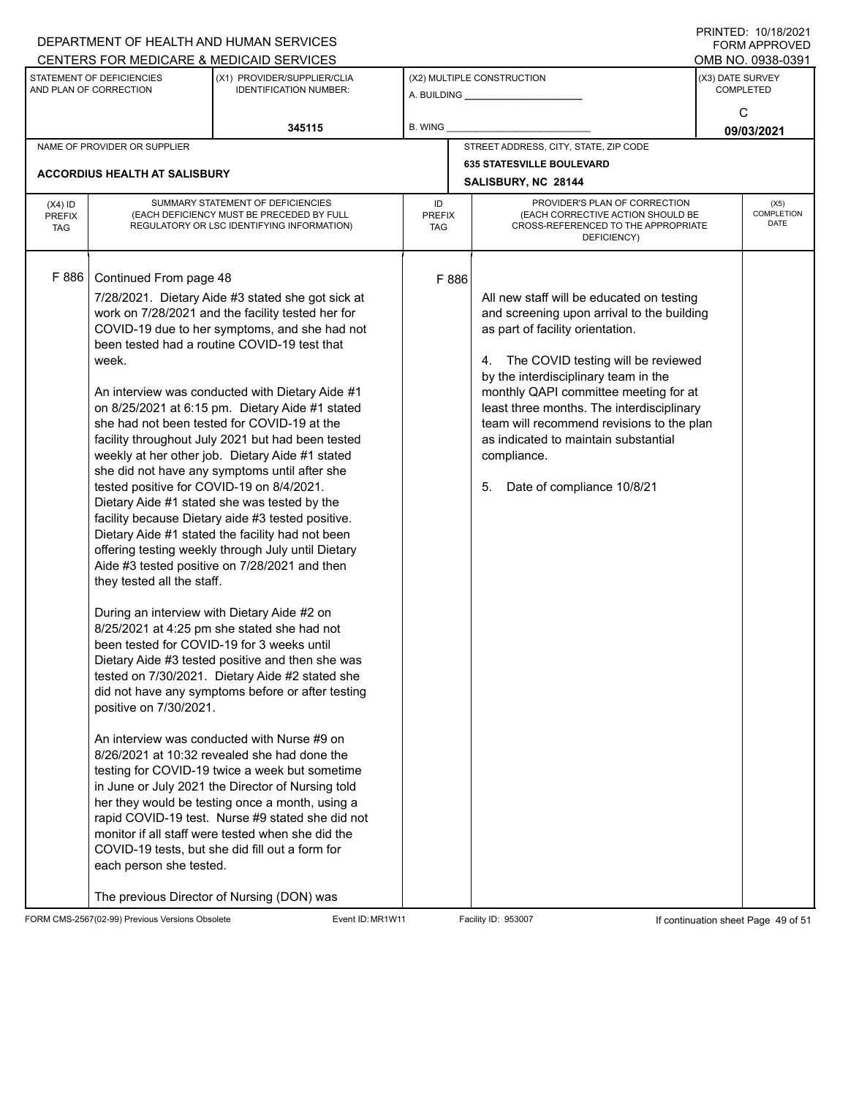| DEPARTMENT OF HEALTH AND HUMAN SERVICES             | $1 \times 1 \times 1 = 1$ . $1 \times 1 \times 1 = 1$<br>FORM APPROVED                                                                                                                                        |                                                                                                                                                                                                                                                                                                                                                                                                                                                                                                                                                                                                                                                                                                                                                                                                                                                                                                                                                                                                                                                                                                                                                                                                                                                                                                                                                                                                                                                                                                                    |                                                         |                                       |                                                                                                                                                                                                                                                                                                                                                                                                                                            |                                      |                            |  |  |
|-----------------------------------------------------|---------------------------------------------------------------------------------------------------------------------------------------------------------------------------------------------------------------|--------------------------------------------------------------------------------------------------------------------------------------------------------------------------------------------------------------------------------------------------------------------------------------------------------------------------------------------------------------------------------------------------------------------------------------------------------------------------------------------------------------------------------------------------------------------------------------------------------------------------------------------------------------------------------------------------------------------------------------------------------------------------------------------------------------------------------------------------------------------------------------------------------------------------------------------------------------------------------------------------------------------------------------------------------------------------------------------------------------------------------------------------------------------------------------------------------------------------------------------------------------------------------------------------------------------------------------------------------------------------------------------------------------------------------------------------------------------------------------------------------------------|---------------------------------------------------------|---------------------------------------|--------------------------------------------------------------------------------------------------------------------------------------------------------------------------------------------------------------------------------------------------------------------------------------------------------------------------------------------------------------------------------------------------------------------------------------------|--------------------------------------|----------------------------|--|--|
|                                                     |                                                                                                                                                                                                               | CENTERS FOR MEDICARE & MEDICAID SERVICES                                                                                                                                                                                                                                                                                                                                                                                                                                                                                                                                                                                                                                                                                                                                                                                                                                                                                                                                                                                                                                                                                                                                                                                                                                                                                                                                                                                                                                                                           |                                                         |                                       |                                                                                                                                                                                                                                                                                                                                                                                                                                            |                                      | OMB NO. 0938-0391          |  |  |
| STATEMENT OF DEFICIENCIES<br>AND PLAN OF CORRECTION |                                                                                                                                                                                                               | (X1) PROVIDER/SUPPLIER/CLIA<br><b>IDENTIFICATION NUMBER:</b>                                                                                                                                                                                                                                                                                                                                                                                                                                                                                                                                                                                                                                                                                                                                                                                                                                                                                                                                                                                                                                                                                                                                                                                                                                                                                                                                                                                                                                                       | (X2) MULTIPLE CONSTRUCTION                              |                                       |                                                                                                                                                                                                                                                                                                                                                                                                                                            | (X3) DATE SURVEY<br><b>COMPLETED</b> |                            |  |  |
|                                                     |                                                                                                                                                                                                               | 345115                                                                                                                                                                                                                                                                                                                                                                                                                                                                                                                                                                                                                                                                                                                                                                                                                                                                                                                                                                                                                                                                                                                                                                                                                                                                                                                                                                                                                                                                                                             | B. WING                                                 |                                       |                                                                                                                                                                                                                                                                                                                                                                                                                                            | C<br>09/03/2021                      |                            |  |  |
| NAME OF PROVIDER OR SUPPLIER                        |                                                                                                                                                                                                               |                                                                                                                                                                                                                                                                                                                                                                                                                                                                                                                                                                                                                                                                                                                                                                                                                                                                                                                                                                                                                                                                                                                                                                                                                                                                                                                                                                                                                                                                                                                    |                                                         | STREET ADDRESS, CITY, STATE, ZIP CODE |                                                                                                                                                                                                                                                                                                                                                                                                                                            |                                      |                            |  |  |
| <b>ACCORDIUS HEALTH AT SALISBURY</b>                |                                                                                                                                                                                                               |                                                                                                                                                                                                                                                                                                                                                                                                                                                                                                                                                                                                                                                                                                                                                                                                                                                                                                                                                                                                                                                                                                                                                                                                                                                                                                                                                                                                                                                                                                                    | <b>635 STATESVILLE BOULEVARD</b><br>SALISBURY, NC 28144 |                                       |                                                                                                                                                                                                                                                                                                                                                                                                                                            |                                      |                            |  |  |
| $(X4)$ ID<br><b>PREFIX</b><br><b>TAG</b>            | SUMMARY STATEMENT OF DEFICIENCIES<br>(EACH DEFICIENCY MUST BE PRECEDED BY FULL<br>REGULATORY OR LSC IDENTIFYING INFORMATION)                                                                                  |                                                                                                                                                                                                                                                                                                                                                                                                                                                                                                                                                                                                                                                                                                                                                                                                                                                                                                                                                                                                                                                                                                                                                                                                                                                                                                                                                                                                                                                                                                                    |                                                         | <b>PREFIX</b>                         | PROVIDER'S PLAN OF CORRECTION<br>(EACH CORRECTIVE ACTION SHOULD BE<br>CROSS-REFERENCED TO THE APPROPRIATE<br>DEFICIENCY)                                                                                                                                                                                                                                                                                                                   |                                      | (X5)<br>COMPLETION<br>DATE |  |  |
| F 886                                               | Continued From page 48<br>week.<br>tested positive for COVID-19 on 8/4/2021.<br>they tested all the staff.<br>been tested for COVID-19 for 3 weeks until<br>positive on 7/30/2021.<br>each person she tested. | 7/28/2021. Dietary Aide #3 stated she got sick at<br>work on 7/28/2021 and the facility tested her for<br>COVID-19 due to her symptoms, and she had not<br>been tested had a routine COVID-19 test that<br>An interview was conducted with Dietary Aide #1<br>on 8/25/2021 at 6:15 pm. Dietary Aide #1 stated<br>she had not been tested for COVID-19 at the<br>facility throughout July 2021 but had been tested<br>weekly at her other job. Dietary Aide #1 stated<br>she did not have any symptoms until after she<br>Dietary Aide #1 stated she was tested by the<br>facility because Dietary aide #3 tested positive.<br>Dietary Aide #1 stated the facility had not been<br>offering testing weekly through July until Dietary<br>Aide #3 tested positive on 7/28/2021 and then<br>During an interview with Dietary Aide #2 on<br>8/25/2021 at 4:25 pm she stated she had not<br>Dietary Aide #3 tested positive and then she was<br>tested on 7/30/2021. Dietary Aide #2 stated she<br>did not have any symptoms before or after testing<br>An interview was conducted with Nurse #9 on<br>8/26/2021 at 10:32 revealed she had done the<br>testing for COVID-19 twice a week but sometime<br>in June or July 2021 the Director of Nursing told<br>her they would be testing once a month, using a<br>rapid COVID-19 test. Nurse #9 stated she did not<br>monitor if all staff were tested when she did the<br>COVID-19 tests, but she did fill out a form for<br>The previous Director of Nursing (DON) was | F 886                                                   |                                       | All new staff will be educated on testing<br>and screening upon arrival to the building<br>as part of facility orientation.<br>4. The COVID testing will be reviewed<br>by the interdisciplinary team in the<br>monthly QAPI committee meeting for at<br>least three months. The interdisciplinary<br>team will recommend revisions to the plan<br>as indicated to maintain substantial<br>compliance.<br>Date of compliance 10/8/21<br>5. |                                      |                            |  |  |

FORM CMS-2567(02-99) Previous Versions Obsolete Event ID: MR1W11 Facility ID: 953007 If continuation sheet Page 49 of 51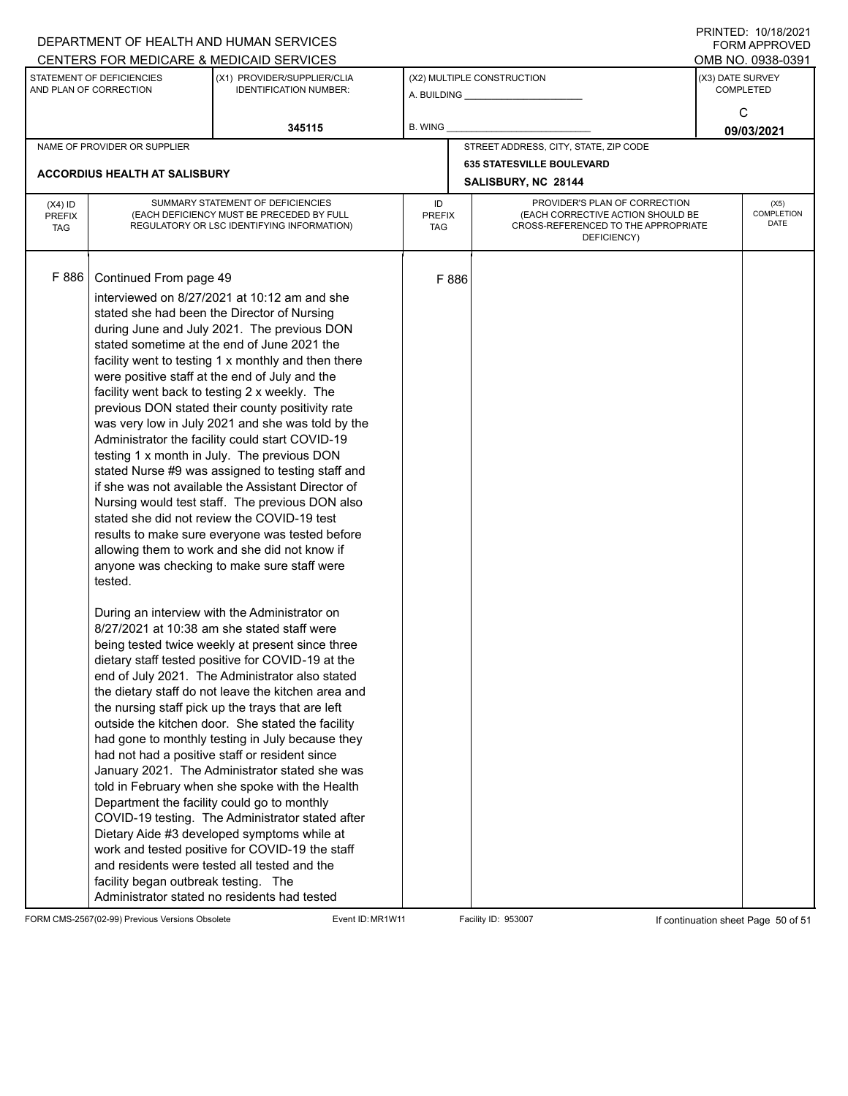|                                                          | DEPARTMENT OF HEALTH AND HUMAN SERVICES   |                                                              | $1 \times 1 \times 1 = 1$ . $1 \times 1 \times 1 = 1$<br>FORM APPROVED |       |                                                    |                  |                   |  |
|----------------------------------------------------------|-------------------------------------------|--------------------------------------------------------------|------------------------------------------------------------------------|-------|----------------------------------------------------|------------------|-------------------|--|
|                                                          |                                           | CENTERS FOR MEDICARE & MEDICAID SERVICES                     |                                                                        |       |                                                    |                  | OMB NO. 0938-0391 |  |
| STATEMENT OF DEFICIENCIES<br>AND PLAN OF CORRECTION      |                                           | (X1) PROVIDER/SUPPLIER/CLIA<br><b>IDENTIFICATION NUMBER:</b> |                                                                        |       | (X2) MULTIPLE CONSTRUCTION                         | (X3) DATE SURVEY |                   |  |
|                                                          |                                           |                                                              |                                                                        |       |                                                    | <b>COMPLETED</b> |                   |  |
|                                                          |                                           |                                                              |                                                                        |       |                                                    |                  | C                 |  |
|                                                          |                                           | 345115                                                       | B. WING                                                                |       |                                                    |                  | 09/03/2021        |  |
|                                                          | NAME OF PROVIDER OR SUPPLIER              |                                                              |                                                                        |       | STREET ADDRESS, CITY, STATE, ZIP CODE              |                  |                   |  |
|                                                          |                                           |                                                              |                                                                        |       | <b>635 STATESVILLE BOULEVARD</b>                   |                  |                   |  |
|                                                          | <b>ACCORDIUS HEALTH AT SALISBURY</b>      |                                                              |                                                                        |       | SALISBURY, NC 28144                                |                  |                   |  |
| $(X4)$ ID                                                | SUMMARY STATEMENT OF DEFICIENCIES         |                                                              |                                                                        |       | PROVIDER'S PLAN OF CORRECTION                      | (X5)             |                   |  |
| <b>PREFIX</b>                                            | (EACH DEFICIENCY MUST BE PRECEDED BY FULL |                                                              | ID<br><b>PREFIX</b>                                                    |       | (EACH CORRECTIVE ACTION SHOULD BE                  |                  | COMPLETION        |  |
| REGULATORY OR LSC IDENTIFYING INFORMATION)<br><b>TAG</b> |                                           |                                                              | TAG                                                                    |       | CROSS-REFERENCED TO THE APPROPRIATE<br>DEFICIENCY) | DATE             |                   |  |
|                                                          |                                           |                                                              |                                                                        |       |                                                    |                  |                   |  |
|                                                          |                                           |                                                              |                                                                        |       |                                                    |                  |                   |  |
| F 886                                                    | Continued From page 49                    |                                                              |                                                                        | F 886 |                                                    |                  |                   |  |
|                                                          |                                           | interviewed on 8/27/2021 at 10:12 am and she                 |                                                                        |       |                                                    |                  |                   |  |
|                                                          |                                           | stated she had been the Director of Nursing                  |                                                                        |       |                                                    |                  |                   |  |
|                                                          |                                           | during June and July 2021. The previous DON                  |                                                                        |       |                                                    |                  |                   |  |
|                                                          |                                           | stated sometime at the end of June 2021 the                  |                                                                        |       |                                                    |                  |                   |  |
|                                                          |                                           | facility went to testing 1 x monthly and then there          |                                                                        |       |                                                    |                  |                   |  |
|                                                          |                                           | were positive staff at the end of July and the               |                                                                        |       |                                                    |                  |                   |  |
|                                                          |                                           | facility went back to testing 2 x weekly. The                |                                                                        |       |                                                    |                  |                   |  |
|                                                          |                                           | previous DON stated their county positivity rate             |                                                                        |       |                                                    |                  |                   |  |
|                                                          |                                           | was very low in July 2021 and she was told by the            |                                                                        |       |                                                    |                  |                   |  |
|                                                          |                                           | Administrator the facility could start COVID-19              |                                                                        |       |                                                    |                  |                   |  |
|                                                          |                                           | testing 1 x month in July. The previous DON                  |                                                                        |       |                                                    |                  |                   |  |
|                                                          |                                           | stated Nurse #9 was assigned to testing staff and            |                                                                        |       |                                                    |                  |                   |  |
|                                                          |                                           | if she was not available the Assistant Director of           |                                                                        |       |                                                    |                  |                   |  |
|                                                          |                                           | Nursing would test staff. The previous DON also              |                                                                        |       |                                                    |                  |                   |  |
|                                                          |                                           | stated she did not review the COVID-19 test                  |                                                                        |       |                                                    |                  |                   |  |
|                                                          |                                           | results to make sure everyone was tested before              |                                                                        |       |                                                    |                  |                   |  |
|                                                          |                                           | allowing them to work and she did not know if                |                                                                        |       |                                                    |                  |                   |  |
|                                                          |                                           | anyone was checking to make sure staff were                  |                                                                        |       |                                                    |                  |                   |  |
|                                                          | tested.                                   |                                                              |                                                                        |       |                                                    |                  |                   |  |
|                                                          |                                           |                                                              |                                                                        |       |                                                    |                  |                   |  |
|                                                          |                                           | During an interview with the Administrator on                |                                                                        |       |                                                    |                  |                   |  |
|                                                          |                                           | 8/27/2021 at 10:38 am she stated staff were                  |                                                                        |       |                                                    |                  |                   |  |
|                                                          |                                           | being tested twice weekly at present since three             |                                                                        |       |                                                    |                  |                   |  |
|                                                          |                                           | dietary staff tested positive for COVID-19 at the            |                                                                        |       |                                                    |                  |                   |  |
|                                                          |                                           | end of July 2021. The Administrator also stated              |                                                                        |       |                                                    |                  |                   |  |
|                                                          |                                           | the dietary staff do not leave the kitchen area and          |                                                                        |       |                                                    |                  |                   |  |
|                                                          |                                           | the nursing staff pick up the trays that are left            |                                                                        |       |                                                    |                  |                   |  |
|                                                          |                                           | outside the kitchen door. She stated the facility            |                                                                        |       |                                                    |                  |                   |  |
|                                                          |                                           | had gone to monthly testing in July because they             |                                                                        |       |                                                    |                  |                   |  |
|                                                          |                                           | had not had a positive staff or resident since               |                                                                        |       |                                                    |                  |                   |  |
|                                                          |                                           | January 2021. The Administrator stated she was               |                                                                        |       |                                                    |                  |                   |  |
|                                                          |                                           | told in February when she spoke with the Health              |                                                                        |       |                                                    |                  |                   |  |
|                                                          |                                           | Department the facility could go to monthly                  |                                                                        |       |                                                    |                  |                   |  |
|                                                          |                                           | COVID-19 testing. The Administrator stated after             |                                                                        |       |                                                    |                  |                   |  |
|                                                          |                                           | Dietary Aide #3 developed symptoms while at                  |                                                                        |       |                                                    |                  |                   |  |
|                                                          |                                           | work and tested positive for COVID-19 the staff              |                                                                        |       |                                                    |                  |                   |  |
|                                                          |                                           | and residents were tested all tested and the                 |                                                                        |       |                                                    |                  |                   |  |
|                                                          | facility began outbreak testing. The      |                                                              |                                                                        |       |                                                    |                  |                   |  |
|                                                          |                                           | Administrator stated no residents had tested                 |                                                                        |       |                                                    |                  |                   |  |

FORM CMS-2567(02-99) Previous Versions Obsolete Event ID: MR1W11 Facility ID: 953007 If continuation sheet Page 50 of 51